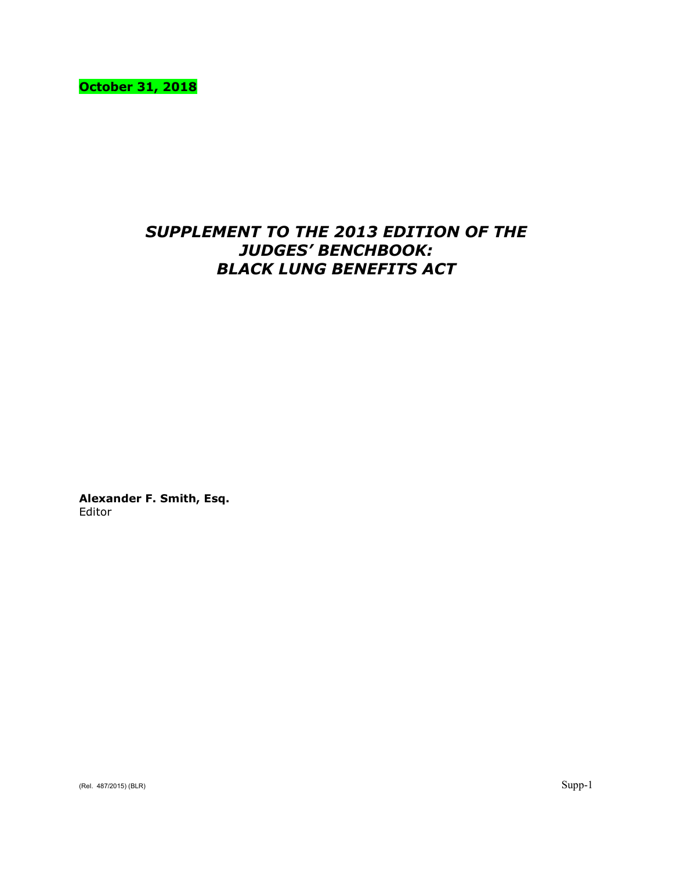**October 31, 2018**

# *SUPPLEMENT TO THE 2013 EDITION OF THE JUDGES' BENCHBOOK: BLACK LUNG BENEFITS ACT*

**Alexander F. Smith, Esq.** Editor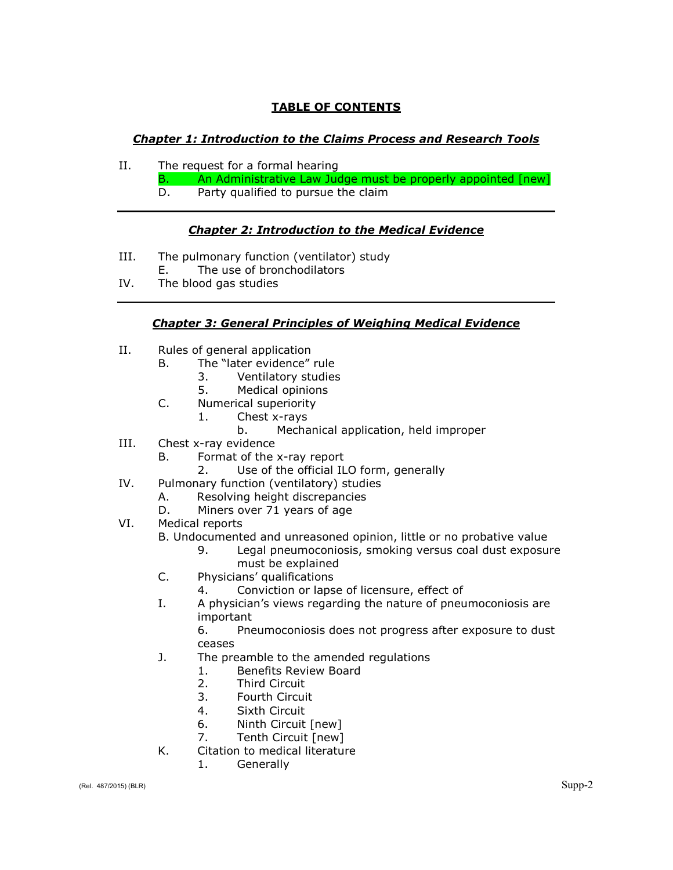## **TABLE OF CONTENTS**

## *Chapter 1: Introduction to the Claims Process and Research Tools*

- II. The request for a formal hearing
	- B. An Administrative Law Judge must be properly appointed [new]
	- D. Party qualified to pursue the claim

## *Chapter 2: Introduction to the Medical Evidence*

- III. The pulmonary function (ventilator) study
- E. The use of bronchodilators
- IV. The blood gas studies

## *Chapter 3: General Principles of Weighing Medical Evidence*

- II. Rules of general application
	- B. The "later evidence" rule
		- 3. Ventilatory studies
			- 5. Medical opinions
	- C. Numerical superiority
		- 1. Chest x-rays
			- b. Mechanical application, held improper
- III. Chest x-ray evidence
	- B. Format of the x-ray report
		- 2. Use of the official ILO form, generally
- IV. Pulmonary function (ventilatory) studies
	- A. Resolving height discrepancies
	- D. Miners over 71 years of age
- VI. Medical reports

B. Undocumented and unreasoned opinion, little or no probative value

- 9. Legal pneumoconiosis, smoking versus coal dust exposure must be explained
- C. Physicians' qualifications
	- 4. Conviction or lapse of licensure, effect of
- I. A physician's views regarding the nature of pneumoconiosis are important

6. Pneumoconiosis does not progress after exposure to dust ceases

- J. The preamble to the amended regulations
	- 1. Benefits Review Board
	- 2. Third Circuit
	- 3. Fourth Circuit
	- 4. Sixth Circuit
	- 6. Ninth Circuit [new]
	- 7. Tenth Circuit [new]
- K. Citation to medical literature
	- 1. Generally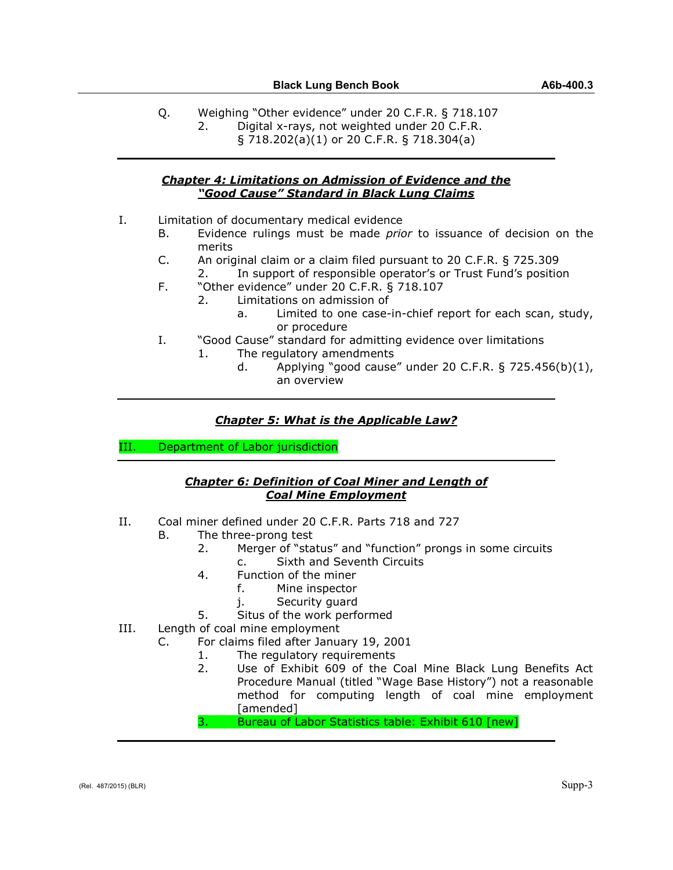- Q. Weighing "Other evidence" under 20 C.F.R. § 718.107
	- 2. Digital x-rays, not weighted under 20 C.F.R.
		- § 718.202(a)(1) or 20 C.F.R. § 718.304(a)

#### *Chapter 4: Limitations on Admission of Evidence and the "Good Cause" Standard in Black Lung Claims*

- I. Limitation of documentary medical evidence
	- B. Evidence rulings must be made *prior* to issuance of decision on the merits
	- C. An original claim or a claim filed pursuant to 20 C.F.R. § 725.309 2. In support of responsible operator's or Trust Fund's position
	- F. "Other evidence" under 20 C.F.R. § 718.107
		- 2. Limitations on admission of
			- a. Limited to one case-in-chief report for each scan, study, or procedure
	- I. "Good Cause" standard for admitting evidence over limitations
		- 1. The regulatory amendments
			- d. Applying "good cause" under 20 C.F.R. § 725.456(b)(1), an overview

## *Chapter 5: What is the Applicable Law?*

III. Department of Labor jurisdiction

## *Chapter 6: Definition of Coal Miner and Length of Coal Mine Employment*

- II. Coal miner defined under 20 C.F.R. Parts 718 and 727
	- B. The three-prong test
		- 2. Merger of "status" and "function" prongs in some circuits
			- c. Sixth and Seventh Circuits
		- 4. Function of the miner
			- f. Mine inspector
			- j. Security guard
		- 5. Situs of the work performed
- III. Length of coal mine employment
	- C. For claims filed after January 19, 2001
		- 1. The regulatory requirements
		- 2. Use of Exhibit 609 of the Coal Mine Black Lung Benefits Act Procedure Manual (titled "Wage Base History") not a reasonable method for computing length of coal mine employment [amended]

3. Bureau of Labor Statistics table: Exhibit 610 [new]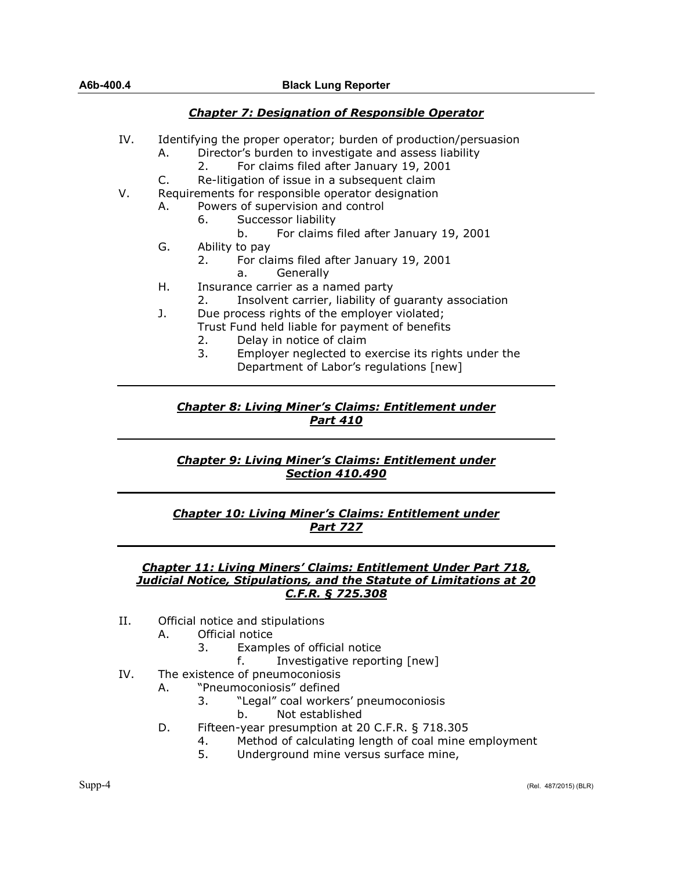#### **A6b-400.4 Black Lung Reporter**

#### *Chapter 7: Designation of Responsible Operator*

- IV. Identifying the proper operator; burden of production/persuasion
	- A. Director's burden to investigate and assess liability
		- 2. For claims filed after January 19, 2001
	- C. Re-litigation of issue in a subsequent claim
- V. Requirements for responsible operator designation
	- A. Powers of supervision and control
		- 6. Successor liability
			- b. For claims filed after January 19, 2001
	- G. Ability to pay
		- 2. For claims filed after January 19, 2001
			- a. Generally
	- H. Insurance carrier as a named party
		- 2. Insolvent carrier, liability of guaranty association
	- J. Due process rights of the employer violated;
		- Trust Fund held liable for payment of benefits
			- 2. Delay in notice of claim
			- 3. Employer neglected to exercise its rights under the Department of Labor's regulations [new]

## *Chapter 8: Living Miner's Claims: Entitlement under Part 410*

## *Chapter 9: Living Miner's Claims: Entitlement under Section 410.490*

## *Chapter 10: Living Miner's Claims: Entitlement under Part 727*

#### *Chapter 11: Living Miners' Claims: Entitlement Under Part 718, Judicial Notice, Stipulations, and the Statute of Limitations at 20 C.F.R. § 725.308*

- II. Official notice and stipulations
	- A. Official notice
		- 3. Examples of official notice
			- f. Investigative reporting [new]
- IV. The existence of pneumoconiosis
	- A. "Pneumoconiosis" defined
		- 3. "Legal" coal workers' pneumoconiosis
			- b. Not established
	- D. Fifteen-year presumption at 20 C.F.R. § 718.305
		- 4. Method of calculating length of coal mine employment
		- 5. Underground mine versus surface mine,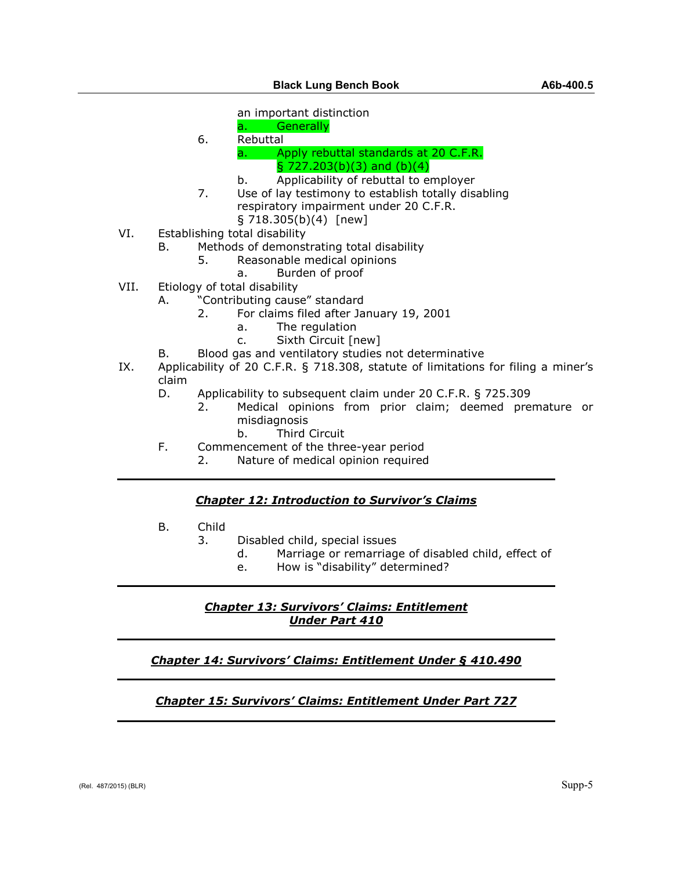an important distinction

- a. Generally
- 6. Rebuttal a. Apply rebuttal standards at 20 C.F.R.
	- $\S$  727.203(b)(3) and (b)(4)
	- b. Applicability of rebuttal to employer
- 7. Use of lay testimony to establish totally disabling respiratory impairment under 20 C.F.R.
	- $\S$  718.305(b)(4) [new]
- VI. Establishing total disability
	- B. Methods of demonstrating total disability<br>5. Reasonable medical opinions
		- Reasonable medical opinions
			- a. Burden of proof
- VII. Etiology of total disability
	- A. "Contributing cause" standard
		- 2. For claims filed after January 19, 2001
			- a. The regulation
			- c. Sixth Circuit [new]
		- B. Blood gas and ventilatory studies not determinative
- IX. Applicability of 20 C.F.R. § 718.308, statute of limitations for filing a miner's claim
	- D. Applicability to subsequent claim under 20 C.F.R. § 725.309
		- 2. Medical opinions from prior claim; deemed premature or misdiagnosis
			- b. Third Circuit
	- F. Commencement of the three-year period
		- 2. Nature of medical opinion required

#### *Chapter 12: Introduction to Survivor's Claims*

- B. Child
	- 3. Disabled child, special issues
		- d. Marriage or remarriage of disabled child, effect of
		- e. How is "disability" determined?

#### *Chapter 13: Survivors' Claims: Entitlement Under Part 410*

#### *Chapter 14: Survivors' Claims: Entitlement Under § 410.490*

## *Chapter 15: Survivors' Claims: Entitlement Under Part 727*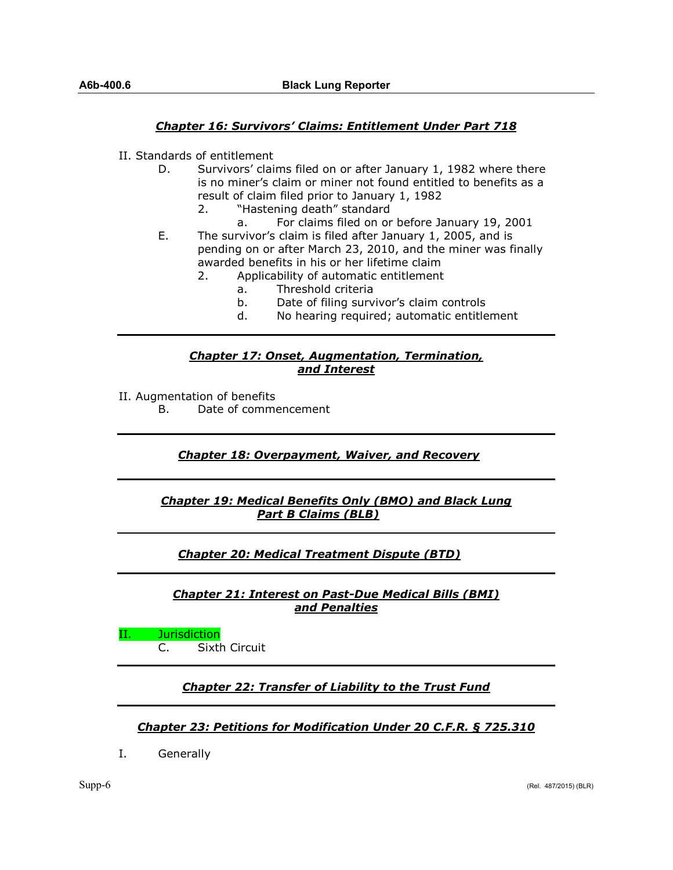## *Chapter 16: Survivors' Claims: Entitlement Under Part 718*

- II. Standards of entitlement
	- D. Survivors' claims filed on or after January 1, 1982 where there is no miner's claim or miner not found entitled to benefits as a result of claim filed prior to January 1, 1982
		- 2. "Hastening death" standard
			- a. For claims filed on or before January 19, 2001
	- E. The survivor's claim is filed after January 1, 2005, and is pending on or after March 23, 2010, and the miner was finally awarded benefits in his or her lifetime claim
		- 2. Applicability of automatic entitlement
			- a. Threshold criteria
			- b. Date of filing survivor's claim controls
			- d. No hearing required; automatic entitlement

#### *Chapter 17: Onset, Augmentation, Termination, and Interest*

II. Augmentation of benefits

B. Date of commencement

#### *Chapter 18: Overpayment, Waiver, and Recovery*

#### *Chapter 19: Medical Benefits Only (BMO) and Black Lung Part B Claims (BLB)*

#### *Chapter 20: Medical Treatment Dispute (BTD)*

*Chapter 21: Interest on Past-Due Medical Bills (BMI) and Penalties*

II. Jurisdiction

C. Sixth Circuit

## *Chapter 22: Transfer of Liability to the Trust Fund*

#### *Chapter 23: Petitions for Modification Under 20 C.F.R. § 725.310*

I. Generally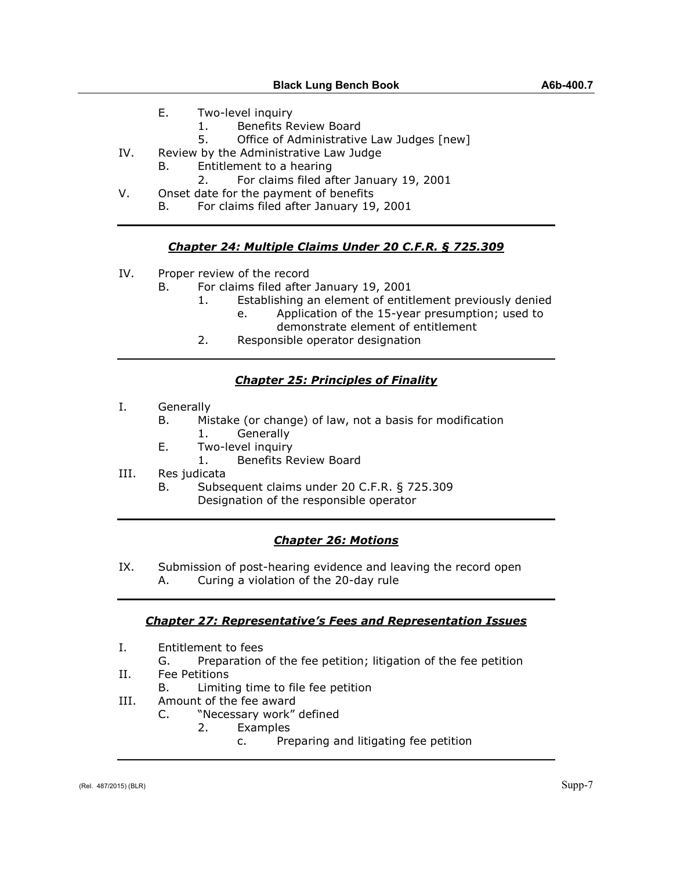- 1. Benefits Review Board
- 5. Office of Administrative Law Judges [new]
- IV. Review by the Administrative Law Judge
	- B. Entitlement to a hearing
	- 2. For claims filed after January 19, 2001
- V. Onset date for the payment of benefits
	- B. For claims filed after January 19, 2001

## *Chapter 24: Multiple Claims Under 20 C.F.R. § 725.309*

- IV. Proper review of the record
	- B. For claims filed after January 19, 2001
		- 1. Establishing an element of entitlement previously denied
			- e. Application of the 15-year presumption; used to demonstrate element of entitlement
		- 2. Responsible operator designation

## *Chapter 25: Principles of Finality*

- I. Generally
	- B. Mistake (or change) of law, not a basis for modification 1. Generally
	- E. Two-level inquiry
		- 1. Benefits Review Board
- III. Res judicata
	- B. Subsequent claims under 20 C.F.R. § 725.309 Designation of the responsible operator

## *Chapter 26: Motions*

- IX. Submission of post-hearing evidence and leaving the record open
	- A. Curing a violation of the 20-day rule

## *Chapter 27: Representative's Fees and Representation Issues*

- I. Entitlement to fees
	- G. Preparation of the fee petition; litigation of the fee petition
- II. Fee Petitions
- B. Limiting time to file fee petition
- III. Amount of the fee award
	- C. "Necessary work" defined
		- 2. Examples
			- c. Preparing and litigating fee petition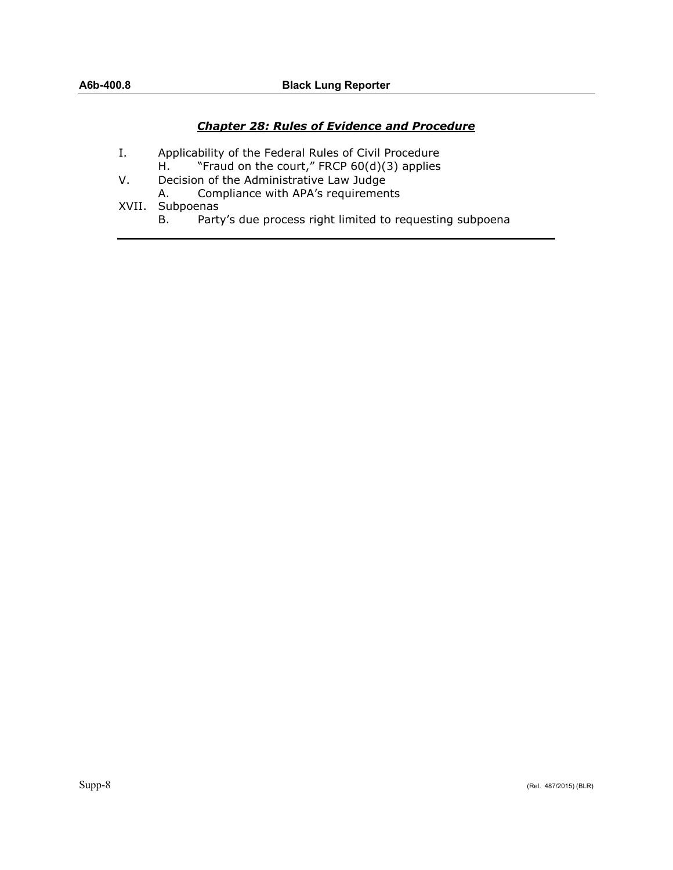#### *Chapter 28: Rules of Evidence and Procedure*

- I. Applicability of the Federal Rules of Civil Procedure H. "Fraud on the court," FRCP 60(d)(3) applies
- V. Decision of the Administrative Law Judge<br>A. Compliance with APA's requiremen
	- Compliance with APA's requirements
- XVII. Subpoenas
	- B. Party's due process right limited to requesting subpoena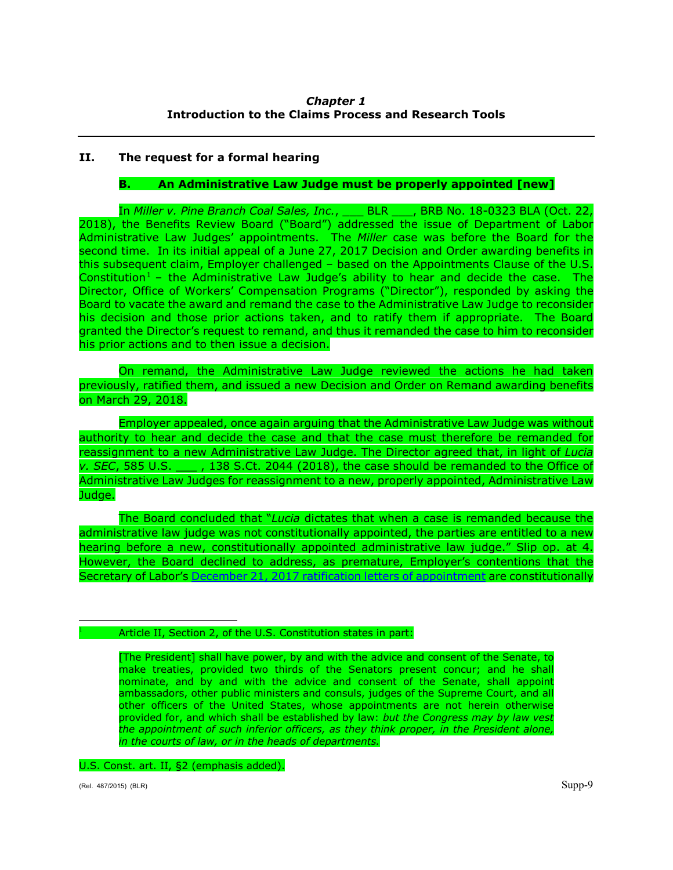## *Chapter 1* **Introduction to the Claims Process and Research Tools**

## **II. The request for a formal hearing**

#### **B. An Administrative Law Judge must be properly appointed [new]**

In *Miller v. Pine Branch Coal Sales, Inc.*, \_\_\_ BLR \_\_\_, BRB No. 18-0323 BLA (Oct. 22, 2018), the Benefits Review Board ("Board") addressed the issue of Department of Labor Administrative Law Judges' appointments. The *Miller* case was before the Board for the second time. In its initial appeal of a June 27, 2017 Decision and Order awarding benefits in this subsequent claim, Employer challenged – based on the Appointments Clause of the U.S. Constitution<sup>[1](#page-8-0)</sup> – the Administrative Law Judge's ability to hear and decide the case. The Director, Office of Workers' Compensation Programs ("Director"), responded by asking the Board to vacate the award and remand the case to the Administrative Law Judge to reconsider his decision and those prior actions taken, and to ratify them if appropriate. The Board granted the Director's request to remand, and thus it remanded the case to him to reconsider his prior actions and to then issue a decision.

On remand, the Administrative Law Judge reviewed the actions he had taken previously, ratified them, and issued a new Decision and Order on Remand awarding benefits on March 29, 2018.

Employer appealed, once again arguing that the Administrative Law Judge was without authority to hear and decide the case and that the case must therefore be remanded for reassignment to a new Administrative Law Judge. The Director agreed that, in light of *Lucia v. SEC*, 585 U.S. \_\_\_ , 138 S.Ct. 2044 (2018), the case should be remanded to the Office of Administrative Law Judges for reassignment to a new, properly appointed, Administrative Law Judge.

The Board concluded that "*Lucia* dictates that when a case is remanded because the administrative law judge was not constitutionally appointed, the parties are entitled to a new hearing before a new, constitutionally appointed administrative law judge." Slip op. at 4. However, the Board declined to address, as premature, Employer's contentions that the Secretary of Labor's [December 21, 2017 ratification letters of appointment](https://www.oalj.dol.gov/PUBLIC/FOIA/Frequently_Requested_Records/ALJ_Appointments/Secretarys_Ratification_of_ALJ_Appointments_12_21_2017.pdf) are constitutionally

#### <span id="page-8-0"></span>Article II, Section 2, of the U.S. Constitution states in part:

[The President] shall have power, by and with the advice and consent of the Senate, to make treaties, provided two thirds of the Senators present concur; and he shall nominate, and by and with the advice and consent of the Senate, shall appoint ambassadors, other public ministers and consuls, judges of the Supreme Court, and all other officers of the United States, whose appointments are not herein otherwise provided for, and which shall be established by law: *but the Congress may by law vest the appointment of such inferior officers, as they think proper, in the President alone, in the courts of law, or in the heads of departments.*

#### U.S. Const. art. II, §2 (emphasis added).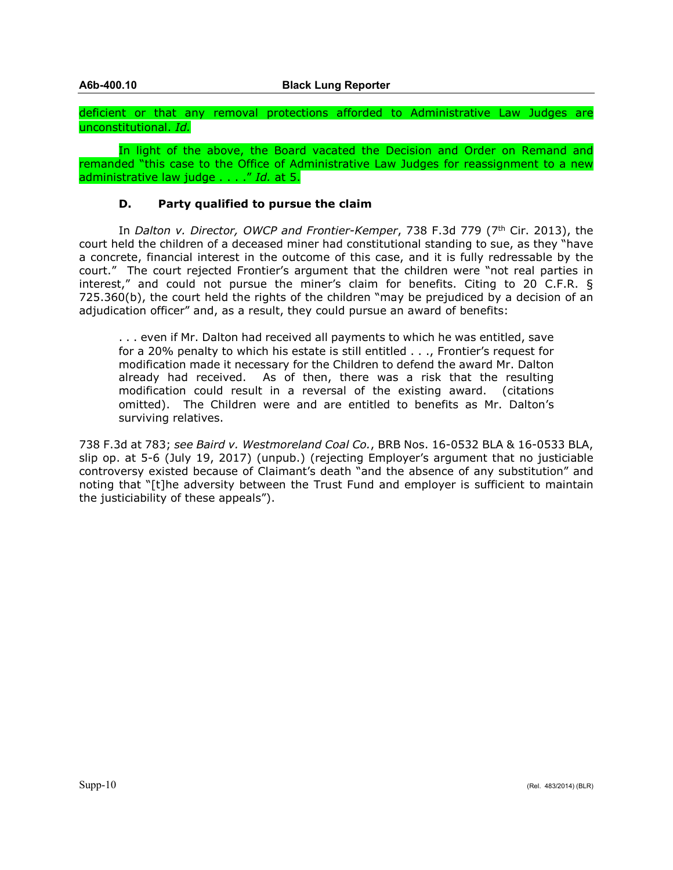deficient or that any removal protections afforded to Administrative Law Judges are unconstitutional. *Id.*

In light of the above, the Board vacated the Decision and Order on Remand and remanded "this case to the Office of Administrative Law Judges for reassignment to a new administrative law judge . . . ." *Id.* at 5.

#### **D. Party qualified to pursue the claim**

In *Dalton v. Director, OWCP and Frontier-Kemper*, 738 F.3d 779 (7<sup>th</sup> Cir. 2013), the court held the children of a deceased miner had constitutional standing to sue, as they "have a concrete, financial interest in the outcome of this case, and it is fully redressable by the court." The court rejected Frontier's argument that the children were "not real parties in interest," and could not pursue the miner's claim for benefits. Citing to 20 C.F.R. § 725.360(b), the court held the rights of the children "may be prejudiced by a decision of an adjudication officer" and, as a result, they could pursue an award of benefits:

. . . even if Mr. Dalton had received all payments to which he was entitled, save for a 20% penalty to which his estate is still entitled . . ., Frontier's request for modification made it necessary for the Children to defend the award Mr. Dalton already had received. As of then, there was a risk that the resulting modification could result in a reversal of the existing award. (citations omitted). The Children were and are entitled to benefits as Mr. Dalton's surviving relatives.

738 F.3d at 783; *see Baird v. Westmoreland Coal Co.*, BRB Nos. 16-0532 BLA & 16-0533 BLA, slip op. at 5-6 (July 19, 2017) (unpub.) (rejecting Employer's argument that no justiciable controversy existed because of Claimant's death "and the absence of any substitution" and noting that "[t]he adversity between the Trust Fund and employer is sufficient to maintain the justiciability of these appeals").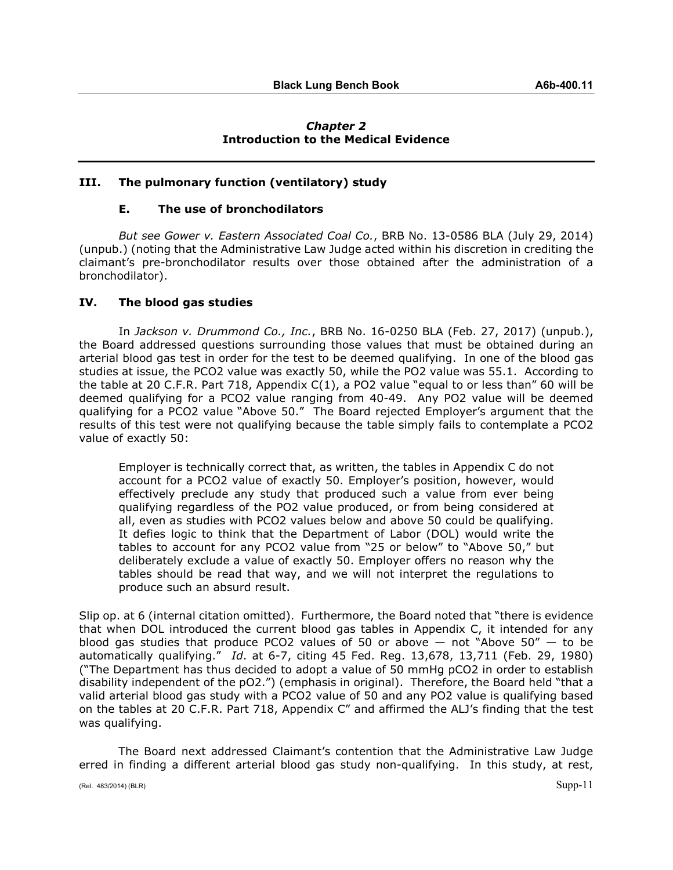#### *Chapter 2* **Introduction to the Medical Evidence**

#### **III. The pulmonary function (ventilatory) study**

#### **E. The use of bronchodilators**

*But see Gower v. Eastern Associated Coal Co.*, BRB No. 13-0586 BLA (July 29, 2014) (unpub.) (noting that the Administrative Law Judge acted within his discretion in crediting the claimant's pre-bronchodilator results over those obtained after the administration of a bronchodilator).

#### **IV. The blood gas studies**

In *Jackson v. Drummond Co., Inc.*, BRB No. 16-0250 BLA (Feb. 27, 2017) (unpub.), the Board addressed questions surrounding those values that must be obtained during an arterial blood gas test in order for the test to be deemed qualifying. In one of the blood gas studies at issue, the PCO2 value was exactly 50, while the PO2 value was 55.1. According to the table at 20 C.F.R. Part 718, Appendix C(1), a PO2 value "equal to or less than" 60 will be deemed qualifying for a PCO2 value ranging from 40-49. Any PO2 value will be deemed qualifying for a PCO2 value "Above 50." The Board rejected Employer's argument that the results of this test were not qualifying because the table simply fails to contemplate a PCO2 value of exactly 50:

Employer is technically correct that, as written, the tables in Appendix C do not account for a PCO2 value of exactly 50. Employer's position, however, would effectively preclude any study that produced such a value from ever being qualifying regardless of the PO2 value produced, or from being considered at all, even as studies with PCO2 values below and above 50 could be qualifying. It defies logic to think that the Department of Labor (DOL) would write the tables to account for any PCO2 value from "25 or below" to "Above 50," but deliberately exclude a value of exactly 50. Employer offers no reason why the tables should be read that way, and we will not interpret the regulations to produce such an absurd result.

Slip op. at 6 (internal citation omitted). Furthermore, the Board noted that "there is evidence that when DOL introduced the current blood gas tables in Appendix C, it intended for any blood gas studies that produce PCO2 values of 50 or above  $-$  not "Above 50"  $-$  to be automatically qualifying." *Id*. at 6-7, citing 45 Fed. Reg. 13,678, 13,711 (Feb. 29, 1980) ("The Department has thus decided to adopt a value of 50 mmHg pCO2 in order to establish disability independent of the pO2.") (emphasis in original). Therefore, the Board held "that a valid arterial blood gas study with a PCO2 value of 50 and any PO2 value is qualifying based on the tables at 20 C.F.R. Part 718, Appendix C" and affirmed the ALJ's finding that the test was qualifying.

The Board next addressed Claimant's contention that the Administrative Law Judge erred in finding a different arterial blood gas study non-qualifying. In this study, at rest,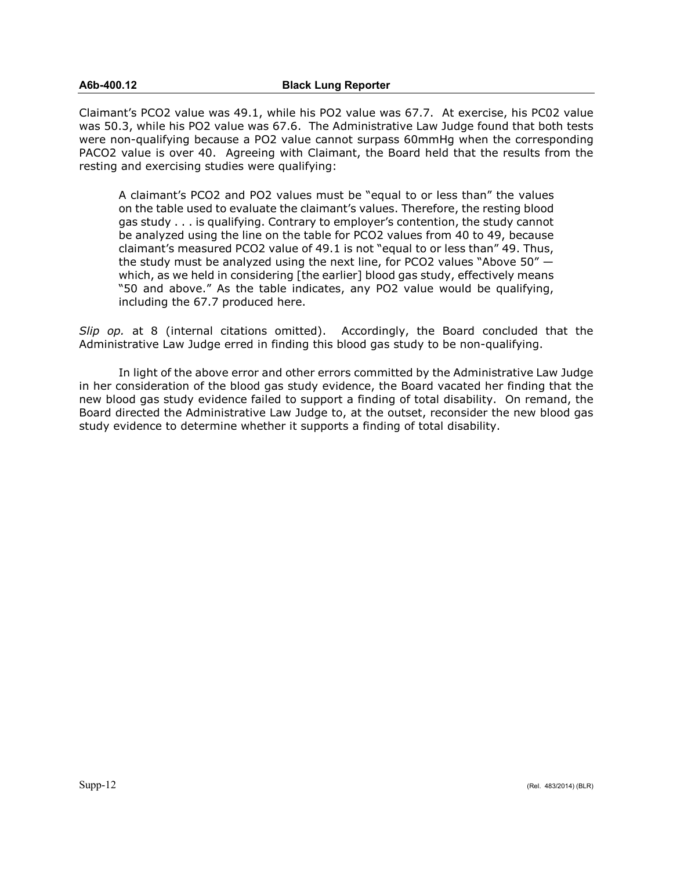#### **A6b-400.12 Black Lung Reporter**

Claimant's PCO2 value was 49.1, while his PO2 value was 67.7. At exercise, his PC02 value was 50.3, while his PO2 value was 67.6. The Administrative Law Judge found that both tests were non-qualifying because a PO2 value cannot surpass 60mmHg when the corresponding PACO2 value is over 40. Agreeing with Claimant, the Board held that the results from the resting and exercising studies were qualifying:

A claimant's PCO2 and PO2 values must be "equal to or less than" the values on the table used to evaluate the claimant's values. Therefore, the resting blood gas study . . . is qualifying. Contrary to employer's contention, the study cannot be analyzed using the line on the table for PCO2 values from 40 to 49, because claimant's measured PCO2 value of 49.1 is not "equal to or less than" 49. Thus, the study must be analyzed using the next line, for PCO2 values "Above 50" which, as we held in considering [the earlier] blood gas study, effectively means "50 and above." As the table indicates, any PO2 value would be qualifying, including the 67.7 produced here.

*Slip op.* at 8 (internal citations omitted). Accordingly, the Board concluded that the Administrative Law Judge erred in finding this blood gas study to be non-qualifying.

In light of the above error and other errors committed by the Administrative Law Judge in her consideration of the blood gas study evidence, the Board vacated her finding that the new blood gas study evidence failed to support a finding of total disability. On remand, the Board directed the Administrative Law Judge to, at the outset, reconsider the new blood gas study evidence to determine whether it supports a finding of total disability.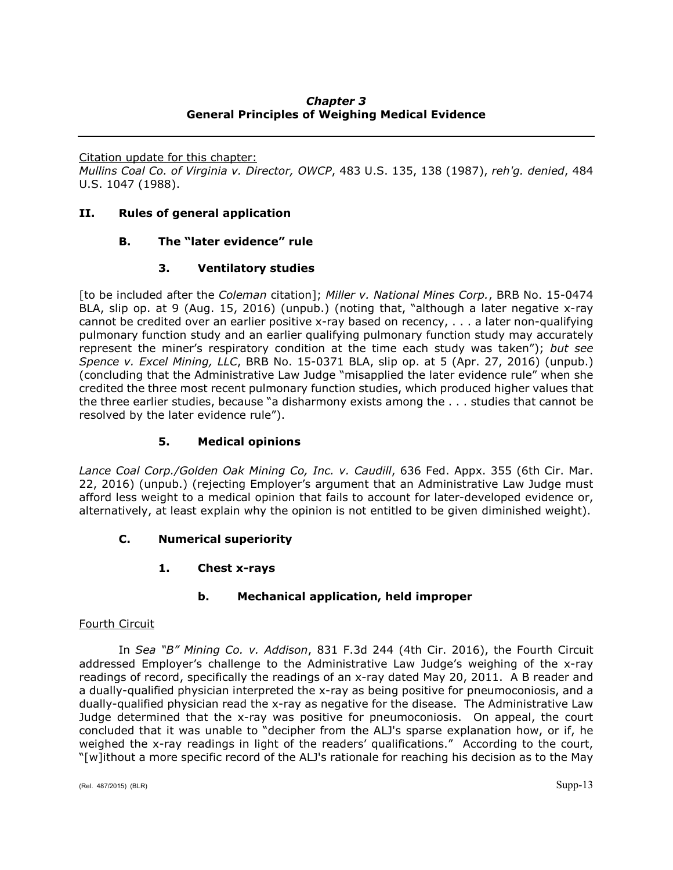## *Chapter 3* **General Principles of Weighing Medical Evidence**

Citation update for this chapter:

*Mullins Coal Co. of Virginia v. Director, OWCP*, 483 U.S. 135, 138 (1987), *reh'g. denied*, 484 U.S. 1047 (1988).

### **II. Rules of general application**

## **B. The "later evidence" rule**

## **3. Ventilatory studies**

[to be included after the *Coleman* citation]; *Miller v. National Mines Corp.*, BRB No. 15-0474 BLA, slip op. at 9 (Aug. 15, 2016) (unpub.) (noting that, "although a later negative x-ray cannot be credited over an earlier positive x-ray based on recency, . . . a later non-qualifying pulmonary function study and an earlier qualifying pulmonary function study may accurately represent the miner's respiratory condition at the time each study was taken"); *but see Spence v. Excel Mining, LLC*, BRB No. 15-0371 BLA, slip op. at 5 (Apr. 27, 2016) (unpub.) (concluding that the Administrative Law Judge "misapplied the later evidence rule" when she credited the three most recent pulmonary function studies, which produced higher values that the three earlier studies, because "a disharmony exists among the . . . studies that cannot be resolved by the later evidence rule").

## **5. Medical opinions**

*Lance Coal Corp./Golden Oak Mining Co, Inc. v. Caudill*, 636 Fed. Appx. 355 (6th Cir. Mar. 22, 2016) (unpub.) (rejecting Employer's argument that an Administrative Law Judge must afford less weight to a medical opinion that fails to account for later-developed evidence or, alternatively, at least explain why the opinion is not entitled to be given diminished weight).

## **C. Numerical superiority**

## **1. Chest x-rays**

#### **b. Mechanical application, held improper**

#### Fourth Circuit

In *Sea "B" Mining Co. v. Addison*, 831 F.3d 244 (4th Cir. 2016), the Fourth Circuit addressed Employer's challenge to the Administrative Law Judge's weighing of the x-ray readings of record, specifically the readings of an x-ray dated May 20, 2011. A B reader and a dually-qualified physician interpreted the x-ray as being positive for pneumoconiosis, and a dually-qualified physician read the x-ray as negative for the disease. The Administrative Law Judge determined that the x-ray was positive for pneumoconiosis. On appeal, the court concluded that it was unable to "decipher from the ALJ's sparse explanation how, or if, he weighed the x-ray readings in light of the readers' qualifications." According to the court, "[w]ithout a more specific record of the ALJ's rationale for reaching his decision as to the May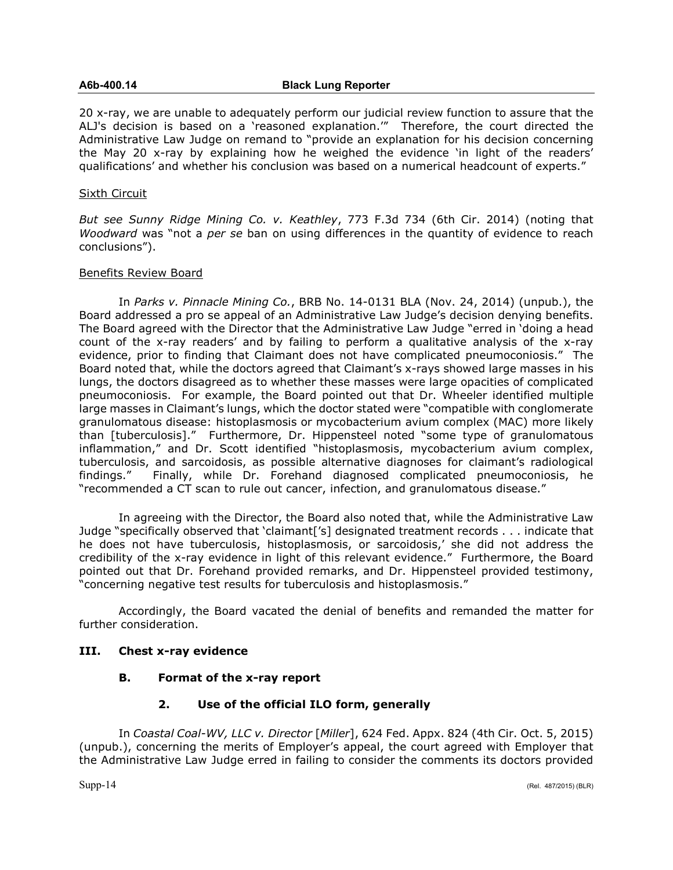#### **A6b-400.14 Black Lung Reporter**

20 x-ray, we are unable to adequately perform our judicial review function to assure that the ALJ's decision is based on a 'reasoned explanation.'" Therefore, the court directed the Administrative Law Judge on remand to "provide an explanation for his decision concerning the May 20 x-ray by explaining how he weighed the evidence 'in light of the readers' qualifications' and whether his conclusion was based on a numerical headcount of experts."

#### Sixth Circuit

*But see Sunny Ridge Mining Co. v. Keathley*, 773 F.3d 734 (6th Cir. 2014) (noting that *Woodward* was "not a *per se* ban on using differences in the quantity of evidence to reach conclusions").

#### Benefits Review Board

In *Parks v. Pinnacle Mining Co.*, BRB No. 14-0131 BLA (Nov. 24, 2014) (unpub.), the Board addressed a pro se appeal of an Administrative Law Judge's decision denying benefits. The Board agreed with the Director that the Administrative Law Judge "erred in 'doing a head count of the x-ray readers' and by failing to perform a qualitative analysis of the x-ray evidence, prior to finding that Claimant does not have complicated pneumoconiosis." The Board noted that, while the doctors agreed that Claimant's x-rays showed large masses in his lungs, the doctors disagreed as to whether these masses were large opacities of complicated pneumoconiosis. For example, the Board pointed out that Dr. Wheeler identified multiple large masses in Claimant's lungs, which the doctor stated were "compatible with conglomerate granulomatous disease: histoplasmosis or mycobacterium avium complex (MAC) more likely than [tuberculosis]." Furthermore, Dr. Hippensteel noted "some type of granulomatous inflammation," and Dr. Scott identified "histoplasmosis, mycobacterium avium complex, tuberculosis, and sarcoidosis, as possible alternative diagnoses for claimant's radiological findings." Finally, while Dr. Forehand diagnosed complicated pneumoconiosis, he "recommended a CT scan to rule out cancer, infection, and granulomatous disease."

In agreeing with the Director, the Board also noted that, while the Administrative Law Judge "specifically observed that 'claimant['s] designated treatment records . . . indicate that he does not have tuberculosis, histoplasmosis, or sarcoidosis,' she did not address the credibility of the x-ray evidence in light of this relevant evidence." Furthermore, the Board pointed out that Dr. Forehand provided remarks, and Dr. Hippensteel provided testimony, "concerning negative test results for tuberculosis and histoplasmosis."

Accordingly, the Board vacated the denial of benefits and remanded the matter for further consideration.

#### **III. Chest x-ray evidence**

#### **B. Format of the x-ray report**

#### **2. Use of the official ILO form, generally**

In *Coastal Coal-WV, LLC v. Director* [*Miller*], 624 Fed. Appx. 824 (4th Cir. Oct. 5, 2015) (unpub.), concerning the merits of Employer's appeal, the court agreed with Employer that the Administrative Law Judge erred in failing to consider the comments its doctors provided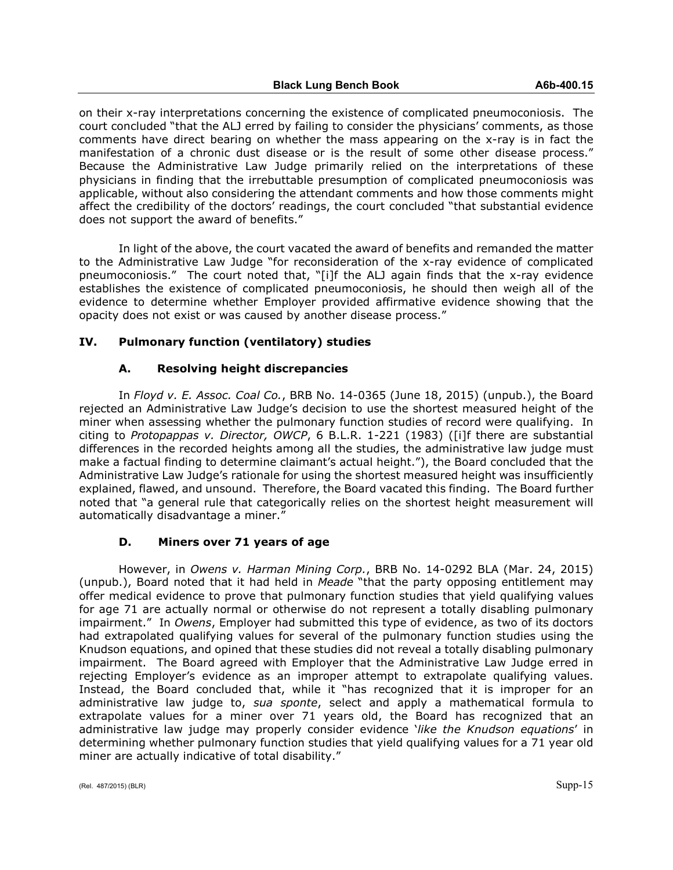on their x-ray interpretations concerning the existence of complicated pneumoconiosis. The court concluded "that the ALJ erred by failing to consider the physicians' comments, as those comments have direct bearing on whether the mass appearing on the x-ray is in fact the manifestation of a chronic dust disease or is the result of some other disease process." Because the Administrative Law Judge primarily relied on the interpretations of these physicians in finding that the irrebuttable presumption of complicated pneumoconiosis was applicable, without also considering the attendant comments and how those comments might affect the credibility of the doctors' readings, the court concluded "that substantial evidence does not support the award of benefits."

In light of the above, the court vacated the award of benefits and remanded the matter to the Administrative Law Judge "for reconsideration of the x-ray evidence of complicated pneumoconiosis." The court noted that, "[i]f the ALJ again finds that the x-ray evidence establishes the existence of complicated pneumoconiosis, he should then weigh all of the evidence to determine whether Employer provided affirmative evidence showing that the opacity does not exist or was caused by another disease process."

#### **IV. Pulmonary function (ventilatory) studies**

## **A. Resolving height discrepancies**

In *Floyd v. E. Assoc. Coal Co.*, BRB No. 14-0365 (June 18, 2015) (unpub.), the Board rejected an Administrative Law Judge's decision to use the shortest measured height of the miner when assessing whether the pulmonary function studies of record were qualifying. In citing to *Protopappas v. Director, OWCP*, 6 B.L.R. 1-221 (1983) ([i]f there are substantial differences in the recorded heights among all the studies, the administrative law judge must make a factual finding to determine claimant's actual height."), the Board concluded that the Administrative Law Judge's rationale for using the shortest measured height was insufficiently explained, flawed, and unsound. Therefore, the Board vacated this finding. The Board further noted that "a general rule that categorically relies on the shortest height measurement will automatically disadvantage a miner."

#### **D. Miners over 71 years of age**

However, in *Owens v. Harman Mining Corp.*, BRB No. 14-0292 BLA (Mar. 24, 2015) (unpub.), Board noted that it had held in *Meade* "that the party opposing entitlement may offer medical evidence to prove that pulmonary function studies that yield qualifying values for age 71 are actually normal or otherwise do not represent a totally disabling pulmonary impairment." In *Owens*, Employer had submitted this type of evidence, as two of its doctors had extrapolated qualifying values for several of the pulmonary function studies using the Knudson equations, and opined that these studies did not reveal a totally disabling pulmonary impairment. The Board agreed with Employer that the Administrative Law Judge erred in rejecting Employer's evidence as an improper attempt to extrapolate qualifying values. Instead, the Board concluded that, while it "has recognized that it is improper for an administrative law judge to, *sua sponte*, select and apply a mathematical formula to extrapolate values for a miner over 71 years old, the Board has recognized that an administrative law judge may properly consider evidence '*like the Knudson equations*' in determining whether pulmonary function studies that yield qualifying values for a 71 year old miner are actually indicative of total disability."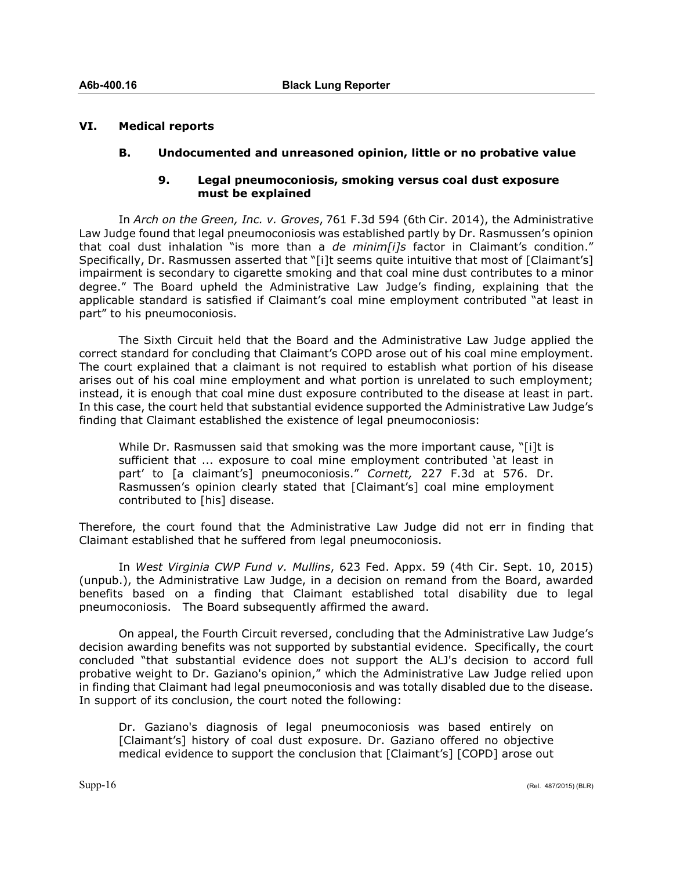#### **VI. Medical reports**

#### **B. Undocumented and unreasoned opinion, little or no probative value**

#### **9. Legal pneumoconiosis, smoking versus coal dust exposure must be explained**

In *Arch on the Green, Inc. v. Groves*, 761 F.3d 594 (6th Cir. 2014), the Administrative Law Judge found that legal pneumoconiosis was established partly by Dr. Rasmussen's opinion that coal dust inhalation "is more than a *de minim[i]s* factor in Claimant's condition." Specifically, Dr. Rasmussen asserted that "[i]t seems quite intuitive that most of [Claimant's] impairment is secondary to cigarette smoking and that coal mine dust contributes to a minor degree." The Board upheld the Administrative Law Judge's finding, explaining that the applicable standard is satisfied if Claimant's coal mine employment contributed "at least in part" to his pneumoconiosis.

The Sixth Circuit held that the Board and the Administrative Law Judge applied the correct standard for concluding that Claimant's COPD arose out of his coal mine employment. The court explained that a claimant is not required to establish what portion of his disease arises out of his coal mine employment and what portion is unrelated to such employment; instead, it is enough that coal mine dust exposure contributed to the disease at least in part. In this case, the court held that substantial evidence supported the Administrative Law Judge's finding that Claimant established the existence of legal pneumoconiosis:

While Dr. Rasmussen said that smoking was the more important cause, "[i]t is sufficient that ... exposure to coal mine employment contributed 'at least in part' to [a claimant's] pneumoconiosis." *Cornett,* 227 F.3d at 576. Dr. Rasmussen's opinion clearly stated that [Claimant's] coal mine employment contributed to [his] disease.

Therefore, the court found that the Administrative Law Judge did not err in finding that Claimant established that he suffered from legal pneumoconiosis.

In *West Virginia CWP Fund v. Mullins*, 623 Fed. Appx. 59 (4th Cir. Sept. 10, 2015) (unpub.), the Administrative Law Judge, in a decision on remand from the Board, awarded benefits based on a finding that Claimant established total disability due to legal pneumoconiosis. The Board subsequently affirmed the award.

On appeal, the Fourth Circuit reversed, concluding that the Administrative Law Judge's decision awarding benefits was not supported by substantial evidence. Specifically, the court concluded "that substantial evidence does not support the ALJ's decision to accord full probative weight to Dr. Gaziano's opinion," which the Administrative Law Judge relied upon in finding that Claimant had legal pneumoconiosis and was totally disabled due to the disease. In support of its conclusion, the court noted the following:

Dr. Gaziano's diagnosis of legal pneumoconiosis was based entirely on [Claimant's] history of coal dust exposure. Dr. Gaziano offered no objective medical evidence to support the conclusion that [Claimant's] [COPD] arose out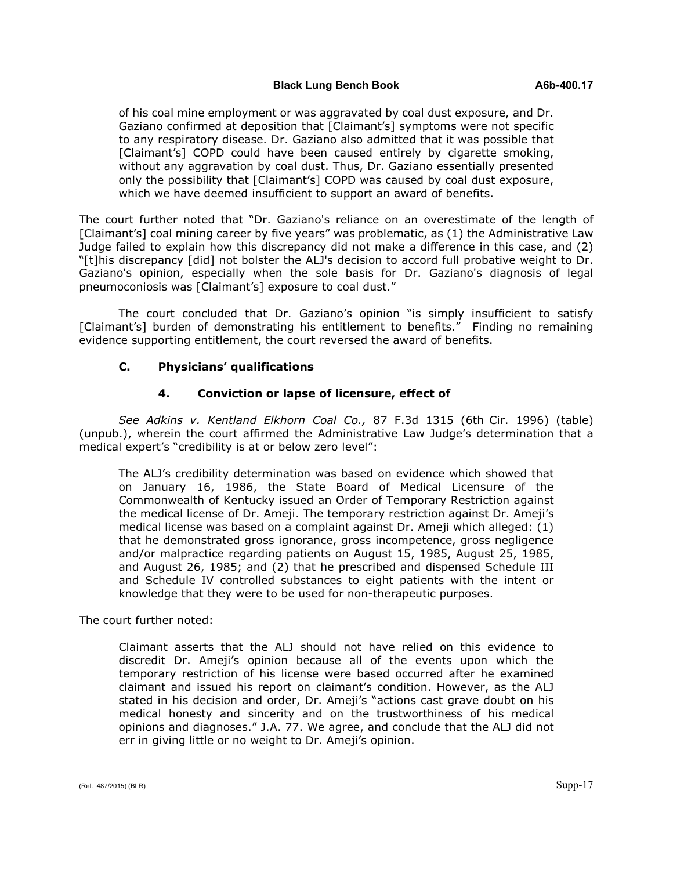of his coal mine employment or was aggravated by coal dust exposure, and Dr. Gaziano confirmed at deposition that [Claimant's] symptoms were not specific to any respiratory disease. Dr. Gaziano also admitted that it was possible that [Claimant's] COPD could have been caused entirely by cigarette smoking, without any aggravation by coal dust. Thus, Dr. Gaziano essentially presented only the possibility that [Claimant's] COPD was caused by coal dust exposure, which we have deemed insufficient to support an award of benefits.

The court further noted that "Dr. Gaziano's reliance on an overestimate of the length of [Claimant's] coal mining career by five years" was problematic, as (1) the Administrative Law Judge failed to explain how this discrepancy did not make a difference in this case, and (2) "[t]his discrepancy [did] not bolster the ALJ's decision to accord full probative weight to Dr. Gaziano's opinion, especially when the sole basis for Dr. Gaziano's diagnosis of legal pneumoconiosis was [Claimant's] exposure to coal dust."

The court concluded that Dr. Gaziano's opinion "is simply insufficient to satisfy [Claimant's] burden of demonstrating his entitlement to benefits." Finding no remaining evidence supporting entitlement, the court reversed the award of benefits.

#### **C. Physicians' qualifications**

#### **4. Conviction or lapse of licensure, effect of**

*See Adkins v. Kentland Elkhorn Coal Co.,* 87 F.3d 1315 (6th Cir. 1996) (table) (unpub.), wherein the court affirmed the Administrative Law Judge's determination that a medical expert's "credibility is at or below zero level":

The ALJ's credibility determination was based on evidence which showed that on January 16, 1986, the State Board of Medical Licensure of the Commonwealth of Kentucky issued an Order of Temporary Restriction against the medical license of Dr. Ameji. The temporary restriction against Dr. Ameji's medical license was based on a complaint against Dr. Ameji which alleged: (1) that he demonstrated gross ignorance, gross incompetence, gross negligence and/or malpractice regarding patients on August 15, 1985, August 25, 1985, and August 26, 1985; and (2) that he prescribed and dispensed Schedule III and Schedule IV controlled substances to eight patients with the intent or knowledge that they were to be used for non-therapeutic purposes.

The court further noted:

Claimant asserts that the ALJ should not have relied on this evidence to discredit Dr. Ameji's opinion because all of the events upon which the temporary restriction of his license were based occurred after he examined claimant and issued his report on claimant's condition. However, as the ALJ stated in his decision and order, Dr. Ameji's "actions cast grave doubt on his medical honesty and sincerity and on the trustworthiness of his medical opinions and diagnoses." J.A. 77. We agree, and conclude that the ALJ did not err in giving little or no weight to Dr. Ameji's opinion.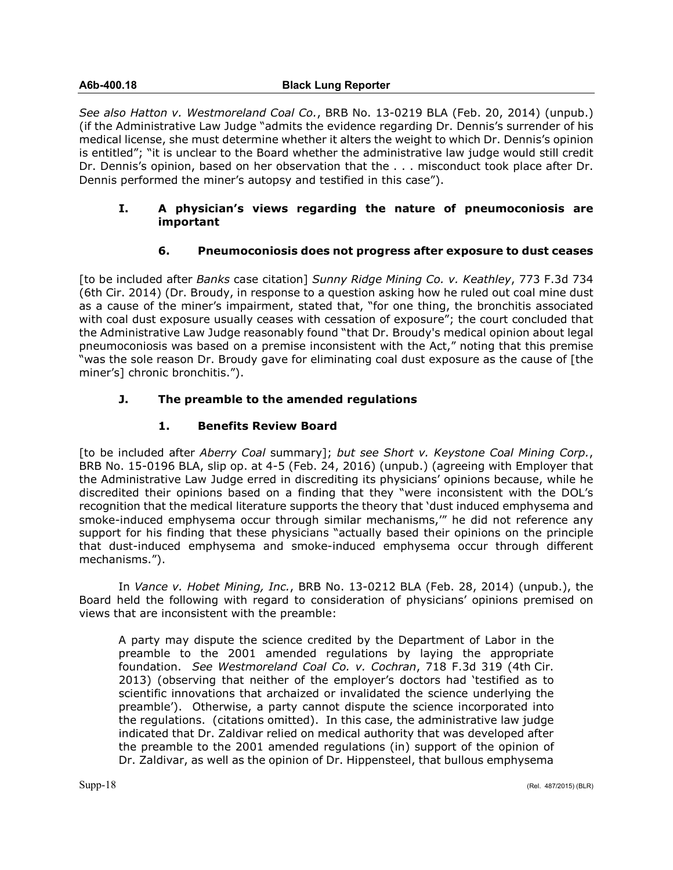#### **A6b-400.18 Black Lung Reporter**

*See also Hatton v. Westmoreland Coal Co.*, BRB No. 13-0219 BLA (Feb. 20, 2014) (unpub.) (if the Administrative Law Judge "admits the evidence regarding Dr. Dennis's surrender of his medical license, she must determine whether it alters the weight to which Dr. Dennis's opinion is entitled"; "it is unclear to the Board whether the administrative law judge would still credit Dr. Dennis's opinion, based on her observation that the . . . misconduct took place after Dr. Dennis performed the miner's autopsy and testified in this case").

#### **I. A physician's views regarding the nature of pneumoconiosis are important**

## **6. Pneumoconiosis does not progress after exposure to dust ceases**

[to be included after *Banks* case citation] *Sunny Ridge Mining Co. v. Keathley*, 773 F.3d 734 (6th Cir. 2014) (Dr. Broudy, in response to a question asking how he ruled out coal mine dust as a cause of the miner's impairment, stated that, "for one thing, the bronchitis associated with coal dust exposure usually ceases with cessation of exposure"; the court concluded that the Administrative Law Judge reasonably found "that Dr. Broudy's medical opinion about legal pneumoconiosis was based on a premise inconsistent with the Act," noting that this premise "was the sole reason Dr. Broudy gave for eliminating coal dust exposure as the cause of [the miner's] chronic bronchitis.").

## **J. The preamble to the amended regulations**

## **1. Benefits Review Board**

[to be included after *Aberry Coal* summary]; *but see Short v. Keystone Coal Mining Corp.*, BRB No. 15-0196 BLA, slip op. at 4-5 (Feb. 24, 2016) (unpub.) (agreeing with Employer that the Administrative Law Judge erred in discrediting its physicians' opinions because, while he discredited their opinions based on a finding that they "were inconsistent with the DOL's recognition that the medical literature supports the theory that 'dust induced emphysema and smoke-induced emphysema occur through similar mechanisms,'" he did not reference any support for his finding that these physicians "actually based their opinions on the principle that dust-induced emphysema and smoke-induced emphysema occur through different mechanisms.").

In *Vance v. Hobet Mining, Inc.*, BRB No. 13-0212 BLA (Feb. 28, 2014) (unpub.), the Board held the following with regard to consideration of physicians' opinions premised on views that are inconsistent with the preamble:

A party may dispute the science credited by the Department of Labor in the preamble to the 2001 amended regulations by laying the appropriate foundation. *See Westmoreland Coal Co. v. Cochran*, 718 F.3d 319 (4th Cir. 2013) (observing that neither of the employer's doctors had 'testified as to scientific innovations that archaized or invalidated the science underlying the preamble'). Otherwise, a party cannot dispute the science incorporated into the regulations. (citations omitted). In this case, the administrative law judge indicated that Dr. Zaldivar relied on medical authority that was developed after the preamble to the 2001 amended regulations (in) support of the opinion of Dr. Zaldivar, as well as the opinion of Dr. Hippensteel, that bullous emphysema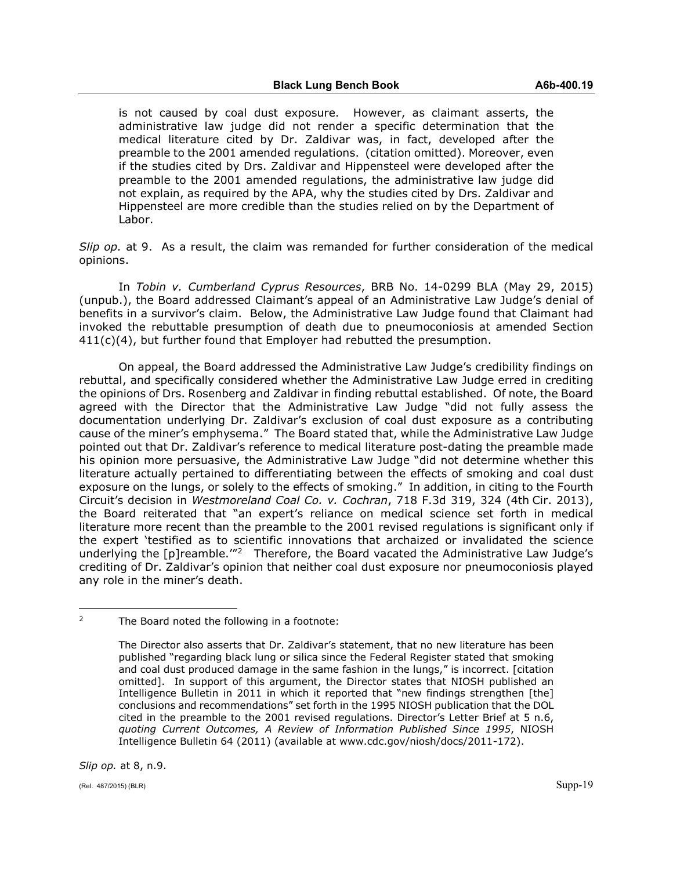is not caused by coal dust exposure. However, as claimant asserts, the administrative law judge did not render a specific determination that the medical literature cited by Dr. Zaldivar was, in fact, developed after the preamble to the 2001 amended regulations. (citation omitted). Moreover, even if the studies cited by Drs. Zaldivar and Hippensteel were developed after the preamble to the 2001 amended regulations, the administrative law judge did not explain, as required by the APA, why the studies cited by Drs. Zaldivar and Hippensteel are more credible than the studies relied on by the Department of Labor.

*Slip op.* at 9. As a result, the claim was remanded for further consideration of the medical opinions.

In *Tobin v. Cumberland Cyprus Resources*, BRB No. 14-0299 BLA (May 29, 2015) (unpub.), the Board addressed Claimant's appeal of an Administrative Law Judge's denial of benefits in a survivor's claim. Below, the Administrative Law Judge found that Claimant had invoked the rebuttable presumption of death due to pneumoconiosis at amended Section  $411(c)(4)$ , but further found that Employer had rebutted the presumption.

On appeal, the Board addressed the Administrative Law Judge's credibility findings on rebuttal, and specifically considered whether the Administrative Law Judge erred in crediting the opinions of Drs. Rosenberg and Zaldivar in finding rebuttal established. Of note, the Board agreed with the Director that the Administrative Law Judge "did not fully assess the documentation underlying Dr. Zaldivar's exclusion of coal dust exposure as a contributing cause of the miner's emphysema." The Board stated that, while the Administrative Law Judge pointed out that Dr. Zaldivar's reference to medical literature post-dating the preamble made his opinion more persuasive, the Administrative Law Judge "did not determine whether this literature actually pertained to differentiating between the effects of smoking and coal dust exposure on the lungs, or solely to the effects of smoking." In addition, in citing to the Fourth Circuit's decision in *Westmoreland Coal Co. v. Cochran*, 718 F.3d 319, 324 (4th Cir. 2013), the Board reiterated that "an expert's reliance on medical science set forth in medical literature more recent than the preamble to the 2001 revised regulations is significant only if the expert 'testified as to scientific innovations that archaized or invalidated the science underlying the [p]reamble.<sup>"[2](#page-18-0)</sup> Therefore, the Board vacated the Administrative Law Judge's crediting of Dr. Zaldivar's opinion that neither coal dust exposure nor pneumoconiosis played any role in the miner's death.

*Slip op.* at 8, n.9.

 $\overline{a}$ 

<span id="page-18-0"></span><sup>2</sup> The Board noted the following in a footnote:

The Director also asserts that Dr. Zaldivar's statement, that no new literature has been published "regarding black lung or silica since the Federal Register stated that smoking and coal dust produced damage in the same fashion in the lungs," is incorrect. [citation omitted]. In support of this argument, the Director states that NIOSH published an Intelligence Bulletin in 2011 in which it reported that "new findings strengthen [the] conclusions and recommendations" set forth in the 1995 NIOSH publication that the DOL cited in the preamble to the 2001 revised regulations. Director's Letter Brief at 5 n.6, *quoting Current Outcomes, A Review of Information Published Since 1995*, NIOSH Intelligence Bulletin 64 (2011) (available at www.cdc.gov/niosh/docs/2011-172).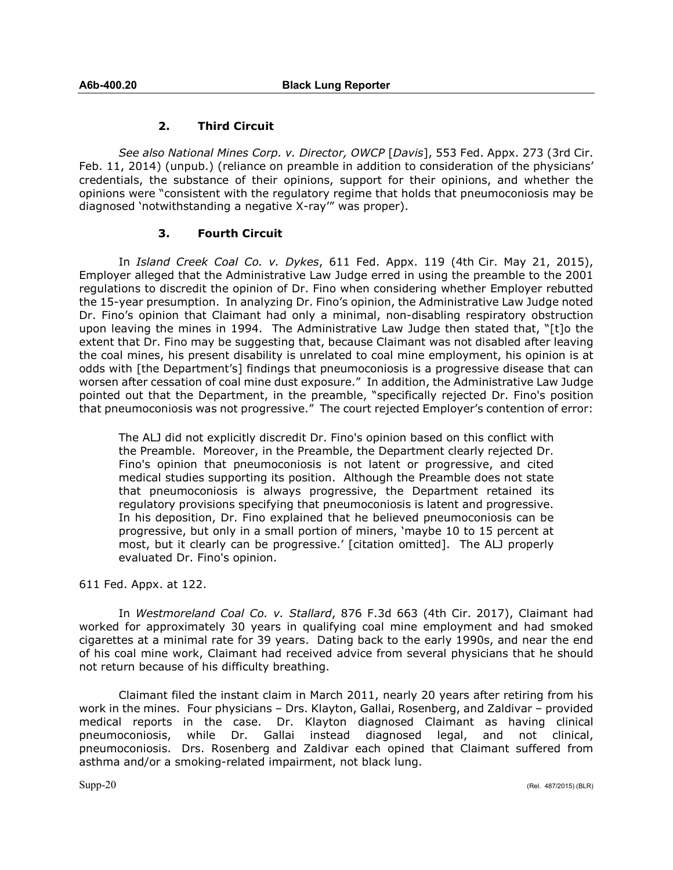#### **2. Third Circuit**

*See also National Mines Corp. v. Director, OWCP* [*Davis*], 553 Fed. Appx. 273 (3rd Cir. Feb. 11, 2014) (unpub.) (reliance on preamble in addition to consideration of the physicians' credentials, the substance of their opinions, support for their opinions, and whether the opinions were "consistent with the regulatory regime that holds that pneumoconiosis may be diagnosed 'notwithstanding a negative X-ray'" was proper).

## **3. Fourth Circuit**

In *Island Creek Coal Co. v. Dykes*, 611 Fed. Appx. 119 (4th Cir. May 21, 2015), Employer alleged that the Administrative Law Judge erred in using the preamble to the 2001 regulations to discredit the opinion of Dr. Fino when considering whether Employer rebutted the 15-year presumption. In analyzing Dr. Fino's opinion, the Administrative Law Judge noted Dr. Fino's opinion that Claimant had only a minimal, non-disabling respiratory obstruction upon leaving the mines in 1994. The Administrative Law Judge then stated that, "[t]o the extent that Dr. Fino may be suggesting that, because Claimant was not disabled after leaving the coal mines, his present disability is unrelated to coal mine employment, his opinion is at odds with [the Department's] findings that pneumoconiosis is a progressive disease that can worsen after cessation of coal mine dust exposure." In addition, the Administrative Law Judge pointed out that the Department, in the preamble, "specifically rejected Dr. Fino's position that pneumoconiosis was not progressive." The court rejected Employer's contention of error:

The ALJ did not explicitly discredit Dr. Fino's opinion based on this conflict with the Preamble. Moreover, in the Preamble, the Department clearly rejected Dr. Fino's opinion that pneumoconiosis is not latent or progressive, and cited medical studies supporting its position. Although the Preamble does not state that pneumoconiosis is always progressive, the Department retained its regulatory provisions specifying that pneumoconiosis is latent and progressive. In his deposition, Dr. Fino explained that he believed pneumoconiosis can be progressive, but only in a small portion of miners, 'maybe 10 to 15 percent at most, but it clearly can be progressive.' [citation omitted]. The ALJ properly evaluated Dr. Fino's opinion.

611 Fed. Appx. at 122.

In *Westmoreland Coal Co. v. Stallard*, 876 F.3d 663 (4th Cir. 2017), Claimant had worked for approximately 30 years in qualifying coal mine employment and had smoked cigarettes at a minimal rate for 39 years. Dating back to the early 1990s, and near the end of his coal mine work, Claimant had received advice from several physicians that he should not return because of his difficulty breathing.

Claimant filed the instant claim in March 2011, nearly 20 years after retiring from his work in the mines. Four physicians – Drs. Klayton, Gallai, Rosenberg, and Zaldivar – provided medical reports in the case. Dr. Klayton diagnosed Claimant as having clinical pneumoconiosis, while Dr. Gallai instead diagnosed legal, and not clinical, pneumoconiosis. Drs. Rosenberg and Zaldivar each opined that Claimant suffered from asthma and/or a smoking-related impairment, not black lung.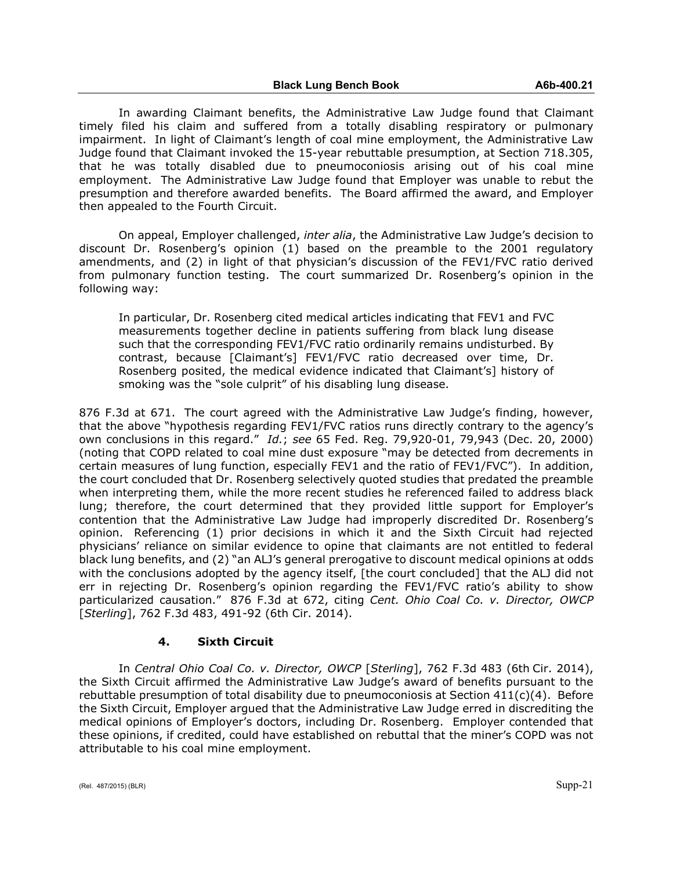In awarding Claimant benefits, the Administrative Law Judge found that Claimant timely filed his claim and suffered from a totally disabling respiratory or pulmonary impairment. In light of Claimant's length of coal mine employment, the Administrative Law Judge found that Claimant invoked the 15-year rebuttable presumption, at Section 718.305, that he was totally disabled due to pneumoconiosis arising out of his coal mine employment. The Administrative Law Judge found that Employer was unable to rebut the presumption and therefore awarded benefits. The Board affirmed the award, and Employer then appealed to the Fourth Circuit.

On appeal, Employer challenged, *inter alia*, the Administrative Law Judge's decision to discount Dr. Rosenberg's opinion (1) based on the preamble to the 2001 regulatory amendments, and (2) in light of that physician's discussion of the FEV1/FVC ratio derived from pulmonary function testing. The court summarized Dr. Rosenberg's opinion in the following way:

In particular, Dr. Rosenberg cited medical articles indicating that FEV1 and FVC measurements together decline in patients suffering from black lung disease such that the corresponding FEV1/FVC ratio ordinarily remains undisturbed. By contrast, because [Claimant's] FEV1/FVC ratio decreased over time, Dr. Rosenberg posited, the medical evidence indicated that Claimant's] history of smoking was the "sole culprit" of his disabling lung disease.

876 F.3d at 671. The court agreed with the Administrative Law Judge's finding, however, that the above "hypothesis regarding FEV1/FVC ratios runs directly contrary to the agency's own conclusions in this regard." *Id.*; *see* 65 Fed. Reg. 79,920-01, 79,943 (Dec. 20, 2000) (noting that COPD related to coal mine dust exposure "may be detected from decrements in certain measures of lung function, especially FEV1 and the ratio of FEV1/FVC"). In addition, the court concluded that Dr. Rosenberg selectively quoted studies that predated the preamble when interpreting them, while the more recent studies he referenced failed to address black lung; therefore, the court determined that they provided little support for Employer's contention that the Administrative Law Judge had improperly discredited Dr. Rosenberg's opinion. Referencing (1) prior decisions in which it and the Sixth Circuit had rejected physicians' reliance on similar evidence to opine that claimants are not entitled to federal black lung benefits, and (2) "an ALJ's general prerogative to discount medical opinions at odds with the conclusions adopted by the agency itself, [the court concluded] that the ALJ did not err in rejecting Dr. Rosenberg's opinion regarding the FEV1/FVC ratio's ability to show particularized causation." 876 F.3d at 672, citing *Cent. Ohio Coal Co. v. Director, OWCP* [*Sterling*], 762 F.3d 483, 491-92 (6th Cir. 2014).

## **4. Sixth Circuit**

In *Central Ohio Coal Co. v. Director, OWCP* [*Sterling*], 762 F.3d 483 (6th Cir. 2014), the Sixth Circuit affirmed the Administrative Law Judge's award of benefits pursuant to the rebuttable presumption of total disability due to pneumoconiosis at Section  $411(c)(4)$ . Before the Sixth Circuit, Employer argued that the Administrative Law Judge erred in discrediting the medical opinions of Employer's doctors, including Dr. Rosenberg. Employer contended that these opinions, if credited, could have established on rebuttal that the miner's COPD was not attributable to his coal mine employment.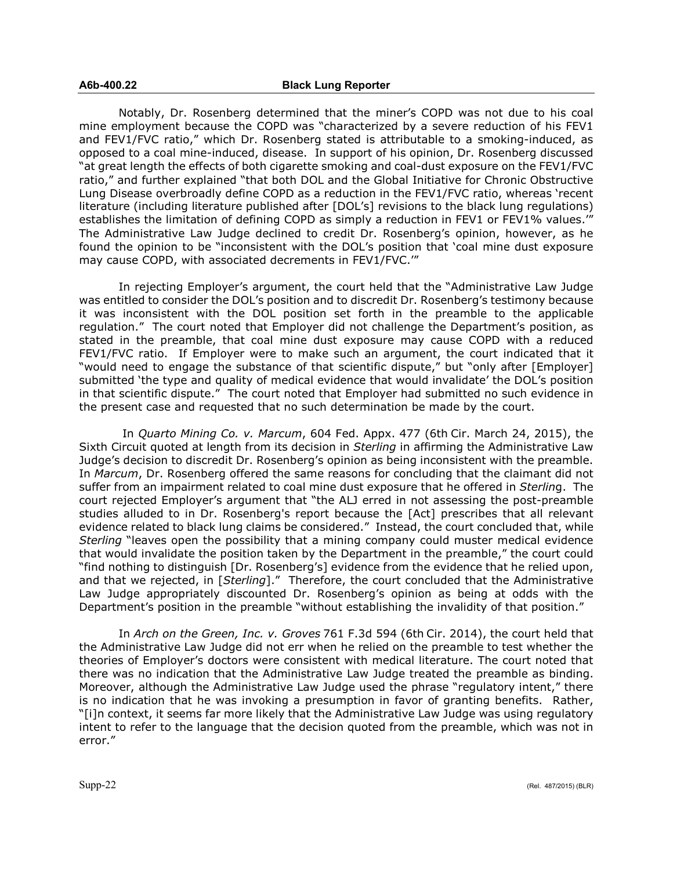Notably, Dr. Rosenberg determined that the miner's COPD was not due to his coal mine employment because the COPD was "characterized by a severe reduction of his FEV1 and FEV1/FVC ratio," which Dr. Rosenberg stated is attributable to a smoking-induced, as opposed to a coal mine-induced, disease. In support of his opinion, Dr. Rosenberg discussed "at great length the effects of both cigarette smoking and coal-dust exposure on the FEV1/FVC ratio," and further explained "that both DOL and the Global Initiative for Chronic Obstructive Lung Disease overbroadly define COPD as a reduction in the FEV1/FVC ratio, whereas 'recent literature (including literature published after [DOL's] revisions to the black lung regulations) establishes the limitation of defining COPD as simply a reduction in FEV1 or FEV1% values.'" The Administrative Law Judge declined to credit Dr. Rosenberg's opinion, however, as he found the opinion to be "inconsistent with the DOL's position that 'coal mine dust exposure may cause COPD, with associated decrements in FEV1/FVC.'"

In rejecting Employer's argument, the court held that the "Administrative Law Judge was entitled to consider the DOL's position and to discredit Dr. Rosenberg's testimony because it was inconsistent with the DOL position set forth in the preamble to the applicable regulation." The court noted that Employer did not challenge the Department's position, as stated in the preamble, that coal mine dust exposure may cause COPD with a reduced FEV1/FVC ratio. If Employer were to make such an argument, the court indicated that it "would need to engage the substance of that scientific dispute," but "only after [Employer] submitted 'the type and quality of medical evidence that would invalidate' the DOL's position in that scientific dispute." The court noted that Employer had submitted no such evidence in the present case and requested that no such determination be made by the court.

In *Quarto Mining Co. v. Marcum*, 604 Fed. Appx. 477 (6th Cir. March 24, 2015), the Sixth Circuit quoted at length from its decision in *Sterling* in affirming the Administrative Law Judge's decision to discredit Dr. Rosenberg's opinion as being inconsistent with the preamble. In *Marcum*, Dr. Rosenberg offered the same reasons for concluding that the claimant did not suffer from an impairment related to coal mine dust exposure that he offered in *Sterlin*g. The court rejected Employer's argument that "the ALJ erred in not assessing the post-preamble studies alluded to in Dr. Rosenberg's report because the [Act] prescribes that all relevant evidence related to black lung claims be considered." Instead, the court concluded that, while *Sterling* "leaves open the possibility that a mining company could muster medical evidence that would invalidate the position taken by the Department in the preamble," the court could "find nothing to distinguish [Dr. Rosenberg's] evidence from the evidence that he relied upon, and that we rejected, in [*Sterling*]." Therefore, the court concluded that the Administrative Law Judge appropriately discounted Dr. Rosenberg's opinion as being at odds with the Department's position in the preamble "without establishing the invalidity of that position."

In *Arch on the Green, Inc. v. Groves* 761 F.3d 594 (6th Cir. 2014), the court held that the Administrative Law Judge did not err when he relied on the preamble to test whether the theories of Employer's doctors were consistent with medical literature. The court noted that there was no indication that the Administrative Law Judge treated the preamble as binding. Moreover, although the Administrative Law Judge used the phrase "regulatory intent," there is no indication that he was invoking a presumption in favor of granting benefits. Rather, "[i]n context, it seems far more likely that the Administrative Law Judge was using regulatory intent to refer to the language that the decision quoted from the preamble, which was not in error."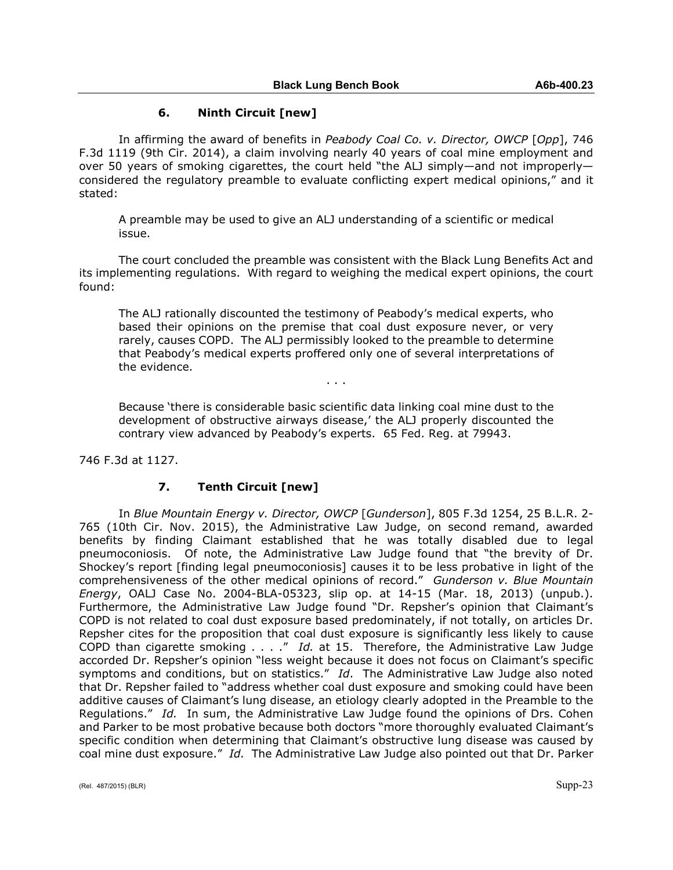#### **6. Ninth Circuit [new]**

In affirming the award of benefits in *Peabody Coal Co. v. Director, OWCP* [*Opp*], 746 F.3d 1119 (9th Cir. 2014), a claim involving nearly 40 years of coal mine employment and over 50 years of smoking cigarettes, the court held "the ALJ simply—and not improperly considered the regulatory preamble to evaluate conflicting expert medical opinions," and it stated:

A preamble may be used to give an ALJ understanding of a scientific or medical issue.

The court concluded the preamble was consistent with the Black Lung Benefits Act and its implementing regulations. With regard to weighing the medical expert opinions, the court found:

The ALJ rationally discounted the testimony of Peabody's medical experts, who based their opinions on the premise that coal dust exposure never, or very rarely, causes COPD. The ALJ permissibly looked to the preamble to determine that Peabody's medical experts proffered only one of several interpretations of the evidence.

. . .

Because 'there is considerable basic scientific data linking coal mine dust to the development of obstructive airways disease,' the ALJ properly discounted the contrary view advanced by Peabody's experts. 65 Fed. Reg. at 79943.

746 F.3d at 1127.

#### **7. Tenth Circuit [new]**

In *Blue Mountain Energy v. Director, OWCP* [*Gunderson*], 805 F.3d 1254, 25 B.L.R. 2- 765 (10th Cir. Nov. 2015), the Administrative Law Judge, on second remand, awarded benefits by finding Claimant established that he was totally disabled due to legal pneumoconiosis. Of note, the Administrative Law Judge found that "the brevity of Dr. Shockey's report [finding legal pneumoconiosis] causes it to be less probative in light of the comprehensiveness of the other medical opinions of record." *Gunderson v. Blue Mountain Energy*, OALJ Case No. 2004-BLA-05323, slip op. at 14-15 (Mar. 18, 2013) (unpub.). Furthermore, the Administrative Law Judge found "Dr. Repsher's opinion that Claimant's COPD is not related to coal dust exposure based predominately, if not totally, on articles Dr. Repsher cites for the proposition that coal dust exposure is significantly less likely to cause COPD than cigarette smoking . . . ." *Id.* at 15. Therefore, the Administrative Law Judge accorded Dr. Repsher's opinion "less weight because it does not focus on Claimant's specific symptoms and conditions, but on statistics." *Id*. The Administrative Law Judge also noted that Dr. Repsher failed to "address whether coal dust exposure and smoking could have been additive causes of Claimant's lung disease, an etiology clearly adopted in the Preamble to the Regulations." *Id.* In sum, the Administrative Law Judge found the opinions of Drs. Cohen and Parker to be most probative because both doctors "more thoroughly evaluated Claimant's specific condition when determining that Claimant's obstructive lung disease was caused by coal mine dust exposure." *Id.* The Administrative Law Judge also pointed out that Dr. Parker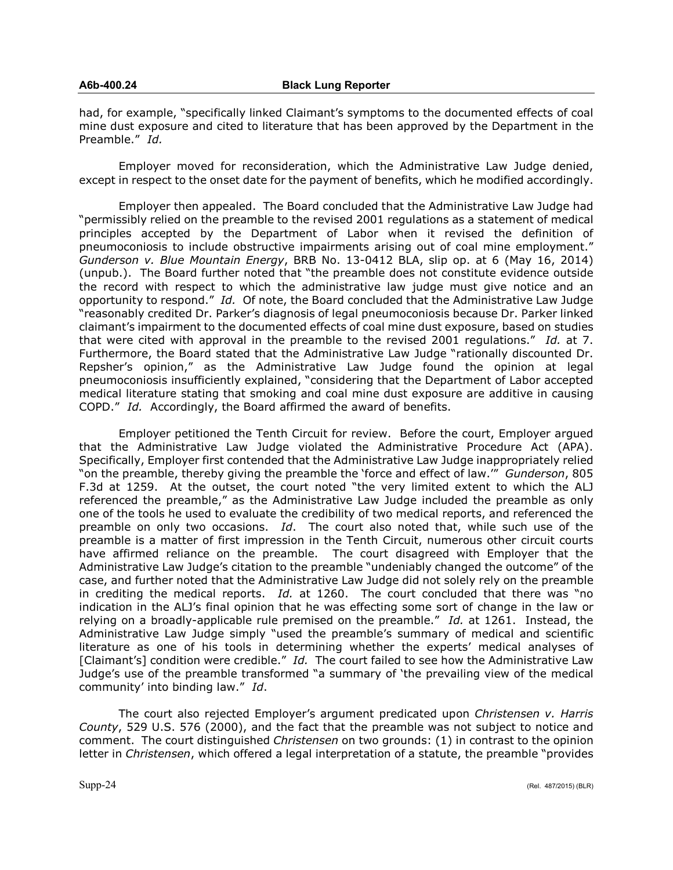had, for example, "specifically linked Claimant's symptoms to the documented effects of coal mine dust exposure and cited to literature that has been approved by the Department in the Preamble." *Id.*

Employer moved for reconsideration, which the Administrative Law Judge denied, except in respect to the onset date for the payment of benefits, which he modified accordingly.

Employer then appealed. The Board concluded that the Administrative Law Judge had "permissibly relied on the preamble to the revised 2001 regulations as a statement of medical principles accepted by the Department of Labor when it revised the definition of pneumoconiosis to include obstructive impairments arising out of coal mine employment." *Gunderson v. Blue Mountain Energy*, BRB No. 13-0412 BLA, slip op. at 6 (May 16, 2014) (unpub.). The Board further noted that "the preamble does not constitute evidence outside the record with respect to which the administrative law judge must give notice and an opportunity to respond." *Id.* Of note, the Board concluded that the Administrative Law Judge "reasonably credited Dr. Parker's diagnosis of legal pneumoconiosis because Dr. Parker linked claimant's impairment to the documented effects of coal mine dust exposure, based on studies that were cited with approval in the preamble to the revised 2001 regulations." *Id.* at 7. Furthermore, the Board stated that the Administrative Law Judge "rationally discounted Dr. Repsher's opinion," as the Administrative Law Judge found the opinion at legal pneumoconiosis insufficiently explained, "considering that the Department of Labor accepted medical literature stating that smoking and coal mine dust exposure are additive in causing COPD." *Id.* Accordingly, the Board affirmed the award of benefits.

Employer petitioned the Tenth Circuit for review. Before the court, Employer argued that the Administrative Law Judge violated the Administrative Procedure Act (APA). Specifically, Employer first contended that the Administrative Law Judge inappropriately relied "on the preamble, thereby giving the preamble the 'force and effect of law.'" *Gunderson*, 805 F.3d at 1259. At the outset, the court noted "the very limited extent to which the ALJ referenced the preamble," as the Administrative Law Judge included the preamble as only one of the tools he used to evaluate the credibility of two medical reports, and referenced the preamble on only two occasions. *Id*. The court also noted that, while such use of the preamble is a matter of first impression in the Tenth Circuit, numerous other circuit courts have affirmed reliance on the preamble. The court disagreed with Employer that the Administrative Law Judge's citation to the preamble "undeniably changed the outcome" of the case, and further noted that the Administrative Law Judge did not solely rely on the preamble in crediting the medical reports. *Id.* at 1260. The court concluded that there was "no indication in the ALJ's final opinion that he was effecting some sort of change in the law or relying on a broadly-applicable rule premised on the preamble." *Id.* at 1261. Instead, the Administrative Law Judge simply "used the preamble's summary of medical and scientific literature as one of his tools in determining whether the experts' medical analyses of [Claimant's] condition were credible." *Id.* The court failed to see how the Administrative Law Judge's use of the preamble transformed "a summary of 'the prevailing view of the medical community' into binding law." *Id*.

The court also rejected Employer's argument predicated upon *Christensen v. Harris County*, 529 U.S. 576 (2000), and the fact that the preamble was not subject to notice and comment. The court distinguished *Christensen* on two grounds: (1) in contrast to the opinion letter in *Christensen*, which offered a legal interpretation of a statute, the preamble "provides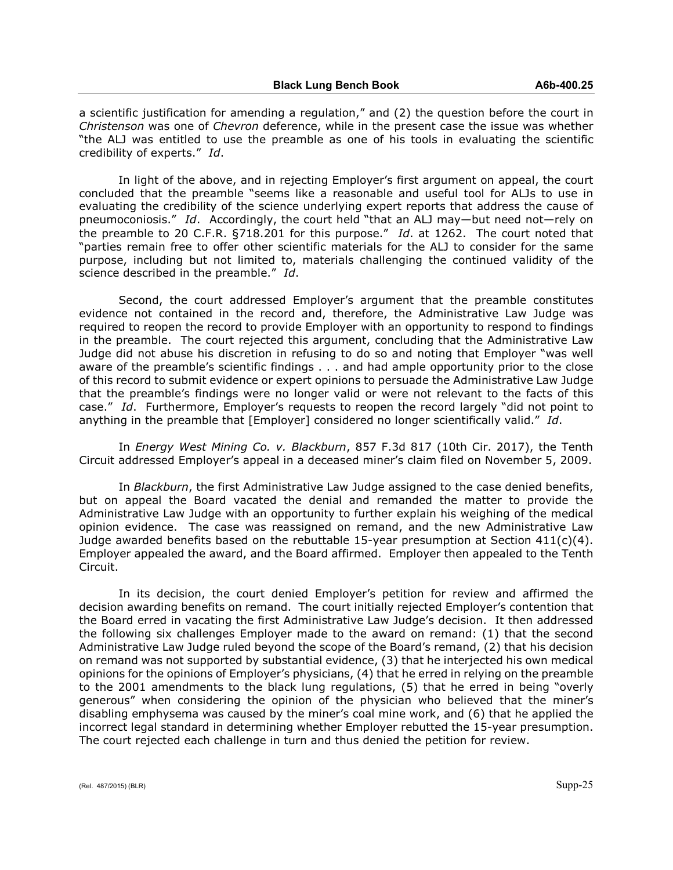a scientific justification for amending a regulation," and (2) the question before the court in *Christenson* was one of *Chevron* deference, while in the present case the issue was whether "the ALJ was entitled to use the preamble as one of his tools in evaluating the scientific credibility of experts." *Id*.

In light of the above, and in rejecting Employer's first argument on appeal, the court concluded that the preamble "seems like a reasonable and useful tool for ALJs to use in evaluating the credibility of the science underlying expert reports that address the cause of pneumoconiosis." *Id*. Accordingly, the court held "that an ALJ may—but need not—rely on the preamble to 20 C.F.R. §718.201 for this purpose." *Id*. at 1262. The court noted that "parties remain free to offer other scientific materials for the ALJ to consider for the same purpose, including but not limited to, materials challenging the continued validity of the science described in the preamble." *Id*.

Second, the court addressed Employer's argument that the preamble constitutes evidence not contained in the record and, therefore, the Administrative Law Judge was required to reopen the record to provide Employer with an opportunity to respond to findings in the preamble. The court rejected this argument, concluding that the Administrative Law Judge did not abuse his discretion in refusing to do so and noting that Employer "was well aware of the preamble's scientific findings . . . and had ample opportunity prior to the close of this record to submit evidence or expert opinions to persuade the Administrative Law Judge that the preamble's findings were no longer valid or were not relevant to the facts of this case." *Id*. Furthermore, Employer's requests to reopen the record largely "did not point to anything in the preamble that [Employer] considered no longer scientifically valid." *Id*.

In *Energy West Mining Co. v. Blackburn*, 857 F.3d 817 (10th Cir. 2017), the Tenth Circuit addressed Employer's appeal in a deceased miner's claim filed on November 5, 2009.

In *Blackburn*, the first Administrative Law Judge assigned to the case denied benefits, but on appeal the Board vacated the denial and remanded the matter to provide the Administrative Law Judge with an opportunity to further explain his weighing of the medical opinion evidence. The case was reassigned on remand, and the new Administrative Law Judge awarded benefits based on the rebuttable 15-year presumption at Section  $411(c)(4)$ . Employer appealed the award, and the Board affirmed. Employer then appealed to the Tenth Circuit.

In its decision, the court denied Employer's petition for review and affirmed the decision awarding benefits on remand. The court initially rejected Employer's contention that the Board erred in vacating the first Administrative Law Judge's decision. It then addressed the following six challenges Employer made to the award on remand: (1) that the second Administrative Law Judge ruled beyond the scope of the Board's remand, (2) that his decision on remand was not supported by substantial evidence, (3) that he interjected his own medical opinions for the opinions of Employer's physicians, (4) that he erred in relying on the preamble to the 2001 amendments to the black lung regulations, (5) that he erred in being "overly generous" when considering the opinion of the physician who believed that the miner's disabling emphysema was caused by the miner's coal mine work, and (6) that he applied the incorrect legal standard in determining whether Employer rebutted the 15-year presumption. The court rejected each challenge in turn and thus denied the petition for review.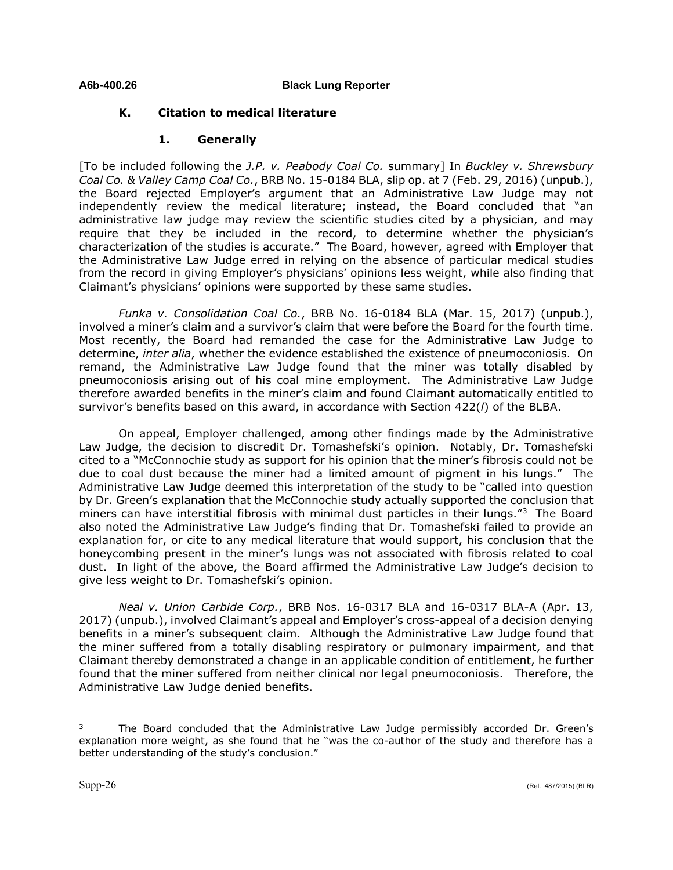### **K. Citation to medical literature**

## **1. Generally**

[To be included following the *J.P. v. Peabody Coal Co.* summary] In *Buckley v. Shrewsbury Coal Co. & Valley Camp Coal Co.*, BRB No. 15-0184 BLA, slip op. at 7 (Feb. 29, 2016) (unpub.), the Board rejected Employer's argument that an Administrative Law Judge may not independently review the medical literature; instead, the Board concluded that "an administrative law judge may review the scientific studies cited by a physician, and may require that they be included in the record, to determine whether the physician's characterization of the studies is accurate." The Board, however, agreed with Employer that the Administrative Law Judge erred in relying on the absence of particular medical studies from the record in giving Employer's physicians' opinions less weight, while also finding that Claimant's physicians' opinions were supported by these same studies.

*Funka v. Consolidation Coal Co.*, BRB No. 16-0184 BLA (Mar. 15, 2017) (unpub.), involved a miner's claim and a survivor's claim that were before the Board for the fourth time. Most recently, the Board had remanded the case for the Administrative Law Judge to determine, *inter alia*, whether the evidence established the existence of pneumoconiosis. On remand, the Administrative Law Judge found that the miner was totally disabled by pneumoconiosis arising out of his coal mine employment. The Administrative Law Judge therefore awarded benefits in the miner's claim and found Claimant automatically entitled to survivor's benefits based on this award, in accordance with Section 422(*l*) of the BLBA.

On appeal, Employer challenged, among other findings made by the Administrative Law Judge, the decision to discredit Dr. Tomashefski's opinion. Notably, Dr. Tomashefski cited to a "McConnochie study as support for his opinion that the miner's fibrosis could not be due to coal dust because the miner had a limited amount of pigment in his lungs." The Administrative Law Judge deemed this interpretation of the study to be "called into question by Dr. Green's explanation that the McConnochie study actually supported the conclusion that miners can have interstitial fibrosis with minimal dust particles in their lungs."[3](#page-25-0) The Board also noted the Administrative Law Judge's finding that Dr. Tomashefski failed to provide an explanation for, or cite to any medical literature that would support, his conclusion that the honeycombing present in the miner's lungs was not associated with fibrosis related to coal dust. In light of the above, the Board affirmed the Administrative Law Judge's decision to give less weight to Dr. Tomashefski's opinion.

*Neal v. Union Carbide Corp.*, BRB Nos. 16-0317 BLA and 16-0317 BLA-A (Apr. 13, 2017) (unpub.), involved Claimant's appeal and Employer's cross-appeal of a decision denying benefits in a miner's subsequent claim. Although the Administrative Law Judge found that the miner suffered from a totally disabling respiratory or pulmonary impairment, and that Claimant thereby demonstrated a change in an applicable condition of entitlement, he further found that the miner suffered from neither clinical nor legal pneumoconiosis. Therefore, the Administrative Law Judge denied benefits.

<span id="page-25-0"></span> $\overline{a}$ <sup>3</sup> The Board concluded that the Administrative Law Judge permissibly accorded Dr. Green's explanation more weight, as she found that he "was the co-author of the study and therefore has a better understanding of the study's conclusion."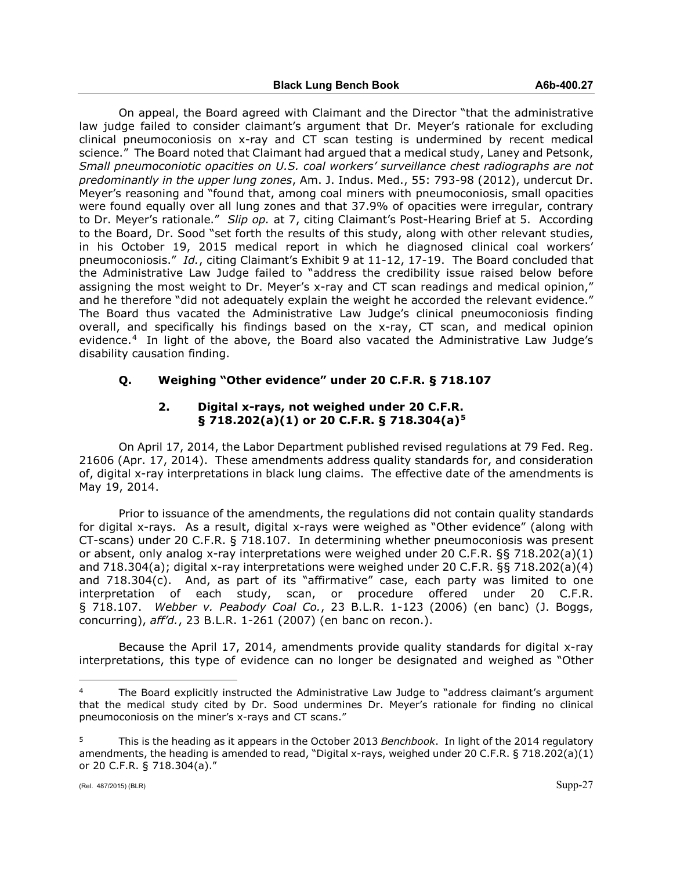On appeal, the Board agreed with Claimant and the Director "that the administrative law judge failed to consider claimant's argument that Dr. Meyer's rationale for excluding clinical pneumoconiosis on x-ray and CT scan testing is undermined by recent medical science." The Board noted that Claimant had argued that a medical study, Laney and Petsonk, *Small pneumoconiotic opacities on U.S. coal workers' surveillance chest radiographs are not predominantly in the upper lung zones*, Am. J. Indus. Med., 55: 793-98 (2012), undercut Dr. Meyer's reasoning and "found that, among coal miners with pneumoconiosis, small opacities were found equally over all lung zones and that 37.9% of opacities were irregular, contrary to Dr. Meyer's rationale." *Slip op.* at 7, citing Claimant's Post-Hearing Brief at 5. According to the Board, Dr. Sood "set forth the results of this study, along with other relevant studies, in his October 19, 2015 medical report in which he diagnosed clinical coal workers' pneumoconiosis." *Id.*, citing Claimant's Exhibit 9 at 11-12, 17-19. The Board concluded that the Administrative Law Judge failed to "address the credibility issue raised below before assigning the most weight to Dr. Meyer's x-ray and CT scan readings and medical opinion," and he therefore "did not adequately explain the weight he accorded the relevant evidence." The Board thus vacated the Administrative Law Judge's clinical pneumoconiosis finding overall, and specifically his findings based on the x-ray, CT scan, and medical opinion evidence.[4](#page-26-0) In light of the above, the Board also vacated the Administrative Law Judge's disability causation finding.

## **Q. Weighing "Other evidence" under 20 C.F.R. § 718.107**

#### **2. Digital x-rays, not weighed under 20 C.F.R. § 718.202(a)(1) or 20 C.F.R. § 718.304(a)[5](#page-26-1)**

On April 17, 2014, the Labor Department published revised regulations at 79 Fed. Reg. 21606 (Apr. 17, 2014). These amendments address quality standards for, and consideration of, digital x-ray interpretations in black lung claims. The effective date of the amendments is May 19, 2014.

Prior to issuance of the amendments, the regulations did not contain quality standards for digital x-rays. As a result, digital x-rays were weighed as "Other evidence" (along with CT-scans) under 20 C.F.R. § 718.107. In determining whether pneumoconiosis was present or absent, only analog x-ray interpretations were weighed under 20 C.F.R. §§ 718.202(a)(1) and 718.304(a); digital x-ray interpretations were weighed under 20 C.F.R. §§ 718.202(a)(4) and 718.304(c). And, as part of its "affirmative" case, each party was limited to one interpretation of each study, scan, or procedure offered under 20 C.F.R. § 718.107. *Webber v. Peabody Coal Co.*, 23 B.L.R. 1-123 (2006) (en banc) (J. Boggs, concurring), *aff'd.*, 23 B.L.R. 1-261 (2007) (en banc on recon.).

Because the April 17, 2014, amendments provide quality standards for digital x-ray interpretations, this type of evidence can no longer be designated and weighed as "Other

<span id="page-26-0"></span> $\overline{a}$ The Board explicitly instructed the Administrative Law Judge to "address claimant's argument that the medical study cited by Dr. Sood undermines Dr. Meyer's rationale for finding no clinical pneumoconiosis on the miner's x-rays and CT scans."

<span id="page-26-1"></span><sup>5</sup> This is the heading as it appears in the October 2013 *Benchbook*. In light of the 2014 regulatory amendments, the heading is amended to read, "Digital x-rays, weighed under 20 C.F.R. § 718.202(a)(1) or 20 C.F.R. § 718.304(a)."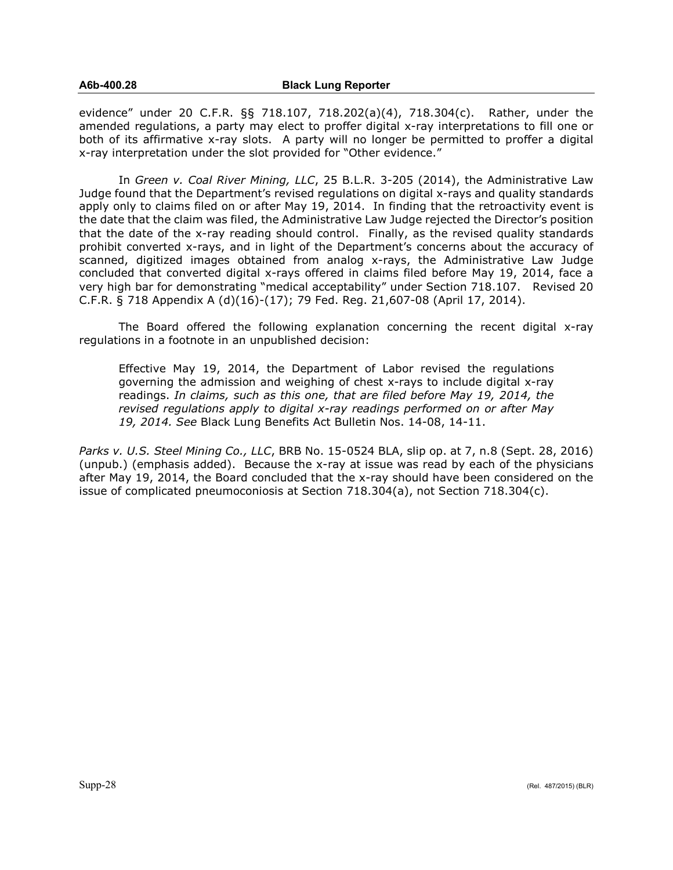evidence" under 20 C.F.R. §§ 718.107, 718.202(a)(4), 718.304(c). Rather, under the amended regulations, a party may elect to proffer digital x-ray interpretations to fill one or both of its affirmative x-ray slots. A party will no longer be permitted to proffer a digital x-ray interpretation under the slot provided for "Other evidence."

In *Green v. Coal River Mining, LLC*, 25 B.L.R. 3-205 (2014), the Administrative Law Judge found that the Department's revised regulations on digital x-rays and quality standards apply only to claims filed on or after May 19, 2014. In finding that the retroactivity event is the date that the claim was filed, the Administrative Law Judge rejected the Director's position that the date of the x-ray reading should control. Finally, as the revised quality standards prohibit converted x-rays, and in light of the Department's concerns about the accuracy of scanned, digitized images obtained from analog x-rays, the Administrative Law Judge concluded that converted digital x-rays offered in claims filed before May 19, 2014, face a very high bar for demonstrating "medical acceptability" under Section 718.107. Revised 20 C.F.R. § 718 Appendix A (d)(16)-(17); 79 Fed. Reg. 21,607-08 (April 17, 2014).

The Board offered the following explanation concerning the recent digital x-ray regulations in a footnote in an unpublished decision:

Effective May 19, 2014, the Department of Labor revised the regulations governing the admission and weighing of chest x-rays to include digital x-ray readings. *In claims, such as this one, that are filed before May 19, 2014, the revised regulations apply to digital x-ray readings performed on or after May 19, 2014. See* Black Lung Benefits Act Bulletin Nos. 14-08, 14-11.

*Parks v. U.S. Steel Mining Co., LLC*, BRB No. 15-0524 BLA, slip op. at 7, n.8 (Sept. 28, 2016) (unpub.) (emphasis added). Because the x-ray at issue was read by each of the physicians after May 19, 2014, the Board concluded that the x-ray should have been considered on the issue of complicated pneumoconiosis at Section 718.304(a), not Section 718.304(c).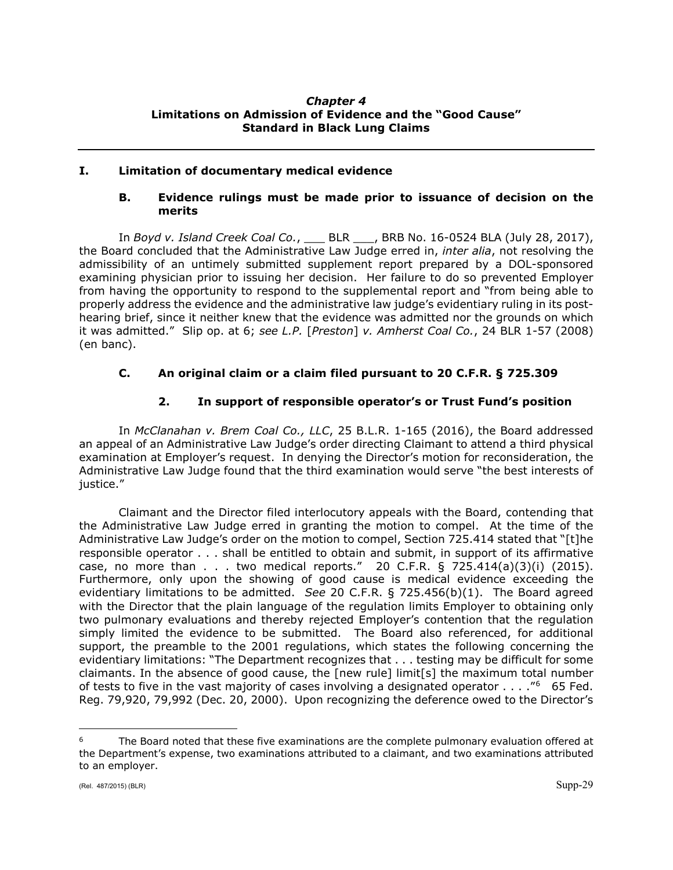#### *Chapter 4* **Limitations on Admission of Evidence and the "Good Cause" Standard in Black Lung Claims**

## **I. Limitation of documentary medical evidence**

### **B. Evidence rulings must be made prior to issuance of decision on the merits**

In *Boyd v. Island Creek Coal Co.*, \_\_\_ BLR \_\_\_, BRB No. 16-0524 BLA (July 28, 2017), the Board concluded that the Administrative Law Judge erred in, *inter alia*, not resolving the admissibility of an untimely submitted supplement report prepared by a DOL-sponsored examining physician prior to issuing her decision. Her failure to do so prevented Employer from having the opportunity to respond to the supplemental report and "from being able to properly address the evidence and the administrative law judge's evidentiary ruling in its posthearing brief, since it neither knew that the evidence was admitted nor the grounds on which it was admitted." Slip op. at 6; *see L.P.* [*Preston*] *v. Amherst Coal Co.*, 24 BLR 1-57 (2008) (en banc).

## **C. An original claim or a claim filed pursuant to 20 C.F.R. § 725.309**

## **2. In support of responsible operator's or Trust Fund's position**

In *McClanahan v. Brem Coal Co., LLC*, 25 B.L.R. 1-165 (2016), the Board addressed an appeal of an Administrative Law Judge's order directing Claimant to attend a third physical examination at Employer's request. In denying the Director's motion for reconsideration, the Administrative Law Judge found that the third examination would serve "the best interests of justice."

Claimant and the Director filed interlocutory appeals with the Board, contending that the Administrative Law Judge erred in granting the motion to compel. At the time of the Administrative Law Judge's order on the motion to compel, Section 725.414 stated that "[t]he responsible operator . . . shall be entitled to obtain and submit, in support of its affirmative case, no more than  $\ldots$  two medical reports." 20 C.F.R. § 725.414(a)(3)(i) (2015). Furthermore, only upon the showing of good cause is medical evidence exceeding the evidentiary limitations to be admitted. *See* 20 C.F.R. § 725.456(b)(1). The Board agreed with the Director that the plain language of the regulation limits Employer to obtaining only two pulmonary evaluations and thereby rejected Employer's contention that the regulation simply limited the evidence to be submitted. The Board also referenced, for additional support, the preamble to the 2001 regulations, which states the following concerning the evidentiary limitations: "The Department recognizes that . . . testing may be difficult for some claimants. In the absence of good cause, the [new rule] limit[s] the maximum total number of tests to five in the vast majority of cases involving a designated operator  $\dots$ . "<sup>6</sup> 65 Fed. Reg. 79,920, 79,992 (Dec. 20, 2000). Upon recognizing the deference owed to the Director's

<span id="page-28-0"></span> $\overline{a}$ The Board noted that these five examinations are the complete pulmonary evaluation offered at the Department's expense, two examinations attributed to a claimant, and two examinations attributed to an employer.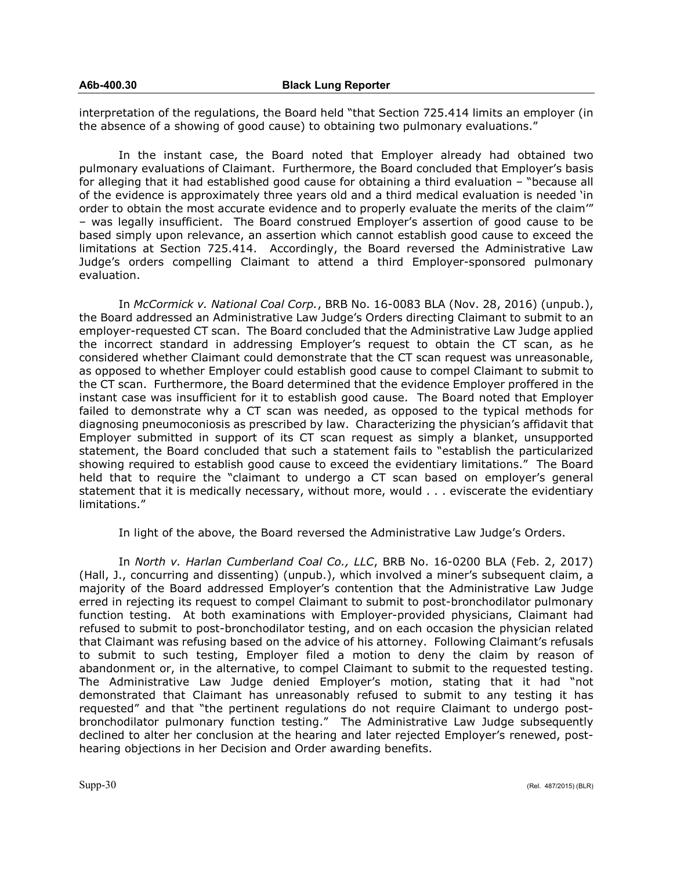interpretation of the regulations, the Board held "that Section 725.414 limits an employer (in the absence of a showing of good cause) to obtaining two pulmonary evaluations."

In the instant case, the Board noted that Employer already had obtained two pulmonary evaluations of Claimant. Furthermore, the Board concluded that Employer's basis for alleging that it had established good cause for obtaining a third evaluation – "because all of the evidence is approximately three years old and a third medical evaluation is needed 'in order to obtain the most accurate evidence and to properly evaluate the merits of the claim'" – was legally insufficient. The Board construed Employer's assertion of good cause to be based simply upon relevance, an assertion which cannot establish good cause to exceed the limitations at Section 725.414. Accordingly, the Board reversed the Administrative Law Judge's orders compelling Claimant to attend a third Employer-sponsored pulmonary evaluation.

In *McCormick v. National Coal Corp.*, BRB No. 16-0083 BLA (Nov. 28, 2016) (unpub.), the Board addressed an Administrative Law Judge's Orders directing Claimant to submit to an employer-requested CT scan. The Board concluded that the Administrative Law Judge applied the incorrect standard in addressing Employer's request to obtain the CT scan, as he considered whether Claimant could demonstrate that the CT scan request was unreasonable, as opposed to whether Employer could establish good cause to compel Claimant to submit to the CT scan. Furthermore, the Board determined that the evidence Employer proffered in the instant case was insufficient for it to establish good cause. The Board noted that Employer failed to demonstrate why a CT scan was needed, as opposed to the typical methods for diagnosing pneumoconiosis as prescribed by law. Characterizing the physician's affidavit that Employer submitted in support of its CT scan request as simply a blanket, unsupported statement, the Board concluded that such a statement fails to "establish the particularized showing required to establish good cause to exceed the evidentiary limitations." The Board held that to require the "claimant to undergo a CT scan based on employer's general statement that it is medically necessary, without more, would . . . eviscerate the evidentiary limitations."

In light of the above, the Board reversed the Administrative Law Judge's Orders.

In *North v. Harlan Cumberland Coal Co., LLC*, BRB No. 16-0200 BLA (Feb. 2, 2017) (Hall, J., concurring and dissenting) (unpub.), which involved a miner's subsequent claim, a majority of the Board addressed Employer's contention that the Administrative Law Judge erred in rejecting its request to compel Claimant to submit to post-bronchodilator pulmonary function testing. At both examinations with Employer-provided physicians, Claimant had refused to submit to post-bronchodilator testing, and on each occasion the physician related that Claimant was refusing based on the advice of his attorney. Following Claimant's refusals to submit to such testing, Employer filed a motion to deny the claim by reason of abandonment or, in the alternative, to compel Claimant to submit to the requested testing. The Administrative Law Judge denied Employer's motion, stating that it had "not demonstrated that Claimant has unreasonably refused to submit to any testing it has requested" and that "the pertinent regulations do not require Claimant to undergo postbronchodilator pulmonary function testing." The Administrative Law Judge subsequently declined to alter her conclusion at the hearing and later rejected Employer's renewed, posthearing objections in her Decision and Order awarding benefits.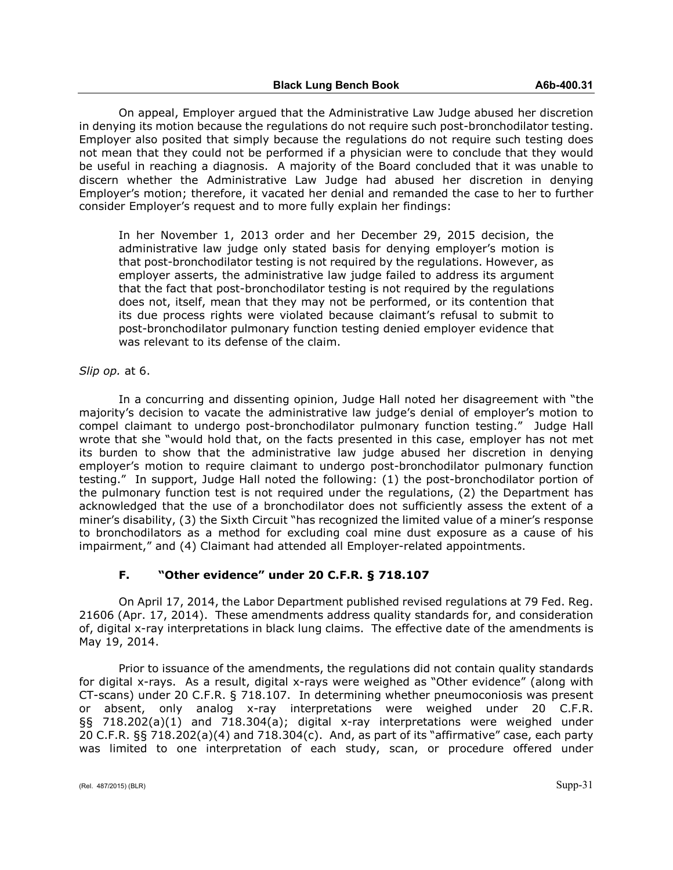On appeal, Employer argued that the Administrative Law Judge abused her discretion in denying its motion because the regulations do not require such post-bronchodilator testing. Employer also posited that simply because the regulations do not require such testing does not mean that they could not be performed if a physician were to conclude that they would be useful in reaching a diagnosis. A majority of the Board concluded that it was unable to discern whether the Administrative Law Judge had abused her discretion in denying Employer's motion; therefore, it vacated her denial and remanded the case to her to further consider Employer's request and to more fully explain her findings:

In her November 1, 2013 order and her December 29, 2015 decision, the administrative law judge only stated basis for denying employer's motion is that post-bronchodilator testing is not required by the regulations. However, as employer asserts, the administrative law judge failed to address its argument that the fact that post-bronchodilator testing is not required by the regulations does not, itself, mean that they may not be performed, or its contention that its due process rights were violated because claimant's refusal to submit to post-bronchodilator pulmonary function testing denied employer evidence that was relevant to its defense of the claim.

#### *Slip op.* at 6.

In a concurring and dissenting opinion, Judge Hall noted her disagreement with "the majority's decision to vacate the administrative law judge's denial of employer's motion to compel claimant to undergo post-bronchodilator pulmonary function testing." Judge Hall wrote that she "would hold that, on the facts presented in this case, employer has not met its burden to show that the administrative law judge abused her discretion in denying employer's motion to require claimant to undergo post-bronchodilator pulmonary function testing." In support, Judge Hall noted the following: (1) the post-bronchodilator portion of the pulmonary function test is not required under the regulations, (2) the Department has acknowledged that the use of a bronchodilator does not sufficiently assess the extent of a miner's disability, (3) the Sixth Circuit "has recognized the limited value of a miner's response to bronchodilators as a method for excluding coal mine dust exposure as a cause of his impairment," and (4) Claimant had attended all Employer-related appointments.

#### **F. "Other evidence" under 20 C.F.R. § 718.107**

On April 17, 2014, the Labor Department published revised regulations at 79 Fed. Reg. 21606 (Apr. 17, 2014). These amendments address quality standards for, and consideration of, digital x-ray interpretations in black lung claims. The effective date of the amendments is May 19, 2014.

Prior to issuance of the amendments, the regulations did not contain quality standards for digital x-rays. As a result, digital x-rays were weighed as "Other evidence" (along with CT-scans) under 20 C.F.R. § 718.107. In determining whether pneumoconiosis was present or absent, only analog x-ray interpretations were weighed under 20 C.F.R. §§ 718.202(a)(1) and 718.304(a); digital x-ray interpretations were weighed under 20 C.F.R. §§ 718.202(a)(4) and 718.304(c). And, as part of its "affirmative" case, each party was limited to one interpretation of each study, scan, or procedure offered under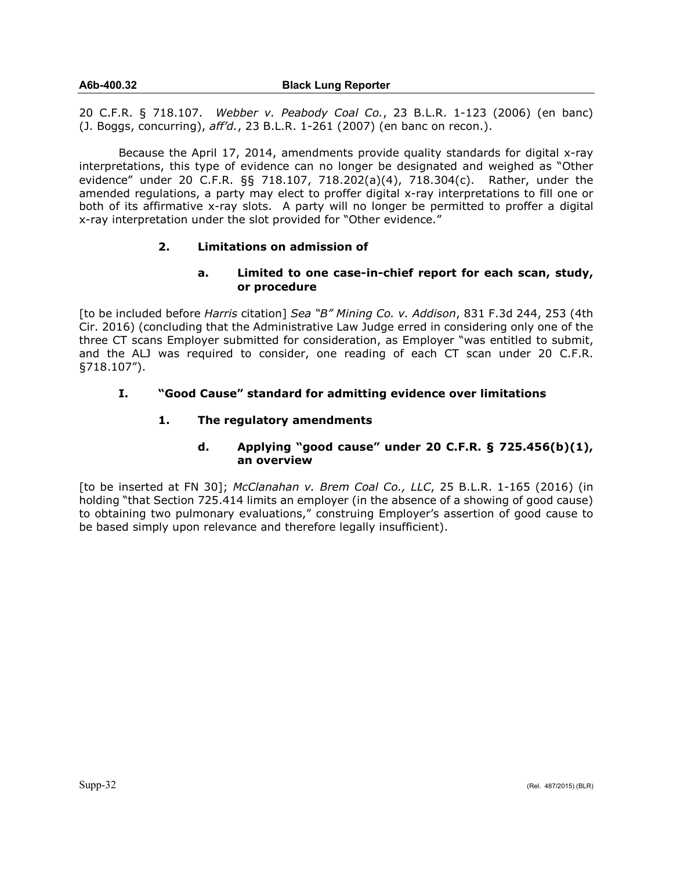20 C.F.R. § 718.107. *Webber v. Peabody Coal Co.*, 23 B.L.R. 1-123 (2006) (en banc) (J. Boggs, concurring), *aff'd.*, 23 B.L.R. 1-261 (2007) (en banc on recon.).

Because the April 17, 2014, amendments provide quality standards for digital x-ray interpretations, this type of evidence can no longer be designated and weighed as "Other evidence" under 20 C.F.R. §§ 718.107, 718.202(a)(4), 718.304(c). Rather, under the amended regulations, a party may elect to proffer digital x-ray interpretations to fill one or both of its affirmative x-ray slots. A party will no longer be permitted to proffer a digital x-ray interpretation under the slot provided for "Other evidence."

#### **2. Limitations on admission of**

## **a. Limited to one case-in-chief report for each scan, study, or procedure**

[to be included before *Harris* citation] *Sea "B" Mining Co. v. Addison*, 831 F.3d 244, 253 (4th Cir. 2016) (concluding that the Administrative Law Judge erred in considering only one of the three CT scans Employer submitted for consideration, as Employer "was entitled to submit, and the ALJ was required to consider, one reading of each CT scan under 20 C.F.R. §718.107").

## **I. "Good Cause" standard for admitting evidence over limitations**

## **1. The regulatory amendments**

## **d. Applying "good cause" under 20 C.F.R. § 725.456(b)(1), an overview**

[to be inserted at FN 30]; *McClanahan v. Brem Coal Co., LLC*, 25 B.L.R. 1-165 (2016) (in holding "that Section 725.414 limits an employer (in the absence of a showing of good cause) to obtaining two pulmonary evaluations," construing Employer's assertion of good cause to be based simply upon relevance and therefore legally insufficient).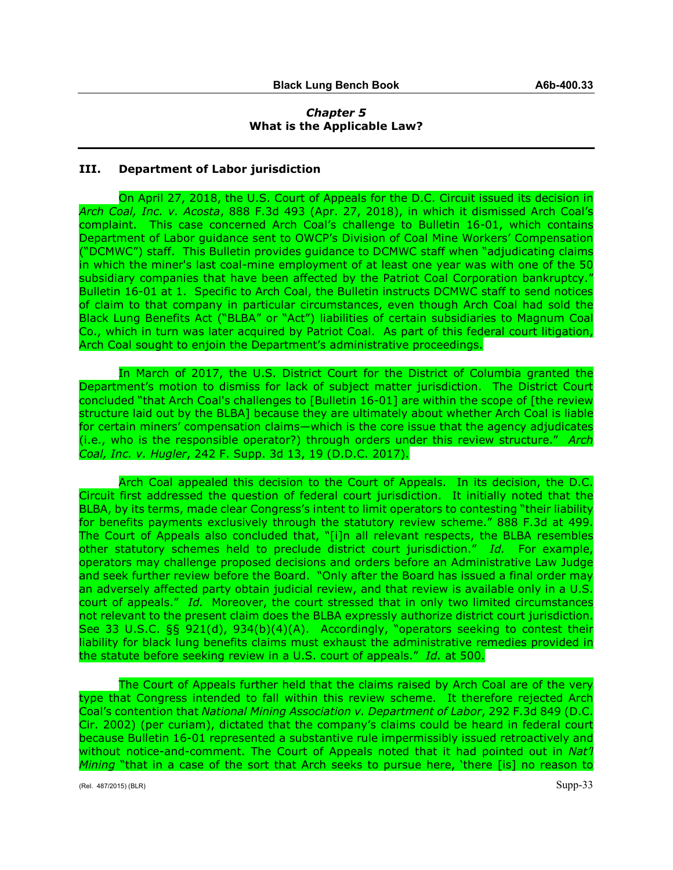#### *Chapter 5* **What is the Applicable Law?**

#### **III. Department of Labor jurisdiction**

On April 27, 2018, the U.S. Court of Appeals for the D.C. Circuit issued its decision in *Arch Coal, Inc. v. Acosta*, 888 F.3d 493 (Apr. 27, 2018), in which it dismissed Arch Coal's complaint. This case concerned Arch Coal's challenge to Bulletin 16-01, which contains Department of Labor guidance sent to OWCP's Division of Coal Mine Workers' Compensation ("DCMWC") staff. This Bulletin provides guidance to DCMWC staff when "adjudicating claims in which the miner's last coal-mine employment of at least one year was with one of the 50 subsidiary companies that have been affected by the Patriot Coal Corporation bankruptcy." Bulletin 16-01 at 1. Specific to Arch Coal, the Bulletin instructs DCMWC staff to send notices of claim to that company in particular circumstances, even though Arch Coal had sold the Black Lung Benefits Act ("BLBA" or "Act") liabilities of certain subsidiaries to Magnum Coal Co., which in turn was later acquired by Patriot Coal. As part of this federal court litigation, Arch Coal sought to enjoin the Department's administrative proceedings.

In March of 2017, the U.S. District Court for the District of Columbia granted the Department's motion to dismiss for lack of subject matter jurisdiction. The District Court concluded "that Arch Coal's challenges to [Bulletin 16-01] are within the scope of [the review structure laid out by the BLBA] because they are ultimately about whether Arch Coal is liable for certain miners' compensation claims—which is the core issue that the agency adjudicates (i.e., who is the responsible operator?) through orders under this review structure." *Arch Coal, Inc. v. Hugler*, 242 F. Supp. 3d 13, 19 (D.D.C. 2017).

Arch Coal appealed this decision to the Court of Appeals. In its decision, the D.C. Circuit first addressed the question of federal court jurisdiction. It initially noted that the BLBA, by its terms, made clear Congress's intent to limit operators to contesting "their liability for benefits payments exclusively through the statutory review scheme." 888 F.3d at 499. The Court of Appeals also concluded that, "[i]n all relevant respects, the BLBA resembles other statutory schemes held to preclude district court jurisdiction." *Id.* For example, operators may challenge proposed decisions and orders before an Administrative Law Judge and seek further review before the Board. "Only after the Board has issued a final order may an adversely affected party obtain judicial review, and that review is available only in a U.S. court of appeals." *Id.* Moreover, the court stressed that in only two limited circumstances not relevant to the present claim does the BLBA expressly authorize district court jurisdiction. See 33 U.S.C. §§ 921(d), 934(b)(4)(A). Accordingly, "operators seeking to contest their liability for black lung benefits claims must exhaust the administrative remedies provided in the statute before seeking review in a U.S. court of appeals." *Id.* at 500.

The Court of Appeals further held that the claims raised by Arch Coal are of the very type that Congress intended to fall within this review scheme. It therefore rejected Arch Coal's contention that *National Mining Association v. Department of Labor*, 292 F.3d 849 (D.C. Cir. 2002) (per curiam), dictated that the company's claims could be heard in federal court because Bulletin 16-01 represented a substantive rule impermissibly issued retroactively and without notice-and-comment. The Court of Appeals noted that it had pointed out in *Nat'l Mining* "that in a case of the sort that Arch seeks to pursue here, 'there [is] no reason to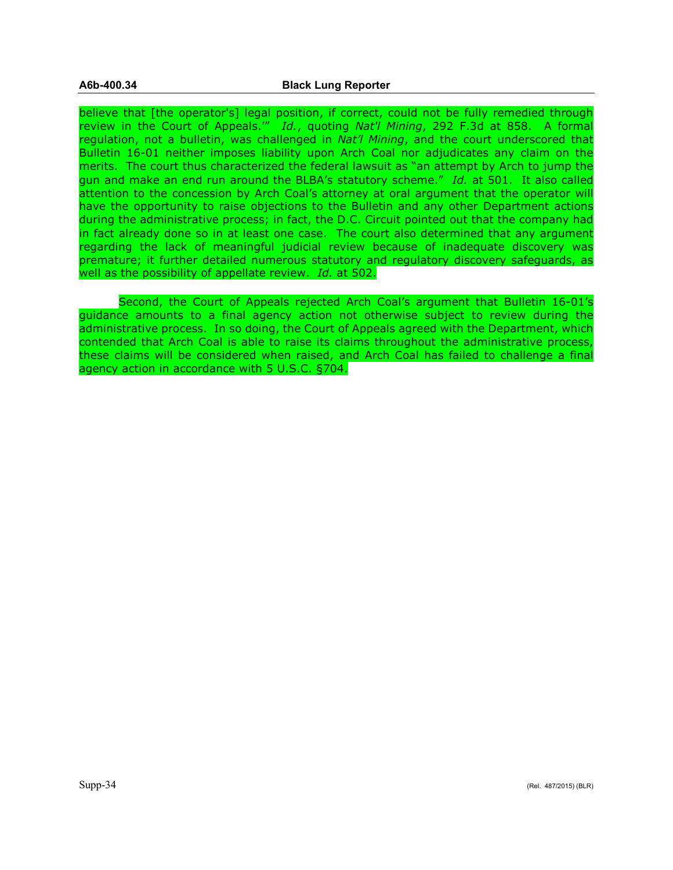believe that [the operator's] legal position, if correct, could not be fully remedied through review in the Court of Appeals.'" *Id.*, quoting *Nat'l Mining*, 292 F.3d at 858. A formal regulation, not a bulletin, was challenged in *Nat'l Mining*, and the court underscored that Bulletin 16-01 neither imposes liability upon Arch Coal nor adjudicates any claim on the merits. The court thus characterized the federal lawsuit as "an attempt by Arch to jump the gun and make an end run around the BLBA's statutory scheme." *Id.* at 501. It also called attention to the concession by Arch Coal's attorney at oral argument that the operator will have the opportunity to raise objections to the Bulletin and any other Department actions during the administrative process; in fact, the D.C. Circuit pointed out that the company had in fact already done so in at least one case. The court also determined that any argument regarding the lack of meaningful judicial review because of inadequate discovery was premature; it further detailed numerous statutory and regulatory discovery safeguards, as well as the possibility of appellate review. *Id.* at 502.

Second, the Court of Appeals rejected Arch Coal's argument that Bulletin 16-01's guidance amounts to a final agency action not otherwise subject to review during the administrative process. In so doing, the Court of Appeals agreed with the Department, which contended that Arch Coal is able to raise its claims throughout the administrative process, these claims will be considered when raised, and Arch Coal has failed to challenge a final agency action in accordance with 5 U.S.C. §704.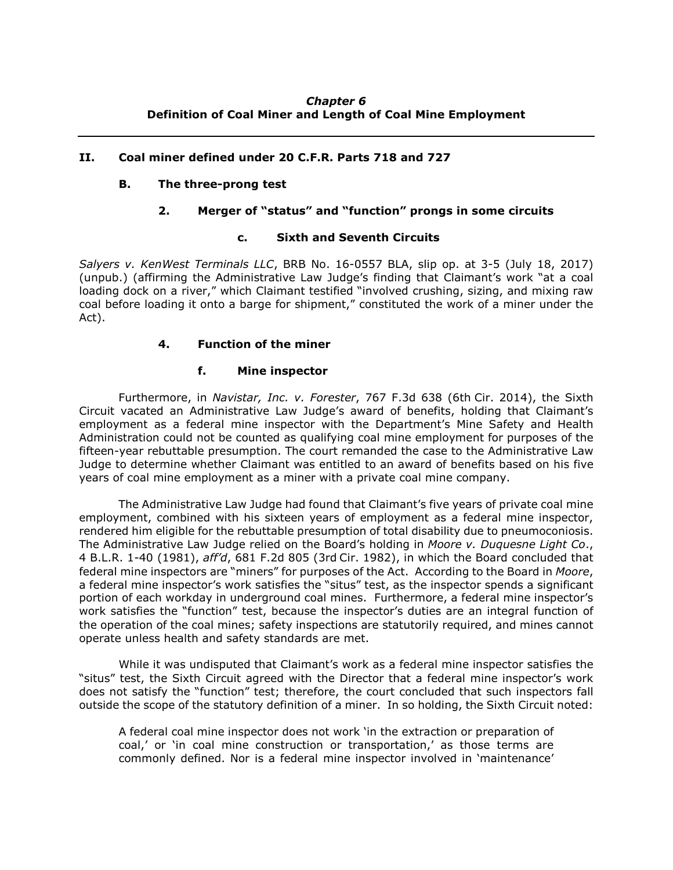## *Chapter 6* **Definition of Coal Miner and Length of Coal Mine Employment**

## **II. Coal miner defined under 20 C.F.R. Parts 718 and 727**

#### **B. The three-prong test**

## **2. Merger of "status" and "function" prongs in some circuits**

#### **c. Sixth and Seventh Circuits**

*Salyers v. KenWest Terminals LLC*, BRB No. 16-0557 BLA, slip op. at 3-5 (July 18, 2017) (unpub.) (affirming the Administrative Law Judge's finding that Claimant's work "at a coal loading dock on a river," which Claimant testified "involved crushing, sizing, and mixing raw coal before loading it onto a barge for shipment," constituted the work of a miner under the Act).

## **4. Function of the miner**

#### **f. Mine inspector**

Furthermore, in *Navistar, Inc. v. Forester*, 767 F.3d 638 (6th Cir. 2014), the Sixth Circuit vacated an Administrative Law Judge's award of benefits, holding that Claimant's employment as a federal mine inspector with the Department's Mine Safety and Health Administration could not be counted as qualifying coal mine employment for purposes of the fifteen-year rebuttable presumption. The court remanded the case to the Administrative Law Judge to determine whether Claimant was entitled to an award of benefits based on his five years of coal mine employment as a miner with a private coal mine company.

The Administrative Law Judge had found that Claimant's five years of private coal mine employment, combined with his sixteen years of employment as a federal mine inspector, rendered him eligible for the rebuttable presumption of total disability due to pneumoconiosis. The Administrative Law Judge relied on the Board's holding in *Moore v. Duquesne Light Co*., 4 B.L.R. 1-40 (1981), *aff'd*, 681 F.2d 805 (3rd Cir. 1982), in which the Board concluded that federal mine inspectors are "miners" for purposes of the Act. According to the Board in *Moore*, a federal mine inspector's work satisfies the "situs" test, as the inspector spends a significant portion of each workday in underground coal mines. Furthermore, a federal mine inspector's work satisfies the "function" test, because the inspector's duties are an integral function of the operation of the coal mines; safety inspections are statutorily required, and mines cannot operate unless health and safety standards are met.

While it was undisputed that Claimant's work as a federal mine inspector satisfies the "situs" test, the Sixth Circuit agreed with the Director that a federal mine inspector's work does not satisfy the "function" test; therefore, the court concluded that such inspectors fall outside the scope of the statutory definition of a miner. In so holding, the Sixth Circuit noted:

A federal coal mine inspector does not work 'in the extraction or preparation of coal,' or 'in coal mine construction or transportation,' as those terms are commonly defined. Nor is a federal mine inspector involved in 'maintenance'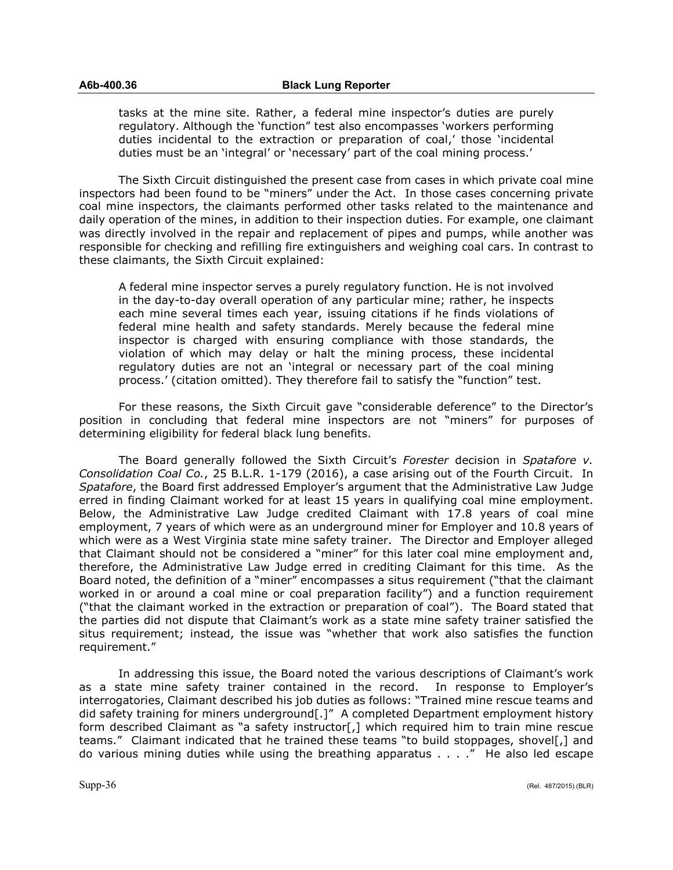tasks at the mine site. Rather, a federal mine inspector's duties are purely regulatory. Although the 'function" test also encompasses 'workers performing duties incidental to the extraction or preparation of coal,' those 'incidental duties must be an 'integral' or 'necessary' part of the coal mining process.'

The Sixth Circuit distinguished the present case from cases in which private coal mine inspectors had been found to be "miners" under the Act. In those cases concerning private coal mine inspectors, the claimants performed other tasks related to the maintenance and daily operation of the mines, in addition to their inspection duties. For example, one claimant was directly involved in the repair and replacement of pipes and pumps, while another was responsible for checking and refilling fire extinguishers and weighing coal cars. In contrast to these claimants, the Sixth Circuit explained:

A federal mine inspector serves a purely regulatory function. He is not involved in the day-to-day overall operation of any particular mine; rather, he inspects each mine several times each year, issuing citations if he finds violations of federal mine health and safety standards. Merely because the federal mine inspector is charged with ensuring compliance with those standards, the violation of which may delay or halt the mining process, these incidental regulatory duties are not an 'integral or necessary part of the coal mining process.' (citation omitted). They therefore fail to satisfy the "function" test.

For these reasons, the Sixth Circuit gave "considerable deference" to the Director's position in concluding that federal mine inspectors are not "miners" for purposes of determining eligibility for federal black lung benefits.

The Board generally followed the Sixth Circuit's *Forester* decision in *Spatafore v. Consolidation Coal Co.*, 25 B.L.R. 1-179 (2016), a case arising out of the Fourth Circuit. In *Spatafore*, the Board first addressed Employer's argument that the Administrative Law Judge erred in finding Claimant worked for at least 15 years in qualifying coal mine employment. Below, the Administrative Law Judge credited Claimant with 17.8 years of coal mine employment, 7 years of which were as an underground miner for Employer and 10.8 years of which were as a West Virginia state mine safety trainer. The Director and Employer alleged that Claimant should not be considered a "miner" for this later coal mine employment and, therefore, the Administrative Law Judge erred in crediting Claimant for this time. As the Board noted, the definition of a "miner" encompasses a situs requirement ("that the claimant worked in or around a coal mine or coal preparation facility") and a function requirement ("that the claimant worked in the extraction or preparation of coal"). The Board stated that the parties did not dispute that Claimant's work as a state mine safety trainer satisfied the situs requirement; instead, the issue was "whether that work also satisfies the function requirement."

In addressing this issue, the Board noted the various descriptions of Claimant's work as a state mine safety trainer contained in the record. In response to Employer's interrogatories, Claimant described his job duties as follows: "Trained mine rescue teams and did safety training for miners underground[.]" A completed Department employment history form described Claimant as "a safety instructor[,] which required him to train mine rescue teams." Claimant indicated that he trained these teams "to build stoppages, shovel[,] and do various mining duties while using the breathing apparatus . . . ." He also led escape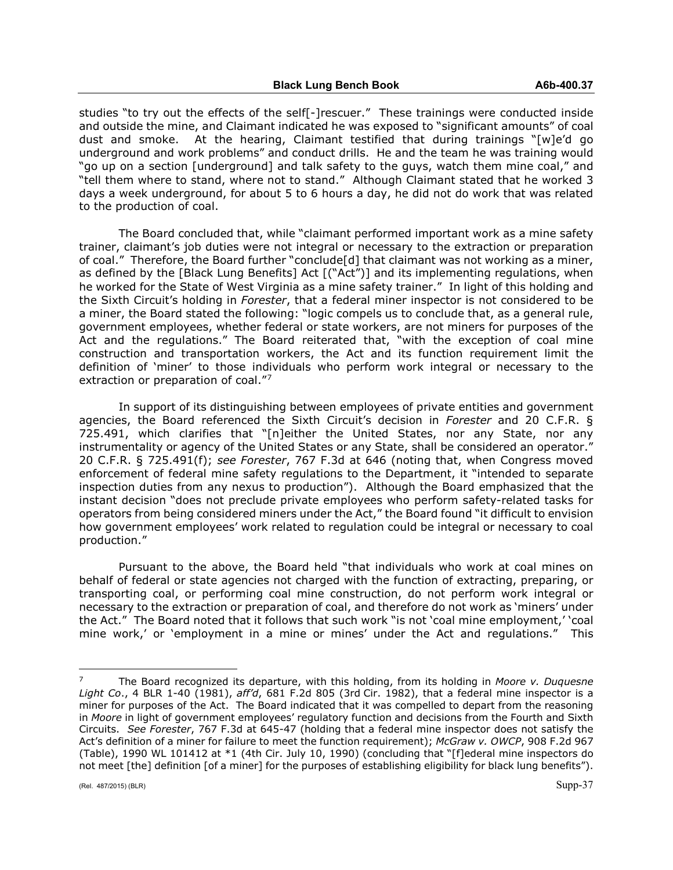studies "to try out the effects of the self[-]rescuer." These trainings were conducted inside and outside the mine, and Claimant indicated he was exposed to "significant amounts" of coal dust and smoke. At the hearing, Claimant testified that during trainings "[w]e'd go underground and work problems" and conduct drills. He and the team he was training would "go up on a section [underground] and talk safety to the guys, watch them mine coal," and "tell them where to stand, where not to stand." Although Claimant stated that he worked 3 days a week underground, for about 5 to 6 hours a day, he did not do work that was related to the production of coal.

The Board concluded that, while "claimant performed important work as a mine safety trainer, claimant's job duties were not integral or necessary to the extraction or preparation of coal." Therefore, the Board further "conclude[d] that claimant was not working as a miner, as defined by the [Black Lung Benefits] Act [("Act")] and its implementing regulations, when he worked for the State of West Virginia as a mine safety trainer." In light of this holding and the Sixth Circuit's holding in *Forester*, that a federal miner inspector is not considered to be a miner, the Board stated the following: "logic compels us to conclude that, as a general rule, government employees, whether federal or state workers, are not miners for purposes of the Act and the regulations." The Board reiterated that, "with the exception of coal mine construction and transportation workers, the Act and its function requirement limit the definition of 'miner' to those individuals who perform work integral or necessary to the extraction or preparation of coal."<sup>[7](#page-36-0)</sup>

In support of its distinguishing between employees of private entities and government agencies, the Board referenced the Sixth Circuit's decision in *Forester* and 20 C.F.R. § 725.491, which clarifies that "[n]either the United States, nor any State, nor any instrumentality or agency of the United States or any State, shall be considered an operator." 20 C.F.R. § 725.491(f); *see Forester*, 767 F.3d at 646 (noting that, when Congress moved enforcement of federal mine safety regulations to the Department, it "intended to separate inspection duties from any nexus to production"). Although the Board emphasized that the instant decision "does not preclude private employees who perform safety-related tasks for operators from being considered miners under the Act," the Board found "it difficult to envision how government employees' work related to regulation could be integral or necessary to coal production."

Pursuant to the above, the Board held "that individuals who work at coal mines on behalf of federal or state agencies not charged with the function of extracting, preparing, or transporting coal, or performing coal mine construction, do not perform work integral or necessary to the extraction or preparation of coal, and therefore do not work as 'miners' under the Act." The Board noted that it follows that such work "is not 'coal mine employment,' 'coal mine work,' or 'employment in a mine or mines' under the Act and regulations." This

 $\overline{a}$ 

<span id="page-36-0"></span><sup>7</sup> The Board recognized its departure, with this holding, from its holding in *Moore v. Duquesne Light Co*., 4 BLR 1-40 (1981), *aff'd*, 681 F.2d 805 (3rd Cir. 1982), that a federal mine inspector is a miner for purposes of the Act. The Board indicated that it was compelled to depart from the reasoning in *Moore* in light of government employees' regulatory function and decisions from the Fourth and Sixth Circuits. *See Forester*, 767 F.3d at 645-47 (holding that a federal mine inspector does not satisfy the Act's definition of a miner for failure to meet the function requirement); *McGraw v. OWCP*, 908 F.2d 967 (Table), 1990 WL 101412 at \*1 (4th Cir. July 10, 1990) (concluding that "[f]ederal mine inspectors do not meet [the] definition [of a miner] for the purposes of establishing eligibility for black lung benefits").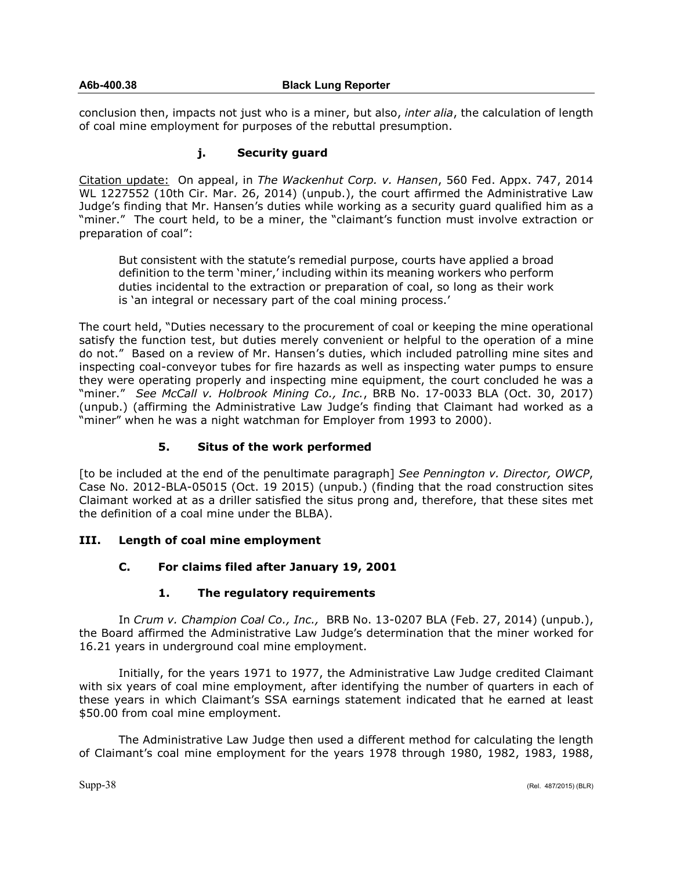## **A6b-400.38 Black Lung Reporter**

conclusion then, impacts not just who is a miner, but also, *inter alia*, the calculation of length of coal mine employment for purposes of the rebuttal presumption.

# **j. Security guard**

Citation update: On appeal, in *The Wackenhut Corp. v. Hansen*, 560 Fed. Appx. 747, 2014 WL 1227552 (10th Cir. Mar. 26, 2014) (unpub.), the court affirmed the Administrative Law Judge's finding that Mr. Hansen's duties while working as a security guard qualified him as a "miner." The court held, to be a miner, the "claimant's function must involve extraction or preparation of coal":

But consistent with the statute's remedial purpose, courts have applied a broad definition to the term 'miner,' including within its meaning workers who perform duties incidental to the extraction or preparation of coal, so long as their work is 'an integral or necessary part of the coal mining process.'

The court held, "Duties necessary to the procurement of coal or keeping the mine operational satisfy the function test, but duties merely convenient or helpful to the operation of a mine do not." Based on a review of Mr. Hansen's duties, which included patrolling mine sites and inspecting coal-conveyor tubes for fire hazards as well as inspecting water pumps to ensure they were operating properly and inspecting mine equipment, the court concluded he was a "miner." *See McCall v. Holbrook Mining Co., Inc.*, BRB No. 17-0033 BLA (Oct. 30, 2017) (unpub.) (affirming the Administrative Law Judge's finding that Claimant had worked as a "miner" when he was a night watchman for Employer from 1993 to 2000).

# **5. Situs of the work performed**

[to be included at the end of the penultimate paragraph] *See Pennington v. Director, OWCP*, Case No. 2012-BLA-05015 (Oct. 19 2015) (unpub.) (finding that the road construction sites Claimant worked at as a driller satisfied the situs prong and, therefore, that these sites met the definition of a coal mine under the BLBA).

# **III. Length of coal mine employment**

# **C. For claims filed after January 19, 2001**

# **1. The regulatory requirements**

In *Crum v. Champion Coal Co., Inc.,* BRB No. 13-0207 BLA (Feb. 27, 2014) (unpub.), the Board affirmed the Administrative Law Judge's determination that the miner worked for 16.21 years in underground coal mine employment.

Initially, for the years 1971 to 1977, the Administrative Law Judge credited Claimant with six years of coal mine employment, after identifying the number of quarters in each of these years in which Claimant's SSA earnings statement indicated that he earned at least \$50.00 from coal mine employment.

The Administrative Law Judge then used a different method for calculating the length of Claimant's coal mine employment for the years 1978 through 1980, 1982, 1983, 1988,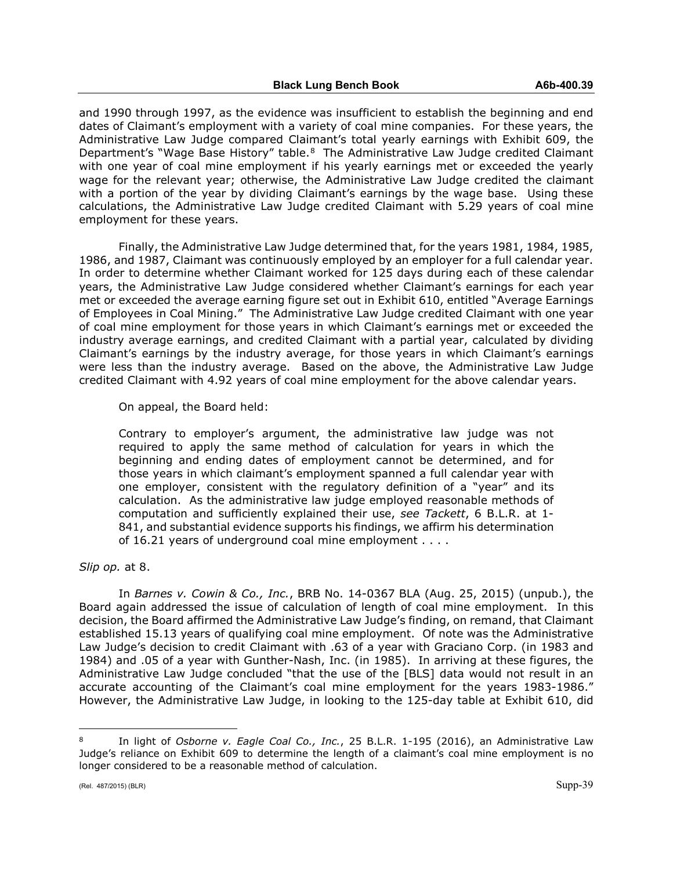and 1990 through 1997, as the evidence was insufficient to establish the beginning and end dates of Claimant's employment with a variety of coal mine companies. For these years, the Administrative Law Judge compared Claimant's total yearly earnings with Exhibit 609, the Department's "Wage Base History" table.<sup>8</sup> The Administrative Law Judge credited Claimant with one year of coal mine employment if his yearly earnings met or exceeded the yearly wage for the relevant year; otherwise, the Administrative Law Judge credited the claimant with a portion of the year by dividing Claimant's earnings by the wage base. Using these calculations, the Administrative Law Judge credited Claimant with 5.29 years of coal mine employment for these years.

Finally, the Administrative Law Judge determined that, for the years 1981, 1984, 1985, 1986, and 1987, Claimant was continuously employed by an employer for a full calendar year. In order to determine whether Claimant worked for 125 days during each of these calendar years, the Administrative Law Judge considered whether Claimant's earnings for each year met or exceeded the average earning figure set out in Exhibit 610, entitled "Average Earnings of Employees in Coal Mining." The Administrative Law Judge credited Claimant with one year of coal mine employment for those years in which Claimant's earnings met or exceeded the industry average earnings, and credited Claimant with a partial year, calculated by dividing Claimant's earnings by the industry average, for those years in which Claimant's earnings were less than the industry average. Based on the above, the Administrative Law Judge credited Claimant with 4.92 years of coal mine employment for the above calendar years.

On appeal, the Board held:

Contrary to employer's argument, the administrative law judge was not required to apply the same method of calculation for years in which the beginning and ending dates of employment cannot be determined, and for those years in which claimant's employment spanned a full calendar year with one employer, consistent with the regulatory definition of a "year" and its calculation. As the administrative law judge employed reasonable methods of computation and sufficiently explained their use, *see Tackett*, 6 B.L.R. at 1- 841, and substantial evidence supports his findings, we affirm his determination of 16.21 years of underground coal mine employment . . . .

*Slip op.* at 8.

In *Barnes v. Cowin & Co., Inc.*, BRB No. 14-0367 BLA (Aug. 25, 2015) (unpub.), the Board again addressed the issue of calculation of length of coal mine employment. In this decision, the Board affirmed the Administrative Law Judge's finding, on remand, that Claimant established 15.13 years of qualifying coal mine employment. Of note was the Administrative Law Judge's decision to credit Claimant with .63 of a year with Graciano Corp. (in 1983 and 1984) and .05 of a year with Gunther-Nash, Inc. (in 1985). In arriving at these figures, the Administrative Law Judge concluded "that the use of the [BLS] data would not result in an accurate accounting of the Claimant's coal mine employment for the years 1983-1986." However, the Administrative Law Judge, in looking to the 125-day table at Exhibit 610, did

 $\overline{a}$ 

<span id="page-38-0"></span><sup>8</sup> In light of *Osborne v. Eagle Coal Co., Inc.*, 25 B.L.R. 1-195 (2016), an Administrative Law Judge's reliance on Exhibit 609 to determine the length of a claimant's coal mine employment is no longer considered to be a reasonable method of calculation.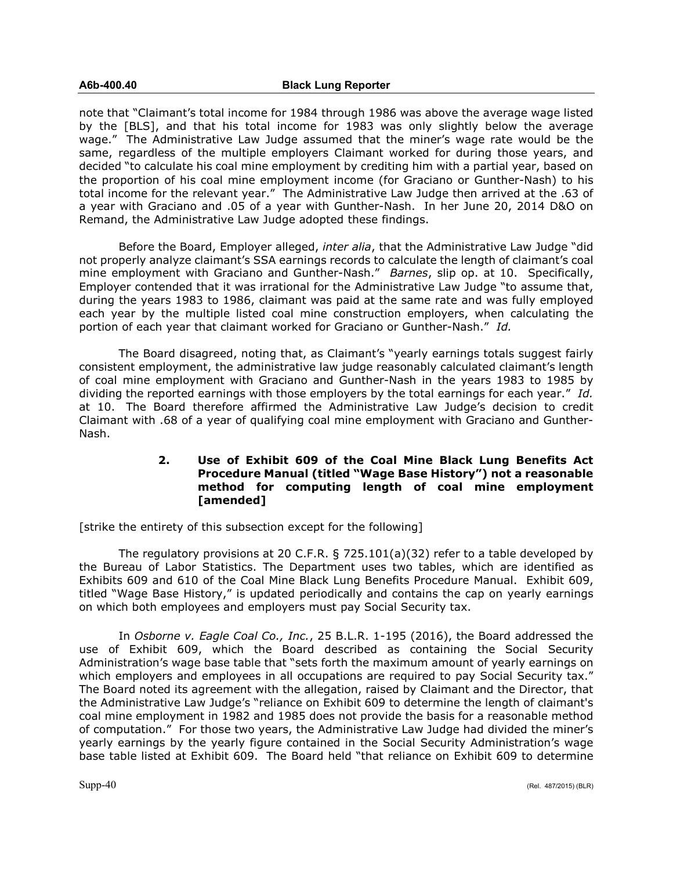note that "Claimant's total income for 1984 through 1986 was above the average wage listed by the [BLS], and that his total income for 1983 was only slightly below the average wage." The Administrative Law Judge assumed that the miner's wage rate would be the same, regardless of the multiple employers Claimant worked for during those years, and decided "to calculate his coal mine employment by crediting him with a partial year, based on the proportion of his coal mine employment income (for Graciano or Gunther-Nash) to his total income for the relevant year." The Administrative Law Judge then arrived at the .63 of a year with Graciano and .05 of a year with Gunther-Nash. In her June 20, 2014 D&O on Remand, the Administrative Law Judge adopted these findings.

Before the Board, Employer alleged, *inter alia*, that the Administrative Law Judge "did not properly analyze claimant's SSA earnings records to calculate the length of claimant's coal mine employment with Graciano and Gunther-Nash." *Barnes*, slip op. at 10. Specifically, Employer contended that it was irrational for the Administrative Law Judge "to assume that, during the years 1983 to 1986, claimant was paid at the same rate and was fully employed each year by the multiple listed coal mine construction employers, when calculating the portion of each year that claimant worked for Graciano or Gunther-Nash." *Id.*

The Board disagreed, noting that, as Claimant's "yearly earnings totals suggest fairly consistent employment, the administrative law judge reasonably calculated claimant's length of coal mine employment with Graciano and Gunther-Nash in the years 1983 to 1985 by dividing the reported earnings with those employers by the total earnings for each year." *Id.* at 10. The Board therefore affirmed the Administrative Law Judge's decision to credit Claimant with .68 of a year of qualifying coal mine employment with Graciano and Gunther-Nash.

# **2. Use of Exhibit 609 of the Coal Mine Black Lung Benefits Act Procedure Manual (titled "Wage Base History") not a reasonable method for computing length of coal mine employment [amended]**

[strike the entirety of this subsection except for the following]

The regulatory provisions at 20 C.F.R. § 725.101(a)(32) refer to a table developed by the Bureau of Labor Statistics. The Department uses two tables, which are identified as Exhibits 609 and 610 of the Coal Mine Black Lung Benefits Procedure Manual. Exhibit 609, titled "Wage Base History," is updated periodically and contains the cap on yearly earnings on which both employees and employers must pay Social Security tax.

In *Osborne v. Eagle Coal Co., Inc.*, 25 B.L.R. 1-195 (2016), the Board addressed the use of Exhibit 609, which the Board described as containing the Social Security Administration's wage base table that "sets forth the maximum amount of yearly earnings on which employers and employees in all occupations are required to pay Social Security tax." The Board noted its agreement with the allegation, raised by Claimant and the Director, that the Administrative Law Judge's "reliance on Exhibit 609 to determine the length of claimant's coal mine employment in 1982 and 1985 does not provide the basis for a reasonable method of computation." For those two years, the Administrative Law Judge had divided the miner's yearly earnings by the yearly figure contained in the Social Security Administration's wage base table listed at Exhibit 609. The Board held "that reliance on Exhibit 609 to determine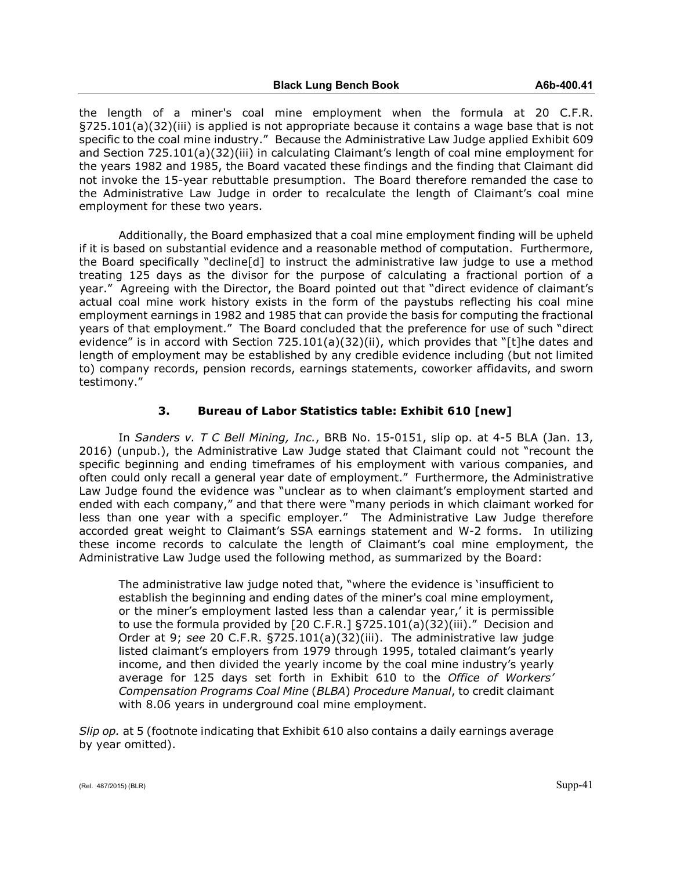the length of a miner's coal mine employment when the formula at 20 C.F.R. §725.101(a)(32)(iii) is applied is not appropriate because it contains a wage base that is not specific to the coal mine industry." Because the Administrative Law Judge applied Exhibit 609 and Section 725.101(a)(32)(iii) in calculating Claimant's length of coal mine employment for the years 1982 and 1985, the Board vacated these findings and the finding that Claimant did not invoke the 15-year rebuttable presumption. The Board therefore remanded the case to the Administrative Law Judge in order to recalculate the length of Claimant's coal mine employment for these two years.

Additionally, the Board emphasized that a coal mine employment finding will be upheld if it is based on substantial evidence and a reasonable method of computation. Furthermore, the Board specifically "decline[d] to instruct the administrative law judge to use a method treating 125 days as the divisor for the purpose of calculating a fractional portion of a year." Agreeing with the Director, the Board pointed out that "direct evidence of claimant's actual coal mine work history exists in the form of the paystubs reflecting his coal mine employment earnings in 1982 and 1985 that can provide the basis for computing the fractional years of that employment." The Board concluded that the preference for use of such "direct evidence" is in accord with Section 725.101(a)(32)(ii), which provides that "[t]he dates and length of employment may be established by any credible evidence including (but not limited to) company records, pension records, earnings statements, coworker affidavits, and sworn testimony."

# **3. Bureau of Labor Statistics table: Exhibit 610 [new]**

In *Sanders v. T C Bell Mining, Inc.*, BRB No. 15-0151, slip op. at 4-5 BLA (Jan. 13, 2016) (unpub.), the Administrative Law Judge stated that Claimant could not "recount the specific beginning and ending timeframes of his employment with various companies, and often could only recall a general year date of employment." Furthermore, the Administrative Law Judge found the evidence was "unclear as to when claimant's employment started and ended with each company," and that there were "many periods in which claimant worked for less than one year with a specific employer." The Administrative Law Judge therefore accorded great weight to Claimant's SSA earnings statement and W-2 forms. In utilizing these income records to calculate the length of Claimant's coal mine employment, the Administrative Law Judge used the following method, as summarized by the Board:

The administrative law judge noted that, "where the evidence is 'insufficient to establish the beginning and ending dates of the miner's coal mine employment, or the miner's employment lasted less than a calendar year,' it is permissible to use the formula provided by [20 C.F.R.] §725.101(a)(32)(iii)." Decision and Order at 9; *see* 20 C.F.R. §725.101(a)(32)(iii). The administrative law judge listed claimant's employers from 1979 through 1995, totaled claimant's yearly income, and then divided the yearly income by the coal mine industry's yearly average for 125 days set forth in Exhibit 610 to the *Office of Workers' Compensation Programs Coal Mine* (*BLBA*) *Procedure Manual*, to credit claimant with 8.06 years in underground coal mine employment.

*Slip op.* at 5 (footnote indicating that Exhibit 610 also contains a daily earnings average by year omitted).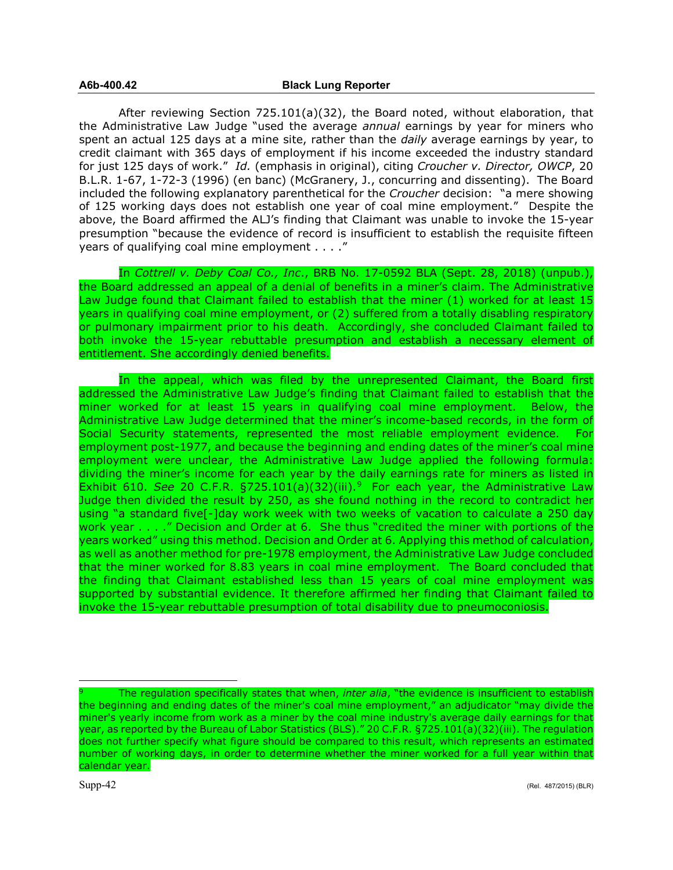After reviewing Section 725.101(a)(32), the Board noted, without elaboration, that the Administrative Law Judge "used the average *annual* earnings by year for miners who spent an actual 125 days at a mine site, rather than the *daily* average earnings by year, to credit claimant with 365 days of employment if his income exceeded the industry standard for just 125 days of work." *Id.* (emphasis in original), citing *Croucher v. Director, OWCP*, 20 B.L.R. 1-67, 1-72-3 (1996) (en banc) (McGranery, J., concurring and dissenting). The Board included the following explanatory parenthetical for the *Croucher* decision: "a mere showing of 125 working days does not establish one year of coal mine employment." Despite the above, the Board affirmed the ALJ's finding that Claimant was unable to invoke the 15-year presumption "because the evidence of record is insufficient to establish the requisite fifteen years of qualifying coal mine employment . . . ."

In *Cottrell v. Deby Coal Co., Inc*., BRB No. 17-0592 BLA (Sept. 28, 2018) (unpub.), the Board addressed an appeal of a denial of benefits in a miner's claim. The Administrative Law Judge found that Claimant failed to establish that the miner (1) worked for at least 15 years in qualifying coal mine employment, or (2) suffered from a totally disabling respiratory or pulmonary impairment prior to his death. Accordingly, she concluded Claimant failed to both invoke the 15-year rebuttable presumption and establish a necessary element of entitlement. She accordingly denied benefits.

In the appeal, which was filed by the unrepresented Claimant, the Board first addressed the Administrative Law Judge's finding that Claimant failed to establish that the miner worked for at least 15 years in qualifying coal mine employment. Below, the Administrative Law Judge determined that the miner's income-based records, in the form of Social Security statements, represented the most reliable employment evidence. For employment post-1977, and because the beginning and ending dates of the miner's coal mine employment were unclear, the Administrative Law Judge applied the following formula: dividing the miner's income for each year by the daily earnings rate for miners as listed in Exhibit 610. *See* 20 C.F.R. §725.101(a)(32)(iii).<sup>[9](#page-41-0)</sup> For each year, the Administrative Law Judge then divided the result by 250, as she found nothing in the record to contradict her using "a standard five[-]day work week with two weeks of vacation to calculate a 250 day work year . . . ." Decision and Order at 6. She thus "credited the miner with portions of the years worked" using this method. Decision and Order at 6. Applying this method of calculation, as well as another method for pre-1978 employment, the Administrative Law Judge concluded that the miner worked for 8.83 years in coal mine employment. The Board concluded that the finding that Claimant established less than 15 years of coal mine employment was supported by substantial evidence. It therefore affirmed her finding that Claimant failed to invoke the 15-year rebuttable presumption of total disability due to pneumoconiosis.

 $\overline{a}$ 

<span id="page-41-0"></span>The regulation specifically states that when, *inter alia*, "the evidence is insufficient to establish the beginning and ending dates of the miner's coal mine employment," an adjudicator "may divide the miner's yearly income from work as a miner by the coal mine industry's average daily earnings for that year, as reported by the Bureau of Labor Statistics (BLS)." 20 C.F.R. §725.101(a)(32)(iii). The regulation does not further specify what figure should be compared to this result, which represents an estimated number of working days, in order to determine whether the miner worked for a full year within that calendar year.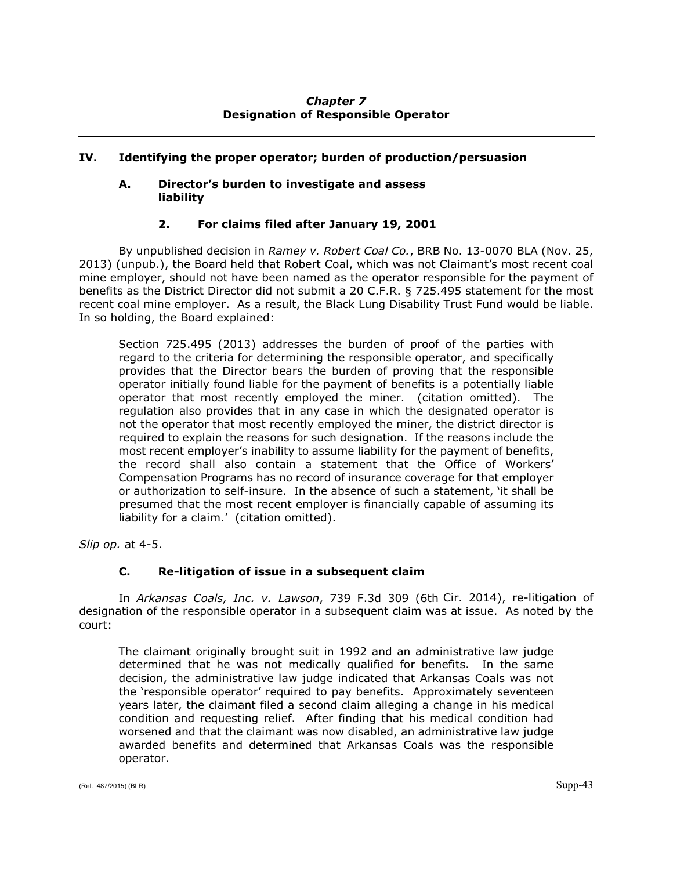# *Chapter 7* **Designation of Responsible Operator**

# **IV. Identifying the proper operator; burden of production/persuasion**

# **A. Director's burden to investigate and assess liability**

# **2. For claims filed after January 19, 2001**

By unpublished decision in *Ramey v. Robert Coal Co.*, BRB No. 13-0070 BLA (Nov. 25, 2013) (unpub.), the Board held that Robert Coal, which was not Claimant's most recent coal mine employer, should not have been named as the operator responsible for the payment of benefits as the District Director did not submit a 20 C.F.R. § 725.495 statement for the most recent coal mine employer. As a result, the Black Lung Disability Trust Fund would be liable. In so holding, the Board explained:

Section 725.495 (2013) addresses the burden of proof of the parties with regard to the criteria for determining the responsible operator, and specifically provides that the Director bears the burden of proving that the responsible operator initially found liable for the payment of benefits is a potentially liable operator that most recently employed the miner. (citation omitted). The regulation also provides that in any case in which the designated operator is not the operator that most recently employed the miner, the district director is required to explain the reasons for such designation. If the reasons include the most recent employer's inability to assume liability for the payment of benefits, the record shall also contain a statement that the Office of Workers' Compensation Programs has no record of insurance coverage for that employer or authorization to self-insure. In the absence of such a statement, 'it shall be presumed that the most recent employer is financially capable of assuming its liability for a claim.' (citation omitted).

*Slip op.* at 4-5.

# **C. Re-litigation of issue in a subsequent claim**

In *Arkansas Coals, Inc. v. Lawson*, 739 F.3d 309 (6th Cir. 2014), re-litigation of designation of the responsible operator in a subsequent claim was at issue. As noted by the court:

The claimant originally brought suit in 1992 and an administrative law judge determined that he was not medically qualified for benefits. In the same decision, the administrative law judge indicated that Arkansas Coals was not the 'responsible operator' required to pay benefits. Approximately seventeen years later, the claimant filed a second claim alleging a change in his medical condition and requesting relief. After finding that his medical condition had worsened and that the claimant was now disabled, an administrative law judge awarded benefits and determined that Arkansas Coals was the responsible operator.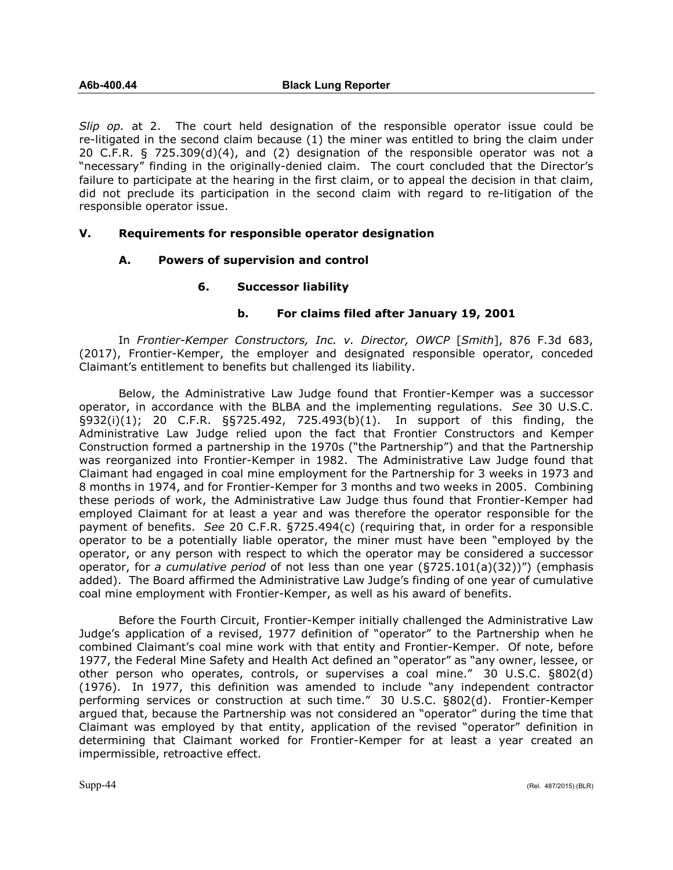*Slip op.* at 2. The court held designation of the responsible operator issue could be re-litigated in the second claim because (1) the miner was entitled to bring the claim under 20 C.F.R. § 725.309(d)(4), and (2) designation of the responsible operator was not a "necessary" finding in the originally-denied claim. The court concluded that the Director's failure to participate at the hearing in the first claim, or to appeal the decision in that claim, did not preclude its participation in the second claim with regard to re-litigation of the responsible operator issue.

# **V. Requirements for responsible operator designation**

## **A. Powers of supervision and control**

## **6. Successor liability**

## **b. For claims filed after January 19, 2001**

In *Frontier-Kemper Constructors, Inc. v. Director, OWCP* [*Smith*], 876 F.3d 683, (2017), Frontier-Kemper, the employer and designated responsible operator, conceded Claimant's entitlement to benefits but challenged its liability.

Below, the Administrative Law Judge found that Frontier-Kemper was a successor operator, in accordance with the BLBA and the implementing regulations. *See* 30 U.S.C. §932(i)(1); 20 C.F.R. §§725.492, 725.493(b)(1). In support of this finding, the Administrative Law Judge relied upon the fact that Frontier Constructors and Kemper Construction formed a partnership in the 1970s ("the Partnership") and that the Partnership was reorganized into Frontier-Kemper in 1982. The Administrative Law Judge found that Claimant had engaged in coal mine employment for the Partnership for 3 weeks in 1973 and 8 months in 1974, and for Frontier-Kemper for 3 months and two weeks in 2005. Combining these periods of work, the Administrative Law Judge thus found that Frontier-Kemper had employed Claimant for at least a year and was therefore the operator responsible for the payment of benefits. *See* 20 C.F.R. §725.494(c) (requiring that, in order for a responsible operator to be a potentially liable operator, the miner must have been "employed by the operator, or any person with respect to which the operator may be considered a successor operator, for *a cumulative period* of not less than one year (§725.101(a)(32))") (emphasis added). The Board affirmed the Administrative Law Judge's finding of one year of cumulative coal mine employment with Frontier-Kemper, as well as his award of benefits.

Before the Fourth Circuit, Frontier-Kemper initially challenged the Administrative Law Judge's application of a revised, 1977 definition of "operator" to the Partnership when he combined Claimant's coal mine work with that entity and Frontier-Kemper. Of note, before 1977, the Federal Mine Safety and Health Act defined an "operator" as "any owner, lessee, or other person who operates, controls, or supervises a coal mine." 30 U.S.C. §802(d) (1976). In 1977, this definition was amended to include "any independent contractor performing services or construction at such time." 30 U.S.C. §802(d). Frontier-Kemper argued that, because the Partnership was not considered an "operator" during the time that Claimant was employed by that entity, application of the revised "operator" definition in determining that Claimant worked for Frontier-Kemper for at least a year created an impermissible, retroactive effect.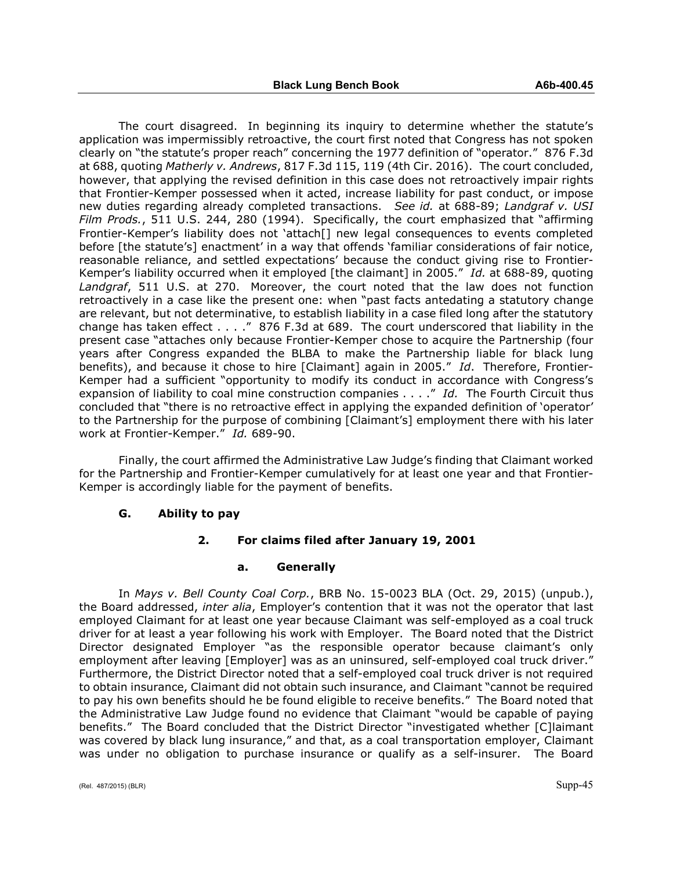The court disagreed. In beginning its inquiry to determine whether the statute's application was impermissibly retroactive, the court first noted that Congress has not spoken clearly on "the statute's proper reach" concerning the 1977 definition of "operator." 876 F.3d at 688, quoting *Matherly v. Andrews*, 817 F.3d 115, 119 (4th Cir. 2016). The court concluded, however, that applying the revised definition in this case does not retroactively impair rights that Frontier-Kemper possessed when it acted, increase liability for past conduct, or impose new duties regarding already completed transactions. *See id.* at 688-89; *Landgraf v. USI Film Prods.*, 511 U.S. 244, 280 (1994). Specifically, the court emphasized that "affirming Frontier-Kemper's liability does not 'attach[] new legal consequences to events completed before [the statute's] enactment' in a way that offends 'familiar considerations of fair notice, reasonable reliance, and settled expectations' because the conduct giving rise to Frontier-Kemper's liability occurred when it employed [the claimant] in 2005." *Id.* at 688-89, quoting *Landgraf*, 511 U.S. at 270. Moreover, the court noted that the law does not function retroactively in a case like the present one: when "past facts antedating a statutory change are relevant, but not determinative, to establish liability in a case filed long after the statutory change has taken effect . . . ." 876 F.3d at 689. The court underscored that liability in the present case "attaches only because Frontier-Kemper chose to acquire the Partnership (four years after Congress expanded the BLBA to make the Partnership liable for black lung benefits), and because it chose to hire [Claimant] again in 2005." *Id*. Therefore, Frontier-Kemper had a sufficient "opportunity to modify its conduct in accordance with Congress's expansion of liability to coal mine construction companies . . . ." *Id.* The Fourth Circuit thus concluded that "there is no retroactive effect in applying the expanded definition of 'operator' to the Partnership for the purpose of combining [Claimant's] employment there with his later work at Frontier-Kemper." *Id.* 689-90.

Finally, the court affirmed the Administrative Law Judge's finding that Claimant worked for the Partnership and Frontier-Kemper cumulatively for at least one year and that Frontier-Kemper is accordingly liable for the payment of benefits.

### **G. Ability to pay**

# **2. For claims filed after January 19, 2001**

### **a. Generally**

In *Mays v. Bell County Coal Corp.*, BRB No. 15-0023 BLA (Oct. 29, 2015) (unpub.), the Board addressed, *inter alia*, Employer's contention that it was not the operator that last employed Claimant for at least one year because Claimant was self-employed as a coal truck driver for at least a year following his work with Employer. The Board noted that the District Director designated Employer "as the responsible operator because claimant's only employment after leaving [Employer] was as an uninsured, self-employed coal truck driver." Furthermore, the District Director noted that a self-employed coal truck driver is not required to obtain insurance, Claimant did not obtain such insurance, and Claimant "cannot be required to pay his own benefits should he be found eligible to receive benefits." The Board noted that the Administrative Law Judge found no evidence that Claimant "would be capable of paying benefits." The Board concluded that the District Director "investigated whether [C]laimant was covered by black lung insurance," and that, as a coal transportation employer, Claimant was under no obligation to purchase insurance or qualify as a self-insurer. The Board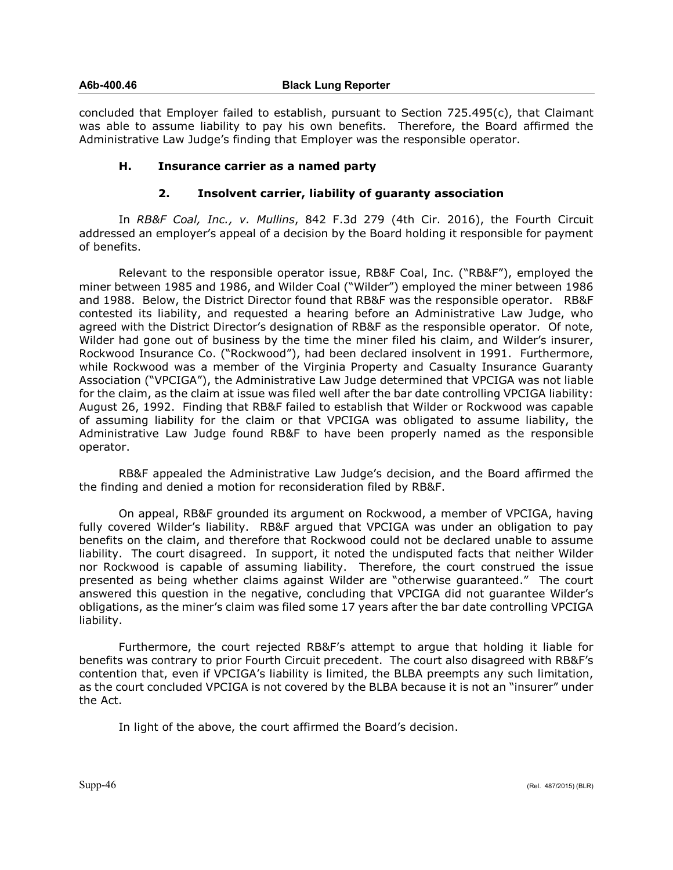### **A6b-400.46 Black Lung Reporter**

concluded that Employer failed to establish, pursuant to Section 725.495(c), that Claimant was able to assume liability to pay his own benefits. Therefore, the Board affirmed the Administrative Law Judge's finding that Employer was the responsible operator.

# **H. Insurance carrier as a named party**

## **2. Insolvent carrier, liability of guaranty association**

In *RB&F Coal, Inc., v. Mullins*, 842 F.3d 279 (4th Cir. 2016), the Fourth Circuit addressed an employer's appeal of a decision by the Board holding it responsible for payment of benefits.

Relevant to the responsible operator issue, RB&F Coal, Inc. ("RB&F"), employed the miner between 1985 and 1986, and Wilder Coal ("Wilder") employed the miner between 1986 and 1988. Below, the District Director found that RB&F was the responsible operator. RB&F contested its liability, and requested a hearing before an Administrative Law Judge, who agreed with the District Director's designation of RB&F as the responsible operator. Of note, Wilder had gone out of business by the time the miner filed his claim, and Wilder's insurer, Rockwood Insurance Co. ("Rockwood"), had been declared insolvent in 1991. Furthermore, while Rockwood was a member of the Virginia Property and Casualty Insurance Guaranty Association ("VPCIGA"), the Administrative Law Judge determined that VPCIGA was not liable for the claim, as the claim at issue was filed well after the bar date controlling VPCIGA liability: August 26, 1992. Finding that RB&F failed to establish that Wilder or Rockwood was capable of assuming liability for the claim or that VPCIGA was obligated to assume liability, the Administrative Law Judge found RB&F to have been properly named as the responsible operator.

RB&F appealed the Administrative Law Judge's decision, and the Board affirmed the the finding and denied a motion for reconsideration filed by RB&F.

On appeal, RB&F grounded its argument on Rockwood, a member of VPCIGA, having fully covered Wilder's liability. RB&F argued that VPCIGA was under an obligation to pay benefits on the claim, and therefore that Rockwood could not be declared unable to assume liability. The court disagreed. In support, it noted the undisputed facts that neither Wilder nor Rockwood is capable of assuming liability. Therefore, the court construed the issue presented as being whether claims against Wilder are "otherwise guaranteed." The court answered this question in the negative, concluding that VPCIGA did not guarantee Wilder's obligations, as the miner's claim was filed some 17 years after the bar date controlling VPCIGA liability.

Furthermore, the court rejected RB&F's attempt to argue that holding it liable for benefits was contrary to prior Fourth Circuit precedent. The court also disagreed with RB&F's contention that, even if VPCIGA's liability is limited, the BLBA preempts any such limitation, as the court concluded VPCIGA is not covered by the BLBA because it is not an "insurer" under the Act.

In light of the above, the court affirmed the Board's decision.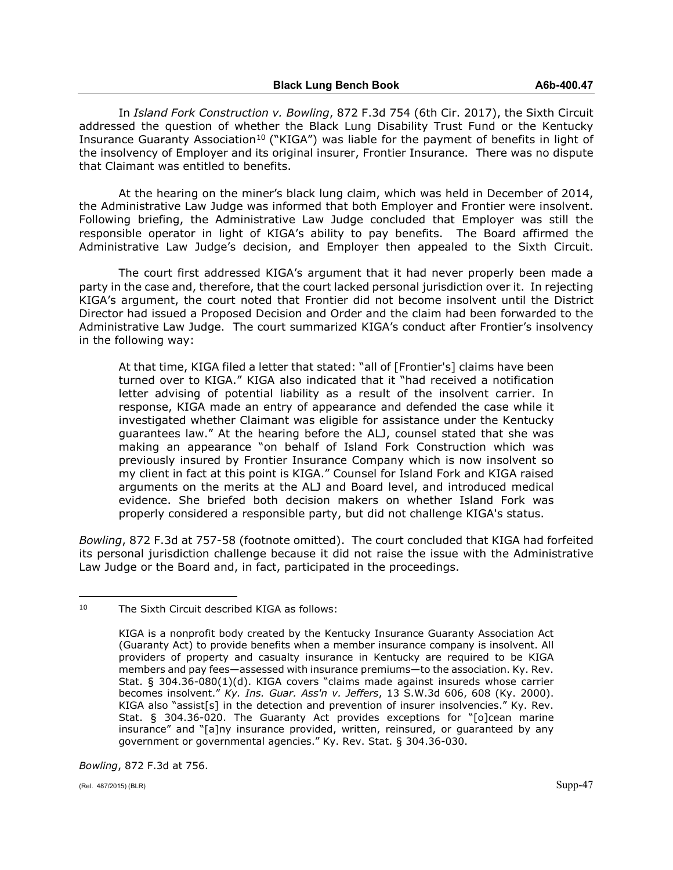In *Island Fork Construction v. Bowling*, 872 F.3d 754 (6th Cir. 2017), the Sixth Circuit addressed the question of whether the Black Lung Disability Trust Fund or the Kentucky Insurance Guaranty Association<sup>[10](#page-46-0)</sup> ("KIGA") was liable for the payment of benefits in light of the insolvency of Employer and its original insurer, Frontier Insurance. There was no dispute that Claimant was entitled to benefits.

At the hearing on the miner's black lung claim, which was held in December of 2014, the Administrative Law Judge was informed that both Employer and Frontier were insolvent. Following briefing, the Administrative Law Judge concluded that Employer was still the responsible operator in light of KIGA's ability to pay benefits. The Board affirmed the Administrative Law Judge's decision, and Employer then appealed to the Sixth Circuit.

The court first addressed KIGA's argument that it had never properly been made a party in the case and, therefore, that the court lacked personal jurisdiction over it. In rejecting KIGA's argument, the court noted that Frontier did not become insolvent until the District Director had issued a Proposed Decision and Order and the claim had been forwarded to the Administrative Law Judge. The court summarized KIGA's conduct after Frontier's insolvency in the following way:

At that time, KIGA filed a letter that stated: "all of [Frontier's] claims have been turned over to KIGA." KIGA also indicated that it "had received a notification letter advising of potential liability as a result of the insolvent carrier. In response, KIGA made an entry of appearance and defended the case while it investigated whether Claimant was eligible for assistance under the Kentucky guarantees law." At the hearing before the ALJ, counsel stated that she was making an appearance "on behalf of Island Fork Construction which was previously insured by Frontier Insurance Company which is now insolvent so my client in fact at this point is KIGA." Counsel for Island Fork and KIGA raised arguments on the merits at the ALJ and Board level, and introduced medical evidence. She briefed both decision makers on whether Island Fork was properly considered a responsible party, but did not challenge KIGA's status.

*Bowling*, 872 F.3d at 757-58 (footnote omitted). The court concluded that KIGA had forfeited its personal jurisdiction challenge because it did not raise the issue with the Administrative Law Judge or the Board and, in fact, participated in the proceedings.

*Bowling*, 872 F.3d at 756.

<span id="page-46-0"></span> $10<sup>10</sup>$ The Sixth Circuit described KIGA as follows:

KIGA is a nonprofit body created by the Kentucky Insurance Guaranty Association Act (Guaranty Act) to provide benefits when a member insurance company is insolvent. All providers of property and casualty insurance in Kentucky are required to be KIGA members and pay fees—assessed with insurance premiums—to the association. Ky. Rev. Stat. § 304.36-080(1)(d). KIGA covers "claims made against insureds whose carrier becomes insolvent." *Ky. Ins. Guar. Ass'n v. Jeffers*, 13 S.W.3d 606, 608 (Ky. 2000). KIGA also "assist[s] in the detection and prevention of insurer insolvencies." Ky. Rev. Stat. § 304.36-020. The Guaranty Act provides exceptions for "[o]cean marine insurance" and "[a]ny insurance provided, written, reinsured, or guaranteed by any government or governmental agencies." Ky. Rev. Stat. § 304.36-030.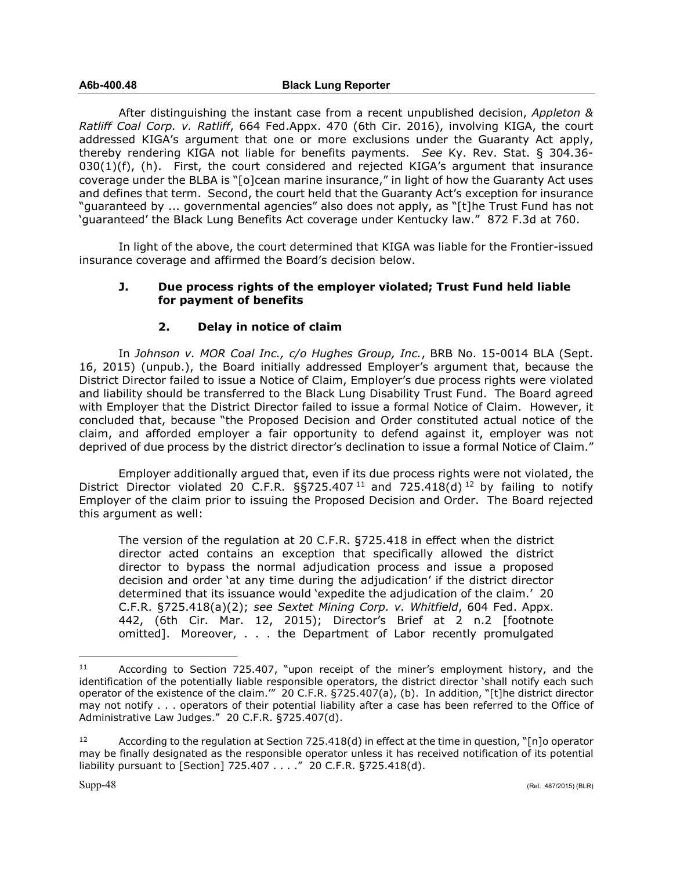After distinguishing the instant case from a recent unpublished decision, *Appleton & Ratliff Coal Corp. v. Ratliff*, 664 Fed.Appx. 470 (6th Cir. 2016), involving KIGA, the court addressed KIGA's argument that one or more exclusions under the Guaranty Act apply, thereby rendering KIGA not liable for benefits payments. *See* Ky. Rev. Stat. § 304.36-  $030(1)(f)$ , (h). First, the court considered and rejected KIGA's argument that insurance coverage under the BLBA is "[o]cean marine insurance," in light of how the Guaranty Act uses and defines that term. Second, the court held that the Guaranty Act's exception for insurance "guaranteed by ... governmental agencies" also does not apply, as "[t]he Trust Fund has not 'guaranteed' the Black Lung Benefits Act coverage under Kentucky law." 872 F.3d at 760.

In light of the above, the court determined that KIGA was liable for the Frontier-issued insurance coverage and affirmed the Board's decision below.

## **J. Due process rights of the employer violated; Trust Fund held liable for payment of benefits**

# **2. Delay in notice of claim**

In *Johnson v. MOR Coal Inc., c/o Hughes Group, Inc.*, BRB No. 15-0014 BLA (Sept. 16, 2015) (unpub.), the Board initially addressed Employer's argument that, because the District Director failed to issue a Notice of Claim, Employer's due process rights were violated and liability should be transferred to the Black Lung Disability Trust Fund. The Board agreed with Employer that the District Director failed to issue a formal Notice of Claim. However, it concluded that, because "the Proposed Decision and Order constituted actual notice of the claim, and afforded employer a fair opportunity to defend against it, employer was not deprived of due process by the district director's declination to issue a formal Notice of Claim."

Employer additionally argued that, even if its due process rights were not violated, the District Director violated 20 C.F.R.  $\S$ §725.407<sup>[11](#page-47-0)</sup> and 725.418(d)<sup>[12](#page-47-1)</sup> by failing to notify Employer of the claim prior to issuing the Proposed Decision and Order. The Board rejected this argument as well:

The version of the regulation at 20 C.F.R. §725.418 in effect when the district director acted contains an exception that specifically allowed the district director to bypass the normal adjudication process and issue a proposed decision and order 'at any time during the adjudication' if the district director determined that its issuance would 'expedite the adjudication of the claim.' 20 C.F.R. §725.418(a)(2); *see Sextet Mining Corp. v. Whitfield*, 604 Fed. Appx. 442, (6th Cir. Mar. 12, 2015); Director's Brief at 2 n.2 [footnote omitted]. Moreover, . . . the Department of Labor recently promulgated

 $\overline{a}$ 

<span id="page-47-0"></span><sup>11</sup> According to Section 725.407, "upon receipt of the miner's employment history, and the identification of the potentially liable responsible operators, the district director 'shall notify each such operator of the existence of the claim.'" 20 C.F.R. §725.407(a), (b). In addition, "[t]he district director may not notify . . . operators of their potential liability after a case has been referred to the Office of Administrative Law Judges." 20 C.F.R. §725.407(d).

<span id="page-47-1"></span><sup>12</sup> According to the regulation at Section 725.418(d) in effect at the time in question, "[n]o operator may be finally designated as the responsible operator unless it has received notification of its potential liability pursuant to [Section] 725.407 . . . ." 20 C.F.R. §725.418(d).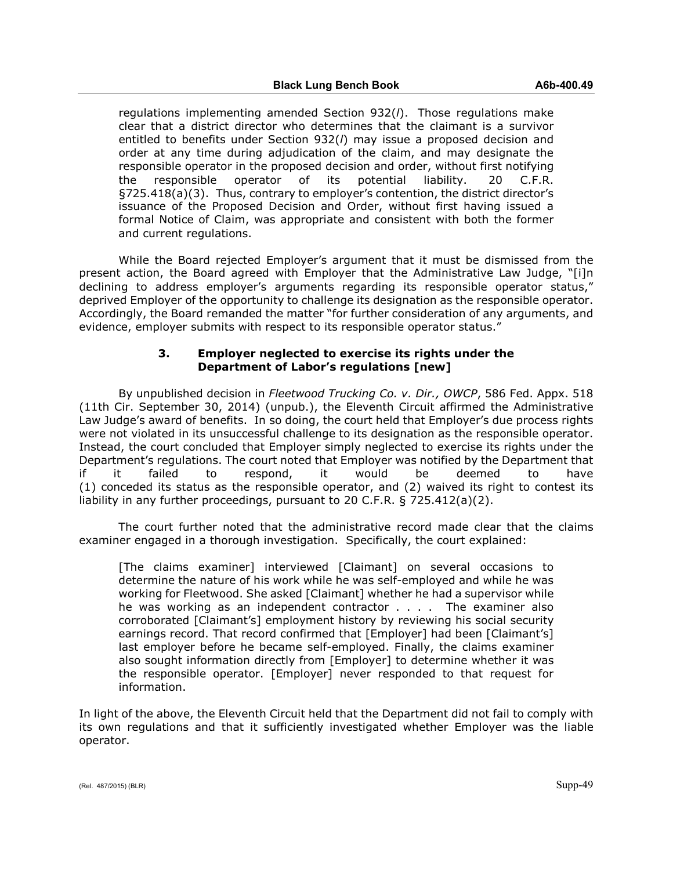regulations implementing amended Section 932(*l*). Those regulations make clear that a district director who determines that the claimant is a survivor entitled to benefits under Section 932(*l*) may issue a proposed decision and order at any time during adjudication of the claim, and may designate the responsible operator in the proposed decision and order, without first notifying the responsible operator of its potential liability. 20 C.F.R. §725.418(a)(3). Thus, contrary to employer's contention, the district director's issuance of the Proposed Decision and Order, without first having issued a formal Notice of Claim, was appropriate and consistent with both the former and current regulations.

While the Board rejected Employer's argument that it must be dismissed from the present action, the Board agreed with Employer that the Administrative Law Judge, "[i]n declining to address employer's arguments regarding its responsible operator status," deprived Employer of the opportunity to challenge its designation as the responsible operator. Accordingly, the Board remanded the matter "for further consideration of any arguments, and evidence, employer submits with respect to its responsible operator status."

# **3. Employer neglected to exercise its rights under the Department of Labor's regulations [new]**

By unpublished decision in *Fleetwood Trucking Co. v. Dir., OWCP*, 586 Fed. Appx. 518 (11th Cir. September 30, 2014) (unpub.), the Eleventh Circuit affirmed the Administrative Law Judge's award of benefits. In so doing, the court held that Employer's due process rights were not violated in its unsuccessful challenge to its designation as the responsible operator. Instead, the court concluded that Employer simply neglected to exercise its rights under the Department's regulations. The court noted that Employer was notified by the Department that if it failed to respond, it would be deemed to have (1) conceded its status as the responsible operator, and (2) waived its right to contest its liability in any further proceedings, pursuant to 20 C.F.R. § 725.412(a)(2).

The court further noted that the administrative record made clear that the claims examiner engaged in a thorough investigation. Specifically, the court explained:

[The claims examiner] interviewed [Claimant] on several occasions to determine the nature of his work while he was self-employed and while he was working for Fleetwood. She asked [Claimant] whether he had a supervisor while he was working as an independent contractor . . . . The examiner also corroborated [Claimant's] employment history by reviewing his social security earnings record. That record confirmed that [Employer] had been [Claimant's] last employer before he became self-employed. Finally, the claims examiner also sought information directly from [Employer] to determine whether it was the responsible operator. [Employer] never responded to that request for information.

In light of the above, the Eleventh Circuit held that the Department did not fail to comply with its own regulations and that it sufficiently investigated whether Employer was the liable operator.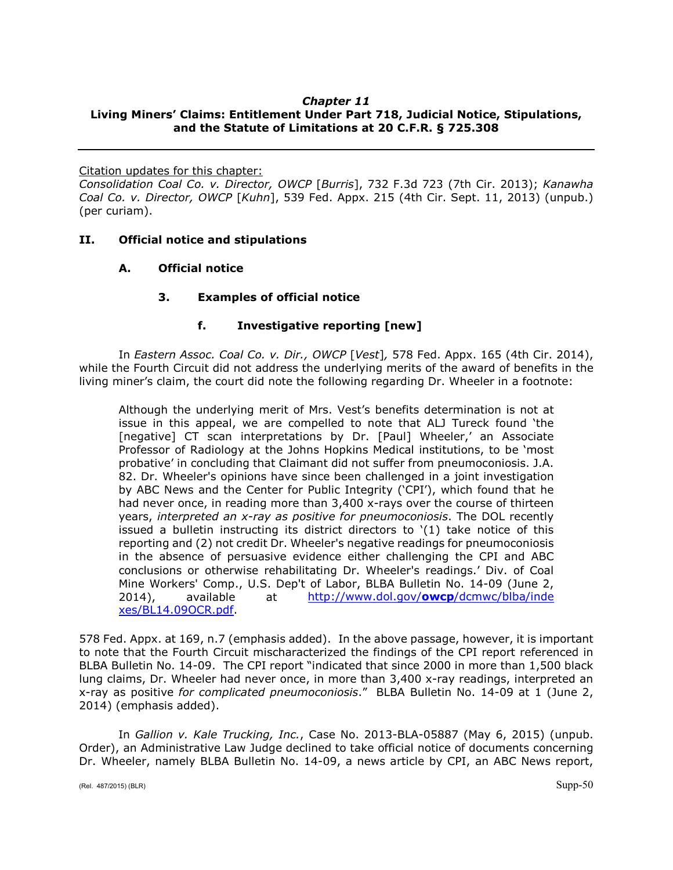# *Chapter 11*

# **Living Miners' Claims: Entitlement Under Part 718, Judicial Notice, Stipulations, and the Statute of Limitations at 20 C.F.R. § 725.308**

Citation updates for this chapter:

*Consolidation Coal Co. v. Director, OWCP* [*Burris*], 732 F.3d 723 (7th Cir. 2013); *Kanawha Coal Co. v. Director, OWCP* [*Kuhn*], 539 Fed. Appx. 215 (4th Cir. Sept. 11, 2013) (unpub.) (per curiam).

# **II. Official notice and stipulations**

**A. Official notice**

# **3. Examples of official notice**

# **f. Investigative reporting [new]**

In *Eastern Assoc. Coal Co. v. Dir., OWCP* [*Vest*]*,* 578 Fed. Appx. 165 (4th Cir. 2014), while the Fourth Circuit did not address the underlying merits of the award of benefits in the living miner's claim, the court did note the following regarding Dr. Wheeler in a footnote:

Although the underlying merit of Mrs. Vest's benefits determination is not at issue in this appeal, we are compelled to note that ALJ Tureck found 'the [negative] CT scan interpretations by Dr. [Paul] Wheeler,' an Associate Professor of Radiology at the Johns Hopkins Medical institutions, to be 'most probative' in concluding that Claimant did not suffer from pneumoconiosis. J.A. 82. Dr. Wheeler's opinions have since been challenged in a joint investigation by ABC News and the Center for Public Integrity ('CPI'), which found that he had never once, in reading more than 3,400 x-rays over the course of thirteen years, *interpreted an x-ray as positive for pneumoconiosis*. The DOL recently issued a bulletin instructing its district directors to '(1) take notice of this reporting and (2) not credit Dr. Wheeler's negative readings for pneumoconiosis in the absence of persuasive evidence either challenging the CPI and ABC conclusions or otherwise rehabilitating Dr. Wheeler's readings.' Div. of Coal Mine Workers' Comp., U.S. Dep't of Labor, BLBA Bulletin No. 14-09 (June 2, 2014), available at [http://www.dol.gov/](http://www.dol.gov/owcp/dcmwc/blba/inde%20xes/BL14.09OCR.pdf)**owcp**/dcmwc/blba/inde [xes/BL14.09OCR.pdf.](http://www.dol.gov/owcp/dcmwc/blba/inde%20xes/BL14.09OCR.pdf)

578 Fed. Appx. at 169, n.7 (emphasis added). In the above passage, however, it is important to note that the Fourth Circuit mischaracterized the findings of the CPI report referenced in BLBA Bulletin No. 14-09. The CPI report "indicated that since 2000 in more than 1,500 black lung claims, Dr. Wheeler had never once, in more than 3,400 x-ray readings, interpreted an x-ray as positive *for complicated pneumoconiosis*." BLBA Bulletin No. 14-09 at 1 (June 2, 2014) (emphasis added).

In *Gallion v. Kale Trucking, Inc.*, Case No. 2013-BLA-05887 (May 6, 2015) (unpub. Order), an Administrative Law Judge declined to take official notice of documents concerning Dr. Wheeler, namely BLBA Bulletin No. 14-09, a news article by CPI, an ABC News report,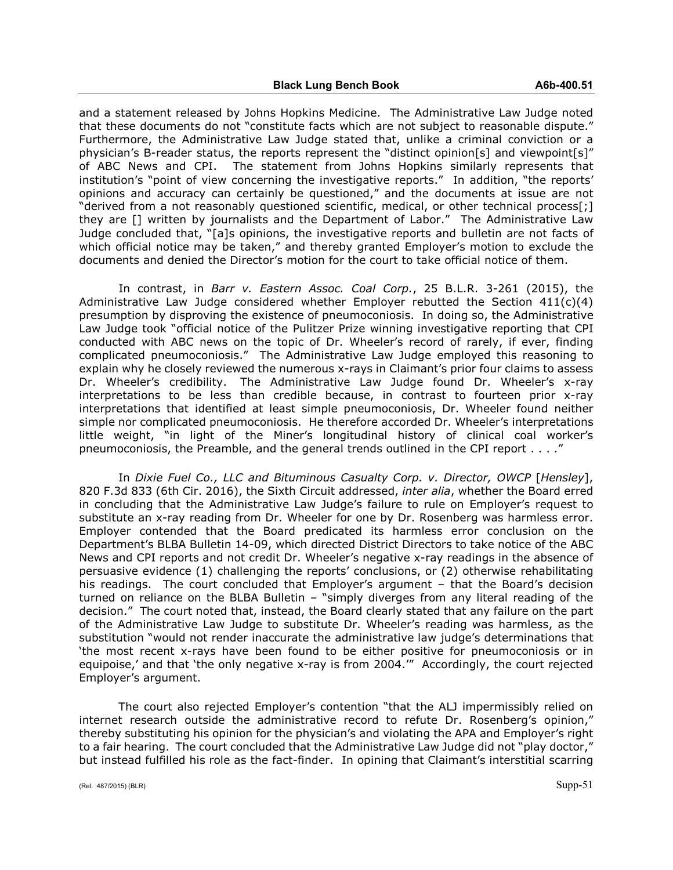and a statement released by Johns Hopkins Medicine. The Administrative Law Judge noted that these documents do not "constitute facts which are not subject to reasonable dispute." Furthermore, the Administrative Law Judge stated that, unlike a criminal conviction or a physician's B-reader status, the reports represent the "distinct opinion[s] and viewpoint[s]" of ABC News and CPI. The statement from Johns Hopkins similarly represents that institution's "point of view concerning the investigative reports." In addition, "the reports' opinions and accuracy can certainly be questioned," and the documents at issue are not "derived from a not reasonably questioned scientific, medical, or other technical process[;] they are [] written by journalists and the Department of Labor." The Administrative Law Judge concluded that, "[a]s opinions, the investigative reports and bulletin are not facts of which official notice may be taken," and thereby granted Employer's motion to exclude the documents and denied the Director's motion for the court to take official notice of them.

In contrast, in *Barr v. Eastern Assoc. Coal Corp.*, 25 B.L.R. 3-261 (2015), the Administrative Law Judge considered whether Employer rebutted the Section  $411(c)(4)$ presumption by disproving the existence of pneumoconiosis. In doing so, the Administrative Law Judge took "official notice of the Pulitzer Prize winning investigative reporting that CPI conducted with ABC news on the topic of Dr. Wheeler's record of rarely, if ever, finding complicated pneumoconiosis." The Administrative Law Judge employed this reasoning to explain why he closely reviewed the numerous x-rays in Claimant's prior four claims to assess Dr. Wheeler's credibility. The Administrative Law Judge found Dr. Wheeler's x-ray interpretations to be less than credible because, in contrast to fourteen prior x-ray interpretations that identified at least simple pneumoconiosis, Dr. Wheeler found neither simple nor complicated pneumoconiosis. He therefore accorded Dr. Wheeler's interpretations little weight, "in light of the Miner's longitudinal history of clinical coal worker's pneumoconiosis, the Preamble, and the general trends outlined in the CPI report . . . ."

In *Dixie Fuel Co., LLC and Bituminous Casualty Corp. v. Director, OWCP* [*Hensley*], 820 F.3d 833 (6th Cir. 2016), the Sixth Circuit addressed, *inter alia*, whether the Board erred in concluding that the Administrative Law Judge's failure to rule on Employer's request to substitute an x-ray reading from Dr. Wheeler for one by Dr. Rosenberg was harmless error. Employer contended that the Board predicated its harmless error conclusion on the Department's BLBA Bulletin 14-09, which directed District Directors to take notice of the ABC News and CPI reports and not credit Dr. Wheeler's negative x-ray readings in the absence of persuasive evidence (1) challenging the reports' conclusions, or (2) otherwise rehabilitating his readings. The court concluded that Employer's argument – that the Board's decision turned on reliance on the BLBA Bulletin – "simply diverges from any literal reading of the decision." The court noted that, instead, the Board clearly stated that any failure on the part of the Administrative Law Judge to substitute Dr. Wheeler's reading was harmless, as the substitution "would not render inaccurate the administrative law judge's determinations that 'the most recent x-rays have been found to be either positive for pneumoconiosis or in equipoise,' and that 'the only negative x-ray is from 2004.'" Accordingly, the court rejected Employer's argument.

The court also rejected Employer's contention "that the ALJ impermissibly relied on internet research outside the administrative record to refute Dr. Rosenberg's opinion," thereby substituting his opinion for the physician's and violating the APA and Employer's right to a fair hearing. The court concluded that the Administrative Law Judge did not "play doctor," but instead fulfilled his role as the fact-finder. In opining that Claimant's interstitial scarring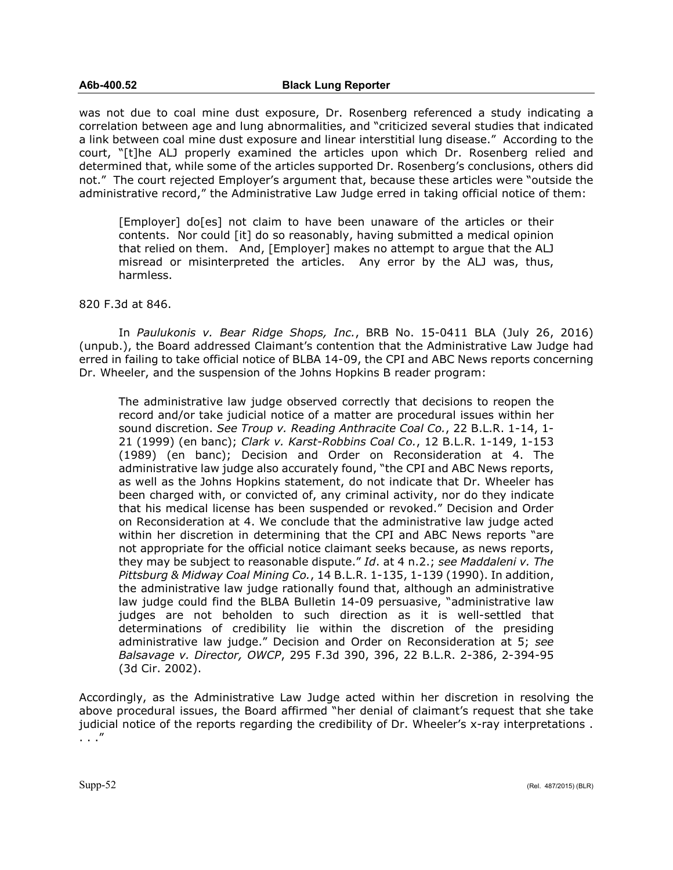was not due to coal mine dust exposure, Dr. Rosenberg referenced a study indicating a correlation between age and lung abnormalities, and "criticized several studies that indicated a link between coal mine dust exposure and linear interstitial lung disease." According to the court, "[t]he ALJ properly examined the articles upon which Dr. Rosenberg relied and determined that, while some of the articles supported Dr. Rosenberg's conclusions, others did not." The court rejected Employer's argument that, because these articles were "outside the administrative record," the Administrative Law Judge erred in taking official notice of them:

[Employer] do[es] not claim to have been unaware of the articles or their contents. Nor could [it] do so reasonably, having submitted a medical opinion that relied on them. And, [Employer] makes no attempt to argue that the ALJ misread or misinterpreted the articles. Any error by the ALJ was, thus, harmless.

### 820 F.3d at 846.

In *Paulukonis v. Bear Ridge Shops, Inc.*, BRB No. 15-0411 BLA (July 26, 2016) (unpub.), the Board addressed Claimant's contention that the Administrative Law Judge had erred in failing to take official notice of BLBA 14-09, the CPI and ABC News reports concerning Dr. Wheeler, and the suspension of the Johns Hopkins B reader program:

The administrative law judge observed correctly that decisions to reopen the record and/or take judicial notice of a matter are procedural issues within her sound discretion. *See Troup v. Reading Anthracite Coal Co.*, 22 B.L.R. 1-14, 1- 21 (1999) (en banc); *Clark v. Karst-Robbins Coal Co.*, 12 B.L.R. 1-149, 1-153 (1989) (en banc); Decision and Order on Reconsideration at 4. The administrative law judge also accurately found, "the CPI and ABC News reports, as well as the Johns Hopkins statement, do not indicate that Dr. Wheeler has been charged with, or convicted of, any criminal activity, nor do they indicate that his medical license has been suspended or revoked." Decision and Order on Reconsideration at 4. We conclude that the administrative law judge acted within her discretion in determining that the CPI and ABC News reports "are not appropriate for the official notice claimant seeks because, as news reports, they may be subject to reasonable dispute." *Id*. at 4 n.2.; *see Maddaleni v. The Pittsburg & Midway Coal Mining Co.*, 14 B.L.R. 1-135, 1-139 (1990). In addition, the administrative law judge rationally found that, although an administrative law judge could find the BLBA Bulletin 14-09 persuasive, "administrative law judges are not beholden to such direction as it is well-settled that determinations of credibility lie within the discretion of the presiding administrative law judge." Decision and Order on Reconsideration at 5; *see Balsavage v. Director, OWCP*, 295 F.3d 390, 396, 22 B.L.R. 2-386, 2-394-95 (3d Cir. 2002).

Accordingly, as the Administrative Law Judge acted within her discretion in resolving the above procedural issues, the Board affirmed "her denial of claimant's request that she take judicial notice of the reports regarding the credibility of Dr. Wheeler's x-ray interpretations. . . ."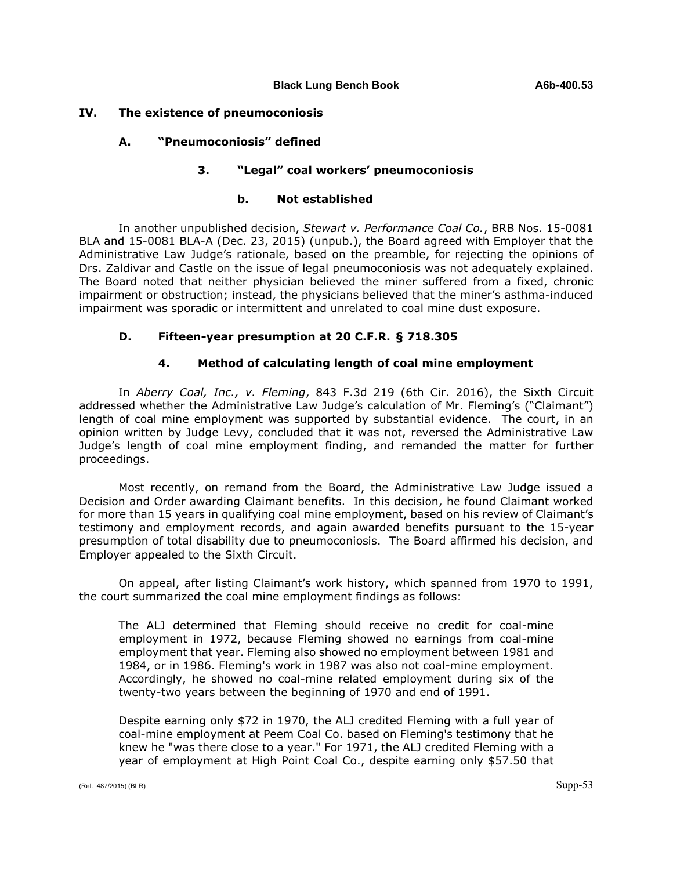# **IV. The existence of pneumoconiosis**

# **A. "Pneumoconiosis" defined**

## **3. "Legal" coal workers' pneumoconiosis**

## **b. Not established**

In another unpublished decision, *Stewart v. Performance Coal Co.*, BRB Nos. 15-0081 BLA and 15-0081 BLA-A (Dec. 23, 2015) (unpub.), the Board agreed with Employer that the Administrative Law Judge's rationale, based on the preamble, for rejecting the opinions of Drs. Zaldivar and Castle on the issue of legal pneumoconiosis was not adequately explained. The Board noted that neither physician believed the miner suffered from a fixed, chronic impairment or obstruction; instead, the physicians believed that the miner's asthma-induced impairment was sporadic or intermittent and unrelated to coal mine dust exposure.

# **D. Fifteen-year presumption at 20 C.F.R. § 718.305**

## **4. Method of calculating length of coal mine employment**

In *Aberry Coal, Inc., v. Fleming*, 843 F.3d 219 (6th Cir. 2016), the Sixth Circuit addressed whether the Administrative Law Judge's calculation of Mr. Fleming's ("Claimant") length of coal mine employment was supported by substantial evidence. The court, in an opinion written by Judge Levy, concluded that it was not, reversed the Administrative Law Judge's length of coal mine employment finding, and remanded the matter for further proceedings.

Most recently, on remand from the Board, the Administrative Law Judge issued a Decision and Order awarding Claimant benefits. In this decision, he found Claimant worked for more than 15 years in qualifying coal mine employment, based on his review of Claimant's testimony and employment records, and again awarded benefits pursuant to the 15-year presumption of total disability due to pneumoconiosis. The Board affirmed his decision, and Employer appealed to the Sixth Circuit.

On appeal, after listing Claimant's work history, which spanned from 1970 to 1991, the court summarized the coal mine employment findings as follows:

The ALJ determined that Fleming should receive no credit for coal-mine employment in 1972, because Fleming showed no earnings from coal-mine employment that year. Fleming also showed no employment between 1981 and 1984, or in 1986. Fleming's work in 1987 was also not coal-mine employment. Accordingly, he showed no coal-mine related employment during six of the twenty-two years between the beginning of 1970 and end of 1991.

Despite earning only \$72 in 1970, the ALJ credited Fleming with a full year of coal-mine employment at Peem Coal Co. based on Fleming's testimony that he knew he "was there close to a year." For 1971, the ALJ credited Fleming with a year of employment at High Point Coal Co., despite earning only \$57.50 that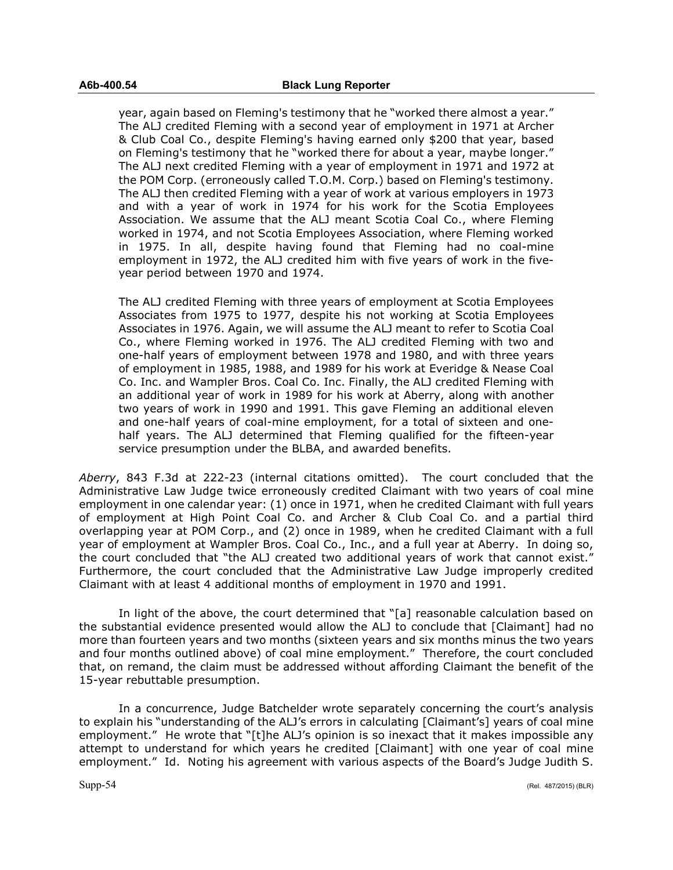year, again based on Fleming's testimony that he "worked there almost a year." The ALJ credited Fleming with a second year of employment in 1971 at Archer & Club Coal Co., despite Fleming's having earned only \$200 that year, based on Fleming's testimony that he "worked there for about a year, maybe longer." The ALJ next credited Fleming with a year of employment in 1971 and 1972 at the POM Corp. (erroneously called T.O.M. Corp.) based on Fleming's testimony. The ALJ then credited Fleming with a year of work at various employers in 1973 and with a year of work in 1974 for his work for the Scotia Employees Association. We assume that the ALJ meant Scotia Coal Co., where Fleming worked in 1974, and not Scotia Employees Association, where Fleming worked in 1975. In all, despite having found that Fleming had no coal-mine employment in 1972, the ALJ credited him with five years of work in the fiveyear period between 1970 and 1974.

The ALJ credited Fleming with three years of employment at Scotia Employees Associates from 1975 to 1977, despite his not working at Scotia Employees Associates in 1976. Again, we will assume the ALJ meant to refer to Scotia Coal Co., where Fleming worked in 1976. The ALJ credited Fleming with two and one-half years of employment between 1978 and 1980, and with three years of employment in 1985, 1988, and 1989 for his work at Everidge & Nease Coal Co. Inc. and Wampler Bros. Coal Co. Inc. Finally, the ALJ credited Fleming with an additional year of work in 1989 for his work at Aberry, along with another two years of work in 1990 and 1991. This gave Fleming an additional eleven and one-half years of coal-mine employment, for a total of sixteen and onehalf years. The ALJ determined that Fleming qualified for the fifteen-year service presumption under the BLBA, and awarded benefits.

*Aberry*, 843 F.3d at 222-23 (internal citations omitted). The court concluded that the Administrative Law Judge twice erroneously credited Claimant with two years of coal mine employment in one calendar year: (1) once in 1971, when he credited Claimant with full years of employment at High Point Coal Co. and Archer & Club Coal Co. and a partial third overlapping year at POM Corp., and (2) once in 1989, when he credited Claimant with a full year of employment at Wampler Bros. Coal Co., Inc., and a full year at Aberry. In doing so, the court concluded that "the ALJ created two additional years of work that cannot exist." Furthermore, the court concluded that the Administrative Law Judge improperly credited Claimant with at least 4 additional months of employment in 1970 and 1991.

In light of the above, the court determined that "[a] reasonable calculation based on the substantial evidence presented would allow the ALJ to conclude that [Claimant] had no more than fourteen years and two months (sixteen years and six months minus the two years and four months outlined above) of coal mine employment." Therefore, the court concluded that, on remand, the claim must be addressed without affording Claimant the benefit of the 15-year rebuttable presumption.

In a concurrence, Judge Batchelder wrote separately concerning the court's analysis to explain his "understanding of the ALJ's errors in calculating [Claimant's] years of coal mine employment." He wrote that "[t]he ALJ's opinion is so inexact that it makes impossible any attempt to understand for which years he credited [Claimant] with one year of coal mine employment." Id. Noting his agreement with various aspects of the Board's Judge Judith S.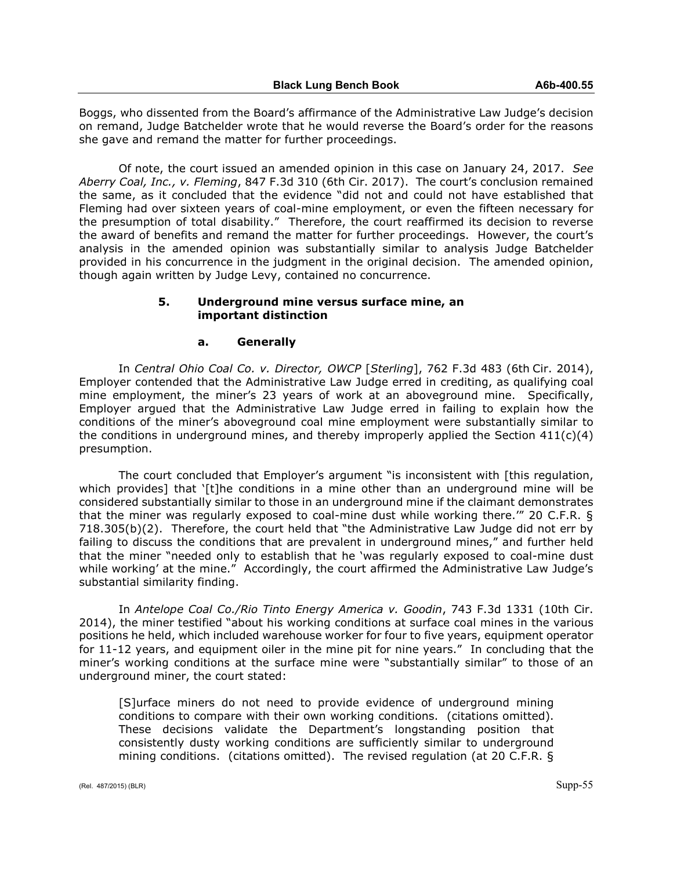Boggs, who dissented from the Board's affirmance of the Administrative Law Judge's decision on remand, Judge Batchelder wrote that he would reverse the Board's order for the reasons she gave and remand the matter for further proceedings.

Of note, the court issued an amended opinion in this case on January 24, 2017. *See Aberry Coal, Inc., v. Fleming*, 847 F.3d 310 (6th Cir. 2017). The court's conclusion remained the same, as it concluded that the evidence "did not and could not have established that Fleming had over sixteen years of coal-mine employment, or even the fifteen necessary for the presumption of total disability." Therefore, the court reaffirmed its decision to reverse the award of benefits and remand the matter for further proceedings. However, the court's analysis in the amended opinion was substantially similar to analysis Judge Batchelder provided in his concurrence in the judgment in the original decision. The amended opinion, though again written by Judge Levy, contained no concurrence.

# **5. Underground mine versus surface mine, an important distinction**

## **a. Generally**

In *Central Ohio Coal Co. v. Director, OWCP* [*Sterling*], 762 F.3d 483 (6th Cir. 2014), Employer contended that the Administrative Law Judge erred in crediting, as qualifying coal mine employment, the miner's 23 years of work at an aboveground mine. Specifically, Employer argued that the Administrative Law Judge erred in failing to explain how the conditions of the miner's aboveground coal mine employment were substantially similar to the conditions in underground mines, and thereby improperly applied the Section  $411(c)(4)$ presumption.

The court concluded that Employer's argument "is inconsistent with [this regulation, which provides] that '[t]he conditions in a mine other than an underground mine will be considered substantially similar to those in an underground mine if the claimant demonstrates that the miner was regularly exposed to coal-mine dust while working there.'" 20 C.F.R. § 718.305(b)(2). Therefore, the court held that "the Administrative Law Judge did not err by failing to discuss the conditions that are prevalent in underground mines," and further held that the miner "needed only to establish that he 'was regularly exposed to coal-mine dust while working' at the mine." Accordingly, the court affirmed the Administrative Law Judge's substantial similarity finding.

In *Antelope Coal Co./Rio Tinto Energy America v. Goodin*, 743 F.3d 1331 (10th Cir. 2014), the miner testified "about his working conditions at surface coal mines in the various positions he held, which included warehouse worker for four to five years, equipment operator for 11-12 years, and equipment oiler in the mine pit for nine years." In concluding that the miner's working conditions at the surface mine were "substantially similar" to those of an underground miner, the court stated:

[S]urface miners do not need to provide evidence of underground mining conditions to compare with their own working conditions. (citations omitted). These decisions validate the Department's longstanding position that consistently dusty working conditions are sufficiently similar to underground mining conditions. (citations omitted). The revised regulation (at 20 C.F.R. §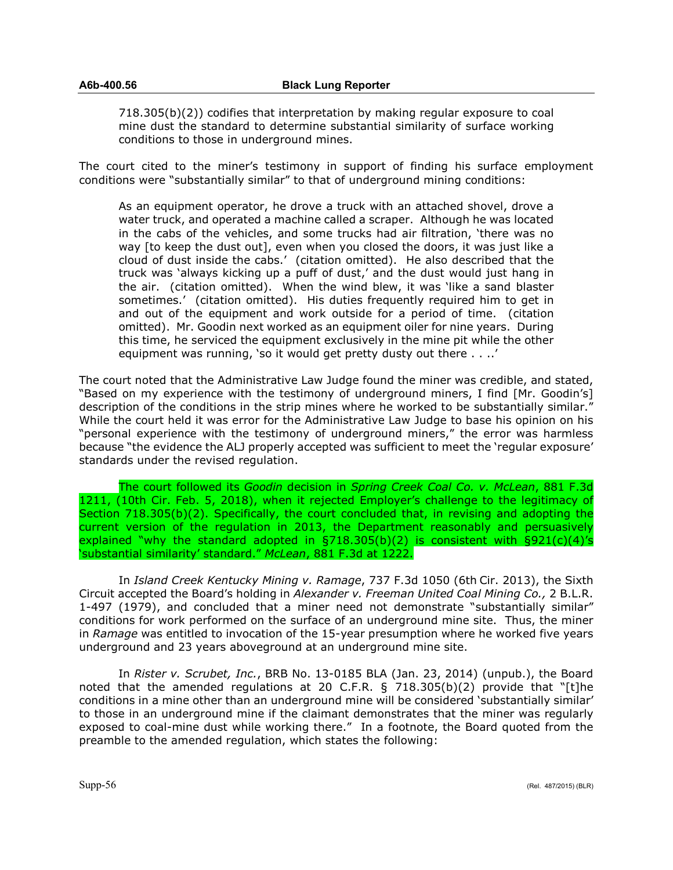718.305(b)(2)) codifies that interpretation by making regular exposure to coal mine dust the standard to determine substantial similarity of surface working conditions to those in underground mines.

The court cited to the miner's testimony in support of finding his surface employment conditions were "substantially similar" to that of underground mining conditions:

As an equipment operator, he drove a truck with an attached shovel, drove a water truck, and operated a machine called a scraper. Although he was located in the cabs of the vehicles, and some trucks had air filtration, 'there was no way [to keep the dust out], even when you closed the doors, it was just like a cloud of dust inside the cabs.' (citation omitted). He also described that the truck was 'always kicking up a puff of dust,' and the dust would just hang in the air. (citation omitted). When the wind blew, it was 'like a sand blaster sometimes.' (citation omitted). His duties frequently required him to get in and out of the equipment and work outside for a period of time. (citation omitted). Mr. Goodin next worked as an equipment oiler for nine years. During this time, he serviced the equipment exclusively in the mine pit while the other equipment was running, 'so it would get pretty dusty out there . . ..'

The court noted that the Administrative Law Judge found the miner was credible, and stated, "Based on my experience with the testimony of underground miners, I find [Mr. Goodin's] description of the conditions in the strip mines where he worked to be substantially similar." While the court held it was error for the Administrative Law Judge to base his opinion on his "personal experience with the testimony of underground miners," the error was harmless because "the evidence the ALJ properly accepted was sufficient to meet the 'regular exposure' standards under the revised regulation.

The court followed its *Goodin* decision in *Spring Creek Coal Co. v. McLean*, 881 F.3d 1211, (10th Cir. Feb. 5, 2018), when it rejected Employer's challenge to the legitimacy of Section 718.305(b)(2). Specifically, the court concluded that, in revising and adopting the current version of the regulation in 2013, the Department reasonably and persuasively explained "why the standard adopted in  $\S718.305(b)(2)$  is consistent with  $\S921(c)(4)'s$ 'substantial similarity' standard." *McLean*, 881 F.3d at 1222.

In *Island Creek Kentucky Mining v. Ramage*, 737 F.3d 1050 (6th Cir. 2013), the Sixth Circuit accepted the Board's holding in *Alexander v. Freeman United Coal Mining Co.,* 2 B.L.R. 1-497 (1979), and concluded that a miner need not demonstrate "substantially similar" conditions for work performed on the surface of an underground mine site. Thus, the miner in *Ramage* was entitled to invocation of the 15-year presumption where he worked five years underground and 23 years aboveground at an underground mine site.

In *Rister v. Scrubet, Inc.*, BRB No. 13-0185 BLA (Jan. 23, 2014) (unpub.), the Board noted that the amended regulations at 20 C.F.R. § 718.305(b)(2) provide that "[t]he conditions in a mine other than an underground mine will be considered 'substantially similar' to those in an underground mine if the claimant demonstrates that the miner was regularly exposed to coal-mine dust while working there." In a footnote, the Board quoted from the preamble to the amended regulation, which states the following: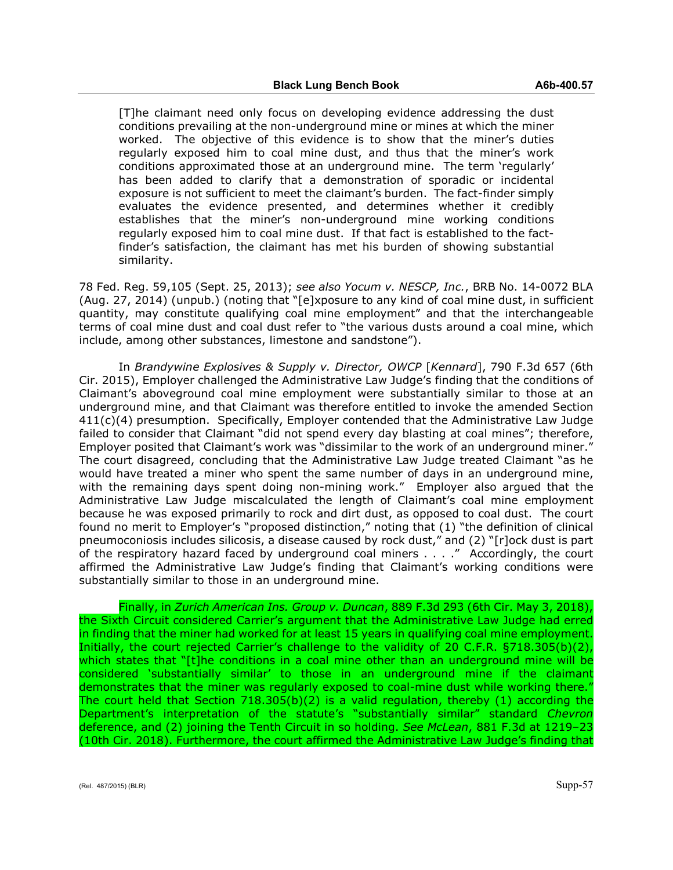[T]he claimant need only focus on developing evidence addressing the dust conditions prevailing at the non-underground mine or mines at which the miner worked. The objective of this evidence is to show that the miner's duties regularly exposed him to coal mine dust, and thus that the miner's work conditions approximated those at an underground mine. The term 'regularly' has been added to clarify that a demonstration of sporadic or incidental exposure is not sufficient to meet the claimant's burden. The fact-finder simply evaluates the evidence presented, and determines whether it credibly establishes that the miner's non-underground mine working conditions regularly exposed him to coal mine dust. If that fact is established to the factfinder's satisfaction, the claimant has met his burden of showing substantial similarity.

78 Fed. Reg. 59,105 (Sept. 25, 2013); *see also Yocum v. NESCP, Inc.*, BRB No. 14-0072 BLA (Aug. 27, 2014) (unpub.) (noting that "[e]xposure to any kind of coal mine dust, in sufficient quantity, may constitute qualifying coal mine employment" and that the interchangeable terms of coal mine dust and coal dust refer to "the various dusts around a coal mine, which include, among other substances, limestone and sandstone").

In *Brandywine Explosives & Supply v. Director, OWCP* [*Kennard*], 790 F.3d 657 (6th Cir. 2015), Employer challenged the Administrative Law Judge's finding that the conditions of Claimant's aboveground coal mine employment were substantially similar to those at an underground mine, and that Claimant was therefore entitled to invoke the amended Section  $411(c)(4)$  presumption. Specifically, Employer contended that the Administrative Law Judge failed to consider that Claimant "did not spend every day blasting at coal mines"; therefore, Employer posited that Claimant's work was "dissimilar to the work of an underground miner." The court disagreed, concluding that the Administrative Law Judge treated Claimant "as he would have treated a miner who spent the same number of days in an underground mine, with the remaining days spent doing non-mining work." Employer also argued that the Administrative Law Judge miscalculated the length of Claimant's coal mine employment because he was exposed primarily to rock and dirt dust, as opposed to coal dust. The court found no merit to Employer's "proposed distinction," noting that (1) "the definition of clinical pneumoconiosis includes silicosis, a disease caused by rock dust," and (2) "[r]ock dust is part of the respiratory hazard faced by underground coal miners . . . ." Accordingly, the court affirmed the Administrative Law Judge's finding that Claimant's working conditions were substantially similar to those in an underground mine.

Finally, in *Zurich American Ins. Group v. Duncan*, 889 F.3d 293 (6th Cir. May 3, 2018), the Sixth Circuit considered Carrier's argument that the Administrative Law Judge had erred in finding that the miner had worked for at least 15 years in qualifying coal mine employment. Initially, the court rejected Carrier's challenge to the validity of 20 C.F.R. §718.305(b)(2), which states that "[t]he conditions in a coal mine other than an underground mine will be considered 'substantially similar' to those in an underground mine if the claimant demonstrates that the miner was regularly exposed to coal-mine dust while working there." The court held that Section 718.305(b)(2) is a valid regulation, thereby (1) according the Department's interpretation of the statute's "substantially similar" standard *Chevron* deference, and (2) joining the Tenth Circuit in so holding. *See McLean*, 881 F.3d at 1219–23 (10th Cir. 2018). Furthermore, the court affirmed the Administrative Law Judge's finding that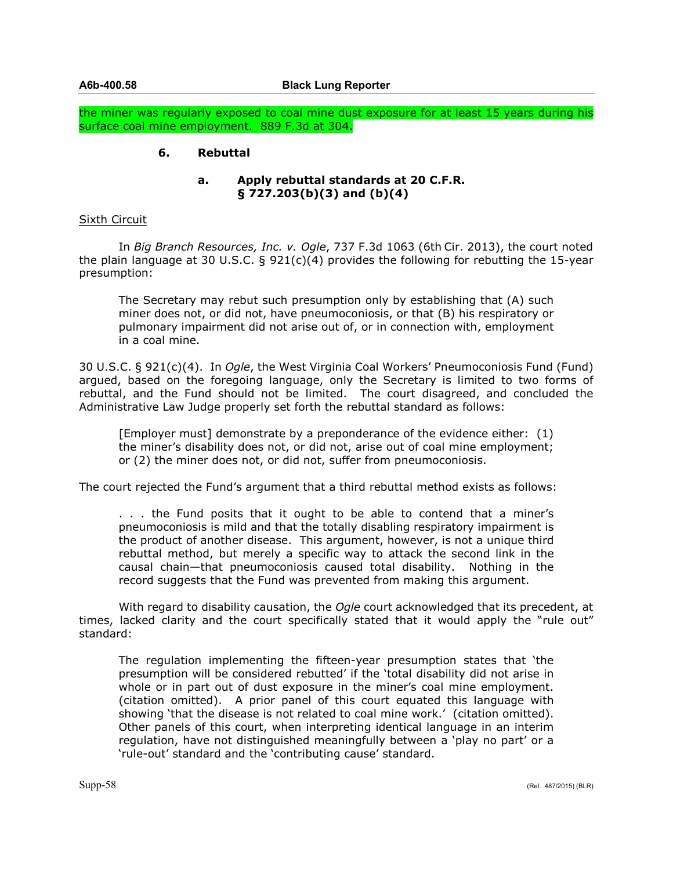the miner was regularly exposed to coal mine dust exposure for at least 15 years during his surface coal mine employment. 889 F.3d at 304.

# **6. Rebuttal**

## **a. Apply rebuttal standards at 20 C.F.R. § 727.203(b)(3) and (b)(4)**

## Sixth Circuit

In *Big Branch Resources, Inc. v. Ogle*, 737 F.3d 1063 (6th Cir. 2013), the court noted the plain language at 30 U.S.C. § 921(c)(4) provides the following for rebutting the 15-year presumption:

The Secretary may rebut such presumption only by establishing that (A) such miner does not, or did not, have pneumoconiosis, or that (B) his respiratory or pulmonary impairment did not arise out of, or in connection with, employment in a coal mine.

30 U.S.C. § 921(c)(4). In *Ogle*, the West Virginia Coal Workers' Pneumoconiosis Fund (Fund) argued, based on the foregoing language, only the Secretary is limited to two forms of rebuttal, and the Fund should not be limited. The court disagreed, and concluded the Administrative Law Judge properly set forth the rebuttal standard as follows:

[Employer must] demonstrate by a preponderance of the evidence either: (1) the miner's disability does not, or did not, arise out of coal mine employment; or (2) the miner does not, or did not, suffer from pneumoconiosis.

The court rejected the Fund's argument that a third rebuttal method exists as follows:

. . . the Fund posits that it ought to be able to contend that a miner's pneumoconiosis is mild and that the totally disabling respiratory impairment is the product of another disease. This argument, however, is not a unique third rebuttal method, but merely a specific way to attack the second link in the causal chain—that pneumoconiosis caused total disability. Nothing in the record suggests that the Fund was prevented from making this argument.

With regard to disability causation, the *Ogle* court acknowledged that its precedent, at times, lacked clarity and the court specifically stated that it would apply the "rule out" standard:

The regulation implementing the fifteen-year presumption states that 'the presumption will be considered rebutted' if the 'total disability did not arise in whole or in part out of dust exposure in the miner's coal mine employment. (citation omitted). A prior panel of this court equated this language with showing 'that the disease is not related to coal mine work.' (citation omitted). Other panels of this court, when interpreting identical language in an interim regulation, have not distinguished meaningfully between a 'play no part' or a 'rule-out' standard and the 'contributing cause' standard.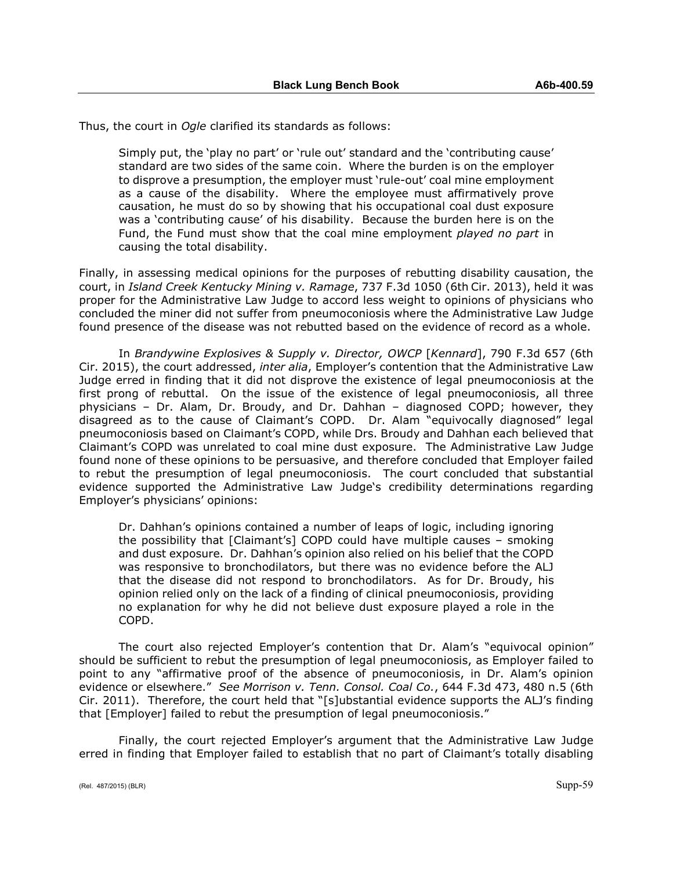Thus, the court in *Ogle* clarified its standards as follows:

Simply put, the 'play no part' or 'rule out' standard and the 'contributing cause' standard are two sides of the same coin. Where the burden is on the employer to disprove a presumption, the employer must 'rule-out' coal mine employment as a cause of the disability. Where the employee must affirmatively prove causation, he must do so by showing that his occupational coal dust exposure was a 'contributing cause' of his disability. Because the burden here is on the Fund, the Fund must show that the coal mine employment *played no part* in causing the total disability.

Finally, in assessing medical opinions for the purposes of rebutting disability causation, the court, in *Island Creek Kentucky Mining v. Ramage*, 737 F.3d 1050 (6th Cir. 2013), held it was proper for the Administrative Law Judge to accord less weight to opinions of physicians who concluded the miner did not suffer from pneumoconiosis where the Administrative Law Judge found presence of the disease was not rebutted based on the evidence of record as a whole.

In *Brandywine Explosives & Supply v. Director, OWCP* [*Kennard*], 790 F.3d 657 (6th Cir. 2015), the court addressed, *inter alia*, Employer's contention that the Administrative Law Judge erred in finding that it did not disprove the existence of legal pneumoconiosis at the first prong of rebuttal. On the issue of the existence of legal pneumoconiosis, all three physicians – Dr. Alam, Dr. Broudy, and Dr. Dahhan – diagnosed COPD; however, they disagreed as to the cause of Claimant's COPD. Dr. Alam "equivocally diagnosed" legal pneumoconiosis based on Claimant's COPD, while Drs. Broudy and Dahhan each believed that Claimant's COPD was unrelated to coal mine dust exposure. The Administrative Law Judge found none of these opinions to be persuasive, and therefore concluded that Employer failed to rebut the presumption of legal pneumoconiosis. The court concluded that substantial evidence supported the Administrative Law Judge's credibility determinations regarding Employer's physicians' opinions:

Dr. Dahhan's opinions contained a number of leaps of logic, including ignoring the possibility that [Claimant's] COPD could have multiple causes – smoking and dust exposure. Dr. Dahhan's opinion also relied on his belief that the COPD was responsive to bronchodilators, but there was no evidence before the ALJ that the disease did not respond to bronchodilators. As for Dr. Broudy, his opinion relied only on the lack of a finding of clinical pneumoconiosis, providing no explanation for why he did not believe dust exposure played a role in the COPD.

The court also rejected Employer's contention that Dr. Alam's "equivocal opinion" should be sufficient to rebut the presumption of legal pneumoconiosis, as Employer failed to point to any "affirmative proof of the absence of pneumoconiosis, in Dr. Alam's opinion evidence or elsewhere." *See Morrison v. Tenn. Consol. Coal Co.*, 644 F.3d 473, 480 n.5 (6th Cir. 2011). Therefore, the court held that "[s]ubstantial evidence supports the ALJ's finding that [Employer] failed to rebut the presumption of legal pneumoconiosis."

Finally, the court rejected Employer's argument that the Administrative Law Judge erred in finding that Employer failed to establish that no part of Claimant's totally disabling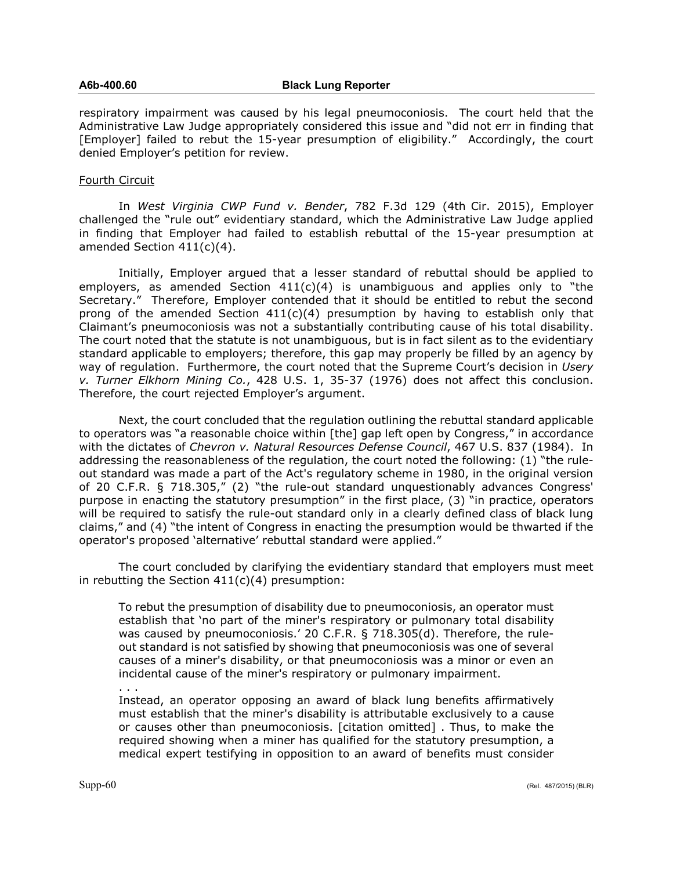respiratory impairment was caused by his legal pneumoconiosis. The court held that the Administrative Law Judge appropriately considered this issue and "did not err in finding that [Employer] failed to rebut the 15-year presumption of eligibility." Accordingly, the court denied Employer's petition for review.

### Fourth Circuit

In *West Virginia CWP Fund v. Bender*, 782 F.3d 129 (4th Cir. 2015), Employer challenged the "rule out" evidentiary standard, which the Administrative Law Judge applied in finding that Employer had failed to establish rebuttal of the 15-year presumption at amended Section 411(c)(4).

Initially, Employer argued that a lesser standard of rebuttal should be applied to employers, as amended Section  $411(c)(4)$  is unambiguous and applies only to "the Secretary." Therefore, Employer contended that it should be entitled to rebut the second prong of the amended Section  $411(c)(4)$  presumption by having to establish only that Claimant's pneumoconiosis was not a substantially contributing cause of his total disability. The court noted that the statute is not unambiguous, but is in fact silent as to the evidentiary standard applicable to employers; therefore, this gap may properly be filled by an agency by way of regulation. Furthermore, the court noted that the Supreme Court's decision in *Usery v. Turner Elkhorn Mining Co.*, 428 U.S. 1, 35-37 (1976) does not affect this conclusion. Therefore, the court rejected Employer's argument.

Next, the court concluded that the regulation outlining the rebuttal standard applicable to operators was "a reasonable choice within [the] gap left open by Congress," in accordance with the dictates of *Chevron v. Natural Resources Defense Council*, 467 U.S. 837 (1984). In addressing the reasonableness of the regulation, the court noted the following: (1) "the ruleout standard was made a part of the Act's regulatory scheme in 1980, in the original version of 20 C.F.R. § 718.305," (2) "the rule-out standard unquestionably advances Congress' purpose in enacting the statutory presumption" in the first place, (3) "in practice, operators will be required to satisfy the rule-out standard only in a clearly defined class of black lung claims," and (4) "the intent of Congress in enacting the presumption would be thwarted if the operator's proposed 'alternative' rebuttal standard were applied."

The court concluded by clarifying the evidentiary standard that employers must meet in rebutting the Section  $411(c)(4)$  presumption:

To rebut the presumption of disability due to pneumoconiosis, an operator must establish that 'no part of the miner's respiratory or pulmonary total disability was caused by pneumoconiosis.' 20 C.F.R. § 718.305(d). Therefore, the ruleout standard is not satisfied by showing that pneumoconiosis was one of several causes of a miner's disability, or that pneumoconiosis was a minor or even an incidental cause of the miner's respiratory or pulmonary impairment. . . .

Instead, an operator opposing an award of black lung benefits affirmatively must establish that the miner's disability is attributable exclusively to a cause or causes other than pneumoconiosis. [citation omitted] . Thus, to make the required showing when a miner has qualified for the statutory presumption, a medical expert testifying in opposition to an award of benefits must consider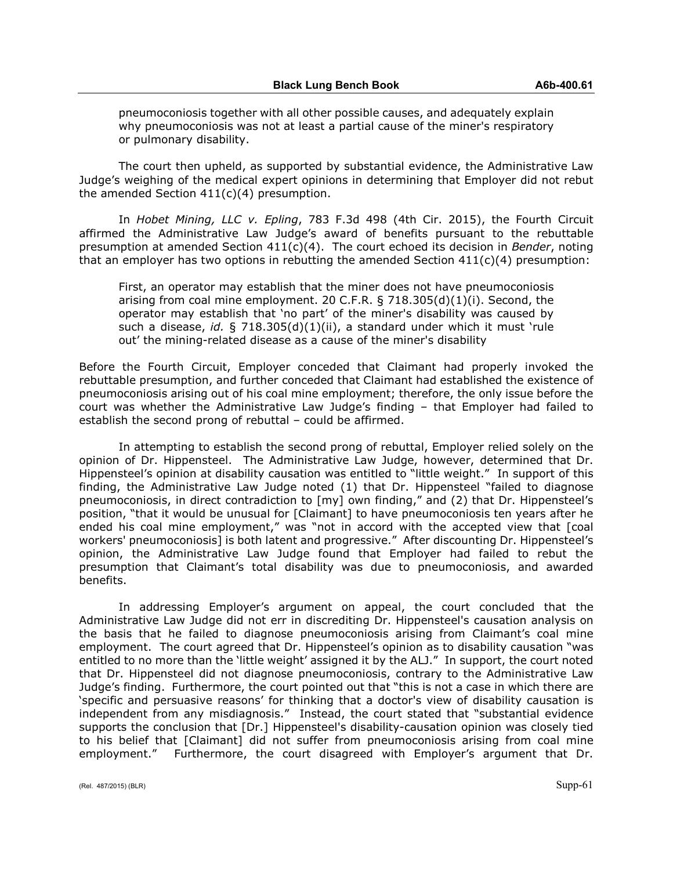pneumoconiosis together with all other possible causes, and adequately explain why pneumoconiosis was not at least a partial cause of the miner's respiratory or pulmonary disability.

The court then upheld, as supported by substantial evidence, the Administrative Law Judge's weighing of the medical expert opinions in determining that Employer did not rebut the amended Section  $411(c)(4)$  presumption.

In *Hobet Mining, LLC v. Epling*, 783 F.3d 498 (4th Cir. 2015), the Fourth Circuit affirmed the Administrative Law Judge's award of benefits pursuant to the rebuttable presumption at amended Section 411(c)(4). The court echoed its decision in *Bender*, noting that an employer has two options in rebutting the amended Section  $411(c)(4)$  presumption:

First, an operator may establish that the miner does not have pneumoconiosis arising from coal mine employment. 20 C.F.R.  $\S$  718.305(d)(1)(i). Second, the operator may establish that 'no part' of the miner's disability was caused by such a disease, *id.* § 718.305(d)(1)(ii), a standard under which it must 'rule out' the mining-related disease as a cause of the miner's disability

Before the Fourth Circuit, Employer conceded that Claimant had properly invoked the rebuttable presumption, and further conceded that Claimant had established the existence of pneumoconiosis arising out of his coal mine employment; therefore, the only issue before the court was whether the Administrative Law Judge's finding – that Employer had failed to establish the second prong of rebuttal – could be affirmed.

In attempting to establish the second prong of rebuttal, Employer relied solely on the opinion of Dr. Hippensteel. The Administrative Law Judge, however, determined that Dr. Hippensteel's opinion at disability causation was entitled to "little weight." In support of this finding, the Administrative Law Judge noted (1) that Dr. Hippensteel "failed to diagnose pneumoconiosis, in direct contradiction to [my] own finding," and (2) that Dr. Hippensteel's position, "that it would be unusual for [Claimant] to have pneumoconiosis ten years after he ended his coal mine employment," was "not in accord with the accepted view that [coal workers' pneumoconiosis] is both latent and progressive." After discounting Dr. Hippensteel's opinion, the Administrative Law Judge found that Employer had failed to rebut the presumption that Claimant's total disability was due to pneumoconiosis, and awarded benefits.

In addressing Employer's argument on appeal, the court concluded that the Administrative Law Judge did not err in discrediting Dr. Hippensteel's causation analysis on the basis that he failed to diagnose pneumoconiosis arising from Claimant's coal mine employment. The court agreed that Dr. Hippensteel's opinion as to disability causation "was entitled to no more than the 'little weight' assigned it by the ALJ." In support, the court noted that Dr. Hippensteel did not diagnose pneumoconiosis, contrary to the Administrative Law Judge's finding. Furthermore, the court pointed out that "this is not a case in which there are 'specific and persuasive reasons' for thinking that a doctor's view of disability causation is independent from any misdiagnosis." Instead, the court stated that "substantial evidence supports the conclusion that [Dr.] Hippensteel's disability-causation opinion was closely tied to his belief that [Claimant] did not suffer from pneumoconiosis arising from coal mine employment." Furthermore, the court disagreed with Employer's argument that Dr.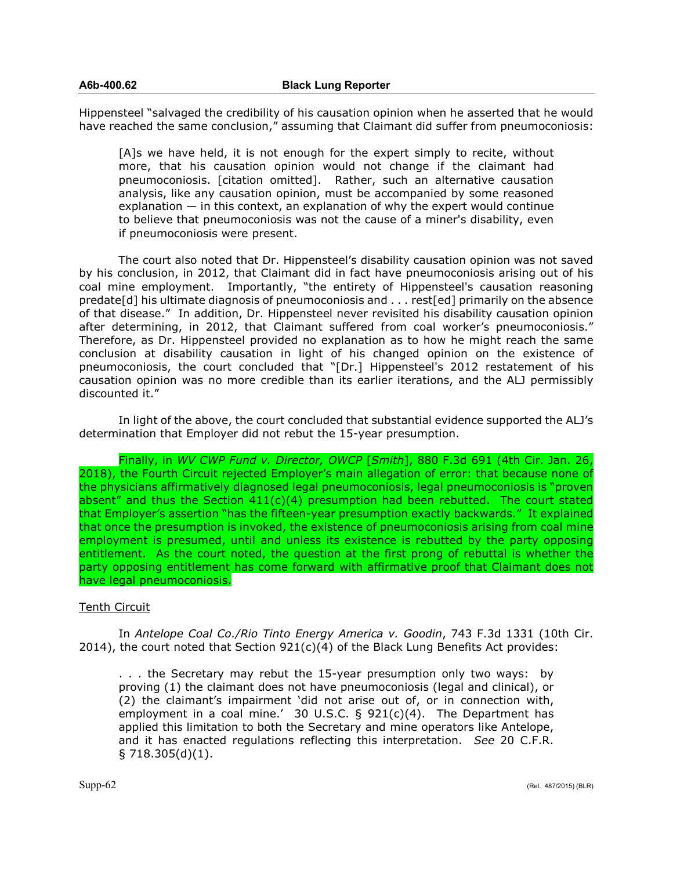Hippensteel "salvaged the credibility of his causation opinion when he asserted that he would have reached the same conclusion," assuming that Claimant did suffer from pneumoconiosis:

[A]s we have held, it is not enough for the expert simply to recite, without more, that his causation opinion would not change if the claimant had pneumoconiosis. [citation omitted]. Rather, such an alternative causation analysis, like any causation opinion, must be accompanied by some reasoned explanation — in this context, an explanation of why the expert would continue to believe that pneumoconiosis was not the cause of a miner's disability, even if pneumoconiosis were present.

The court also noted that Dr. Hippensteel's disability causation opinion was not saved by his conclusion, in 2012, that Claimant did in fact have pneumoconiosis arising out of his coal mine employment. Importantly, "the entirety of Hippensteel's causation reasoning predate[d] his ultimate diagnosis of pneumoconiosis and . . . rest[ed] primarily on the absence of that disease." In addition, Dr. Hippensteel never revisited his disability causation opinion after determining, in 2012, that Claimant suffered from coal worker's pneumoconiosis." Therefore, as Dr. Hippensteel provided no explanation as to how he might reach the same conclusion at disability causation in light of his changed opinion on the existence of pneumoconiosis, the court concluded that "[Dr.] Hippensteel's 2012 restatement of his causation opinion was no more credible than its earlier iterations, and the ALJ permissibly discounted it."

In light of the above, the court concluded that substantial evidence supported the ALJ's determination that Employer did not rebut the 15-year presumption.

Finally, in *WV CWP Fund v. Director, OWCP* [*Smith*], 880 F.3d 691 (4th Cir. Jan. 26, 2018), the Fourth Circuit rejected Employer's main allegation of error: that because none of the physicians affirmatively diagnosed legal pneumoconiosis, legal pneumoconiosis is "proven absent" and thus the Section  $411(c)(4)$  presumption had been rebutted. The court stated that Employer's assertion "has the fifteen-year presumption exactly backwards." It explained that once the presumption is invoked, the existence of pneumoconiosis arising from coal mine employment is presumed, until and unless its existence is rebutted by the party opposing entitlement. As the court noted, the question at the first prong of rebuttal is whether the party opposing entitlement has come forward with affirmative proof that Claimant does not have legal pneumoconiosis.

# Tenth Circuit

In *Antelope Coal Co./Rio Tinto Energy America v. Goodin*, 743 F.3d 1331 (10th Cir. 2014), the court noted that Section  $921(c)(4)$  of the Black Lung Benefits Act provides:

. . . the Secretary may rebut the 15-year presumption only two ways: by proving (1) the claimant does not have pneumoconiosis (legal and clinical), or (2) the claimant's impairment 'did not arise out of, or in connection with, employment in a coal mine.' 30 U.S.C. § 921(c)(4). The Department has applied this limitation to both the Secretary and mine operators like Antelope, and it has enacted regulations reflecting this interpretation. *See* 20 C.F.R. § 718.305(d)(1).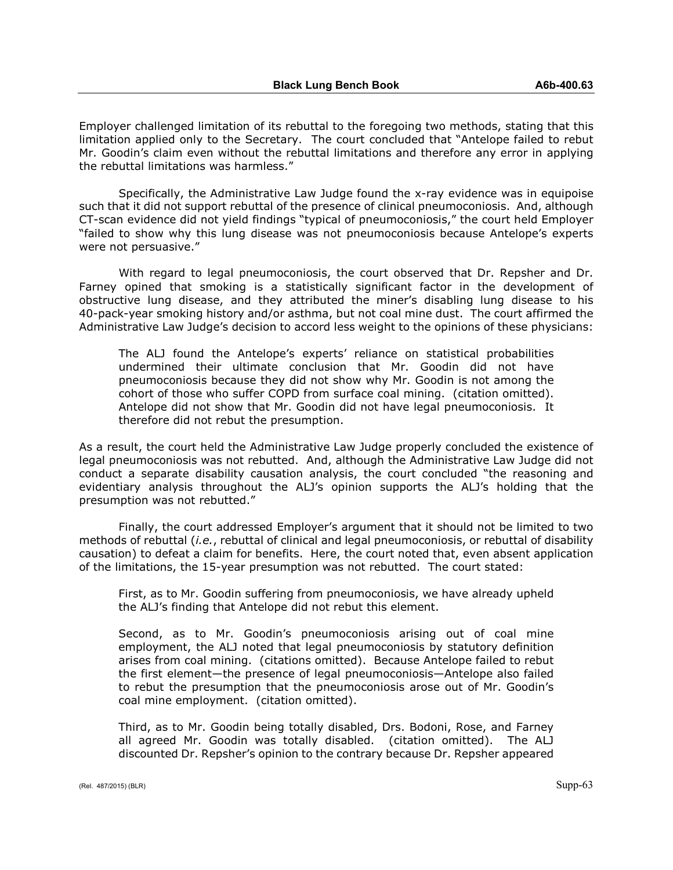Employer challenged limitation of its rebuttal to the foregoing two methods, stating that this limitation applied only to the Secretary. The court concluded that "Antelope failed to rebut Mr. Goodin's claim even without the rebuttal limitations and therefore any error in applying the rebuttal limitations was harmless."

Specifically, the Administrative Law Judge found the x-ray evidence was in equipoise such that it did not support rebuttal of the presence of clinical pneumoconiosis. And, although CT-scan evidence did not yield findings "typical of pneumoconiosis," the court held Employer "failed to show why this lung disease was not pneumoconiosis because Antelope's experts were not persuasive."

With regard to legal pneumoconiosis, the court observed that Dr. Repsher and Dr. Farney opined that smoking is a statistically significant factor in the development of obstructive lung disease, and they attributed the miner's disabling lung disease to his 40-pack-year smoking history and/or asthma, but not coal mine dust. The court affirmed the Administrative Law Judge's decision to accord less weight to the opinions of these physicians:

The ALJ found the Antelope's experts' reliance on statistical probabilities undermined their ultimate conclusion that Mr. Goodin did not have pneumoconiosis because they did not show why Mr. Goodin is not among the cohort of those who suffer COPD from surface coal mining. (citation omitted). Antelope did not show that Mr. Goodin did not have legal pneumoconiosis. It therefore did not rebut the presumption.

As a result, the court held the Administrative Law Judge properly concluded the existence of legal pneumoconiosis was not rebutted. And, although the Administrative Law Judge did not conduct a separate disability causation analysis, the court concluded "the reasoning and evidentiary analysis throughout the ALJ's opinion supports the ALJ's holding that the presumption was not rebutted."

Finally, the court addressed Employer's argument that it should not be limited to two methods of rebuttal (*i.e.*, rebuttal of clinical and legal pneumoconiosis, or rebuttal of disability causation) to defeat a claim for benefits. Here, the court noted that, even absent application of the limitations, the 15-year presumption was not rebutted. The court stated:

First, as to Mr. Goodin suffering from pneumoconiosis, we have already upheld the ALJ's finding that Antelope did not rebut this element.

Second, as to Mr. Goodin's pneumoconiosis arising out of coal mine employment, the ALJ noted that legal pneumoconiosis by statutory definition arises from coal mining. (citations omitted). Because Antelope failed to rebut the first element—the presence of legal pneumoconiosis—Antelope also failed to rebut the presumption that the pneumoconiosis arose out of Mr. Goodin's coal mine employment. (citation omitted).

Third, as to Mr. Goodin being totally disabled, Drs. Bodoni, Rose, and Farney all agreed Mr. Goodin was totally disabled. (citation omitted). The ALJ discounted Dr. Repsher's opinion to the contrary because Dr. Repsher appeared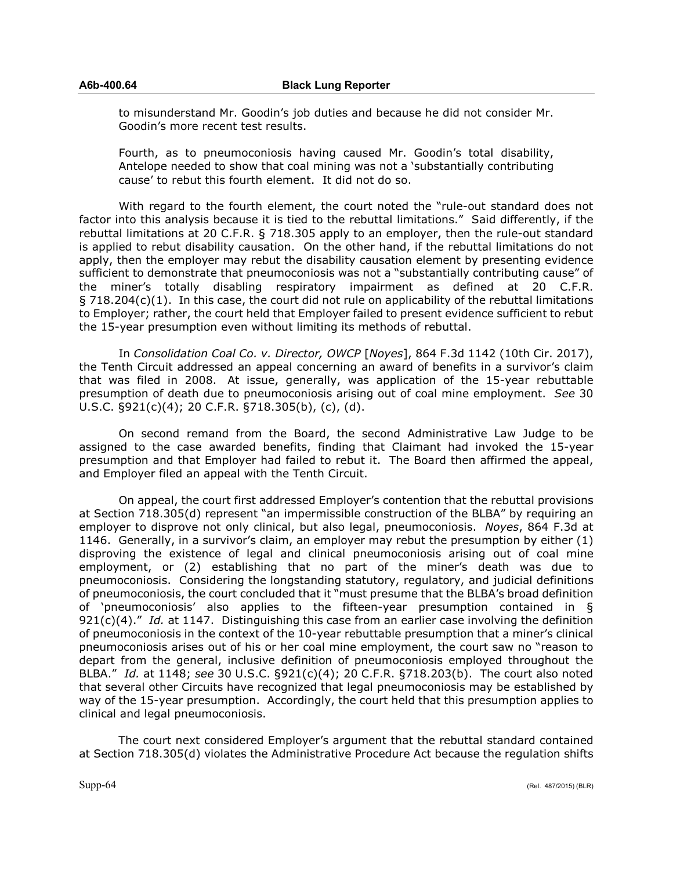to misunderstand Mr. Goodin's job duties and because he did not consider Mr. Goodin's more recent test results.

Fourth, as to pneumoconiosis having caused Mr. Goodin's total disability, Antelope needed to show that coal mining was not a 'substantially contributing cause' to rebut this fourth element. It did not do so.

With regard to the fourth element, the court noted the "rule-out standard does not factor into this analysis because it is tied to the rebuttal limitations." Said differently, if the rebuttal limitations at 20 C.F.R. § 718.305 apply to an employer, then the rule-out standard is applied to rebut disability causation. On the other hand, if the rebuttal limitations do not apply, then the employer may rebut the disability causation element by presenting evidence sufficient to demonstrate that pneumoconiosis was not a "substantially contributing cause" of the miner's totally disabling respiratory impairment as defined at 20 C.F.R.  $\S$  718.204(c)(1). In this case, the court did not rule on applicability of the rebuttal limitations to Employer; rather, the court held that Employer failed to present evidence sufficient to rebut the 15-year presumption even without limiting its methods of rebuttal.

In *Consolidation Coal Co. v. Director, OWCP* [*Noyes*], 864 F.3d 1142 (10th Cir. 2017), the Tenth Circuit addressed an appeal concerning an award of benefits in a survivor's claim that was filed in 2008. At issue, generally, was application of the 15-year rebuttable presumption of death due to pneumoconiosis arising out of coal mine employment. *See* 30 U.S.C. §921(c)(4); 20 C.F.R. §718.305(b), (c), (d).

On second remand from the Board, the second Administrative Law Judge to be assigned to the case awarded benefits, finding that Claimant had invoked the 15-year presumption and that Employer had failed to rebut it. The Board then affirmed the appeal, and Employer filed an appeal with the Tenth Circuit.

On appeal, the court first addressed Employer's contention that the rebuttal provisions at Section 718.305(d) represent "an impermissible construction of the BLBA" by requiring an employer to disprove not only clinical, but also legal, pneumoconiosis. *Noyes*, 864 F.3d at 1146. Generally, in a survivor's claim, an employer may rebut the presumption by either (1) disproving the existence of legal and clinical pneumoconiosis arising out of coal mine employment, or (2) establishing that no part of the miner's death was due to pneumoconiosis. Considering the longstanding statutory, regulatory, and judicial definitions of pneumoconiosis, the court concluded that it "must presume that the BLBA's broad definition of 'pneumoconiosis' also applies to the fifteen-year presumption contained in § 921(c)(4)." *Id.* at 1147. Distinguishing this case from an earlier case involving the definition of pneumoconiosis in the context of the 10-year rebuttable presumption that a miner's clinical pneumoconiosis arises out of his or her coal mine employment, the court saw no "reason to depart from the general, inclusive definition of pneumoconiosis employed throughout the BLBA." *Id.* at 1148; *see* 30 U.S.C. §921(c)(4); 20 C.F.R. §718.203(b). The court also noted that several other Circuits have recognized that legal pneumoconiosis may be established by way of the 15-year presumption. Accordingly, the court held that this presumption applies to clinical and legal pneumoconiosis.

The court next considered Employer's argument that the rebuttal standard contained at Section 718.305(d) violates the Administrative Procedure Act because the regulation shifts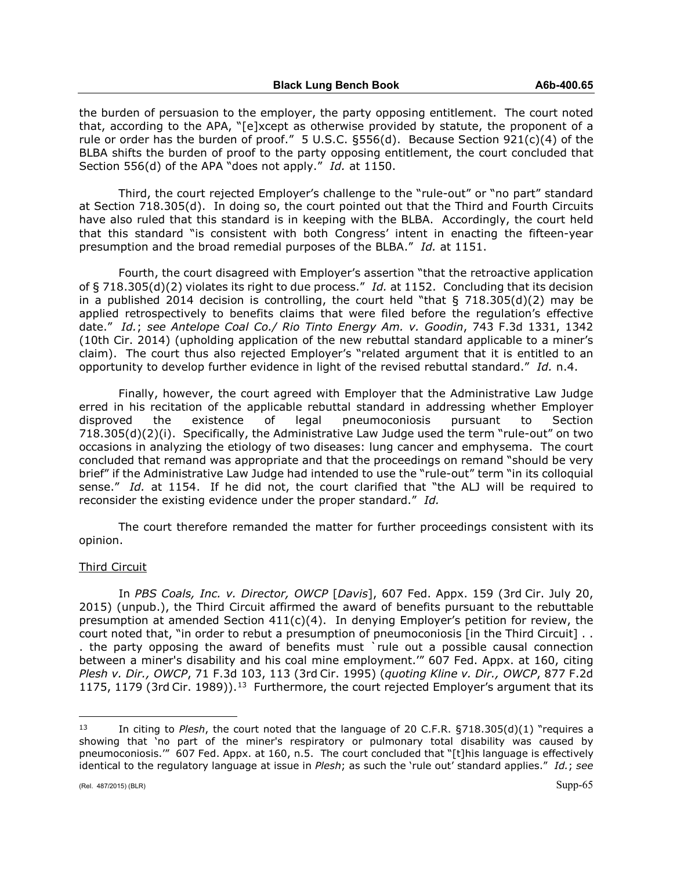the burden of persuasion to the employer, the party opposing entitlement. The court noted that, according to the APA, "[e]xcept as otherwise provided by statute, the proponent of a rule or order has the burden of proof." 5 U.S.C. §556(d). Because Section 921(c)(4) of the BLBA shifts the burden of proof to the party opposing entitlement, the court concluded that Section 556(d) of the APA "does not apply." *Id.* at 1150.

Third, the court rejected Employer's challenge to the "rule-out" or "no part" standard at Section 718.305(d). In doing so, the court pointed out that the Third and Fourth Circuits have also ruled that this standard is in keeping with the BLBA. Accordingly, the court held that this standard "is consistent with both Congress' intent in enacting the fifteen-year presumption and the broad remedial purposes of the BLBA." *Id.* at 1151.

Fourth, the court disagreed with Employer's assertion "that the retroactive application of § 718.305(d)(2) violates its right to due process." *Id.* at 1152. Concluding that its decision in a published 2014 decision is controlling, the court held "that  $\S$  718.305(d)(2) may be applied retrospectively to benefits claims that were filed before the regulation's effective date." *Id.*; *see Antelope Coal Co./ Rio Tinto Energy Am. v. Goodin*, 743 F.3d 1331, 1342 (10th Cir. 2014) (upholding application of the new rebuttal standard applicable to a miner's claim). The court thus also rejected Employer's "related argument that it is entitled to an opportunity to develop further evidence in light of the revised rebuttal standard." *Id.* n.4.

Finally, however, the court agreed with Employer that the Administrative Law Judge erred in his recitation of the applicable rebuttal standard in addressing whether Employer disproved the existence of legal pneumoconiosis pursuant to Section 718.305(d)(2)(i). Specifically, the Administrative Law Judge used the term "rule-out" on two occasions in analyzing the etiology of two diseases: lung cancer and emphysema. The court concluded that remand was appropriate and that the proceedings on remand "should be very brief" if the Administrative Law Judge had intended to use the "rule-out" term "in its colloquial sense." *Id.* at 1154. If he did not, the court clarified that "the ALJ will be required to reconsider the existing evidence under the proper standard." *Id.*

The court therefore remanded the matter for further proceedings consistent with its opinion.

### Third Circuit

In *PBS Coals, Inc. v. Director, OWCP* [*Davis*], 607 Fed. Appx. 159 (3rd Cir. July 20, 2015) (unpub.), the Third Circuit affirmed the award of benefits pursuant to the rebuttable presumption at amended Section  $411(c)(4)$ . In denying Employer's petition for review, the court noted that, "in order to rebut a presumption of pneumoconiosis [in the Third Circuit] . . . the party opposing the award of benefits must `rule out a possible causal connection between a miner's disability and his coal mine employment.'" 607 Fed. Appx. at 160, citing *Plesh v. Dir., OWCP*, 71 F.3d 103, 113 (3rd Cir. 1995) (*quoting Kline v. Dir., OWCP*, 877 F.2d 1175, 1179 (3rd Cir. 1989)).<sup>[13](#page-64-0)</sup> Furthermore, the court rejected Employer's argument that its

 $\overline{a}$ 

<span id="page-64-0"></span><sup>13</sup> In citing to *Plesh*, the court noted that the language of 20 C.F.R. §718.305(d)(1) "requires a showing that 'no part of the miner's respiratory or pulmonary total disability was caused by pneumoconiosis.'" 607 Fed. Appx. at 160, n.5. The court concluded that "[t]his language is effectively identical to the regulatory language at issue in *Plesh*; as such the 'rule out' standard applies." *Id.*; *see*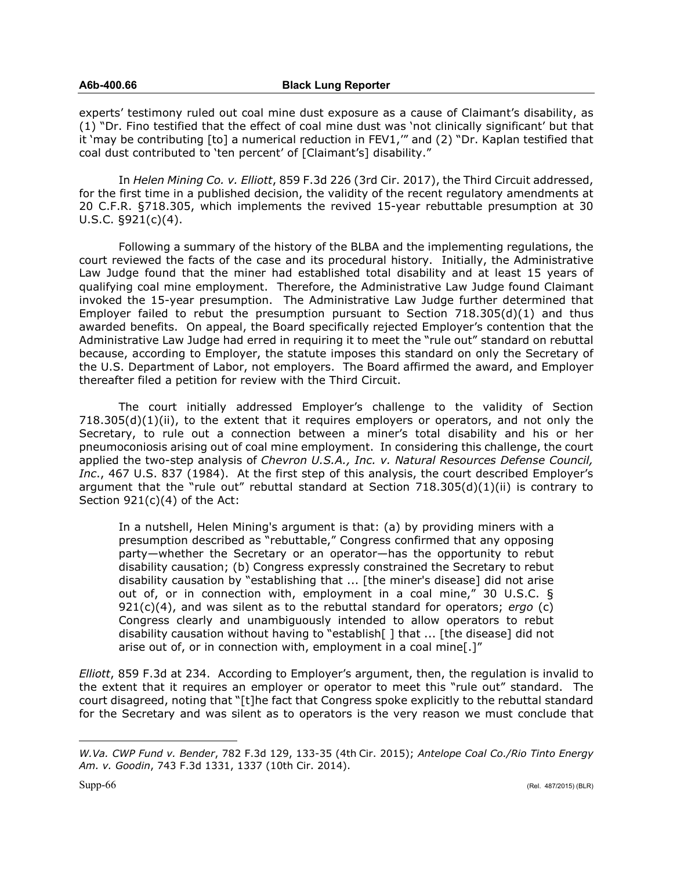experts' testimony ruled out coal mine dust exposure as a cause of Claimant's disability, as (1) "Dr. Fino testified that the effect of coal mine dust was 'not clinically significant' but that it 'may be contributing [to] a numerical reduction in FEV1,'" and (2) "Dr. Kaplan testified that coal dust contributed to 'ten percent' of [Claimant's] disability."

In *Helen Mining Co. v. Elliott*, 859 F.3d 226 (3rd Cir. 2017), the Third Circuit addressed, for the first time in a published decision, the validity of the recent regulatory amendments at 20 C.F.R. §718.305, which implements the revived 15-year rebuttable presumption at 30 U.S.C.  $\S$ 921(c)(4).

Following a summary of the history of the BLBA and the implementing regulations, the court reviewed the facts of the case and its procedural history. Initially, the Administrative Law Judge found that the miner had established total disability and at least 15 years of qualifying coal mine employment. Therefore, the Administrative Law Judge found Claimant invoked the 15-year presumption. The Administrative Law Judge further determined that Employer failed to rebut the presumption pursuant to Section  $718.305(d)(1)$  and thus awarded benefits. On appeal, the Board specifically rejected Employer's contention that the Administrative Law Judge had erred in requiring it to meet the "rule out" standard on rebuttal because, according to Employer, the statute imposes this standard on only the Secretary of the U.S. Department of Labor, not employers. The Board affirmed the award, and Employer thereafter filed a petition for review with the Third Circuit.

The court initially addressed Employer's challenge to the validity of Section  $718.305(d)(1)(ii)$ , to the extent that it requires employers or operators, and not only the Secretary, to rule out a connection between a miner's total disability and his or her pneumoconiosis arising out of coal mine employment. In considering this challenge, the court applied the two-step analysis of *Chevron U.S.A., Inc. v. Natural Resources Defense Council, Inc*., 467 U.S. 837 (1984). At the first step of this analysis, the court described Employer's argument that the "rule out" rebuttal standard at Section 718.305(d)(1)(ii) is contrary to Section 921(c)(4) of the Act:

In a nutshell, Helen Mining's argument is that: (a) by providing miners with a presumption described as "rebuttable," Congress confirmed that any opposing party—whether the Secretary or an operator—has the opportunity to rebut disability causation; (b) Congress expressly constrained the Secretary to rebut disability causation by "establishing that ... [the miner's disease] did not arise out of, or in connection with, employment in a coal mine," 30 U.S.C. § 921(c)(4), and was silent as to the rebuttal standard for operators; *ergo* (c) Congress clearly and unambiguously intended to allow operators to rebut disability causation without having to "establish[ ] that ... [the disease] did not arise out of, or in connection with, employment in a coal mine[.]"

*Elliott*, 859 F.3d at 234. According to Employer's argument, then, the regulation is invalid to the extent that it requires an employer or operator to meet this "rule out" standard. The court disagreed, noting that "[t]he fact that Congress spoke explicitly to the rebuttal standard for the Secretary and was silent as to operators is the very reason we must conclude that

 $\overline{a}$ 

*W.Va. CWP Fund v. Bender*, 782 F.3d 129, 133-35 (4th Cir. 2015); *Antelope Coal Co./Rio Tinto Energy Am. v. Goodin*, 743 F.3d 1331, 1337 (10th Cir. 2014).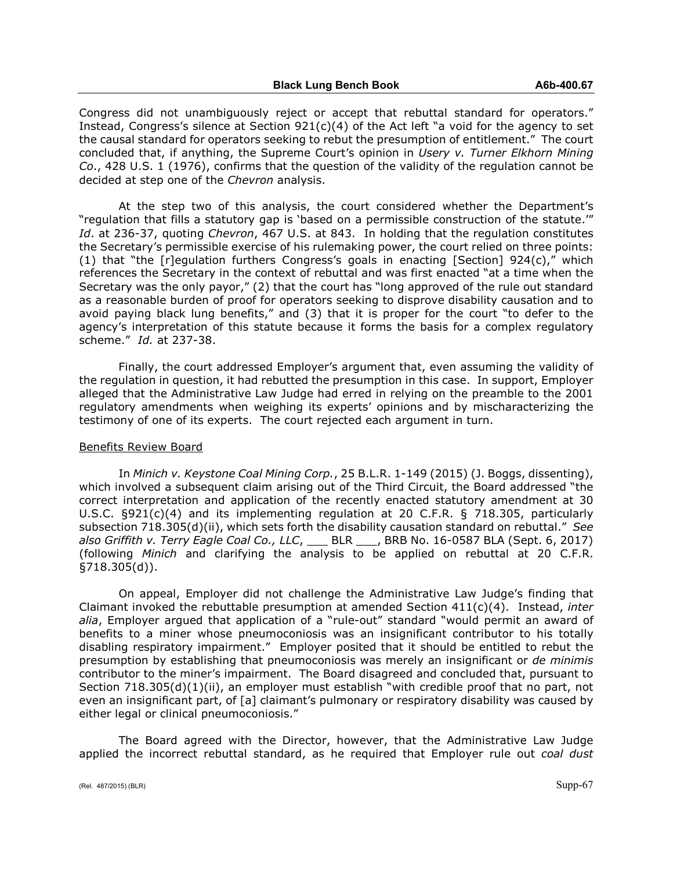Congress did not unambiguously reject or accept that rebuttal standard for operators." Instead, Congress's silence at Section 921(c)(4) of the Act left "a void for the agency to set the causal standard for operators seeking to rebut the presumption of entitlement." The court concluded that, if anything, the Supreme Court's opinion in *Usery v. Turner Elkhorn Mining Co*., 428 U.S. 1 (1976), confirms that the question of the validity of the regulation cannot be decided at step one of the *Chevron* analysis.

At the step two of this analysis, the court considered whether the Department's "regulation that fills a statutory gap is 'based on a permissible construction of the statute.'" *Id*. at 236-37, quoting *Chevron*, 467 U.S. at 843. In holding that the regulation constitutes the Secretary's permissible exercise of his rulemaking power, the court relied on three points: (1) that "the [r]egulation furthers Congress's goals in enacting [Section] 924(c)," which references the Secretary in the context of rebuttal and was first enacted "at a time when the Secretary was the only payor," (2) that the court has "long approved of the rule out standard as a reasonable burden of proof for operators seeking to disprove disability causation and to avoid paying black lung benefits," and (3) that it is proper for the court "to defer to the agency's interpretation of this statute because it forms the basis for a complex regulatory scheme." *Id.* at 237-38.

Finally, the court addressed Employer's argument that, even assuming the validity of the regulation in question, it had rebutted the presumption in this case. In support, Employer alleged that the Administrative Law Judge had erred in relying on the preamble to the 2001 regulatory amendments when weighing its experts' opinions and by mischaracterizing the testimony of one of its experts. The court rejected each argument in turn.

### Benefits Review Board

In *Minich v. Keystone Coal Mining Corp.*, 25 B.L.R. 1-149 (2015) (J. Boggs, dissenting), which involved a subsequent claim arising out of the Third Circuit, the Board addressed "the correct interpretation and application of the recently enacted statutory amendment at 30 U.S.C. §921(c)(4) and its implementing regulation at 20 C.F.R. § 718.305, particularly subsection 718.305(d)(ii), which sets forth the disability causation standard on rebuttal." *See also Griffith v. Terry Eagle Coal Co., LLC*, \_\_\_ BLR \_\_\_, BRB No. 16-0587 BLA (Sept. 6, 2017) (following *Minich* and clarifying the analysis to be applied on rebuttal at 20 C.F.R. §718.305(d)).

On appeal, Employer did not challenge the Administrative Law Judge's finding that Claimant invoked the rebuttable presumption at amended Section 411(c)(4). Instead, *inter alia*, Employer argued that application of a "rule-out" standard "would permit an award of benefits to a miner whose pneumoconiosis was an insignificant contributor to his totally disabling respiratory impairment." Employer posited that it should be entitled to rebut the presumption by establishing that pneumoconiosis was merely an insignificant or *de minimis* contributor to the miner's impairment. The Board disagreed and concluded that, pursuant to Section 718.305(d)(1)(ii), an employer must establish "with credible proof that no part, not even an insignificant part, of [a] claimant's pulmonary or respiratory disability was caused by either legal or clinical pneumoconiosis."

The Board agreed with the Director, however, that the Administrative Law Judge applied the incorrect rebuttal standard, as he required that Employer rule out *coal dust*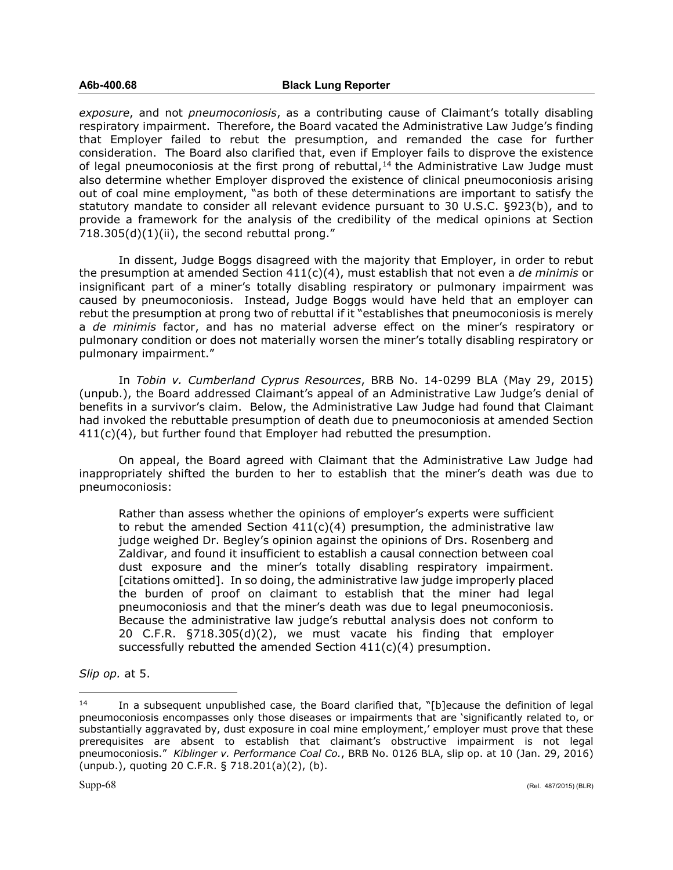*exposure*, and not *pneumoconiosis*, as a contributing cause of Claimant's totally disabling respiratory impairment. Therefore, the Board vacated the Administrative Law Judge's finding that Employer failed to rebut the presumption, and remanded the case for further consideration. The Board also clarified that, even if Employer fails to disprove the existence of legal pneumoconiosis at the first prong of rebuttal, $14$  the Administrative Law Judge must also determine whether Employer disproved the existence of clinical pneumoconiosis arising out of coal mine employment, "as both of these determinations are important to satisfy the statutory mandate to consider all relevant evidence pursuant to 30 U.S.C. §923(b), and to provide a framework for the analysis of the credibility of the medical opinions at Section  $718.305(d)(1)(ii)$ , the second rebuttal prong."

In dissent, Judge Boggs disagreed with the majority that Employer, in order to rebut the presumption at amended Section 411(c)(4), must establish that not even a *de minimis* or insignificant part of a miner's totally disabling respiratory or pulmonary impairment was caused by pneumoconiosis. Instead, Judge Boggs would have held that an employer can rebut the presumption at prong two of rebuttal if it "establishes that pneumoconiosis is merely a *de minimis* factor, and has no material adverse effect on the miner's respiratory or pulmonary condition or does not materially worsen the miner's totally disabling respiratory or pulmonary impairment."

In *Tobin v. Cumberland Cyprus Resources*, BRB No. 14-0299 BLA (May 29, 2015) (unpub.), the Board addressed Claimant's appeal of an Administrative Law Judge's denial of benefits in a survivor's claim. Below, the Administrative Law Judge had found that Claimant had invoked the rebuttable presumption of death due to pneumoconiosis at amended Section  $411(c)(4)$ , but further found that Employer had rebutted the presumption.

On appeal, the Board agreed with Claimant that the Administrative Law Judge had inappropriately shifted the burden to her to establish that the miner's death was due to pneumoconiosis:

Rather than assess whether the opinions of employer's experts were sufficient to rebut the amended Section  $411(c)(4)$  presumption, the administrative law judge weighed Dr. Begley's opinion against the opinions of Drs. Rosenberg and Zaldivar, and found it insufficient to establish a causal connection between coal dust exposure and the miner's totally disabling respiratory impairment. [citations omitted]. In so doing, the administrative law judge improperly placed the burden of proof on claimant to establish that the miner had legal pneumoconiosis and that the miner's death was due to legal pneumoconiosis. Because the administrative law judge's rebuttal analysis does not conform to 20 C.F.R. §718.305(d)(2), we must vacate his finding that employer successfully rebutted the amended Section 411(c)(4) presumption.

*Slip op.* at 5.

 $\overline{a}$ 

<span id="page-67-0"></span><sup>&</sup>lt;sup>14</sup> In a subsequent unpublished case, the Board clarified that, "[b]ecause the definition of legal pneumoconiosis encompasses only those diseases or impairments that are 'significantly related to, or substantially aggravated by, dust exposure in coal mine employment,' employer must prove that these prerequisites are absent to establish that claimant's obstructive impairment is not legal pneumoconiosis." *Kiblinger v. Performance Coal Co.*, BRB No. 0126 BLA, slip op. at 10 (Jan. 29, 2016) (unpub.), quoting 20 C.F.R. § 718.201(a)(2), (b).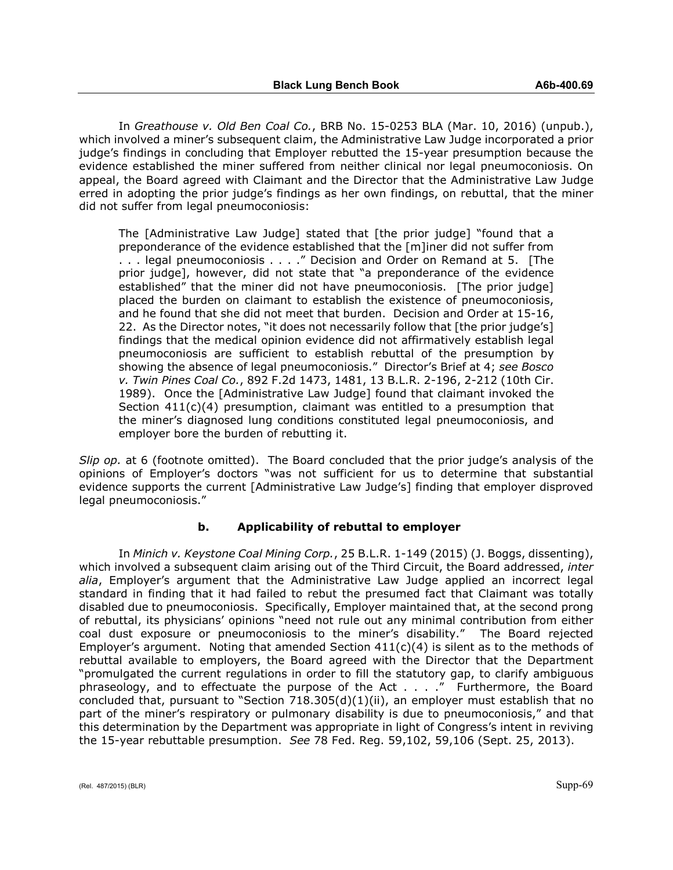In *Greathouse v. Old Ben Coal Co.*, BRB No. 15-0253 BLA (Mar. 10, 2016) (unpub.), which involved a miner's subsequent claim, the Administrative Law Judge incorporated a prior judge's findings in concluding that Employer rebutted the 15-year presumption because the evidence established the miner suffered from neither clinical nor legal pneumoconiosis. On appeal, the Board agreed with Claimant and the Director that the Administrative Law Judge erred in adopting the prior judge's findings as her own findings, on rebuttal, that the miner did not suffer from legal pneumoconiosis:

The [Administrative Law Judge] stated that [the prior judge] "found that a preponderance of the evidence established that the [m]iner did not suffer from . . . legal pneumoconiosis . . . ." Decision and Order on Remand at 5. [The prior judge], however, did not state that "a preponderance of the evidence established" that the miner did not have pneumoconiosis. [The prior judge] placed the burden on claimant to establish the existence of pneumoconiosis, and he found that she did not meet that burden. Decision and Order at 15-16, 22. As the Director notes, "it does not necessarily follow that [the prior judge's] findings that the medical opinion evidence did not affirmatively establish legal pneumoconiosis are sufficient to establish rebuttal of the presumption by showing the absence of legal pneumoconiosis." Director's Brief at 4; *see Bosco v. Twin Pines Coal Co.*, 892 F.2d 1473, 1481, 13 B.L.R. 2-196, 2-212 (10th Cir. 1989). Once the [Administrative Law Judge] found that claimant invoked the Section  $411(c)(4)$  presumption, claimant was entitled to a presumption that the miner's diagnosed lung conditions constituted legal pneumoconiosis, and employer bore the burden of rebutting it.

*Slip op.* at 6 (footnote omitted). The Board concluded that the prior judge's analysis of the opinions of Employer's doctors "was not sufficient for us to determine that substantial evidence supports the current [Administrative Law Judge's] finding that employer disproved legal pneumoconiosis."

### **b. Applicability of rebuttal to employer**

In *Minich v. Keystone Coal Mining Corp.*, 25 B.L.R. 1-149 (2015) (J. Boggs, dissenting), which involved a subsequent claim arising out of the Third Circuit, the Board addressed, *inter alia*, Employer's argument that the Administrative Law Judge applied an incorrect legal standard in finding that it had failed to rebut the presumed fact that Claimant was totally disabled due to pneumoconiosis. Specifically, Employer maintained that, at the second prong of rebuttal, its physicians' opinions "need not rule out any minimal contribution from either coal dust exposure or pneumoconiosis to the miner's disability." The Board rejected Employer's argument. Noting that amended Section  $411(c)(4)$  is silent as to the methods of rebuttal available to employers, the Board agreed with the Director that the Department "promulgated the current regulations in order to fill the statutory gap, to clarify ambiguous phraseology, and to effectuate the purpose of the Act . . . ." Furthermore, the Board concluded that, pursuant to "Section 718.305(d)(1)(ii), an employer must establish that no part of the miner's respiratory or pulmonary disability is due to pneumoconiosis," and that this determination by the Department was appropriate in light of Congress's intent in reviving the 15-year rebuttable presumption. *See* 78 Fed. Reg. 59,102, 59,106 (Sept. 25, 2013).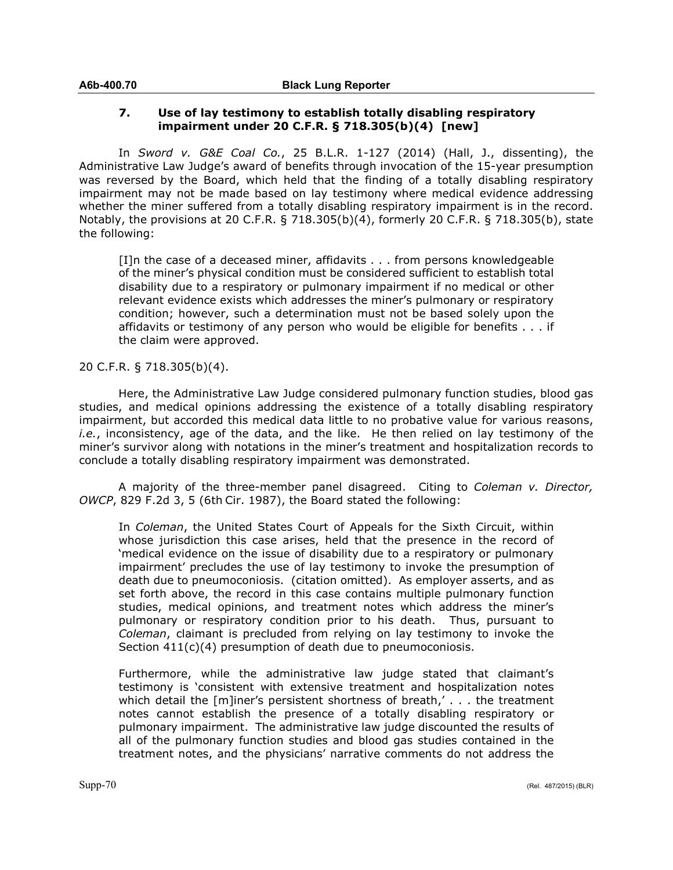# **7. Use of lay testimony to establish totally disabling respiratory impairment under 20 C.F.R. § 718.305(b)(4) [new]**

In *Sword v. G&E Coal Co.*, 25 B.L.R. 1-127 (2014) (Hall, J., dissenting), the Administrative Law Judge's award of benefits through invocation of the 15-year presumption was reversed by the Board, which held that the finding of a totally disabling respiratory impairment may not be made based on lay testimony where medical evidence addressing whether the miner suffered from a totally disabling respiratory impairment is in the record. Notably, the provisions at 20 C.F.R. § 718.305(b)(4), formerly 20 C.F.R. § 718.305(b), state the following:

[I]n the case of a deceased miner, affidavits . . . from persons knowledgeable of the miner's physical condition must be considered sufficient to establish total disability due to a respiratory or pulmonary impairment if no medical or other relevant evidence exists which addresses the miner's pulmonary or respiratory condition; however, such a determination must not be based solely upon the affidavits or testimony of any person who would be eligible for benefits . . . if the claim were approved.

# 20 C.F.R. § 718.305(b)(4).

Here, the Administrative Law Judge considered pulmonary function studies, blood gas studies, and medical opinions addressing the existence of a totally disabling respiratory impairment, but accorded this medical data little to no probative value for various reasons, *i.e.*, inconsistency, age of the data, and the like. He then relied on lay testimony of the miner's survivor along with notations in the miner's treatment and hospitalization records to conclude a totally disabling respiratory impairment was demonstrated.

A majority of the three-member panel disagreed. Citing to *Coleman v. Director, OWCP*, 829 F.2d 3, 5 (6th Cir. 1987), the Board stated the following:

In *Coleman*, the United States Court of Appeals for the Sixth Circuit, within whose jurisdiction this case arises, held that the presence in the record of 'medical evidence on the issue of disability due to a respiratory or pulmonary impairment' precludes the use of lay testimony to invoke the presumption of death due to pneumoconiosis. (citation omitted). As employer asserts, and as set forth above, the record in this case contains multiple pulmonary function studies, medical opinions, and treatment notes which address the miner's pulmonary or respiratory condition prior to his death. Thus, pursuant to *Coleman*, claimant is precluded from relying on lay testimony to invoke the Section  $411(c)(4)$  presumption of death due to pneumoconiosis.

Furthermore, while the administrative law judge stated that claimant's testimony is 'consistent with extensive treatment and hospitalization notes which detail the [m]iner's persistent shortness of breath,' . . . the treatment notes cannot establish the presence of a totally disabling respiratory or pulmonary impairment. The administrative law judge discounted the results of all of the pulmonary function studies and blood gas studies contained in the treatment notes, and the physicians' narrative comments do not address the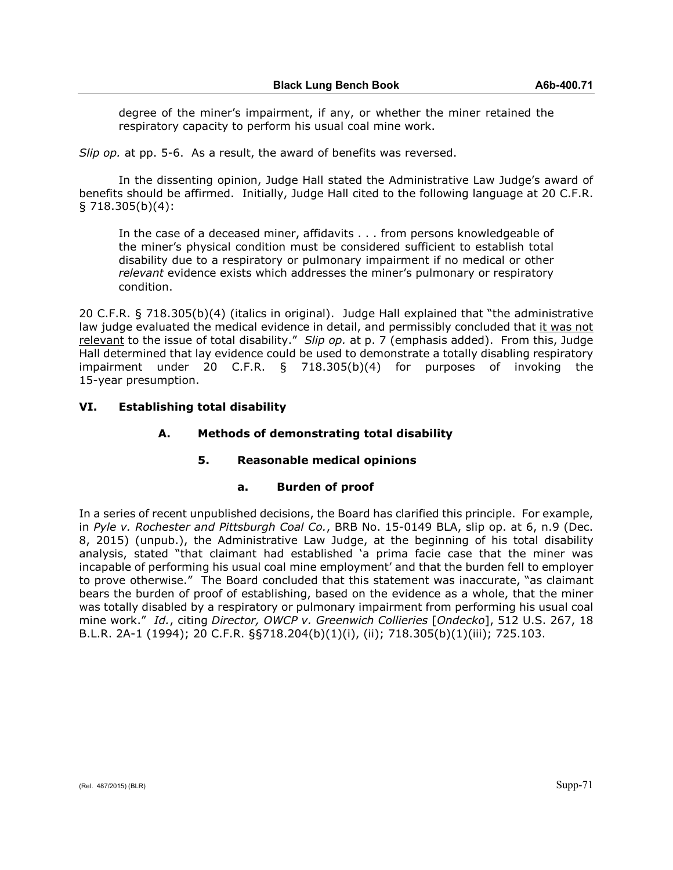degree of the miner's impairment, if any, or whether the miner retained the respiratory capacity to perform his usual coal mine work.

*Slip op.* at pp. 5-6. As a result, the award of benefits was reversed.

In the dissenting opinion, Judge Hall stated the Administrative Law Judge's award of benefits should be affirmed. Initially, Judge Hall cited to the following language at 20 C.F.R. § 718.305(b)(4):

In the case of a deceased miner, affidavits . . . from persons knowledgeable of the miner's physical condition must be considered sufficient to establish total disability due to a respiratory or pulmonary impairment if no medical or other *relevant* evidence exists which addresses the miner's pulmonary or respiratory condition.

20 C.F.R. § 718.305(b)(4) (italics in original). Judge Hall explained that "the administrative law judge evaluated the medical evidence in detail, and permissibly concluded that it was not relevant to the issue of total disability." *Slip op.* at p. 7 (emphasis added). From this, Judge Hall determined that lay evidence could be used to demonstrate a totally disabling respiratory impairment under 20 C.F.R. § 718.305(b)(4) for purposes of invoking the 15-year presumption.

# **VI. Establishing total disability**

# **A. Methods of demonstrating total disability**

# **5. Reasonable medical opinions**

# **a. Burden of proof**

In a series of recent unpublished decisions, the Board has clarified this principle. For example, in *Pyle v. Rochester and Pittsburgh Coal Co.*, BRB No. 15-0149 BLA, slip op. at 6, n.9 (Dec. 8, 2015) (unpub.), the Administrative Law Judge, at the beginning of his total disability analysis, stated "that claimant had established 'a prima facie case that the miner was incapable of performing his usual coal mine employment' and that the burden fell to employer to prove otherwise." The Board concluded that this statement was inaccurate, "as claimant bears the burden of proof of establishing, based on the evidence as a whole, that the miner was totally disabled by a respiratory or pulmonary impairment from performing his usual coal mine work." *Id.*, citing *Director, OWCP v. Greenwich Collieries* [*Ondecko*], 512 U.S. 267, 18 B.L.R. 2A-1 (1994); 20 C.F.R. §§718.204(b)(1)(i), (ii); 718.305(b)(1)(iii); 725.103.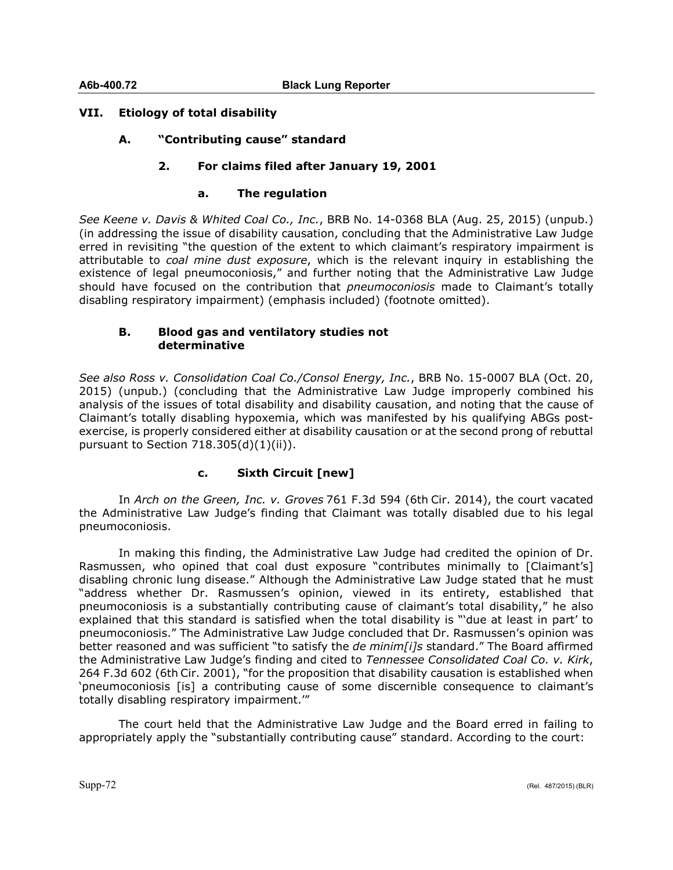# **VII. Etiology of total disability**

**A. "Contributing cause" standard**

# **2. For claims filed after January 19, 2001**

# **a. The regulation**

*See Keene v. Davis & Whited Coal Co., Inc.*, BRB No. 14-0368 BLA (Aug. 25, 2015) (unpub.) (in addressing the issue of disability causation, concluding that the Administrative Law Judge erred in revisiting "the question of the extent to which claimant's respiratory impairment is attributable to *coal mine dust exposure*, which is the relevant inquiry in establishing the existence of legal pneumoconiosis," and further noting that the Administrative Law Judge should have focused on the contribution that *pneumoconiosis* made to Claimant's totally disabling respiratory impairment) (emphasis included) (footnote omitted).

# **B. Blood gas and ventilatory studies not determinative**

*See also Ross v. Consolidation Coal Co./Consol Energy, Inc.*, BRB No. 15-0007 BLA (Oct. 20, 2015) (unpub.) (concluding that the Administrative Law Judge improperly combined his analysis of the issues of total disability and disability causation, and noting that the cause of Claimant's totally disabling hypoxemia, which was manifested by his qualifying ABGs postexercise, is properly considered either at disability causation or at the second prong of rebuttal pursuant to Section 718.305(d)(1)(ii)).

# **c. Sixth Circuit [new]**

In *Arch on the Green, Inc. v. Groves* 761 F.3d 594 (6th Cir. 2014), the court vacated the Administrative Law Judge's finding that Claimant was totally disabled due to his legal pneumoconiosis.

In making this finding, the Administrative Law Judge had credited the opinion of Dr. Rasmussen, who opined that coal dust exposure "contributes minimally to [Claimant's] disabling chronic lung disease." Although the Administrative Law Judge stated that he must "address whether Dr. Rasmussen's opinion, viewed in its entirety, established that pneumoconiosis is a substantially contributing cause of claimant's total disability," he also explained that this standard is satisfied when the total disability is "'due at least in part' to pneumoconiosis." The Administrative Law Judge concluded that Dr. Rasmussen's opinion was better reasoned and was sufficient "to satisfy the *de minim[i]s* standard." The Board affirmed the Administrative Law Judge's finding and cited to *Tennessee Consolidated Coal Co. v. Kirk*, 264 F.3d 602 (6th Cir. 2001), "for the proposition that disability causation is established when 'pneumoconiosis [is] a contributing cause of some discernible consequence to claimant's totally disabling respiratory impairment.'"

The court held that the Administrative Law Judge and the Board erred in failing to appropriately apply the "substantially contributing cause" standard. According to the court: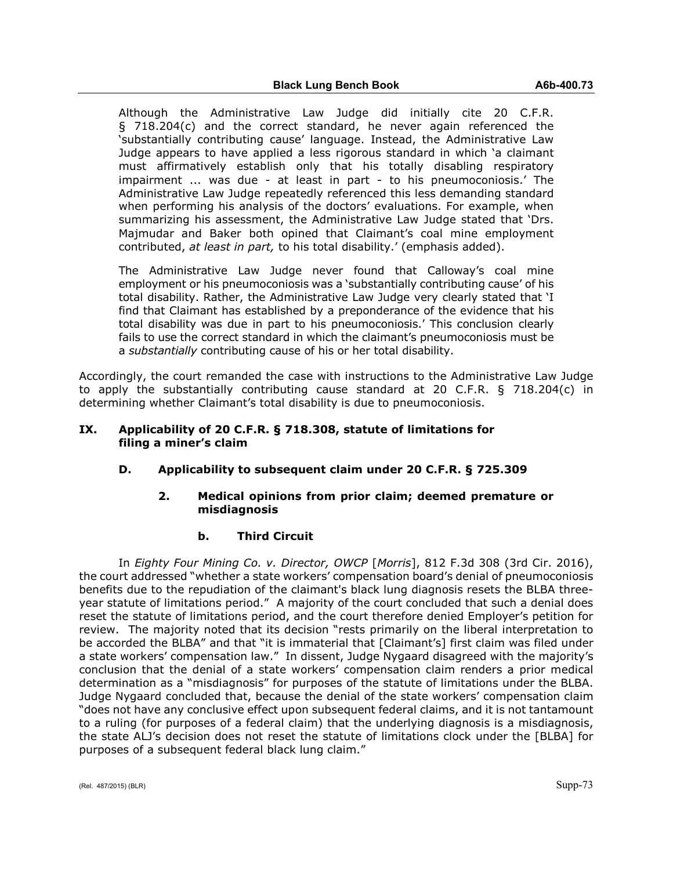Although the Administrative Law Judge did initially cite 20 C.F.R. § 718.204(c) and the correct standard, he never again referenced the 'substantially contributing cause' language. Instead, the Administrative Law Judge appears to have applied a less rigorous standard in which 'a claimant must affirmatively establish only that his totally disabling respiratory impairment ... was due - at least in part - to his pneumoconiosis.' The Administrative Law Judge repeatedly referenced this less demanding standard when performing his analysis of the doctors' evaluations. For example, when summarizing his assessment, the Administrative Law Judge stated that 'Drs. Majmudar and Baker both opined that Claimant's coal mine employment contributed, *at least in part,* to his total disability.' (emphasis added).

The Administrative Law Judge never found that Calloway's coal mine employment or his pneumoconiosis was a 'substantially contributing cause' of his total disability. Rather, the Administrative Law Judge very clearly stated that 'I find that Claimant has established by a preponderance of the evidence that his total disability was due in part to his pneumoconiosis.' This conclusion clearly fails to use the correct standard in which the claimant's pneumoconiosis must be a *substantially* contributing cause of his or her total disability.

Accordingly, the court remanded the case with instructions to the Administrative Law Judge to apply the substantially contributing cause standard at 20 C.F.R. § 718.204(c) in determining whether Claimant's total disability is due to pneumoconiosis.

## **IX. Applicability of 20 C.F.R. § 718.308, statute of limitations for filing a miner's claim**

# **D. Applicability to subsequent claim under 20 C.F.R. § 725.309**

## **2. Medical opinions from prior claim; deemed premature or misdiagnosis**

### **b. Third Circuit**

In *Eighty Four Mining Co. v. Director, OWCP* [*Morris*], 812 F.3d 308 (3rd Cir. 2016), the court addressed "whether a state workers' compensation board's denial of pneumoconiosis benefits due to the repudiation of the claimant's black lung diagnosis resets the BLBA threeyear statute of limitations period." A majority of the court concluded that such a denial does reset the statute of limitations period, and the court therefore denied Employer's petition for review. The majority noted that its decision "rests primarily on the liberal interpretation to be accorded the BLBA" and that "it is immaterial that [Claimant's] first claim was filed under a state workers' compensation law." In dissent, Judge Nygaard disagreed with the majority's conclusion that the denial of a state workers' compensation claim renders a prior medical determination as a "misdiagnosis" for purposes of the statute of limitations under the BLBA. Judge Nygaard concluded that, because the denial of the state workers' compensation claim "does not have any conclusive effect upon subsequent federal claims, and it is not tantamount to a ruling (for purposes of a federal claim) that the underlying diagnosis is a misdiagnosis, the state ALJ's decision does not reset the statute of limitations clock under the [BLBA] for purposes of a subsequent federal black lung claim."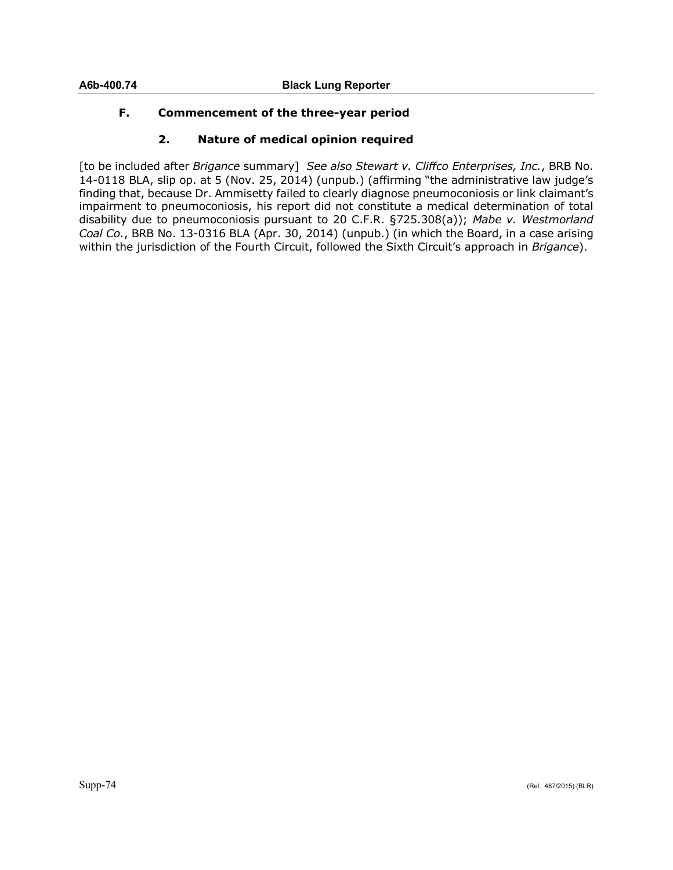# **F. Commencement of the three-year period**

# **2. Nature of medical opinion required**

[to be included after *Brigance* summary] *See also Stewart v. Cliffco Enterprises, Inc.*, BRB No. 14-0118 BLA, slip op. at 5 (Nov. 25, 2014) (unpub.) (affirming "the administrative law judge's finding that, because Dr. Ammisetty failed to clearly diagnose pneumoconiosis or link claimant's impairment to pneumoconiosis, his report did not constitute a medical determination of total disability due to pneumoconiosis pursuant to 20 C.F.R. §725.308(a)); *Mabe v. Westmorland Coal Co.*, BRB No. 13-0316 BLA (Apr. 30, 2014) (unpub.) (in which the Board, in a case arising within the jurisdiction of the Fourth Circuit, followed the Sixth Circuit's approach in *Brigance*).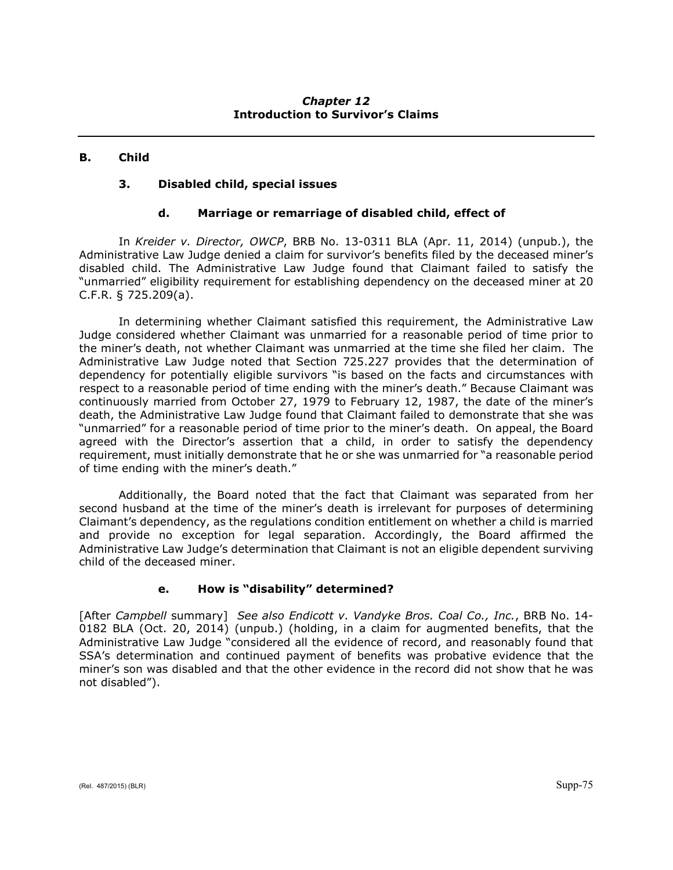# *Chapter 12* **Introduction to Survivor's Claims**

# **B. Child**

# **3. Disabled child, special issues**

# **d. Marriage or remarriage of disabled child, effect of**

In *Kreider v. Director, OWCP*, BRB No. 13-0311 BLA (Apr. 11, 2014) (unpub.), the Administrative Law Judge denied a claim for survivor's benefits filed by the deceased miner's disabled child. The Administrative Law Judge found that Claimant failed to satisfy the "unmarried" eligibility requirement for establishing dependency on the deceased miner at 20 C.F.R. § 725.209(a).

In determining whether Claimant satisfied this requirement, the Administrative Law Judge considered whether Claimant was unmarried for a reasonable period of time prior to the miner's death, not whether Claimant was unmarried at the time she filed her claim. The Administrative Law Judge noted that Section 725.227 provides that the determination of dependency for potentially eligible survivors "is based on the facts and circumstances with respect to a reasonable period of time ending with the miner's death." Because Claimant was continuously married from October 27, 1979 to February 12, 1987, the date of the miner's death, the Administrative Law Judge found that Claimant failed to demonstrate that she was "unmarried" for a reasonable period of time prior to the miner's death. On appeal, the Board agreed with the Director's assertion that a child, in order to satisfy the dependency requirement, must initially demonstrate that he or she was unmarried for "a reasonable period of time ending with the miner's death."

Additionally, the Board noted that the fact that Claimant was separated from her second husband at the time of the miner's death is irrelevant for purposes of determining Claimant's dependency, as the regulations condition entitlement on whether a child is married and provide no exception for legal separation. Accordingly, the Board affirmed the Administrative Law Judge's determination that Claimant is not an eligible dependent surviving child of the deceased miner.

# **e. How is "disability" determined?**

[After *Campbell* summary] *See also Endicott v. Vandyke Bros. Coal Co., Inc.*, BRB No. 14- 0182 BLA (Oct. 20, 2014) (unpub.) (holding, in a claim for augmented benefits, that the Administrative Law Judge "considered all the evidence of record, and reasonably found that SSA's determination and continued payment of benefits was probative evidence that the miner's son was disabled and that the other evidence in the record did not show that he was not disabled").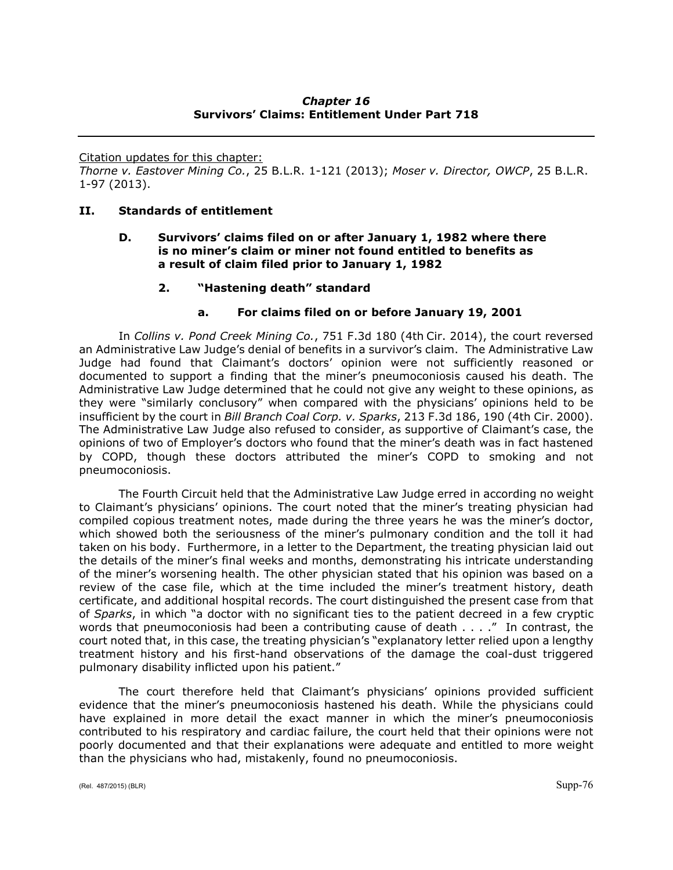# *Chapter 16* **Survivors' Claims: Entitlement Under Part 718**

Citation updates for this chapter:

*Thorne v. Eastover Mining Co.*, 25 B.L.R. 1-121 (2013); *Moser v. Director, OWCP*, 25 B.L.R. 1-97 (2013).

## **II. Standards of entitlement**

## **D. Survivors' claims filed on or after January 1, 1982 where there is no miner's claim or miner not found entitled to benefits as a result of claim filed prior to January 1, 1982**

## **2. "Hastening death" standard**

## **a. For claims filed on or before January 19, 2001**

In *Collins v. Pond Creek Mining Co.*, 751 F.3d 180 (4th Cir. 2014), the court reversed an Administrative Law Judge's denial of benefits in a survivor's claim. The Administrative Law Judge had found that Claimant's doctors' opinion were not sufficiently reasoned or documented to support a finding that the miner's pneumoconiosis caused his death. The Administrative Law Judge determined that he could not give any weight to these opinions, as they were "similarly conclusory" when compared with the physicians' opinions held to be insufficient by the court in *Bill Branch Coal Corp. v. Sparks*, 213 F.3d 186, 190 (4th Cir. 2000). The Administrative Law Judge also refused to consider, as supportive of Claimant's case, the opinions of two of Employer's doctors who found that the miner's death was in fact hastened by COPD, though these doctors attributed the miner's COPD to smoking and not pneumoconiosis.

The Fourth Circuit held that the Administrative Law Judge erred in according no weight to Claimant's physicians' opinions. The court noted that the miner's treating physician had compiled copious treatment notes, made during the three years he was the miner's doctor, which showed both the seriousness of the miner's pulmonary condition and the toll it had taken on his body. Furthermore, in a letter to the Department, the treating physician laid out the details of the miner's final weeks and months, demonstrating his intricate understanding of the miner's worsening health. The other physician stated that his opinion was based on a review of the case file, which at the time included the miner's treatment history, death certificate, and additional hospital records. The court distinguished the present case from that of *Sparks*, in which "a doctor with no significant ties to the patient decreed in a few cryptic words that pneumoconiosis had been a contributing cause of death . . . ." In contrast, the court noted that, in this case, the treating physician's "explanatory letter relied upon a lengthy treatment history and his first-hand observations of the damage the coal-dust triggered pulmonary disability inflicted upon his patient."

The court therefore held that Claimant's physicians' opinions provided sufficient evidence that the miner's pneumoconiosis hastened his death. While the physicians could have explained in more detail the exact manner in which the miner's pneumoconiosis contributed to his respiratory and cardiac failure, the court held that their opinions were not poorly documented and that their explanations were adequate and entitled to more weight than the physicians who had, mistakenly, found no pneumoconiosis.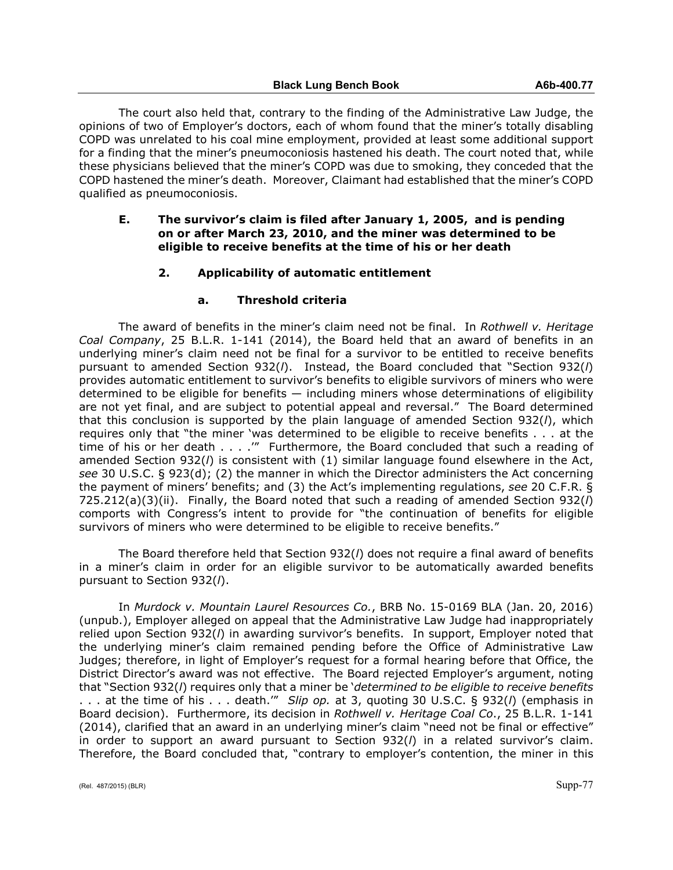The court also held that, contrary to the finding of the Administrative Law Judge, the opinions of two of Employer's doctors, each of whom found that the miner's totally disabling COPD was unrelated to his coal mine employment, provided at least some additional support for a finding that the miner's pneumoconiosis hastened his death. The court noted that, while these physicians believed that the miner's COPD was due to smoking, they conceded that the COPD hastened the miner's death. Moreover, Claimant had established that the miner's COPD qualified as pneumoconiosis.

## **E. The survivor's claim is filed after January 1, 2005, and is pending on or after March 23, 2010, and the miner was determined to be eligible to receive benefits at the time of his or her death**

# **2. Applicability of automatic entitlement**

### **a. Threshold criteria**

The award of benefits in the miner's claim need not be final. In *Rothwell v. Heritage Coal Company*, 25 B.L.R. 1-141 (2014), the Board held that an award of benefits in an underlying miner's claim need not be final for a survivor to be entitled to receive benefits pursuant to amended Section 932(*l*). Instead, the Board concluded that "Section 932(*l*) provides automatic entitlement to survivor's benefits to eligible survivors of miners who were determined to be eligible for benefits — including miners whose determinations of eligibility are not yet final, and are subject to potential appeal and reversal." The Board determined that this conclusion is supported by the plain language of amended Section 932(*l*), which requires only that "the miner 'was determined to be eligible to receive benefits . . . at the time of his or her death . . . .'" Furthermore, the Board concluded that such a reading of amended Section 932(*l*) is consistent with (1) similar language found elsewhere in the Act, *see* 30 U.S.C. § 923(d); (2) the manner in which the Director administers the Act concerning the payment of miners' benefits; and (3) the Act's implementing regulations, *see* 20 C.F.R. § 725.212(a)(3)(ii). Finally, the Board noted that such a reading of amended Section 932(*l*) comports with Congress's intent to provide for "the continuation of benefits for eligible survivors of miners who were determined to be eligible to receive benefits."

The Board therefore held that Section 932(*l*) does not require a final award of benefits in a miner's claim in order for an eligible survivor to be automatically awarded benefits pursuant to Section 932(*l*).

In *Murdock v. Mountain Laurel Resources Co.*, BRB No. 15-0169 BLA (Jan. 20, 2016) (unpub.), Employer alleged on appeal that the Administrative Law Judge had inappropriately relied upon Section 932(*l*) in awarding survivor's benefits. In support, Employer noted that the underlying miner's claim remained pending before the Office of Administrative Law Judges; therefore, in light of Employer's request for a formal hearing before that Office, the District Director's award was not effective. The Board rejected Employer's argument, noting that "Section 932(*l*) requires only that a miner be '*determined to be eligible to receive benefits* . . . at the time of his . . . death.'" *Slip op.* at 3, quoting 30 U.S.C. § 932(*l*) (emphasis in Board decision). Furthermore, its decision in *Rothwell v. Heritage Coal Co*., 25 B.L.R. 1-141 (2014), clarified that an award in an underlying miner's claim "need not be final or effective" in order to support an award pursuant to Section 932(*l*) in a related survivor's claim. Therefore, the Board concluded that, "contrary to employer's contention, the miner in this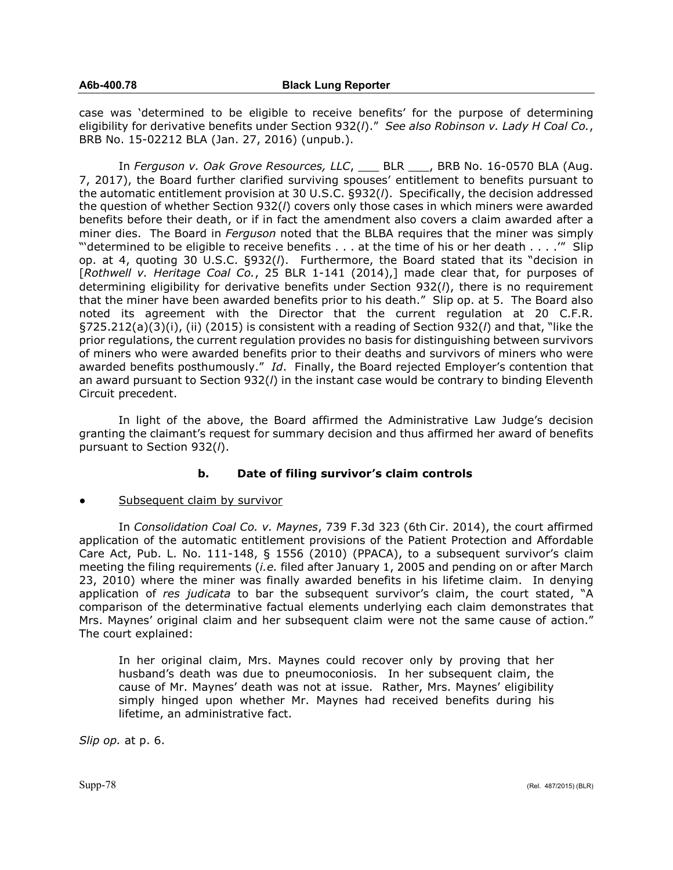case was 'determined to be eligible to receive benefits' for the purpose of determining eligibility for derivative benefits under Section 932(*l*)." *See also Robinson v. Lady H Coal Co.*, BRB No. 15-02212 BLA (Jan. 27, 2016) (unpub.).

In *Ferguson v. Oak Grove Resources, LLC*, \_\_\_ BLR \_\_\_, BRB No. 16-0570 BLA (Aug. 7, 2017), the Board further clarified surviving spouses' entitlement to benefits pursuant to the automatic entitlement provision at 30 U.S.C. §932(*l*). Specifically, the decision addressed the question of whether Section 932(*l*) covers only those cases in which miners were awarded benefits before their death, or if in fact the amendment also covers a claim awarded after a miner dies. The Board in *Ferguson* noted that the BLBA requires that the miner was simply "'determined to be eligible to receive benefits . . . at the time of his or her death . . . .'" Slip op. at 4, quoting 30 U.S.C. §932(*l*). Furthermore, the Board stated that its "decision in [*Rothwell v. Heritage Coal Co.*, 25 BLR 1-141 (2014),] made clear that, for purposes of determining eligibility for derivative benefits under Section 932(*l*), there is no requirement that the miner have been awarded benefits prior to his death." Slip op. at 5. The Board also noted its agreement with the Director that the current regulation at 20 C.F.R. §725.212(a)(3)(i), (ii) (2015) is consistent with a reading of Section 932(*l*) and that, "like the prior regulations, the current regulation provides no basis for distinguishing between survivors of miners who were awarded benefits prior to their deaths and survivors of miners who were awarded benefits posthumously." *Id*. Finally, the Board rejected Employer's contention that an award pursuant to Section 932(*l*) in the instant case would be contrary to binding Eleventh Circuit precedent.

In light of the above, the Board affirmed the Administrative Law Judge's decision granting the claimant's request for summary decision and thus affirmed her award of benefits pursuant to Section 932(*l*).

# **b. Date of filing survivor's claim controls**

### Subsequent claim by survivor

In *Consolidation Coal Co. v. Maynes*, 739 F.3d 323 (6th Cir. 2014), the court affirmed application of the automatic entitlement provisions of the Patient Protection and Affordable Care Act, Pub. L. No. 111-148, § 1556 (2010) (PPACA), to a subsequent survivor's claim meeting the filing requirements (*i.e.* filed after January 1, 2005 and pending on or after March 23, 2010) where the miner was finally awarded benefits in his lifetime claim. In denying application of *res judicata* to bar the subsequent survivor's claim, the court stated, "A comparison of the determinative factual elements underlying each claim demonstrates that Mrs. Maynes' original claim and her subsequent claim were not the same cause of action." The court explained:

In her original claim, Mrs. Maynes could recover only by proving that her husband's death was due to pneumoconiosis. In her subsequent claim, the cause of Mr. Maynes' death was not at issue. Rather, Mrs. Maynes' eligibility simply hinged upon whether Mr. Maynes had received benefits during his lifetime, an administrative fact.

*Slip op.* at p. 6.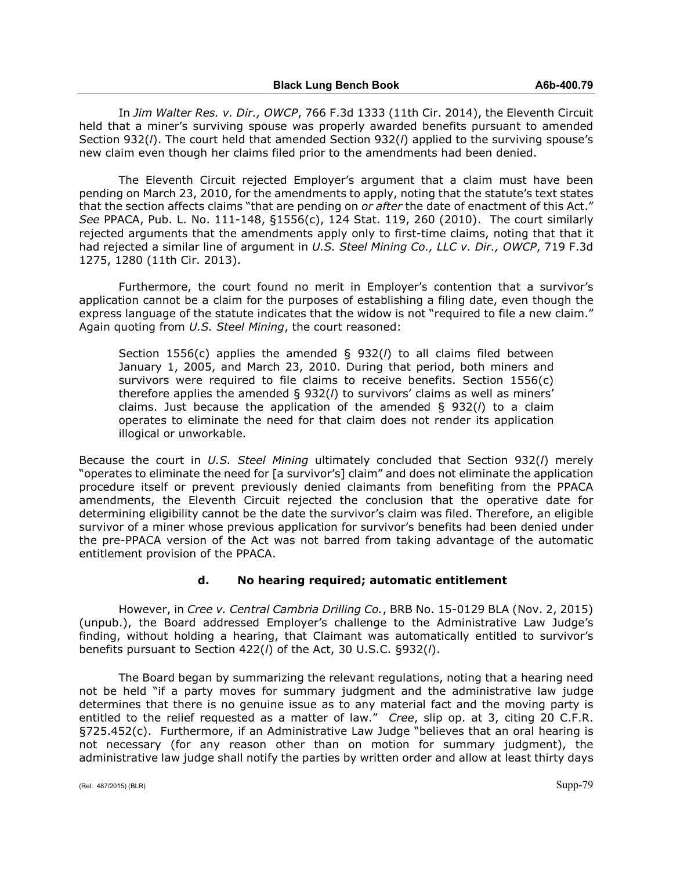In *Jim Walter Res. v. Dir., OWCP*, 766 F.3d 1333 (11th Cir. 2014), the Eleventh Circuit held that a miner's surviving spouse was properly awarded benefits pursuant to amended Section 932(*l*). The court held that amended Section 932(*l*) applied to the surviving spouse's new claim even though her claims filed prior to the amendments had been denied.

The Eleventh Circuit rejected Employer's argument that a claim must have been pending on March 23, 2010, for the amendments to apply, noting that the statute's text states that the section affects claims "that are pending on *or after* the date of enactment of this Act." *See* PPACA, Pub. L. No. 111-148, §1556(c), 124 Stat. 119, 260 (2010). The court similarly rejected arguments that the amendments apply only to first-time claims, noting that that it had rejected a similar line of argument in *U.S. Steel Mining Co., LLC v. Dir., OWCP*, 719 F.3d 1275, 1280 (11th Cir. 2013).

Furthermore, the court found no merit in Employer's contention that a survivor's application cannot be a claim for the purposes of establishing a filing date, even though the express language of the statute indicates that the widow is not "required to file a new claim." Again quoting from *U.S. Steel Mining*, the court reasoned:

Section 1556(c) applies the amended § 932(*l*) to all claims filed between January 1, 2005, and March 23, 2010. During that period, both miners and survivors were required to file claims to receive benefits. Section 1556(c) therefore applies the amended § 932(*l*) to survivors' claims as well as miners' claims. Just because the application of the amended § 932(*l*) to a claim operates to eliminate the need for that claim does not render its application illogical or unworkable.

Because the court in *U.S. Steel Mining* ultimately concluded that Section 932(*l*) merely "operates to eliminate the need for [a survivor's] claim" and does not eliminate the application procedure itself or prevent previously denied claimants from benefiting from the PPACA amendments, the Eleventh Circuit rejected the conclusion that the operative date for determining eligibility cannot be the date the survivor's claim was filed. Therefore, an eligible survivor of a miner whose previous application for survivor's benefits had been denied under the pre-PPACA version of the Act was not barred from taking advantage of the automatic entitlement provision of the PPACA.

# **d. No hearing required; automatic entitlement**

However, in *Cree v. Central Cambria Drilling Co.*, BRB No. 15-0129 BLA (Nov. 2, 2015) (unpub.), the Board addressed Employer's challenge to the Administrative Law Judge's finding, without holding a hearing, that Claimant was automatically entitled to survivor's benefits pursuant to Section 422(*l*) of the Act, 30 U.S.C. §932(*l*).

The Board began by summarizing the relevant regulations, noting that a hearing need not be held "if a party moves for summary judgment and the administrative law judge determines that there is no genuine issue as to any material fact and the moving party is entitled to the relief requested as a matter of law." *Cree*, slip op. at 3, citing 20 C.F.R. §725.452(c). Furthermore, if an Administrative Law Judge "believes that an oral hearing is not necessary (for any reason other than on motion for summary judgment), the administrative law judge shall notify the parties by written order and allow at least thirty days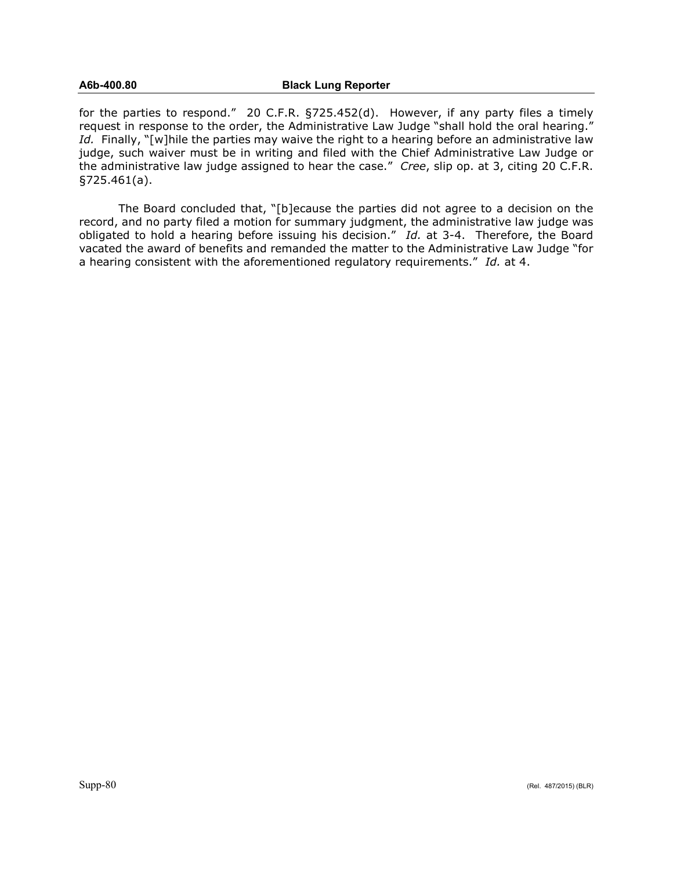for the parties to respond." 20 C.F.R. §725.452(d). However, if any party files a timely request in response to the order, the Administrative Law Judge "shall hold the oral hearing." Id. Finally, "[w]hile the parties may waive the right to a hearing before an administrative law judge, such waiver must be in writing and filed with the Chief Administrative Law Judge or the administrative law judge assigned to hear the case." *Cree*, slip op. at 3, citing 20 C.F.R. §725.461(a).

The Board concluded that, "[b]ecause the parties did not agree to a decision on the record, and no party filed a motion for summary judgment, the administrative law judge was obligated to hold a hearing before issuing his decision." *Id.* at 3-4. Therefore, the Board vacated the award of benefits and remanded the matter to the Administrative Law Judge "for a hearing consistent with the aforementioned regulatory requirements." *Id.* at 4.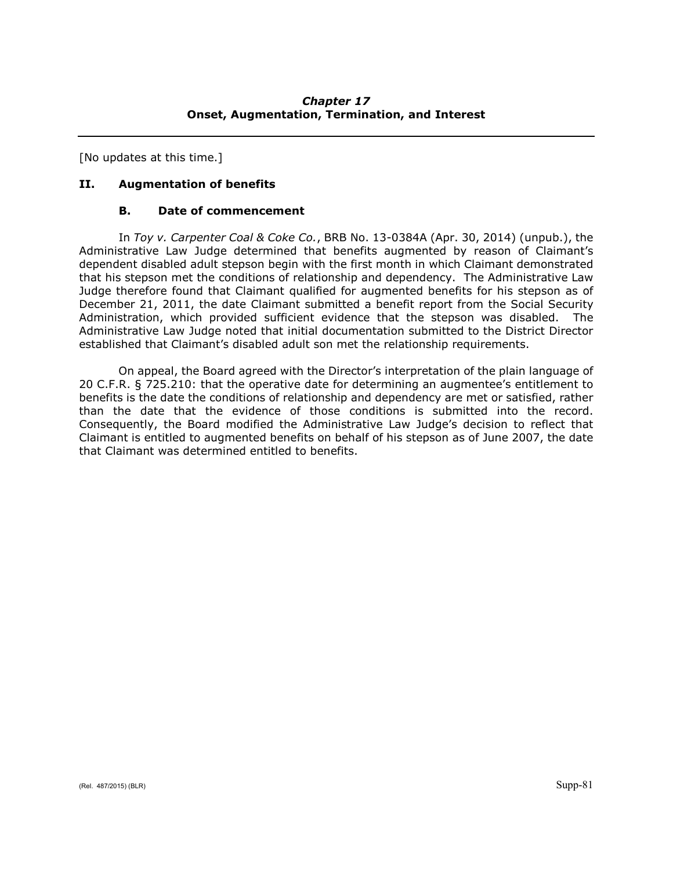[No updates at this time.]

# **II. Augmentation of benefits**

# **B. Date of commencement**

In *Toy v. Carpenter Coal & Coke Co.*, BRB No. 13-0384A (Apr. 30, 2014) (unpub.), the Administrative Law Judge determined that benefits augmented by reason of Claimant's dependent disabled adult stepson begin with the first month in which Claimant demonstrated that his stepson met the conditions of relationship and dependency. The Administrative Law Judge therefore found that Claimant qualified for augmented benefits for his stepson as of December 21, 2011, the date Claimant submitted a benefit report from the Social Security Administration, which provided sufficient evidence that the stepson was disabled. The Administrative Law Judge noted that initial documentation submitted to the District Director established that Claimant's disabled adult son met the relationship requirements.

On appeal, the Board agreed with the Director's interpretation of the plain language of 20 C.F.R. § 725.210: that the operative date for determining an augmentee's entitlement to benefits is the date the conditions of relationship and dependency are met or satisfied, rather than the date that the evidence of those conditions is submitted into the record. Consequently, the Board modified the Administrative Law Judge's decision to reflect that Claimant is entitled to augmented benefits on behalf of his stepson as of June 2007, the date that Claimant was determined entitled to benefits.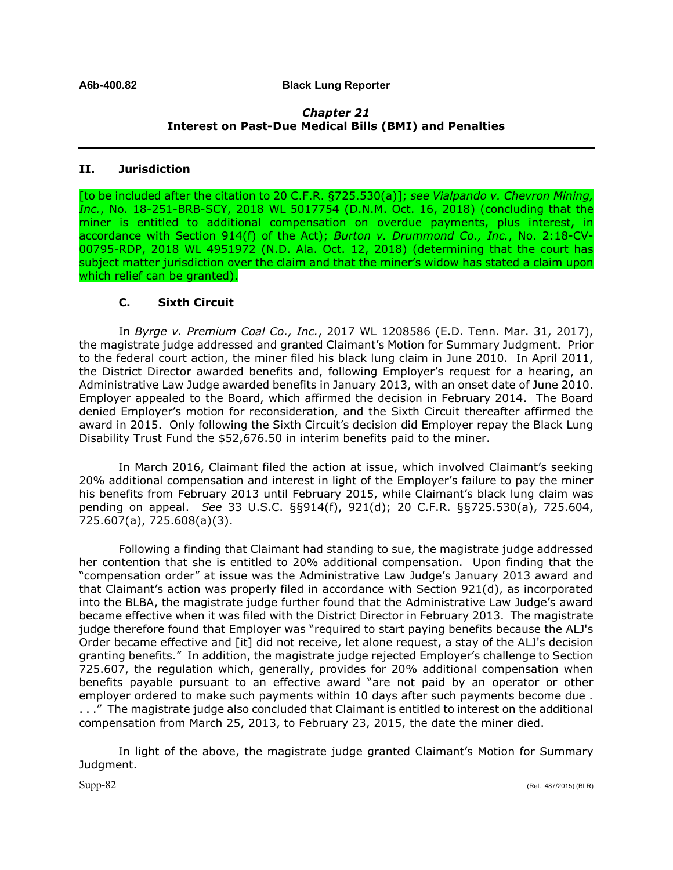# *Chapter 21* **Interest on Past-Due Medical Bills (BMI) and Penalties**

# **II. Jurisdiction**

[to be included after the citation to 20 C.F.R. §725.530(a)]; *see Vialpando v. Chevron Mining, Inc.*, No. 18-251-BRB-SCY, 2018 WL 5017754 (D.N.M. Oct. 16, 2018) (concluding that the miner is entitled to additional compensation on overdue payments, plus interest, in accordance with Section 914(f) of the Act); *Burton v. Drummond Co., Inc.*, No. 2:18-CV-00795-RDP, 2018 WL 4951972 (N.D. Ala. Oct. 12, 2018) (determining that the court has subject matter jurisdiction over the claim and that the miner's widow has stated a claim upon which relief can be granted).

# **C. Sixth Circuit**

In *Byrge v. Premium Coal Co., Inc.*, 2017 WL 1208586 (E.D. Tenn. Mar. 31, 2017), the magistrate judge addressed and granted Claimant's Motion for Summary Judgment. Prior to the federal court action, the miner filed his black lung claim in June 2010. In April 2011, the District Director awarded benefits and, following Employer's request for a hearing, an Administrative Law Judge awarded benefits in January 2013, with an onset date of June 2010. Employer appealed to the Board, which affirmed the decision in February 2014. The Board denied Employer's motion for reconsideration, and the Sixth Circuit thereafter affirmed the award in 2015. Only following the Sixth Circuit's decision did Employer repay the Black Lung Disability Trust Fund the \$52,676.50 in interim benefits paid to the miner.

In March 2016, Claimant filed the action at issue, which involved Claimant's seeking 20% additional compensation and interest in light of the Employer's failure to pay the miner his benefits from February 2013 until February 2015, while Claimant's black lung claim was pending on appeal. *See* 33 U.S.C. §§914(f), 921(d); 20 C.F.R. §§725.530(a), 725.604, 725.607(a), 725.608(a)(3).

Following a finding that Claimant had standing to sue, the magistrate judge addressed her contention that she is entitled to 20% additional compensation. Upon finding that the "compensation order" at issue was the Administrative Law Judge's January 2013 award and that Claimant's action was properly filed in accordance with Section 921(d), as incorporated into the BLBA, the magistrate judge further found that the Administrative Law Judge's award became effective when it was filed with the District Director in February 2013. The magistrate judge therefore found that Employer was "required to start paying benefits because the ALJ's Order became effective and [it] did not receive, let alone request, a stay of the ALJ's decision granting benefits." In addition, the magistrate judge rejected Employer's challenge to Section 725.607, the regulation which, generally, provides for 20% additional compensation when benefits payable pursuant to an effective award "are not paid by an operator or other employer ordered to make such payments within 10 days after such payments become due . . . ." The magistrate judge also concluded that Claimant is entitled to interest on the additional compensation from March 25, 2013, to February 23, 2015, the date the miner died.

In light of the above, the magistrate judge granted Claimant's Motion for Summary Judgment.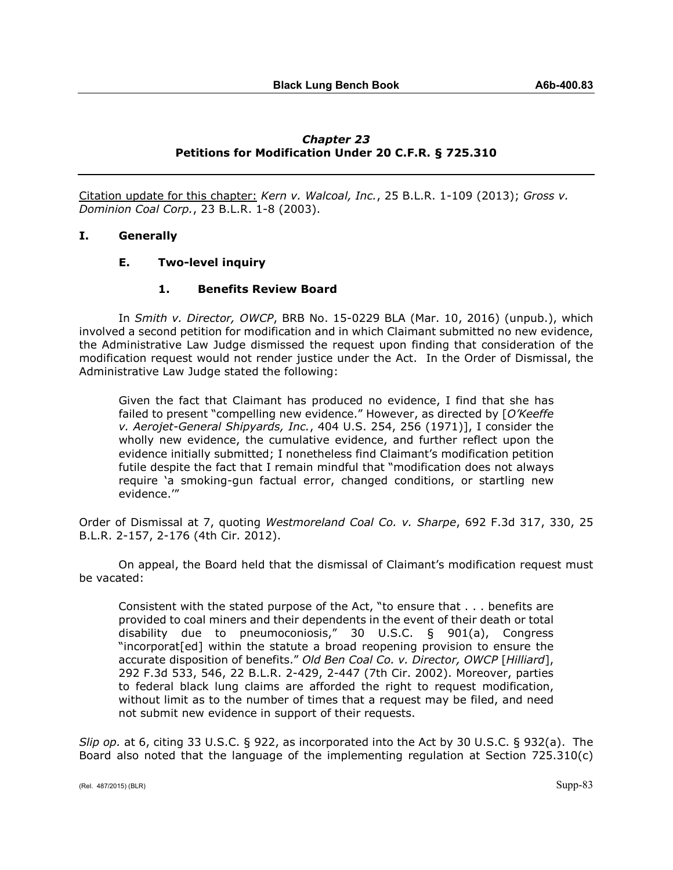# *Chapter 23* **Petitions for Modification Under 20 C.F.R. § 725.310**

Citation update for this chapter: *Kern v. Walcoal, Inc.*, 25 B.L.R. 1-109 (2013); *Gross v. Dominion Coal Corp.*, 23 B.L.R. 1-8 (2003).

## **I. Generally**

#### **E. Two-level inquiry**

## **1. Benefits Review Board**

In *Smith v. Director, OWCP*, BRB No. 15-0229 BLA (Mar. 10, 2016) (unpub.), which involved a second petition for modification and in which Claimant submitted no new evidence, the Administrative Law Judge dismissed the request upon finding that consideration of the modification request would not render justice under the Act. In the Order of Dismissal, the Administrative Law Judge stated the following:

Given the fact that Claimant has produced no evidence, I find that she has failed to present "compelling new evidence." However, as directed by [*O'Keeffe v. Aerojet-General Shipyards, Inc.*, 404 U.S. 254, 256 (1971)], I consider the wholly new evidence, the cumulative evidence, and further reflect upon the evidence initially submitted; I nonetheless find Claimant's modification petition futile despite the fact that I remain mindful that "modification does not always require 'a smoking-gun factual error, changed conditions, or startling new evidence.'"

Order of Dismissal at 7, quoting *Westmoreland Coal Co. v. Sharpe*, 692 F.3d 317, 330, 25 B.L.R. 2-157, 2-176 (4th Cir. 2012).

On appeal, the Board held that the dismissal of Claimant's modification request must be vacated:

Consistent with the stated purpose of the Act, "to ensure that . . . benefits are provided to coal miners and their dependents in the event of their death or total disability due to pneumoconiosis," 30 U.S.C. § 901(a), Congress "incorporat[ed] within the statute a broad reopening provision to ensure the accurate disposition of benefits." *Old Ben Coal Co. v. Director, OWCP* [*Hilliard*], 292 F.3d 533, 546, 22 B.L.R. 2-429, 2-447 (7th Cir. 2002). Moreover, parties to federal black lung claims are afforded the right to request modification, without limit as to the number of times that a request may be filed, and need not submit new evidence in support of their requests.

*Slip op.* at 6, citing 33 U.S.C. § 922, as incorporated into the Act by 30 U.S.C. § 932(a). The Board also noted that the language of the implementing regulation at Section 725.310(c)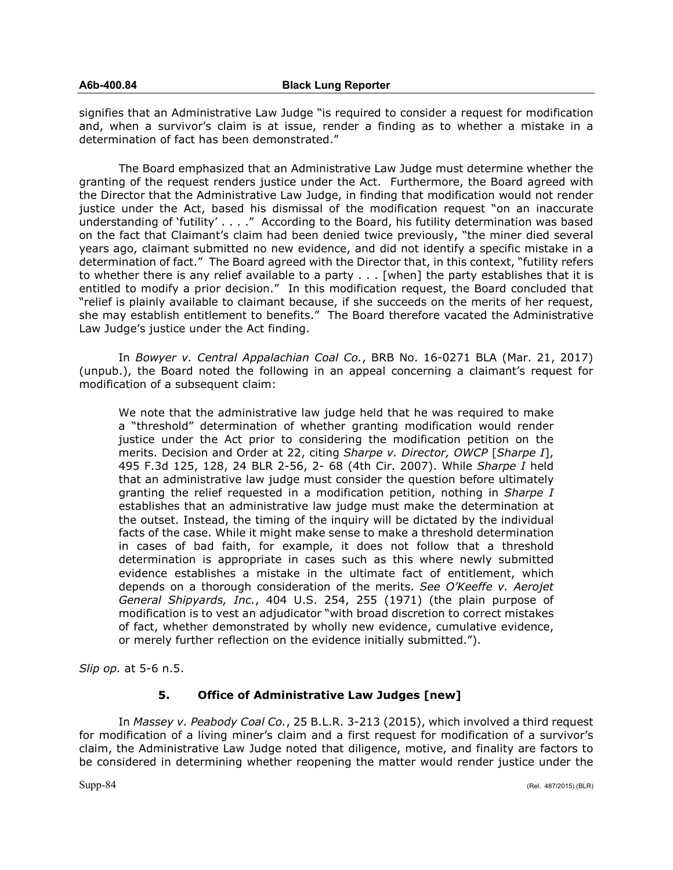signifies that an Administrative Law Judge "is required to consider a request for modification and, when a survivor's claim is at issue, render a finding as to whether a mistake in a determination of fact has been demonstrated."

The Board emphasized that an Administrative Law Judge must determine whether the granting of the request renders justice under the Act. Furthermore, the Board agreed with the Director that the Administrative Law Judge, in finding that modification would not render justice under the Act, based his dismissal of the modification request "on an inaccurate understanding of 'futility' . . . ." According to the Board, his futility determination was based on the fact that Claimant's claim had been denied twice previously, "the miner died several years ago, claimant submitted no new evidence, and did not identify a specific mistake in a determination of fact." The Board agreed with the Director that, in this context, "futility refers to whether there is any relief available to a party . . . [when] the party establishes that it is entitled to modify a prior decision." In this modification request, the Board concluded that "relief is plainly available to claimant because, if she succeeds on the merits of her request, she may establish entitlement to benefits." The Board therefore vacated the Administrative Law Judge's justice under the Act finding.

In *Bowyer v. Central Appalachian Coal Co.*, BRB No. 16-0271 BLA (Mar. 21, 2017) (unpub.), the Board noted the following in an appeal concerning a claimant's request for modification of a subsequent claim:

We note that the administrative law judge held that he was required to make a "threshold" determination of whether granting modification would render justice under the Act prior to considering the modification petition on the merits. Decision and Order at 22, citing *Sharpe v. Director, OWCP* [*Sharpe I*], 495 F.3d 125, 128, 24 BLR 2-56, 2- 68 (4th Cir. 2007). While *Sharpe I* held that an administrative law judge must consider the question before ultimately granting the relief requested in a modification petition, nothing in *Sharpe I* establishes that an administrative law judge must make the determination at the outset. Instead, the timing of the inquiry will be dictated by the individual facts of the case. While it might make sense to make a threshold determination in cases of bad faith, for example, it does not follow that a threshold determination is appropriate in cases such as this where newly submitted evidence establishes a mistake in the ultimate fact of entitlement, which depends on a thorough consideration of the merits. *See O'Keeffe v. Aerojet General Shipyards, Inc.*, 404 U.S. 254, 255 (1971) (the plain purpose of modification is to vest an adjudicator "with broad discretion to correct mistakes of fact, whether demonstrated by wholly new evidence, cumulative evidence, or merely further reflection on the evidence initially submitted.").

*Slip op.* at 5-6 n.5.

## **5. Office of Administrative Law Judges [new]**

In *Massey v. Peabody Coal Co.*, 25 B.L.R. 3-213 (2015), which involved a third request for modification of a living miner's claim and a first request for modification of a survivor's claim, the Administrative Law Judge noted that diligence, motive, and finality are factors to be considered in determining whether reopening the matter would render justice under the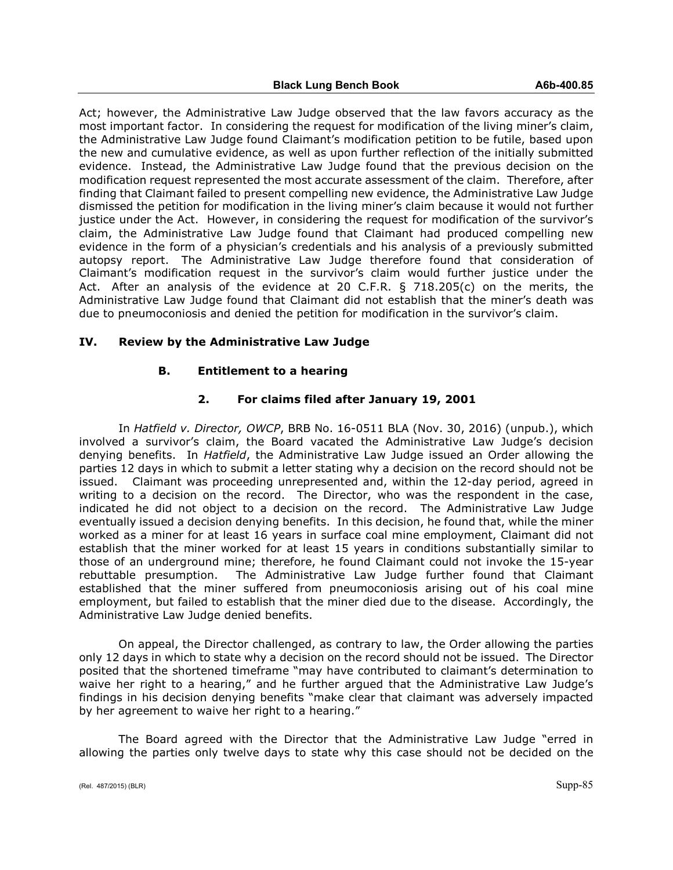Act; however, the Administrative Law Judge observed that the law favors accuracy as the most important factor. In considering the request for modification of the living miner's claim, the Administrative Law Judge found Claimant's modification petition to be futile, based upon the new and cumulative evidence, as well as upon further reflection of the initially submitted evidence. Instead, the Administrative Law Judge found that the previous decision on the modification request represented the most accurate assessment of the claim. Therefore, after finding that Claimant failed to present compelling new evidence, the Administrative Law Judge dismissed the petition for modification in the living miner's claim because it would not further justice under the Act. However, in considering the request for modification of the survivor's claim, the Administrative Law Judge found that Claimant had produced compelling new evidence in the form of a physician's credentials and his analysis of a previously submitted autopsy report. The Administrative Law Judge therefore found that consideration of Claimant's modification request in the survivor's claim would further justice under the Act. After an analysis of the evidence at 20 C.F.R. § 718.205(c) on the merits, the Administrative Law Judge found that Claimant did not establish that the miner's death was due to pneumoconiosis and denied the petition for modification in the survivor's claim.

## **IV. Review by the Administrative Law Judge**

## **B. Entitlement to a hearing**

## **2. For claims filed after January 19, 2001**

In *Hatfield v. Director, OWCP*, BRB No. 16-0511 BLA (Nov. 30, 2016) (unpub.), which involved a survivor's claim, the Board vacated the Administrative Law Judge's decision denying benefits. In *Hatfield*, the Administrative Law Judge issued an Order allowing the parties 12 days in which to submit a letter stating why a decision on the record should not be issued. Claimant was proceeding unrepresented and, within the 12-day period, agreed in writing to a decision on the record. The Director, who was the respondent in the case, indicated he did not object to a decision on the record. The Administrative Law Judge eventually issued a decision denying benefits. In this decision, he found that, while the miner worked as a miner for at least 16 years in surface coal mine employment, Claimant did not establish that the miner worked for at least 15 years in conditions substantially similar to those of an underground mine; therefore, he found Claimant could not invoke the 15-year rebuttable presumption. The Administrative Law Judge further found that Claimant established that the miner suffered from pneumoconiosis arising out of his coal mine employment, but failed to establish that the miner died due to the disease. Accordingly, the Administrative Law Judge denied benefits.

On appeal, the Director challenged, as contrary to law, the Order allowing the parties only 12 days in which to state why a decision on the record should not be issued. The Director posited that the shortened timeframe "may have contributed to claimant's determination to waive her right to a hearing," and he further argued that the Administrative Law Judge's findings in his decision denying benefits "make clear that claimant was adversely impacted by her agreement to waive her right to a hearing."

The Board agreed with the Director that the Administrative Law Judge "erred in allowing the parties only twelve days to state why this case should not be decided on the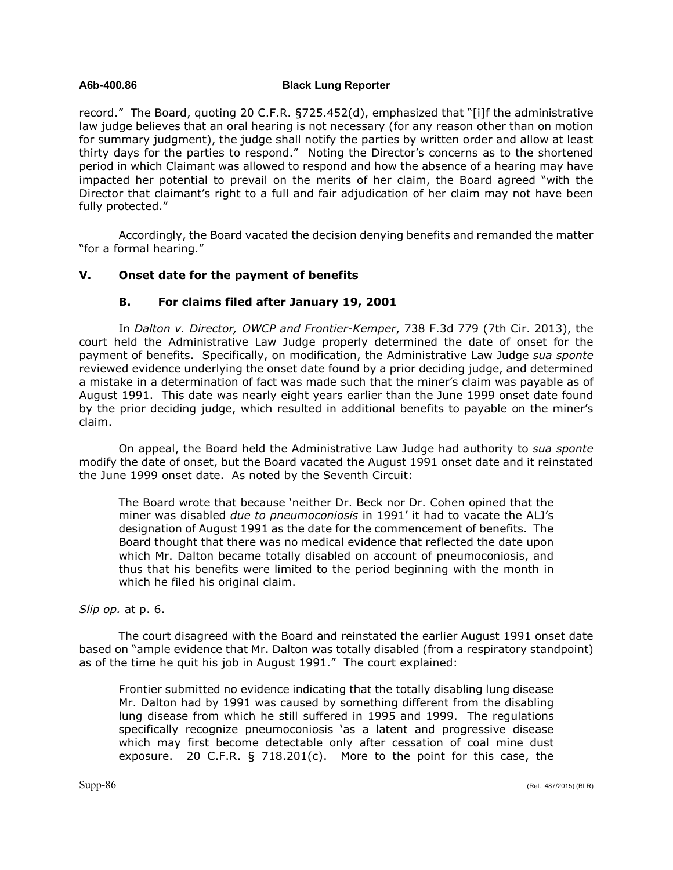#### **A6b-400.86 Black Lung Reporter**

record." The Board, quoting 20 C.F.R. §725.452(d), emphasized that "[i]f the administrative law judge believes that an oral hearing is not necessary (for any reason other than on motion for summary judgment), the judge shall notify the parties by written order and allow at least thirty days for the parties to respond." Noting the Director's concerns as to the shortened period in which Claimant was allowed to respond and how the absence of a hearing may have impacted her potential to prevail on the merits of her claim, the Board agreed "with the Director that claimant's right to a full and fair adjudication of her claim may not have been fully protected."

Accordingly, the Board vacated the decision denying benefits and remanded the matter "for a formal hearing."

# **V. Onset date for the payment of benefits**

## **B. For claims filed after January 19, 2001**

In *Dalton v. Director, OWCP and Frontier-Kemper*, 738 F.3d 779 (7th Cir. 2013), the court held the Administrative Law Judge properly determined the date of onset for the payment of benefits. Specifically, on modification, the Administrative Law Judge *sua sponte*  reviewed evidence underlying the onset date found by a prior deciding judge, and determined a mistake in a determination of fact was made such that the miner's claim was payable as of August 1991. This date was nearly eight years earlier than the June 1999 onset date found by the prior deciding judge, which resulted in additional benefits to payable on the miner's claim.

On appeal, the Board held the Administrative Law Judge had authority to *sua sponte* modify the date of onset, but the Board vacated the August 1991 onset date and it reinstated the June 1999 onset date. As noted by the Seventh Circuit:

The Board wrote that because 'neither Dr. Beck nor Dr. Cohen opined that the miner was disabled *due to pneumoconiosis* in 1991' it had to vacate the ALJ's designation of August 1991 as the date for the commencement of benefits. The Board thought that there was no medical evidence that reflected the date upon which Mr. Dalton became totally disabled on account of pneumoconiosis, and thus that his benefits were limited to the period beginning with the month in which he filed his original claim.

## *Slip op.* at p. 6.

The court disagreed with the Board and reinstated the earlier August 1991 onset date based on "ample evidence that Mr. Dalton was totally disabled (from a respiratory standpoint) as of the time he quit his job in August 1991." The court explained:

Frontier submitted no evidence indicating that the totally disabling lung disease Mr. Dalton had by 1991 was caused by something different from the disabling lung disease from which he still suffered in 1995 and 1999. The regulations specifically recognize pneumoconiosis 'as a latent and progressive disease which may first become detectable only after cessation of coal mine dust exposure. 20 C.F.R. § 718.201(c). More to the point for this case, the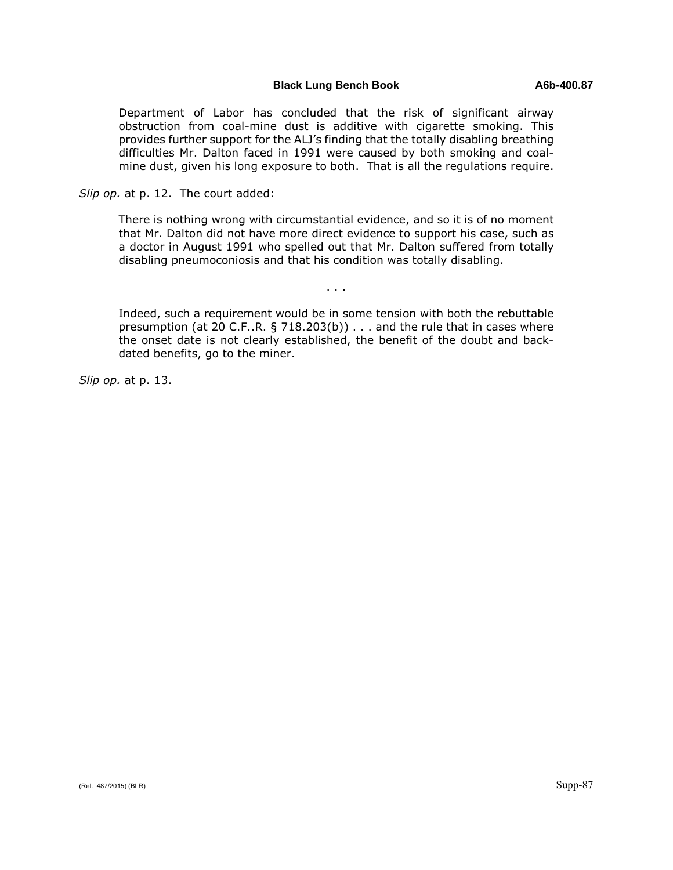Department of Labor has concluded that the risk of significant airway obstruction from coal-mine dust is additive with cigarette smoking. This provides further support for the ALJ's finding that the totally disabling breathing difficulties Mr. Dalton faced in 1991 were caused by both smoking and coalmine dust, given his long exposure to both. That is all the regulations require.

*Slip op.* at p. 12. The court added:

There is nothing wrong with circumstantial evidence, and so it is of no moment that Mr. Dalton did not have more direct evidence to support his case, such as a doctor in August 1991 who spelled out that Mr. Dalton suffered from totally disabling pneumoconiosis and that his condition was totally disabling.

. . .

Indeed, such a requirement would be in some tension with both the rebuttable presumption (at 20 C.F..R. § 718.203(b)) . . . and the rule that in cases where the onset date is not clearly established, the benefit of the doubt and backdated benefits, go to the miner.

*Slip op.* at p. 13.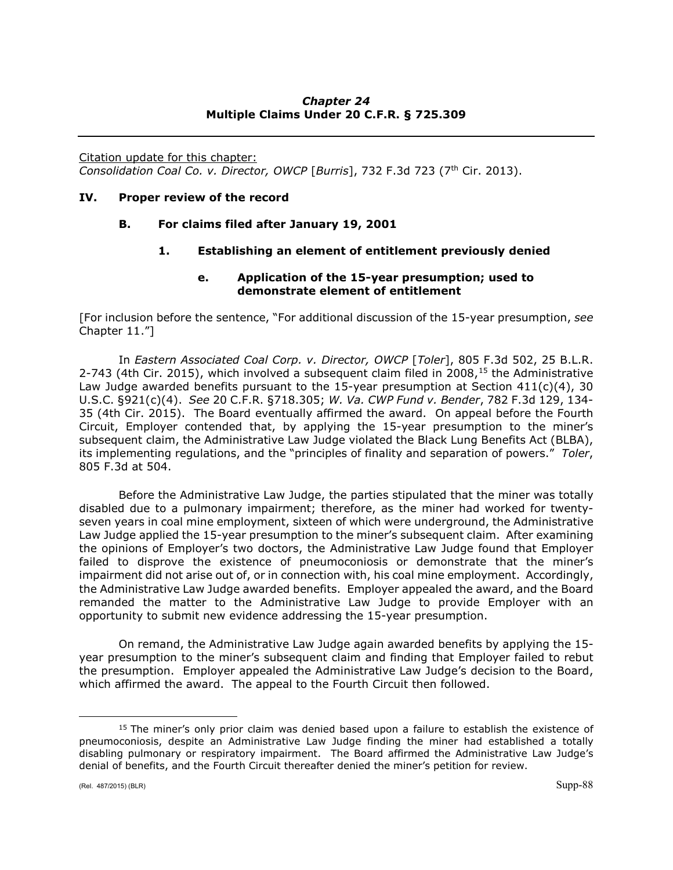# *Chapter 24* **Multiple Claims Under 20 C.F.R. § 725.309**

Citation update for this chapter: *Consolidation Coal Co. v. Director, OWCP* [*Burris*], 732 F.3d 723 (7th Cir. 2013).

## **IV. Proper review of the record**

# **B. For claims filed after January 19, 2001**

# **1. Establishing an element of entitlement previously denied**

## **e. Application of the 15-year presumption; used to demonstrate element of entitlement**

[For inclusion before the sentence, "For additional discussion of the 15-year presumption, *see*  Chapter 11."]

In *Eastern Associated Coal Corp. v. Director, OWCP* [*Toler*], 805 F.3d 502, 25 B.L.R. 2-743 (4th Cir. 20[15](#page-87-0)), which involved a subsequent claim filed in  $2008<sup>15</sup>$  the Administrative Law Judge awarded benefits pursuant to the 15-year presumption at Section 411(c)(4), 30 U.S.C. §921(c)(4). *See* 20 C.F.R. §718.305; *W. Va. CWP Fund v. Bender*, 782 F.3d 129, 134- 35 (4th Cir. 2015). The Board eventually affirmed the award. On appeal before the Fourth Circuit, Employer contended that, by applying the 15-year presumption to the miner's subsequent claim, the Administrative Law Judge violated the Black Lung Benefits Act (BLBA), its implementing regulations, and the "principles of finality and separation of powers." *Toler*, 805 F.3d at 504.

Before the Administrative Law Judge, the parties stipulated that the miner was totally disabled due to a pulmonary impairment; therefore, as the miner had worked for twentyseven years in coal mine employment, sixteen of which were underground, the Administrative Law Judge applied the 15-year presumption to the miner's subsequent claim. After examining the opinions of Employer's two doctors, the Administrative Law Judge found that Employer failed to disprove the existence of pneumoconiosis or demonstrate that the miner's impairment did not arise out of, or in connection with, his coal mine employment. Accordingly, the Administrative Law Judge awarded benefits. Employer appealed the award, and the Board remanded the matter to the Administrative Law Judge to provide Employer with an opportunity to submit new evidence addressing the 15-year presumption.

On remand, the Administrative Law Judge again awarded benefits by applying the 15 year presumption to the miner's subsequent claim and finding that Employer failed to rebut the presumption. Employer appealed the Administrative Law Judge's decision to the Board, which affirmed the award. The appeal to the Fourth Circuit then followed.

 $\overline{a}$ 

<span id="page-87-0"></span> $15$  The miner's only prior claim was denied based upon a failure to establish the existence of pneumoconiosis, despite an Administrative Law Judge finding the miner had established a totally disabling pulmonary or respiratory impairment. The Board affirmed the Administrative Law Judge's denial of benefits, and the Fourth Circuit thereafter denied the miner's petition for review.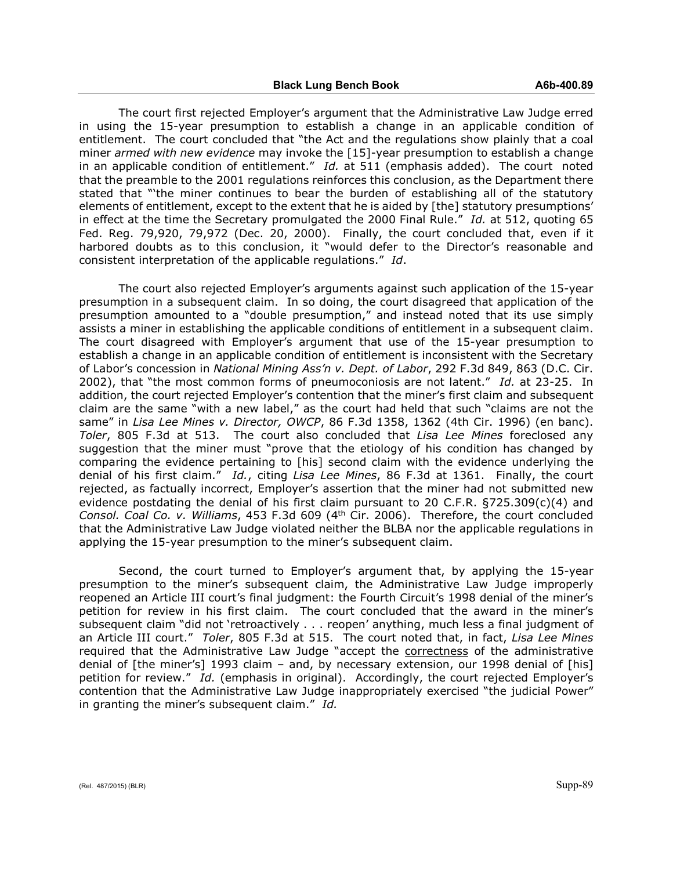The court first rejected Employer's argument that the Administrative Law Judge erred in using the 15-year presumption to establish a change in an applicable condition of entitlement. The court concluded that "the Act and the regulations show plainly that a coal miner *armed with new evidence* may invoke the [15]-year presumption to establish a change in an applicable condition of entitlement." *Id.* at 511 (emphasis added). The court noted that the preamble to the 2001 regulations reinforces this conclusion, as the Department there stated that "'the miner continues to bear the burden of establishing all of the statutory elements of entitlement, except to the extent that he is aided by [the] statutory presumptions' in effect at the time the Secretary promulgated the 2000 Final Rule." *Id.* at 512, quoting 65 Fed. Reg. 79,920, 79,972 (Dec. 20, 2000). Finally, the court concluded that, even if it harbored doubts as to this conclusion, it "would defer to the Director's reasonable and consistent interpretation of the applicable regulations." *Id*.

The court also rejected Employer's arguments against such application of the 15-year presumption in a subsequent claim. In so doing, the court disagreed that application of the presumption amounted to a "double presumption," and instead noted that its use simply assists a miner in establishing the applicable conditions of entitlement in a subsequent claim. The court disagreed with Employer's argument that use of the 15-year presumption to establish a change in an applicable condition of entitlement is inconsistent with the Secretary of Labor's concession in *National Mining Ass'n v. Dept. of Labor*, 292 F.3d 849, 863 (D.C. Cir. 2002), that "the most common forms of pneumoconiosis are not latent." *Id.* at 23-25. In addition, the court rejected Employer's contention that the miner's first claim and subsequent claim are the same "with a new label," as the court had held that such "claims are not the same" in *Lisa Lee Mines v. Director, OWCP*, 86 F.3d 1358, 1362 (4th Cir. 1996) (en banc). *Toler*, 805 F.3d at 513. The court also concluded that *Lisa Lee Mines* foreclosed any suggestion that the miner must "prove that the etiology of his condition has changed by comparing the evidence pertaining to [his] second claim with the evidence underlying the denial of his first claim." *Id.*, citing *Lisa Lee Mines*, 86 F.3d at 1361. Finally, the court rejected, as factually incorrect, Employer's assertion that the miner had not submitted new evidence postdating the denial of his first claim pursuant to 20 C.F.R. §725.309(c)(4) and *Consol. Coal Co. v. Williams*, 453 F.3d 609 (4th Cir. 2006). Therefore, the court concluded that the Administrative Law Judge violated neither the BLBA nor the applicable regulations in applying the 15-year presumption to the miner's subsequent claim.

Second, the court turned to Employer's argument that, by applying the 15-year presumption to the miner's subsequent claim, the Administrative Law Judge improperly reopened an Article III court's final judgment: the Fourth Circuit's 1998 denial of the miner's petition for review in his first claim. The court concluded that the award in the miner's subsequent claim "did not 'retroactively . . . reopen' anything, much less a final judgment of an Article III court." *Toler*, 805 F.3d at 515. The court noted that, in fact, *Lisa Lee Mines* required that the Administrative Law Judge "accept the correctness of the administrative denial of [the miner's] 1993 claim – and, by necessary extension, our 1998 denial of [his] petition for review." *Id.* (emphasis in original). Accordingly, the court rejected Employer's contention that the Administrative Law Judge inappropriately exercised "the judicial Power" in granting the miner's subsequent claim." *Id.*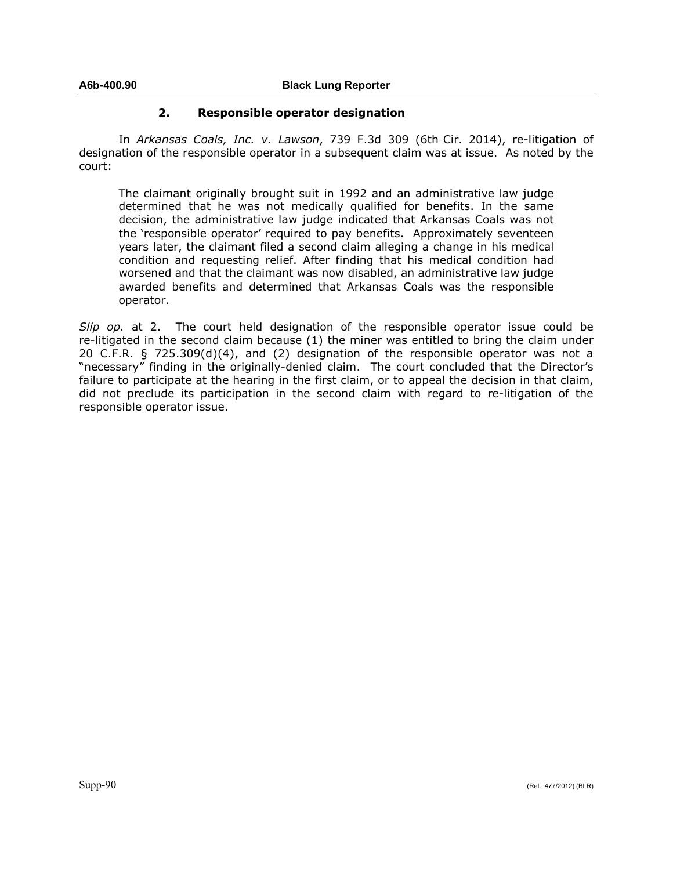# **2. Responsible operator designation**

In *Arkansas Coals, Inc. v. Lawson*, 739 F.3d 309 (6th Cir. 2014), re-litigation of designation of the responsible operator in a subsequent claim was at issue. As noted by the court:

The claimant originally brought suit in 1992 and an administrative law judge determined that he was not medically qualified for benefits. In the same decision, the administrative law judge indicated that Arkansas Coals was not the 'responsible operator' required to pay benefits. Approximately seventeen years later, the claimant filed a second claim alleging a change in his medical condition and requesting relief. After finding that his medical condition had worsened and that the claimant was now disabled, an administrative law judge awarded benefits and determined that Arkansas Coals was the responsible operator.

*Slip op.* at 2. The court held designation of the responsible operator issue could be re-litigated in the second claim because (1) the miner was entitled to bring the claim under 20 C.F.R. § 725.309(d)(4), and (2) designation of the responsible operator was not a "necessary" finding in the originally-denied claim. The court concluded that the Director's failure to participate at the hearing in the first claim, or to appeal the decision in that claim, did not preclude its participation in the second claim with regard to re-litigation of the responsible operator issue.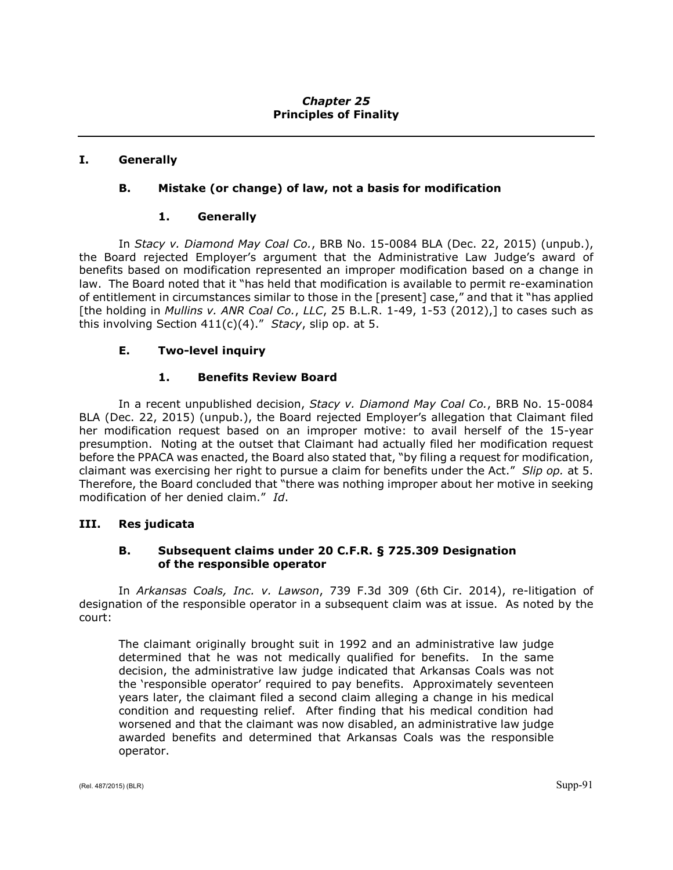# *Chapter 25* **Principles of Finality**

# **I. Generally**

# **B. Mistake (or change) of law, not a basis for modification**

## **1. Generally**

In *Stacy v. Diamond May Coal Co.*, BRB No. 15-0084 BLA (Dec. 22, 2015) (unpub.), the Board rejected Employer's argument that the Administrative Law Judge's award of benefits based on modification represented an improper modification based on a change in law. The Board noted that it "has held that modification is available to permit re-examination of entitlement in circumstances similar to those in the [present] case," and that it "has applied [the holding in *Mullins v. ANR Coal Co.*, *LLC*, 25 B.L.R. 1-49, 1-53 (2012),] to cases such as this involving Section 411(c)(4)." *Stacy*, slip op. at 5.

# **E. Two-level inquiry**

# **1. Benefits Review Board**

In a recent unpublished decision, *Stacy v. Diamond May Coal Co.*, BRB No. 15-0084 BLA (Dec. 22, 2015) (unpub.), the Board rejected Employer's allegation that Claimant filed her modification request based on an improper motive: to avail herself of the 15-year presumption. Noting at the outset that Claimant had actually filed her modification request before the PPACA was enacted, the Board also stated that, "by filing a request for modification, claimant was exercising her right to pursue a claim for benefits under the Act." *Slip op.* at 5. Therefore, the Board concluded that "there was nothing improper about her motive in seeking modification of her denied claim." *Id*.

# **III. Res judicata**

# **B. Subsequent claims under 20 C.F.R. § 725.309 Designation of the responsible operator**

In *Arkansas Coals, Inc. v. Lawson*, 739 F.3d 309 (6th Cir. 2014), re-litigation of designation of the responsible operator in a subsequent claim was at issue. As noted by the court:

The claimant originally brought suit in 1992 and an administrative law judge determined that he was not medically qualified for benefits. In the same decision, the administrative law judge indicated that Arkansas Coals was not the 'responsible operator' required to pay benefits. Approximately seventeen years later, the claimant filed a second claim alleging a change in his medical condition and requesting relief. After finding that his medical condition had worsened and that the claimant was now disabled, an administrative law judge awarded benefits and determined that Arkansas Coals was the responsible operator.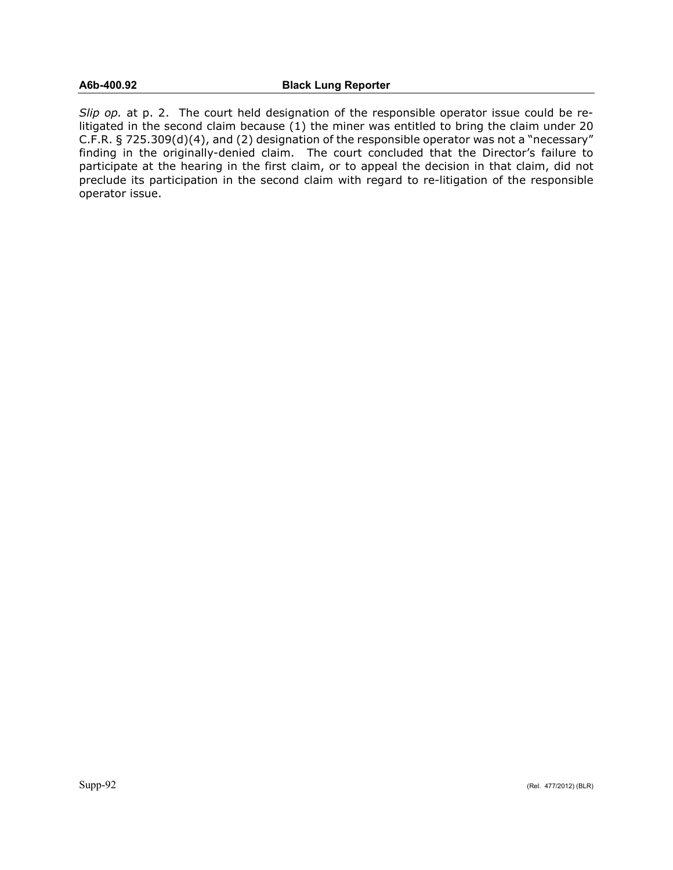*Slip op.* at p. 2. The court held designation of the responsible operator issue could be relitigated in the second claim because (1) the miner was entitled to bring the claim under 20 C.F.R. § 725.309(d)(4), and (2) designation of the responsible operator was not a "necessary" finding in the originally-denied claim. The court concluded that the Director's failure to participate at the hearing in the first claim, or to appeal the decision in that claim, did not preclude its participation in the second claim with regard to re-litigation of the responsible operator issue.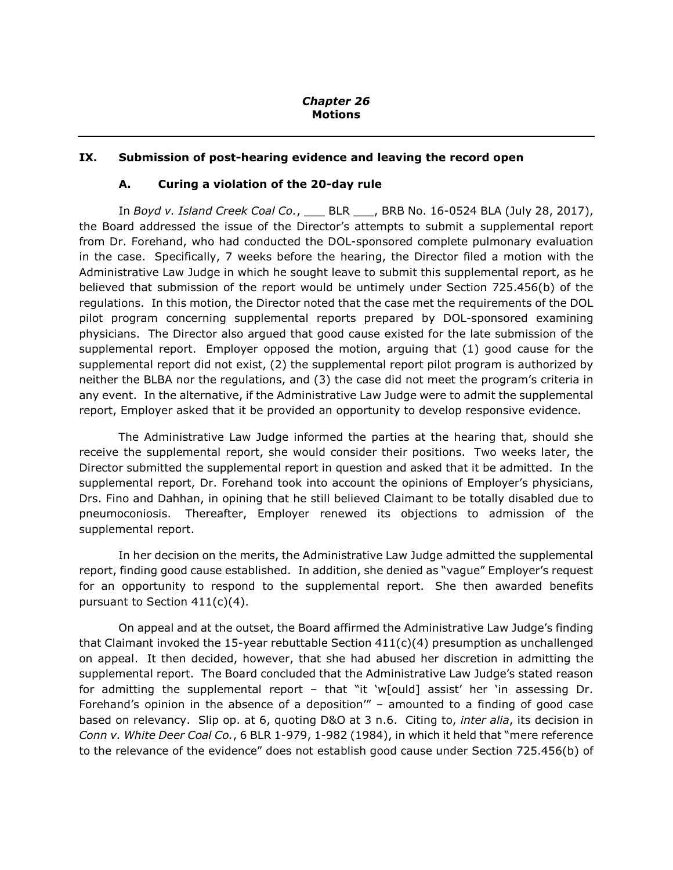# **IX. Submission of post-hearing evidence and leaving the record open**

## **A. Curing a violation of the 20-day rule**

In *Boyd v. Island Creek Coal Co.*, \_\_\_ BLR \_\_\_, BRB No. 16-0524 BLA (July 28, 2017), the Board addressed the issue of the Director's attempts to submit a supplemental report from Dr. Forehand, who had conducted the DOL-sponsored complete pulmonary evaluation in the case. Specifically, 7 weeks before the hearing, the Director filed a motion with the Administrative Law Judge in which he sought leave to submit this supplemental report, as he believed that submission of the report would be untimely under Section 725.456(b) of the regulations. In this motion, the Director noted that the case met the requirements of the DOL pilot program concerning supplemental reports prepared by DOL-sponsored examining physicians. The Director also argued that good cause existed for the late submission of the supplemental report. Employer opposed the motion, arguing that (1) good cause for the supplemental report did not exist, (2) the supplemental report pilot program is authorized by neither the BLBA nor the regulations, and (3) the case did not meet the program's criteria in any event. In the alternative, if the Administrative Law Judge were to admit the supplemental report, Employer asked that it be provided an opportunity to develop responsive evidence.

The Administrative Law Judge informed the parties at the hearing that, should she receive the supplemental report, she would consider their positions. Two weeks later, the Director submitted the supplemental report in question and asked that it be admitted. In the supplemental report, Dr. Forehand took into account the opinions of Employer's physicians, Drs. Fino and Dahhan, in opining that he still believed Claimant to be totally disabled due to pneumoconiosis. Thereafter, Employer renewed its objections to admission of the supplemental report.

In her decision on the merits, the Administrative Law Judge admitted the supplemental report, finding good cause established. In addition, she denied as "vague" Employer's request for an opportunity to respond to the supplemental report. She then awarded benefits pursuant to Section 411(c)(4).

On appeal and at the outset, the Board affirmed the Administrative Law Judge's finding that Claimant invoked the 15-year rebuttable Section  $411(c)(4)$  presumption as unchallenged on appeal. It then decided, however, that she had abused her discretion in admitting the supplemental report. The Board concluded that the Administrative Law Judge's stated reason for admitting the supplemental report – that "it 'w[ould] assist' her 'in assessing Dr. Forehand's opinion in the absence of a deposition'" – amounted to a finding of good case based on relevancy. Slip op. at 6, quoting D&O at 3 n.6. Citing to, *inter alia*, its decision in *Conn v. White Deer Coal Co.*, 6 BLR 1-979, 1-982 (1984), in which it held that "mere reference to the relevance of the evidence" does not establish good cause under Section 725.456(b) of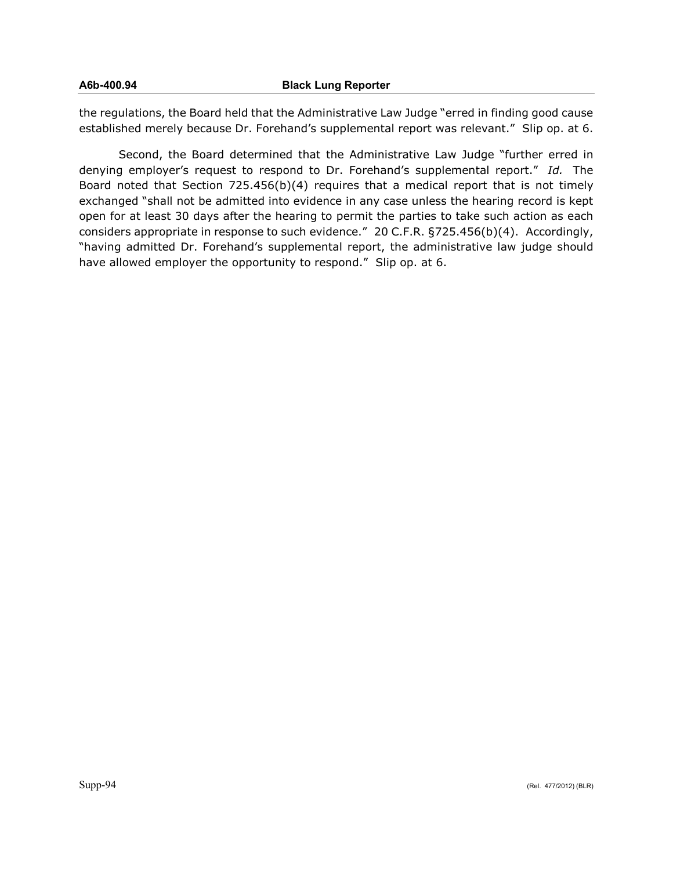## **A6b-400.94 Black Lung Reporter**

the regulations, the Board held that the Administrative Law Judge "erred in finding good cause established merely because Dr. Forehand's supplemental report was relevant." Slip op. at 6.

Second, the Board determined that the Administrative Law Judge "further erred in denying employer's request to respond to Dr. Forehand's supplemental report." *Id.* The Board noted that Section 725.456(b)(4) requires that a medical report that is not timely exchanged "shall not be admitted into evidence in any case unless the hearing record is kept open for at least 30 days after the hearing to permit the parties to take such action as each considers appropriate in response to such evidence." 20 C.F.R. §725.456(b)(4). Accordingly, "having admitted Dr. Forehand's supplemental report, the administrative law judge should have allowed employer the opportunity to respond." Slip op. at 6.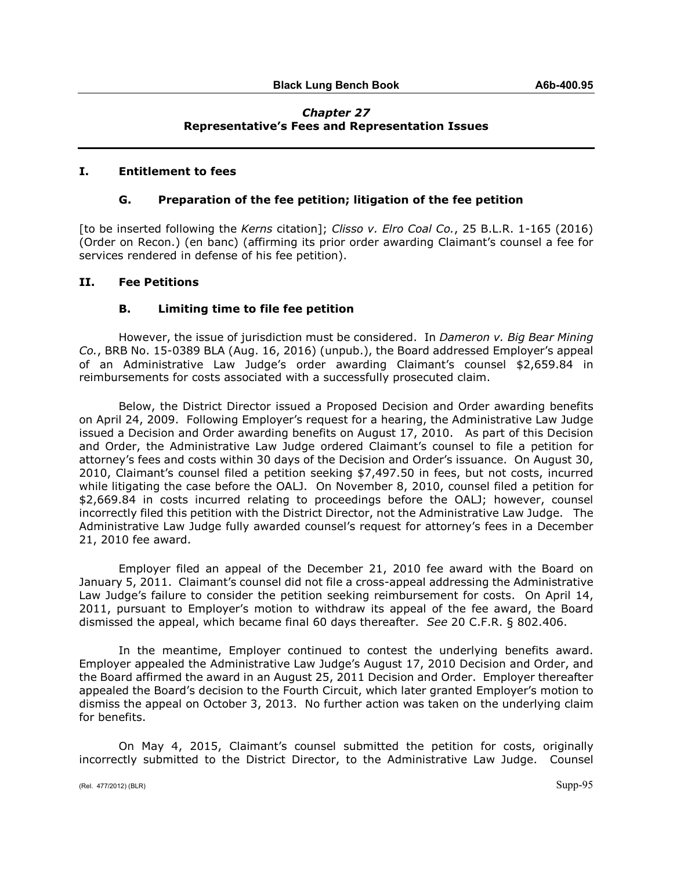## *Chapter 27* **Representative's Fees and Representation Issues**

### **I. Entitlement to fees**

## **G. Preparation of the fee petition; litigation of the fee petition**

[to be inserted following the *Kerns* citation]; *Clisso v. Elro Coal Co.*, 25 B.L.R. 1-165 (2016) (Order on Recon.) (en banc) (affirming its prior order awarding Claimant's counsel a fee for services rendered in defense of his fee petition).

### **II. Fee Petitions**

# **B. Limiting time to file fee petition**

However, the issue of jurisdiction must be considered. In *Dameron v. Big Bear Mining Co.*, BRB No. 15-0389 BLA (Aug. 16, 2016) (unpub.), the Board addressed Employer's appeal of an Administrative Law Judge's order awarding Claimant's counsel \$2,659.84 in reimbursements for costs associated with a successfully prosecuted claim.

Below, the District Director issued a Proposed Decision and Order awarding benefits on April 24, 2009. Following Employer's request for a hearing, the Administrative Law Judge issued a Decision and Order awarding benefits on August 17, 2010. As part of this Decision and Order, the Administrative Law Judge ordered Claimant's counsel to file a petition for attorney's fees and costs within 30 days of the Decision and Order's issuance. On August 30, 2010, Claimant's counsel filed a petition seeking \$7,497.50 in fees, but not costs, incurred while litigating the case before the OALJ. On November 8, 2010, counsel filed a petition for \$2,669.84 in costs incurred relating to proceedings before the OALJ; however, counsel incorrectly filed this petition with the District Director, not the Administrative Law Judge. The Administrative Law Judge fully awarded counsel's request for attorney's fees in a December 21, 2010 fee award.

Employer filed an appeal of the December 21, 2010 fee award with the Board on January 5, 2011. Claimant's counsel did not file a cross-appeal addressing the Administrative Law Judge's failure to consider the petition seeking reimbursement for costs. On April 14, 2011, pursuant to Employer's motion to withdraw its appeal of the fee award, the Board dismissed the appeal, which became final 60 days thereafter. *See* 20 C.F.R. § 802.406.

In the meantime, Employer continued to contest the underlying benefits award. Employer appealed the Administrative Law Judge's August 17, 2010 Decision and Order, and the Board affirmed the award in an August 25, 2011 Decision and Order. Employer thereafter appealed the Board's decision to the Fourth Circuit, which later granted Employer's motion to dismiss the appeal on October 3, 2013. No further action was taken on the underlying claim for benefits.

On May 4, 2015, Claimant's counsel submitted the petition for costs, originally incorrectly submitted to the District Director, to the Administrative Law Judge. Counsel

(Rel. 477/2012) (BLR) Supp-95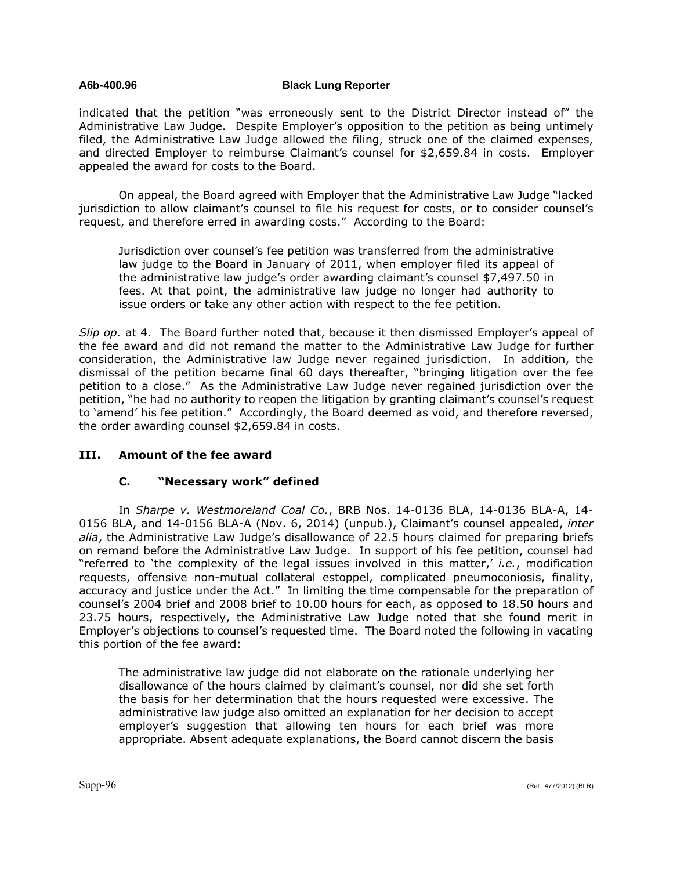#### **A6b-400.96 Black Lung Reporter**

indicated that the petition "was erroneously sent to the District Director instead of" the Administrative Law Judge. Despite Employer's opposition to the petition as being untimely filed, the Administrative Law Judge allowed the filing, struck one of the claimed expenses, and directed Employer to reimburse Claimant's counsel for \$2,659.84 in costs. Employer appealed the award for costs to the Board.

On appeal, the Board agreed with Employer that the Administrative Law Judge "lacked jurisdiction to allow claimant's counsel to file his request for costs, or to consider counsel's request, and therefore erred in awarding costs." According to the Board:

Jurisdiction over counsel's fee petition was transferred from the administrative law judge to the Board in January of 2011, when employer filed its appeal of the administrative law judge's order awarding claimant's counsel \$7,497.50 in fees. At that point, the administrative law judge no longer had authority to issue orders or take any other action with respect to the fee petition.

*Slip op.* at 4. The Board further noted that, because it then dismissed Employer's appeal of the fee award and did not remand the matter to the Administrative Law Judge for further consideration, the Administrative law Judge never regained jurisdiction. In addition, the dismissal of the petition became final 60 days thereafter, "bringing litigation over the fee petition to a close." As the Administrative Law Judge never regained jurisdiction over the petition, "he had no authority to reopen the litigation by granting claimant's counsel's request to 'amend' his fee petition." Accordingly, the Board deemed as void, and therefore reversed, the order awarding counsel \$2,659.84 in costs.

# **III. Amount of the fee award**

# **C. "Necessary work" defined**

In *Sharpe v. Westmoreland Coal Co.*, BRB Nos. 14-0136 BLA, 14-0136 BLA-A, 14- 0156 BLA, and 14-0156 BLA-A (Nov. 6, 2014) (unpub.), Claimant's counsel appealed, *inter alia*, the Administrative Law Judge's disallowance of 22.5 hours claimed for preparing briefs on remand before the Administrative Law Judge. In support of his fee petition, counsel had "referred to 'the complexity of the legal issues involved in this matter,' *i.e.*, modification requests, offensive non-mutual collateral estoppel, complicated pneumoconiosis, finality, accuracy and justice under the Act." In limiting the time compensable for the preparation of counsel's 2004 brief and 2008 brief to 10.00 hours for each, as opposed to 18.50 hours and 23.75 hours, respectively, the Administrative Law Judge noted that she found merit in Employer's objections to counsel's requested time. The Board noted the following in vacating this portion of the fee award:

The administrative law judge did not elaborate on the rationale underlying her disallowance of the hours claimed by claimant's counsel, nor did she set forth the basis for her determination that the hours requested were excessive. The administrative law judge also omitted an explanation for her decision to accept employer's suggestion that allowing ten hours for each brief was more appropriate. Absent adequate explanations, the Board cannot discern the basis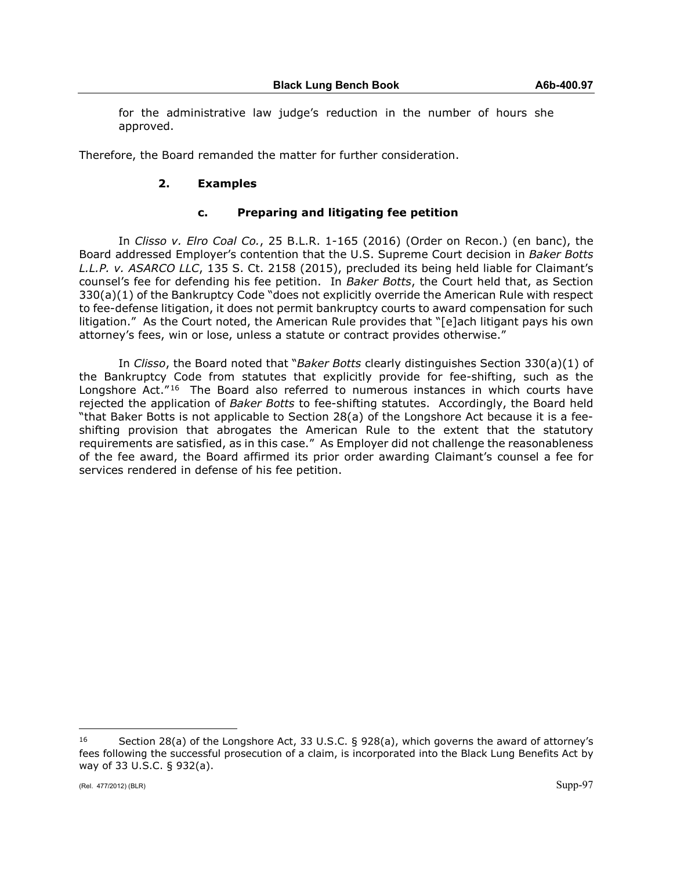for the administrative law judge's reduction in the number of hours she approved.

Therefore, the Board remanded the matter for further consideration.

# **2. Examples**

# **c. Preparing and litigating fee petition**

In *Clisso v. Elro Coal Co.*, 25 B.L.R. 1-165 (2016) (Order on Recon.) (en banc), the Board addressed Employer's contention that the U.S. Supreme Court decision in *Baker Botts L.L.P. v. ASARCO LLC*, 135 S. Ct. 2158 (2015), precluded its being held liable for Claimant's counsel's fee for defending his fee petition. In *Baker Botts*, the Court held that, as Section 330(a)(1) of the Bankruptcy Code "does not explicitly override the American Rule with respect to fee-defense litigation, it does not permit bankruptcy courts to award compensation for such litigation." As the Court noted, the American Rule provides that "[e]ach litigant pays his own attorney's fees, win or lose, unless a statute or contract provides otherwise."

In *Clisso*, the Board noted that "*Baker Botts* clearly distinguishes Section 330(a)(1) of the Bankruptcy Code from statutes that explicitly provide for fee-shifting, such as the Longshore Act."<sup>[16](#page-96-0)</sup> The Board also referred to numerous instances in which courts have rejected the application of *Baker Botts* to fee-shifting statutes. Accordingly, the Board held "that Baker Botts is not applicable to Section 28(a) of the Longshore Act because it is a feeshifting provision that abrogates the American Rule to the extent that the statutory requirements are satisfied, as in this case." As Employer did not challenge the reasonableness of the fee award, the Board affirmed its prior order awarding Claimant's counsel a fee for services rendered in defense of his fee petition.

<span id="page-96-0"></span> $\overline{a}$ <sup>16</sup> Section 28(a) of the Longshore Act, 33 U.S.C. § 928(a), which governs the award of attorney's fees following the successful prosecution of a claim, is incorporated into the Black Lung Benefits Act by way of 33 U.S.C. § 932(a).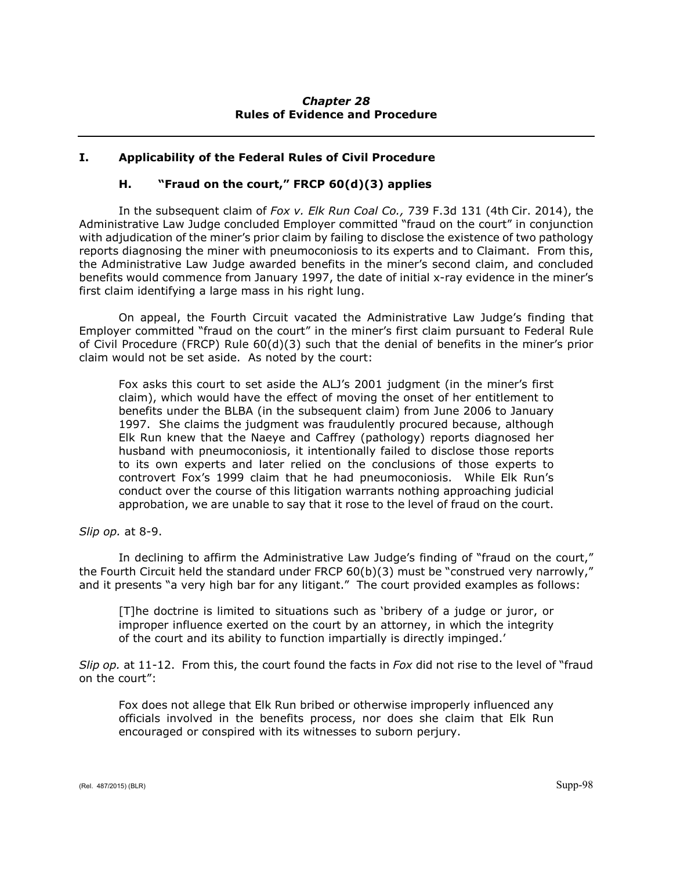# *Chapter 28* **Rules of Evidence and Procedure**

# **I. Applicability of the Federal Rules of Civil Procedure**

# **H. "Fraud on the court," FRCP 60(d)(3) applies**

In the subsequent claim of *Fox v. Elk Run Coal Co.,* 739 F.3d 131 (4th Cir. 2014), the Administrative Law Judge concluded Employer committed "fraud on the court" in conjunction with adjudication of the miner's prior claim by failing to disclose the existence of two pathology reports diagnosing the miner with pneumoconiosis to its experts and to Claimant. From this, the Administrative Law Judge awarded benefits in the miner's second claim, and concluded benefits would commence from January 1997, the date of initial x-ray evidence in the miner's first claim identifying a large mass in his right lung.

On appeal, the Fourth Circuit vacated the Administrative Law Judge's finding that Employer committed "fraud on the court" in the miner's first claim pursuant to Federal Rule of Civil Procedure (FRCP) Rule 60(d)(3) such that the denial of benefits in the miner's prior claim would not be set aside. As noted by the court:

Fox asks this court to set aside the ALJ's 2001 judgment (in the miner's first claim), which would have the effect of moving the onset of her entitlement to benefits under the BLBA (in the subsequent claim) from June 2006 to January 1997. She claims the judgment was fraudulently procured because, although Elk Run knew that the Naeye and Caffrey (pathology) reports diagnosed her husband with pneumoconiosis, it intentionally failed to disclose those reports to its own experts and later relied on the conclusions of those experts to controvert Fox's 1999 claim that he had pneumoconiosis. While Elk Run's conduct over the course of this litigation warrants nothing approaching judicial approbation, we are unable to say that it rose to the level of fraud on the court.

# *Slip op.* at 8-9.

In declining to affirm the Administrative Law Judge's finding of "fraud on the court," the Fourth Circuit held the standard under FRCP 60(b)(3) must be "construed very narrowly," and it presents "a very high bar for any litigant." The court provided examples as follows:

[T]he doctrine is limited to situations such as 'bribery of a judge or juror, or improper influence exerted on the court by an attorney, in which the integrity of the court and its ability to function impartially is directly impinged.'

*Slip op.* at 11-12. From this, the court found the facts in *Fox* did not rise to the level of "fraud on the court":

Fox does not allege that Elk Run bribed or otherwise improperly influenced any officials involved in the benefits process, nor does she claim that Elk Run encouraged or conspired with its witnesses to suborn perjury.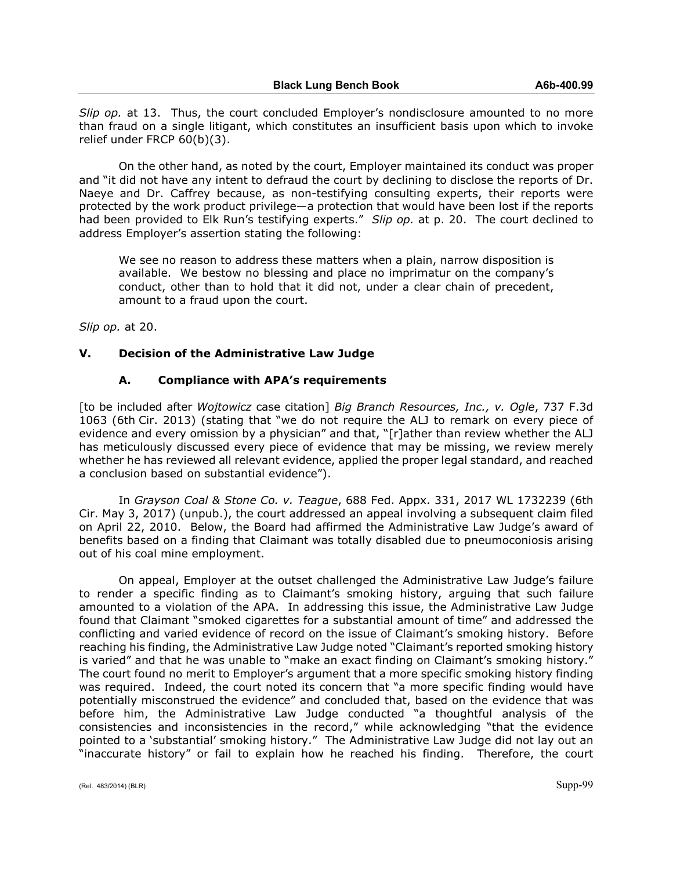*Slip op.* at 13. Thus, the court concluded Employer's nondisclosure amounted to no more than fraud on a single litigant, which constitutes an insufficient basis upon which to invoke relief under FRCP 60(b)(3).

On the other hand, as noted by the court, Employer maintained its conduct was proper and "it did not have any intent to defraud the court by declining to disclose the reports of Dr. Naeye and Dr. Caffrey because, as non-testifying consulting experts, their reports were protected by the work product privilege—a protection that would have been lost if the reports had been provided to Elk Run's testifying experts." *Slip op.* at p. 20. The court declined to address Employer's assertion stating the following:

We see no reason to address these matters when a plain, narrow disposition is available. We bestow no blessing and place no imprimatur on the company's conduct, other than to hold that it did not, under a clear chain of precedent, amount to a fraud upon the court.

*Slip op.* at 20.

### **V. Decision of the Administrative Law Judge**

### **A. Compliance with APA's requirements**

[to be included after *Wojtowicz* case citation] *Big Branch Resources, Inc., v. Ogle*, 737 F.3d 1063 (6th Cir. 2013) (stating that "we do not require the ALJ to remark on every piece of evidence and every omission by a physician" and that, "[r]ather than review whether the ALJ has meticulously discussed every piece of evidence that may be missing, we review merely whether he has reviewed all relevant evidence, applied the proper legal standard, and reached a conclusion based on substantial evidence").

In *Grayson Coal & Stone Co. v. Teague*, 688 Fed. Appx. 331, 2017 WL 1732239 (6th Cir. May 3, 2017) (unpub.), the court addressed an appeal involving a subsequent claim filed on April 22, 2010. Below, the Board had affirmed the Administrative Law Judge's award of benefits based on a finding that Claimant was totally disabled due to pneumoconiosis arising out of his coal mine employment.

On appeal, Employer at the outset challenged the Administrative Law Judge's failure to render a specific finding as to Claimant's smoking history, arguing that such failure amounted to a violation of the APA. In addressing this issue, the Administrative Law Judge found that Claimant "smoked cigarettes for a substantial amount of time" and addressed the conflicting and varied evidence of record on the issue of Claimant's smoking history. Before reaching his finding, the Administrative Law Judge noted "Claimant's reported smoking history is varied" and that he was unable to "make an exact finding on Claimant's smoking history." The court found no merit to Employer's argument that a more specific smoking history finding was required. Indeed, the court noted its concern that "a more specific finding would have potentially misconstrued the evidence" and concluded that, based on the evidence that was before him, the Administrative Law Judge conducted "a thoughtful analysis of the consistencies and inconsistencies in the record," while acknowledging "that the evidence pointed to a 'substantial' smoking history." The Administrative Law Judge did not lay out an "inaccurate history" or fail to explain how he reached his finding. Therefore, the court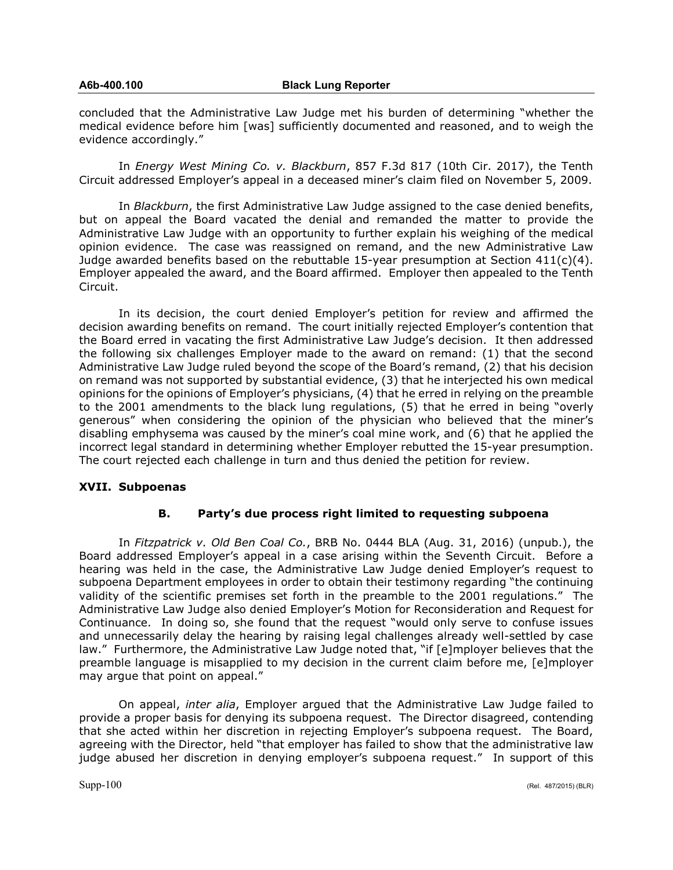concluded that the Administrative Law Judge met his burden of determining "whether the medical evidence before him [was] sufficiently documented and reasoned, and to weigh the evidence accordingly."

In *Energy West Mining Co. v. Blackburn*, 857 F.3d 817 (10th Cir. 2017), the Tenth Circuit addressed Employer's appeal in a deceased miner's claim filed on November 5, 2009.

In *Blackburn*, the first Administrative Law Judge assigned to the case denied benefits, but on appeal the Board vacated the denial and remanded the matter to provide the Administrative Law Judge with an opportunity to further explain his weighing of the medical opinion evidence. The case was reassigned on remand, and the new Administrative Law Judge awarded benefits based on the rebuttable 15-year presumption at Section  $411(c)(4)$ . Employer appealed the award, and the Board affirmed. Employer then appealed to the Tenth Circuit.

In its decision, the court denied Employer's petition for review and affirmed the decision awarding benefits on remand. The court initially rejected Employer's contention that the Board erred in vacating the first Administrative Law Judge's decision. It then addressed the following six challenges Employer made to the award on remand: (1) that the second Administrative Law Judge ruled beyond the scope of the Board's remand, (2) that his decision on remand was not supported by substantial evidence, (3) that he interjected his own medical opinions for the opinions of Employer's physicians, (4) that he erred in relying on the preamble to the 2001 amendments to the black lung regulations, (5) that he erred in being "overly generous" when considering the opinion of the physician who believed that the miner's disabling emphysema was caused by the miner's coal mine work, and (6) that he applied the incorrect legal standard in determining whether Employer rebutted the 15-year presumption. The court rejected each challenge in turn and thus denied the petition for review.

# **XVII. Subpoenas**

# **B. Party's due process right limited to requesting subpoena**

In *Fitzpatrick v. Old Ben Coal Co.*, BRB No. 0444 BLA (Aug. 31, 2016) (unpub.), the Board addressed Employer's appeal in a case arising within the Seventh Circuit. Before a hearing was held in the case, the Administrative Law Judge denied Employer's request to subpoena Department employees in order to obtain their testimony regarding "the continuing validity of the scientific premises set forth in the preamble to the 2001 regulations." The Administrative Law Judge also denied Employer's Motion for Reconsideration and Request for Continuance. In doing so, she found that the request "would only serve to confuse issues and unnecessarily delay the hearing by raising legal challenges already well-settled by case law." Furthermore, the Administrative Law Judge noted that, "if [e]mployer believes that the preamble language is misapplied to my decision in the current claim before me, [e]mployer may argue that point on appeal."

On appeal, *inter alia*, Employer argued that the Administrative Law Judge failed to provide a proper basis for denying its subpoena request. The Director disagreed, contending that she acted within her discretion in rejecting Employer's subpoena request. The Board, agreeing with the Director, held "that employer has failed to show that the administrative law judge abused her discretion in denying employer's subpoena request." In support of this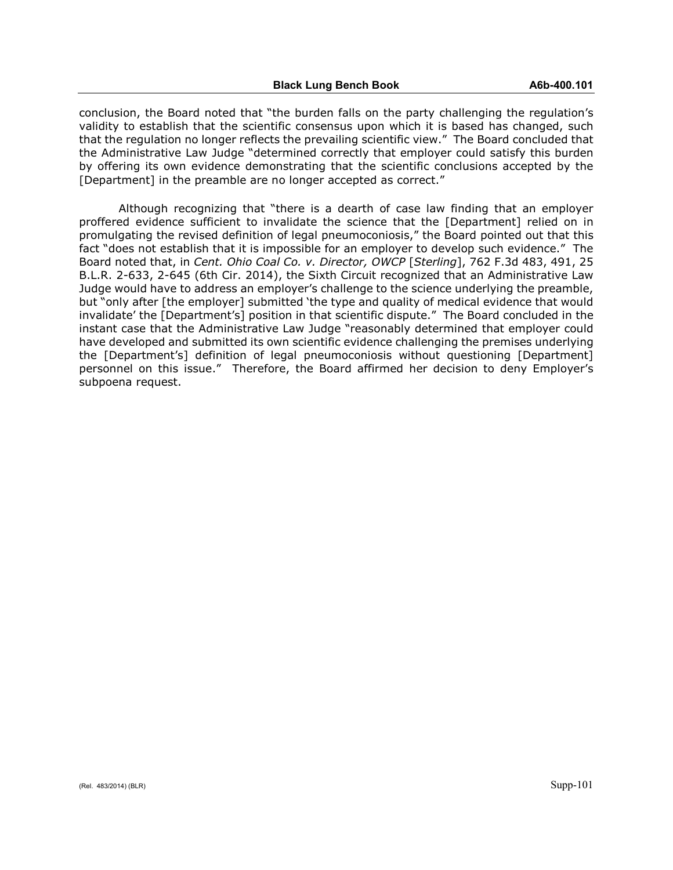conclusion, the Board noted that "the burden falls on the party challenging the regulation's validity to establish that the scientific consensus upon which it is based has changed, such that the regulation no longer reflects the prevailing scientific view." The Board concluded that the Administrative Law Judge "determined correctly that employer could satisfy this burden by offering its own evidence demonstrating that the scientific conclusions accepted by the [Department] in the preamble are no longer accepted as correct."

Although recognizing that "there is a dearth of case law finding that an employer proffered evidence sufficient to invalidate the science that the [Department] relied on in promulgating the revised definition of legal pneumoconiosis," the Board pointed out that this fact "does not establish that it is impossible for an employer to develop such evidence." The Board noted that, in *Cent. Ohio Coal Co. v. Director, OWCP* [*Sterling*], 762 F.3d 483, 491, 25 B.L.R. 2-633, 2-645 (6th Cir. 2014), the Sixth Circuit recognized that an Administrative Law Judge would have to address an employer's challenge to the science underlying the preamble, but "only after [the employer] submitted 'the type and quality of medical evidence that would invalidate' the [Department's] position in that scientific dispute." The Board concluded in the instant case that the Administrative Law Judge "reasonably determined that employer could have developed and submitted its own scientific evidence challenging the premises underlying the [Department's] definition of legal pneumoconiosis without questioning [Department] personnel on this issue." Therefore, the Board affirmed her decision to deny Employer's subpoena request.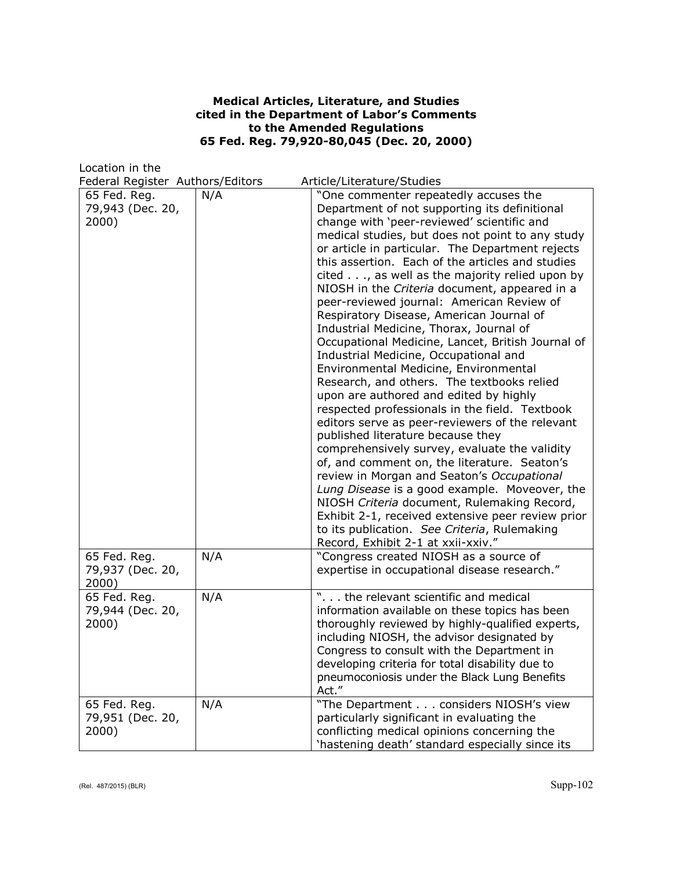## **Medical Articles, Literature, and Studies cited in the Department of Labor's Comments to the Amended Regulations 65 Fed. Reg. 79,920-80,045 (Dec. 20, 2000)**

Location in the

Federal Register Authors/Editors Article/Literature/Studies

| reacramegister Authors/Luitors            |     | Article/Literature/Jtuures                                                                                                                                                                                                                                                                                                                                                                                                                                                                                                                                                                                                                                                                                                                                                                                                                                                                                                                                                                                                                                                                                                                                                                                                                                                                                |
|-------------------------------------------|-----|-----------------------------------------------------------------------------------------------------------------------------------------------------------------------------------------------------------------------------------------------------------------------------------------------------------------------------------------------------------------------------------------------------------------------------------------------------------------------------------------------------------------------------------------------------------------------------------------------------------------------------------------------------------------------------------------------------------------------------------------------------------------------------------------------------------------------------------------------------------------------------------------------------------------------------------------------------------------------------------------------------------------------------------------------------------------------------------------------------------------------------------------------------------------------------------------------------------------------------------------------------------------------------------------------------------|
| 65 Fed. Reg.<br>79,943 (Dec. 20,<br>2000) | N/A | "One commenter repeatedly accuses the<br>Department of not supporting its definitional<br>change with 'peer-reviewed' scientific and<br>medical studies, but does not point to any study<br>or article in particular. The Department rejects<br>this assertion. Each of the articles and studies<br>cited, as well as the majority relied upon by<br>NIOSH in the Criteria document, appeared in a<br>peer-reviewed journal: American Review of<br>Respiratory Disease, American Journal of<br>Industrial Medicine, Thorax, Journal of<br>Occupational Medicine, Lancet, British Journal of<br>Industrial Medicine, Occupational and<br>Environmental Medicine, Environmental<br>Research, and others. The textbooks relied<br>upon are authored and edited by highly<br>respected professionals in the field. Textbook<br>editors serve as peer-reviewers of the relevant<br>published literature because they<br>comprehensively survey, evaluate the validity<br>of, and comment on, the literature. Seaton's<br>review in Morgan and Seaton's Occupational<br>Lung Disease is a good example. Moveover, the<br>NIOSH Criteria document, Rulemaking Record,<br>Exhibit 2-1, received extensive peer review prior<br>to its publication. See Criteria, Rulemaking<br>Record, Exhibit 2-1 at xxii-xxiv." |
| 65 Fed. Reg.<br>79,937 (Dec. 20,<br>2000) | N/A | "Congress created NIOSH as a source of<br>expertise in occupational disease research."                                                                                                                                                                                                                                                                                                                                                                                                                                                                                                                                                                                                                                                                                                                                                                                                                                                                                                                                                                                                                                                                                                                                                                                                                    |
| 65 Fed. Reg.<br>79,944 (Dec. 20,<br>2000) | N/A | ". the relevant scientific and medical<br>information available on these topics has been<br>thoroughly reviewed by highly-qualified experts,<br>including NIOSH, the advisor designated by<br>Congress to consult with the Department in<br>developing criteria for total disability due to<br>pneumoconiosis under the Black Lung Benefits<br>Act."                                                                                                                                                                                                                                                                                                                                                                                                                                                                                                                                                                                                                                                                                                                                                                                                                                                                                                                                                      |
| 65 Fed. Reg.<br>79,951 (Dec. 20,<br>2000) | N/A | "The Department considers NIOSH's view<br>particularly significant in evaluating the<br>conflicting medical opinions concerning the<br>'hastening death' standard especially since its                                                                                                                                                                                                                                                                                                                                                                                                                                                                                                                                                                                                                                                                                                                                                                                                                                                                                                                                                                                                                                                                                                                    |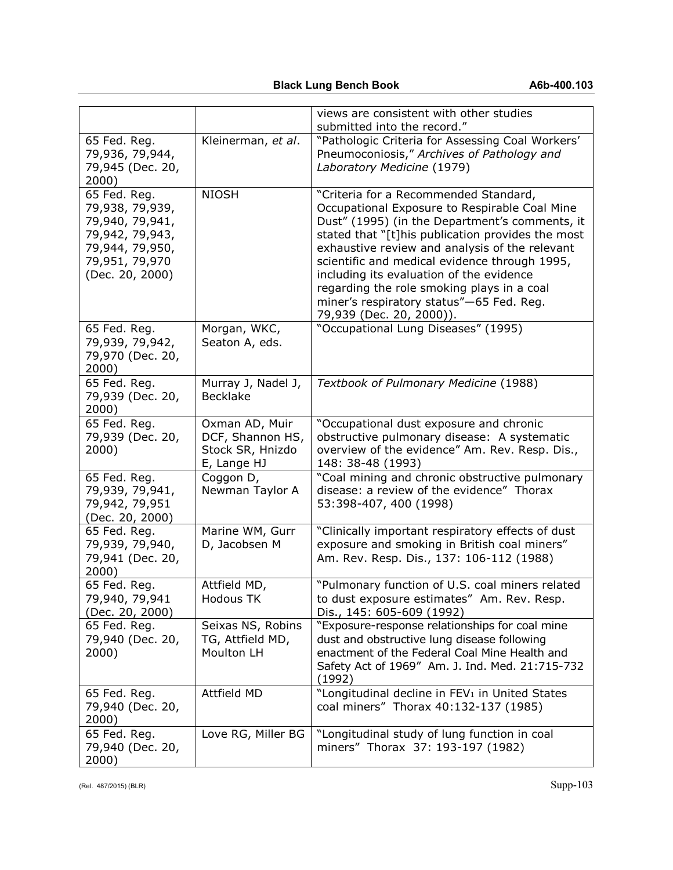|                                                                                                                               |                                                                       | views are consistent with other studies<br>submitted into the record."                                                                                                                                                                                                                                                                                                                                                                                             |
|-------------------------------------------------------------------------------------------------------------------------------|-----------------------------------------------------------------------|--------------------------------------------------------------------------------------------------------------------------------------------------------------------------------------------------------------------------------------------------------------------------------------------------------------------------------------------------------------------------------------------------------------------------------------------------------------------|
| 65 Fed. Reg.<br>79,936, 79,944,<br>79,945 (Dec. 20,<br>2000)                                                                  | Kleinerman, et al.                                                    | "Pathologic Criteria for Assessing Coal Workers'<br>Pneumoconiosis," Archives of Pathology and<br>Laboratory Medicine (1979)                                                                                                                                                                                                                                                                                                                                       |
| 65 Fed. Reg.<br>79,938, 79,939,<br>79,940, 79,941,<br>79,942, 79,943,<br>79,944, 79,950,<br>79,951, 79,970<br>(Dec. 20, 2000) | <b>NIOSH</b>                                                          | "Criteria for a Recommended Standard,<br>Occupational Exposure to Respirable Coal Mine<br>Dust" (1995) (in the Department's comments, it<br>stated that "[t]his publication provides the most<br>exhaustive review and analysis of the relevant<br>scientific and medical evidence through 1995,<br>including its evaluation of the evidence<br>regarding the role smoking plays in a coal<br>miner's respiratory status"-65 Fed. Reg.<br>79,939 (Dec. 20, 2000)). |
| 65 Fed. Reg.<br>79,939, 79,942,<br>79,970 (Dec. 20,<br>2000)                                                                  | Morgan, WKC,<br>Seaton A, eds.                                        | "Occupational Lung Diseases" (1995)                                                                                                                                                                                                                                                                                                                                                                                                                                |
| 65 Fed. Reg.<br>79,939 (Dec. 20,<br>2000)                                                                                     | Murray J, Nadel J,<br><b>Becklake</b>                                 | Textbook of Pulmonary Medicine (1988)                                                                                                                                                                                                                                                                                                                                                                                                                              |
| 65 Fed. Reg.<br>79,939 (Dec. 20,<br>2000)                                                                                     | Oxman AD, Muir<br>DCF, Shannon HS,<br>Stock SR, Hnizdo<br>E, Lange HJ | "Occupational dust exposure and chronic<br>obstructive pulmonary disease: A systematic<br>overview of the evidence" Am. Rev. Resp. Dis.,<br>148: 38-48 (1993)                                                                                                                                                                                                                                                                                                      |
| 65 Fed. Reg.<br>79,939, 79,941,<br>79,942, 79,951<br>(Dec. 20, 2000)                                                          | Coggon D,<br>Newman Taylor A                                          | "Coal mining and chronic obstructive pulmonary<br>disease: a review of the evidence" Thorax<br>53:398-407, 400 (1998)                                                                                                                                                                                                                                                                                                                                              |
| 65 Fed. Reg.<br>79,939, 79,940,<br>79,941 (Dec. 20,<br>2000)                                                                  | Marine WM, Gurr<br>D, Jacobsen M                                      | "Clinically important respiratory effects of dust<br>exposure and smoking in British coal miners"<br>Am. Rev. Resp. Dis., 137: 106-112 (1988)                                                                                                                                                                                                                                                                                                                      |
| 65 Fed. Reg.<br>79,940, 79,941<br>(Dec. 20, 2000)                                                                             | Attfield MD,<br><b>Hodous TK</b>                                      | "Pulmonary function of U.S. coal miners related<br>to dust exposure estimates" Am. Rev. Resp.<br>Dis., 145: 605-609 (1992)                                                                                                                                                                                                                                                                                                                                         |
| 65 Fed. Reg.<br>79,940 (Dec. 20,<br>2000)                                                                                     | Seixas NS, Robins<br>TG, Attfield MD,<br>Moulton LH                   | "Exposure-response relationships for coal mine<br>dust and obstructive lung disease following<br>enactment of the Federal Coal Mine Health and<br>Safety Act of 1969" Am. J. Ind. Med. 21:715-732<br>(1992)                                                                                                                                                                                                                                                        |
| 65 Fed. Reg.<br>79,940 (Dec. 20,<br>2000)                                                                                     | Attfield MD                                                           | "Longitudinal decline in FEV <sub>1</sub> in United States<br>coal miners" Thorax 40:132-137 (1985)                                                                                                                                                                                                                                                                                                                                                                |
| 65 Fed. Reg.<br>79,940 (Dec. 20,<br>2000)                                                                                     | Love RG, Miller BG                                                    | "Longitudinal study of lung function in coal<br>miners" Thorax 37: 193-197 (1982)                                                                                                                                                                                                                                                                                                                                                                                  |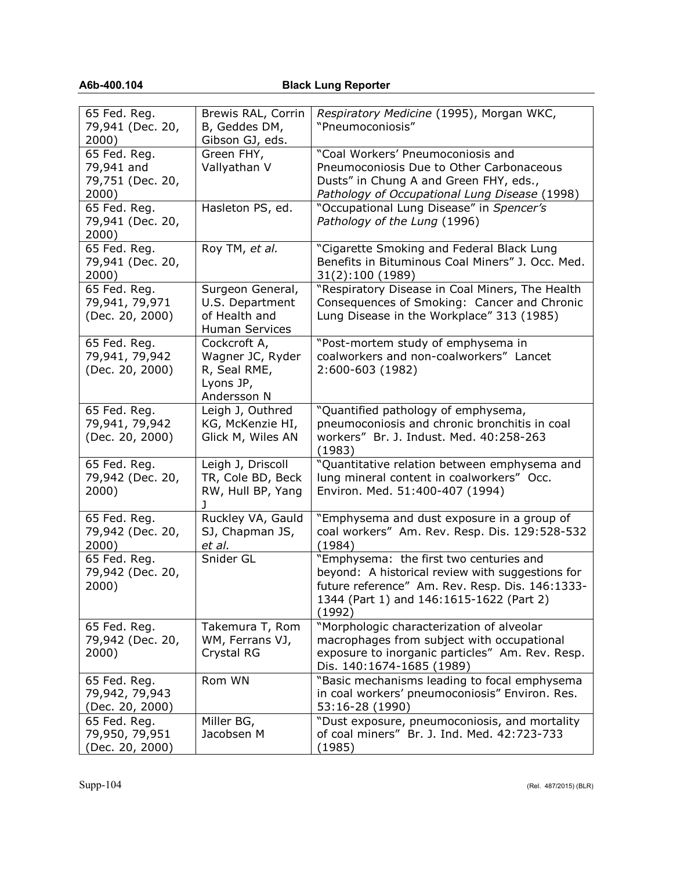# **A6b-400.104 Black Lung Reporter**

| 65 Fed. Reg.<br>79,941 (Dec. 20,<br>2000)               | Brewis RAL, Corrin<br>B, Geddes DM,<br>Gibson GJ, eds.                        | Respiratory Medicine (1995), Morgan WKC,<br>"Pneumoconiosis"                                                                                                                                         |
|---------------------------------------------------------|-------------------------------------------------------------------------------|------------------------------------------------------------------------------------------------------------------------------------------------------------------------------------------------------|
| 65 Fed. Reg.<br>79,941 and<br>79,751 (Dec. 20,<br>2000) | Green FHY,<br>Vallyathan V                                                    | "Coal Workers' Pneumoconiosis and<br>Pneumoconiosis Due to Other Carbonaceous<br>Dusts" in Chung A and Green FHY, eds.,<br>Pathology of Occupational Lung Disease (1998)                             |
| 65 Fed. Reg.<br>79,941 (Dec. 20,<br>2000)               | Hasleton PS, ed.                                                              | "Occupational Lung Disease" in Spencer's<br>Pathology of the Lung (1996)                                                                                                                             |
| 65 Fed. Reg.<br>79,941 (Dec. 20,<br>2000)               | Roy TM, et al.                                                                | "Cigarette Smoking and Federal Black Lung<br>Benefits in Bituminous Coal Miners" J. Occ. Med.<br>31(2):100 (1989)                                                                                    |
| 65 Fed. Reg.<br>79,941, 79,971<br>(Dec. 20, 2000)       | Surgeon General,<br>U.S. Department<br>of Health and<br><b>Human Services</b> | "Respiratory Disease in Coal Miners, The Health<br>Consequences of Smoking: Cancer and Chronic<br>Lung Disease in the Workplace" 313 (1985)                                                          |
| 65 Fed. Reg.<br>79,941, 79,942<br>(Dec. 20, 2000)       | Cockcroft A,<br>Wagner JC, Ryder<br>R, Seal RME,<br>Lyons JP,<br>Andersson N  | "Post-mortem study of emphysema in<br>coalworkers and non-coalworkers" Lancet<br>2:600-603 (1982)                                                                                                    |
| 65 Fed. Reg.<br>79,941, 79,942<br>(Dec. 20, 2000)       | Leigh J, Outhred<br>KG, McKenzie HI,<br>Glick M, Wiles AN                     | "Quantified pathology of emphysema,<br>pneumoconiosis and chronic bronchitis in coal<br>workers" Br. J. Indust. Med. 40:258-263<br>(1983)                                                            |
| 65 Fed. Reg.<br>79,942 (Dec. 20,<br>2000)               | Leigh J, Driscoll<br>TR, Cole BD, Beck<br>RW, Hull BP, Yang<br>ı              | "Quantitative relation between emphysema and<br>lung mineral content in coalworkers" Occ.<br>Environ. Med. 51:400-407 (1994)                                                                         |
| 65 Fed. Reg.<br>79,942 (Dec. 20,<br>2000)               | Ruckley VA, Gauld<br>SJ, Chapman JS,<br>et al.                                | "Emphysema and dust exposure in a group of<br>coal workers" Am. Rev. Resp. Dis. 129:528-532<br>(1984)                                                                                                |
| 65 Fed. Reg.<br>79,942 (Dec. 20,<br>2000)               | Snider GL                                                                     | "Emphysema: the first two centuries and<br>beyond: A historical review with suggestions for<br>future reference" Am. Rev. Resp. Dis. 146:1333-<br>1344 (Part 1) and 146:1615-1622 (Part 2)<br>(1992) |
| 65 Fed. Reg.<br>79,942 (Dec. 20,<br>2000)               | Takemura T, Rom<br>WM, Ferrans VJ,<br>Crystal RG                              | "Morphologic characterization of alveolar<br>macrophages from subject with occupational<br>exposure to inorganic particles" Am. Rev. Resp.<br>Dis. 140:1674-1685 (1989)                              |
| 65 Fed. Reg.<br>79,942, 79,943<br>(Dec. 20, 2000)       | Rom WN                                                                        | "Basic mechanisms leading to focal emphysema<br>in coal workers' pneumoconiosis" Environ. Res.<br>53:16-28 (1990)                                                                                    |
| 65 Fed. Reg.<br>79,950, 79,951<br>(Dec. 20, 2000)       | Miller BG,<br>Jacobsen M                                                      | "Dust exposure, pneumoconiosis, and mortality<br>of coal miners" Br. J. Ind. Med. 42:723-733<br>(1985)                                                                                               |